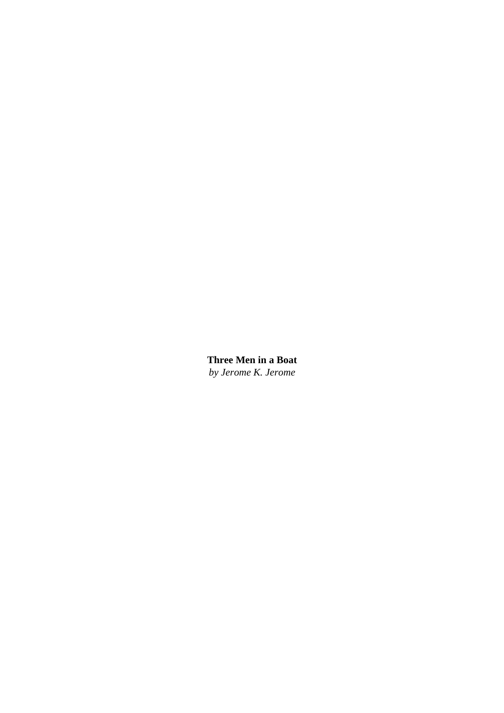**Three Men in a Boat** *by Jerome K. Jerome*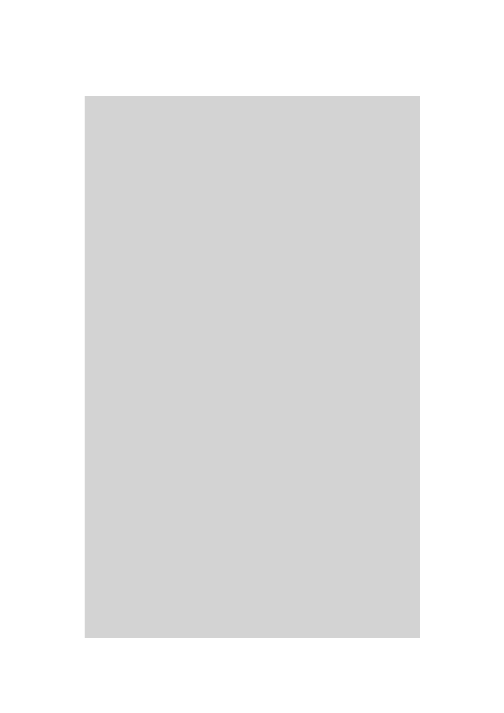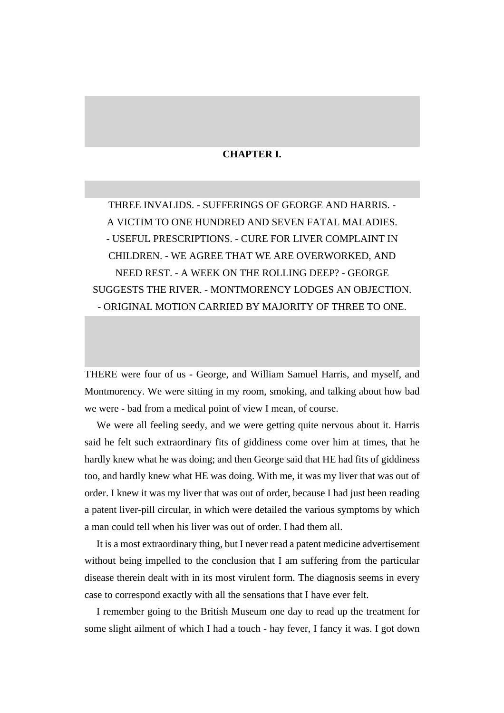# **CHAPTER I.**

THREE INVALIDS. - SUFFERINGS OF GEORGE AND HARRIS. - A VICTIM TO ONE HUNDRED AND SEVEN FATAL MALADIES. - USEFUL PRESCRIPTIONS. - CURE FOR LIVER COMPLAINT IN CHILDREN. - WE AGREE THAT WE ARE OVERWORKED, AND NEED REST. - A WEEK ON THE ROLLING DEEP? - GEORGE SUGGESTS THE RIVER. - MONTMORENCY LODGES AN OBJECTION. - ORIGINAL MOTION CARRIED BY MAJORITY OF THREE TO ONE.

THERE were four of us - George, and William Samuel Harris, and myself, and Montmorency. We were sitting in my room, smoking, and talking about how bad we were - bad from a medical point of view I mean, of course.

We were all feeling seedy, and we were getting quite nervous about it. Harris said he felt such extraordinary fits of giddiness come over him at times, that he hardly knew what he was doing; and then George said that HE had fits of giddiness too, and hardly knew what HE was doing. With me, it was my liver that was out of order. I knew it was my liver that was out of order, because I had just been reading a patent liver-pill circular, in which were detailed the various symptoms by which a man could tell when his liver was out of order. I had them all.

It is a most extraordinary thing, but I never read a patent medicine advertisement without being impelled to the conclusion that I am suffering from the particular disease therein dealt with in its most virulent form. The diagnosis seems in every case to correspond exactly with all the sensations that I have ever felt.

I remember going to the British Museum one day to read up the treatment for some slight ailment of which I had a touch - hay fever, I fancy it was. I got down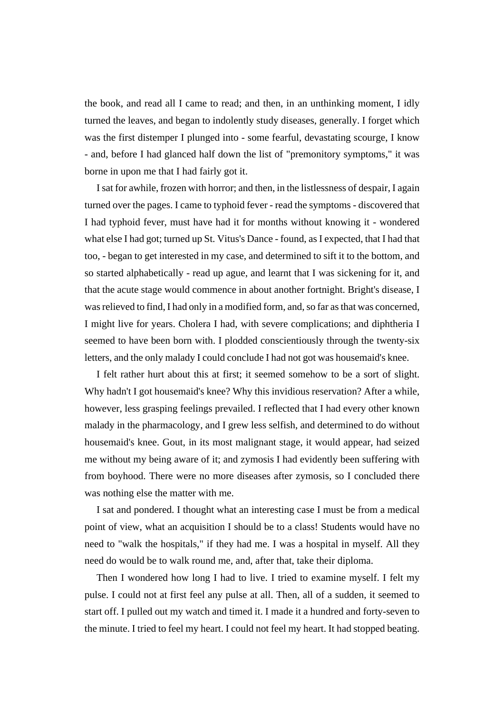the book, and read all I came to read; and then, in an unthinking moment, I idly turned the leaves, and began to indolently study diseases, generally. I forget which was the first distemper I plunged into - some fearful, devastating scourge, I know - and, before I had glanced half down the list of "premonitory symptoms," it was borne in upon me that I had fairly got it.

I sat for awhile, frozen with horror; and then, in the listlessness of despair, I again turned over the pages. I came to typhoid fever - read the symptoms - discovered that I had typhoid fever, must have had it for months without knowing it - wondered what else I had got; turned up St. Vitus's Dance - found, as I expected, that I had that too, - began to get interested in my case, and determined to sift it to the bottom, and so started alphabetically - read up ague, and learnt that I was sickening for it, and that the acute stage would commence in about another fortnight. Bright's disease, I was relieved to find, I had only in a modified form, and, so far as that was concerned, I might live for years. Cholera I had, with severe complications; and diphtheria I seemed to have been born with. I plodded conscientiously through the twenty-six letters, and the only malady I could conclude I had not got was housemaid's knee.

I felt rather hurt about this at first; it seemed somehow to be a sort of slight. Why hadn't I got housemaid's knee? Why this invidious reservation? After a while, however, less grasping feelings prevailed. I reflected that I had every other known malady in the pharmacology, and I grew less selfish, and determined to do without housemaid's knee. Gout, in its most malignant stage, it would appear, had seized me without my being aware of it; and zymosis I had evidently been suffering with from boyhood. There were no more diseases after zymosis, so I concluded there was nothing else the matter with me.

I sat and pondered. I thought what an interesting case I must be from a medical point of view, what an acquisition I should be to a class! Students would have no need to "walk the hospitals," if they had me. I was a hospital in myself. All they need do would be to walk round me, and, after that, take their diploma.

Then I wondered how long I had to live. I tried to examine myself. I felt my pulse. I could not at first feel any pulse at all. Then, all of a sudden, it seemed to start off. I pulled out my watch and timed it. I made it a hundred and forty-seven to the minute. I tried to feel my heart. I could not feel my heart. It had stopped beating.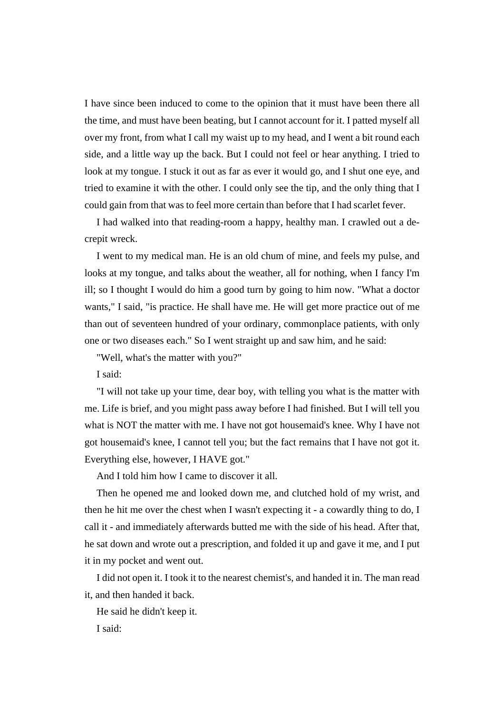I have since been induced to come to the opinion that it must have been there all the time, and must have been beating, but I cannot account for it. I patted myself all over my front, from what I call my waist up to my head, and I went a bit round each side, and a little way up the back. But I could not feel or hear anything. I tried to look at my tongue. I stuck it out as far as ever it would go, and I shut one eye, and tried to examine it with the other. I could only see the tip, and the only thing that I could gain from that was to feel more certain than before that I had scarlet fever.

I had walked into that reading-room a happy, healthy man. I crawled out a decrepit wreck.

I went to my medical man. He is an old chum of mine, and feels my pulse, and looks at my tongue, and talks about the weather, all for nothing, when I fancy I'm ill; so I thought I would do him a good turn by going to him now. "What a doctor wants," I said, "is practice. He shall have me. He will get more practice out of me than out of seventeen hundred of your ordinary, commonplace patients, with only one or two diseases each." So I went straight up and saw him, and he said:

"Well, what's the matter with you?"

I said:

"I will not take up your time, dear boy, with telling you what is the matter with me. Life is brief, and you might pass away before I had finished. But I will tell you what is NOT the matter with me. I have not got housemaid's knee. Why I have not got housemaid's knee, I cannot tell you; but the fact remains that I have not got it. Everything else, however, I HAVE got."

And I told him how I came to discover it all.

Then he opened me and looked down me, and clutched hold of my wrist, and then he hit me over the chest when I wasn't expecting it - a cowardly thing to do, I call it - and immediately afterwards butted me with the side of his head. After that, he sat down and wrote out a prescription, and folded it up and gave it me, and I put it in my pocket and went out.

I did not open it. I took it to the nearest chemist's, and handed it in. The man read it, and then handed it back.

He said he didn't keep it. I said: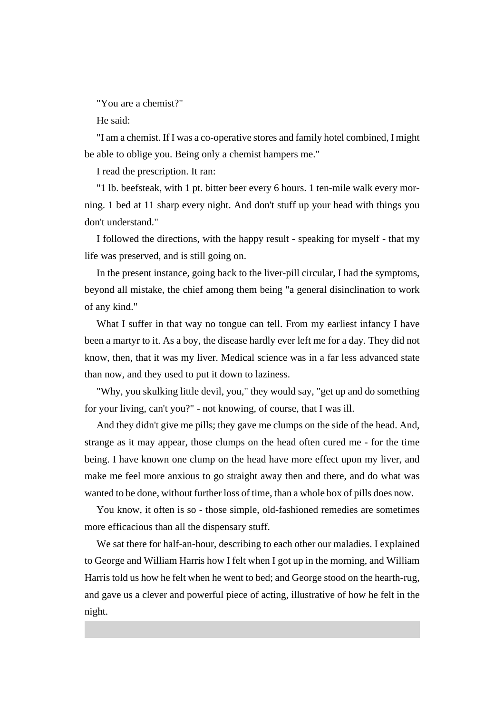"You are a chemist?"

He said:

"I am a chemist. If I was a co-operative stores and family hotel combined, I might be able to oblige you. Being only a chemist hampers me."

I read the prescription. It ran:

"1 lb. beefsteak, with 1 pt. bitter beer every 6 hours. 1 ten-mile walk every morning. 1 bed at 11 sharp every night. And don't stuff up your head with things you don't understand."

I followed the directions, with the happy result - speaking for myself - that my life was preserved, and is still going on.

In the present instance, going back to the liver-pill circular, I had the symptoms, beyond all mistake, the chief among them being "a general disinclination to work of any kind."

What I suffer in that way no tongue can tell. From my earliest infancy I have been a martyr to it. As a boy, the disease hardly ever left me for a day. They did not know, then, that it was my liver. Medical science was in a far less advanced state than now, and they used to put it down to laziness.

"Why, you skulking little devil, you," they would say, "get up and do something for your living, can't you?" - not knowing, of course, that I was ill.

And they didn't give me pills; they gave me clumps on the side of the head. And, strange as it may appear, those clumps on the head often cured me - for the time being. I have known one clump on the head have more effect upon my liver, and make me feel more anxious to go straight away then and there, and do what was wanted to be done, without further loss of time, than a whole box of pills does now.

You know, it often is so - those simple, old-fashioned remedies are sometimes more efficacious than all the dispensary stuff.

We sat there for half-an-hour, describing to each other our maladies. I explained to George and William Harris how I felt when I got up in the morning, and William Harris told us how he felt when he went to bed; and George stood on the hearth-rug, and gave us a clever and powerful piece of acting, illustrative of how he felt in the night.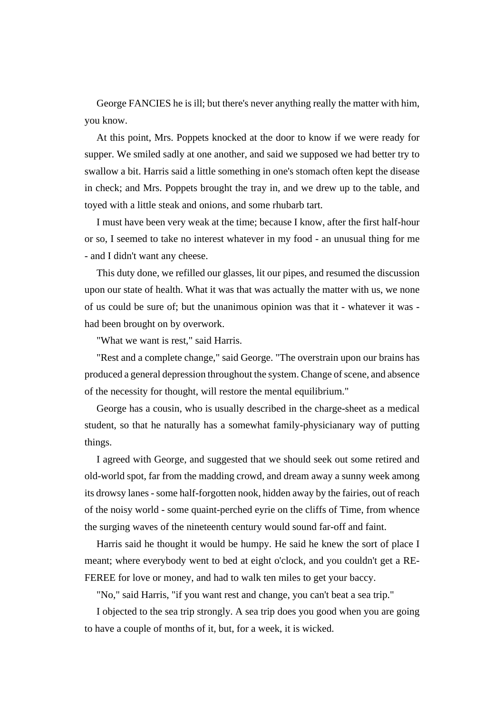George FANCIES he is ill; but there's never anything really the matter with him, you know.

At this point, Mrs. Poppets knocked at the door to know if we were ready for supper. We smiled sadly at one another, and said we supposed we had better try to swallow a bit. Harris said a little something in one's stomach often kept the disease in check; and Mrs. Poppets brought the tray in, and we drew up to the table, and toyed with a little steak and onions, and some rhubarb tart.

I must have been very weak at the time; because I know, after the first half-hour or so, I seemed to take no interest whatever in my food - an unusual thing for me - and I didn't want any cheese.

This duty done, we refilled our glasses, lit our pipes, and resumed the discussion upon our state of health. What it was that was actually the matter with us, we none of us could be sure of; but the unanimous opinion was that it - whatever it was had been brought on by overwork.

"What we want is rest," said Harris.

"Rest and a complete change," said George. "The overstrain upon our brains has produced a general depression throughout the system. Change of scene, and absence of the necessity for thought, will restore the mental equilibrium."

George has a cousin, who is usually described in the charge-sheet as a medical student, so that he naturally has a somewhat family-physicianary way of putting things.

I agreed with George, and suggested that we should seek out some retired and old-world spot, far from the madding crowd, and dream away a sunny week among its drowsy lanes - some half-forgotten nook, hidden away by the fairies, out of reach of the noisy world - some quaint-perched eyrie on the cliffs of Time, from whence the surging waves of the nineteenth century would sound far-off and faint.

Harris said he thought it would be humpy. He said he knew the sort of place I meant; where everybody went to bed at eight o'clock, and you couldn't get a RE-FEREE for love or money, and had to walk ten miles to get your baccy.

"No," said Harris, "if you want rest and change, you can't beat a sea trip."

I objected to the sea trip strongly. A sea trip does you good when you are going to have a couple of months of it, but, for a week, it is wicked.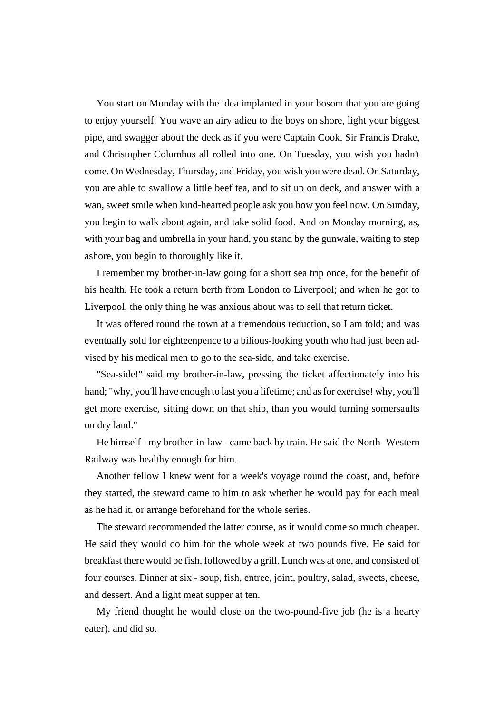You start on Monday with the idea implanted in your bosom that you are going to enjoy yourself. You wave an airy adieu to the boys on shore, light your biggest pipe, and swagger about the deck as if you were Captain Cook, Sir Francis Drake, and Christopher Columbus all rolled into one. On Tuesday, you wish you hadn't come. On Wednesday, Thursday, and Friday, you wish you were dead. On Saturday, you are able to swallow a little beef tea, and to sit up on deck, and answer with a wan, sweet smile when kind-hearted people ask you how you feel now. On Sunday, you begin to walk about again, and take solid food. And on Monday morning, as, with your bag and umbrella in your hand, you stand by the gunwale, waiting to step ashore, you begin to thoroughly like it.

I remember my brother-in-law going for a short sea trip once, for the benefit of his health. He took a return berth from London to Liverpool; and when he got to Liverpool, the only thing he was anxious about was to sell that return ticket.

It was offered round the town at a tremendous reduction, so I am told; and was eventually sold for eighteenpence to a bilious-looking youth who had just been advised by his medical men to go to the sea-side, and take exercise.

"Sea-side!" said my brother-in-law, pressing the ticket affectionately into his hand; "why, you'll have enough to last you a lifetime; and as for exercise! why, you'll get more exercise, sitting down on that ship, than you would turning somersaults on dry land."

He himself - my brother-in-law - came back by train. He said the North- Western Railway was healthy enough for him.

Another fellow I knew went for a week's voyage round the coast, and, before they started, the steward came to him to ask whether he would pay for each meal as he had it, or arrange beforehand for the whole series.

The steward recommended the latter course, as it would come so much cheaper. He said they would do him for the whole week at two pounds five. He said for breakfast there would be fish, followed by a grill. Lunch was at one, and consisted of four courses. Dinner at six - soup, fish, entree, joint, poultry, salad, sweets, cheese, and dessert. And a light meat supper at ten.

My friend thought he would close on the two-pound-five job (he is a hearty eater), and did so.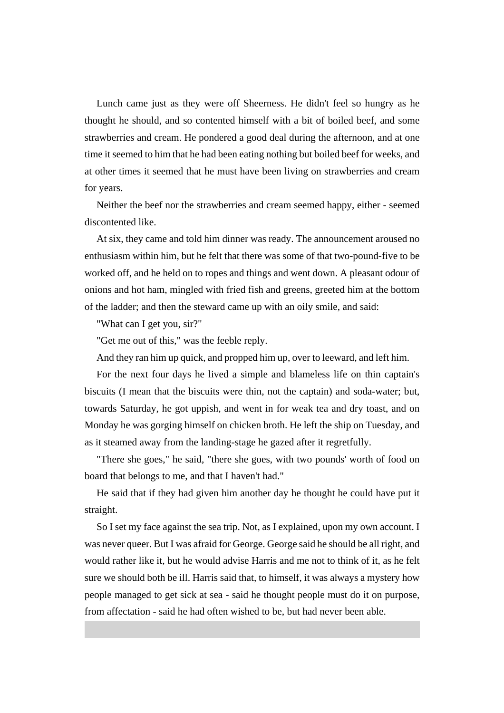Lunch came just as they were off Sheerness. He didn't feel so hungry as he thought he should, and so contented himself with a bit of boiled beef, and some strawberries and cream. He pondered a good deal during the afternoon, and at one time it seemed to him that he had been eating nothing but boiled beef for weeks, and at other times it seemed that he must have been living on strawberries and cream for years.

Neither the beef nor the strawberries and cream seemed happy, either - seemed discontented like.

At six, they came and told him dinner was ready. The announcement aroused no enthusiasm within him, but he felt that there was some of that two-pound-five to be worked off, and he held on to ropes and things and went down. A pleasant odour of onions and hot ham, mingled with fried fish and greens, greeted him at the bottom of the ladder; and then the steward came up with an oily smile, and said:

"What can I get you, sir?"

"Get me out of this," was the feeble reply.

And they ran him up quick, and propped him up, over to leeward, and left him.

For the next four days he lived a simple and blameless life on thin captain's biscuits (I mean that the biscuits were thin, not the captain) and soda-water; but, towards Saturday, he got uppish, and went in for weak tea and dry toast, and on Monday he was gorging himself on chicken broth. He left the ship on Tuesday, and as it steamed away from the landing-stage he gazed after it regretfully.

"There she goes," he said, "there she goes, with two pounds' worth of food on board that belongs to me, and that I haven't had."

He said that if they had given him another day he thought he could have put it straight.

So I set my face against the sea trip. Not, as I explained, upon my own account. I was never queer. But I was afraid for George. George said he should be all right, and would rather like it, but he would advise Harris and me not to think of it, as he felt sure we should both be ill. Harris said that, to himself, it was always a mystery how people managed to get sick at sea - said he thought people must do it on purpose, from affectation - said he had often wished to be, but had never been able.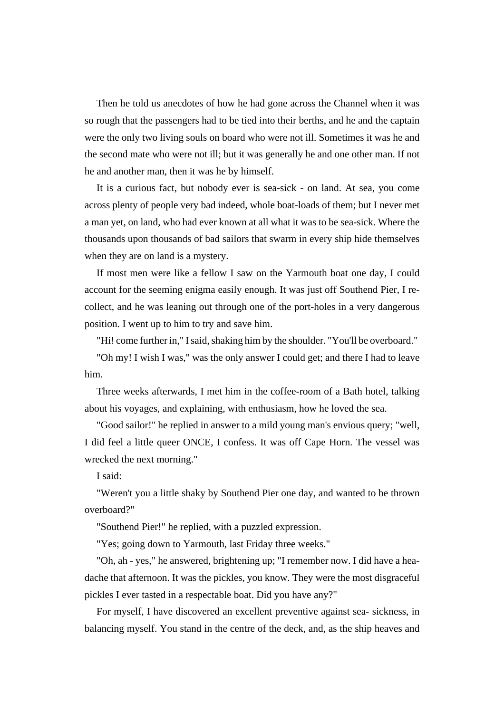Then he told us anecdotes of how he had gone across the Channel when it was so rough that the passengers had to be tied into their berths, and he and the captain were the only two living souls on board who were not ill. Sometimes it was he and the second mate who were not ill; but it was generally he and one other man. If not he and another man, then it was he by himself.

It is a curious fact, but nobody ever is sea-sick - on land. At sea, you come across plenty of people very bad indeed, whole boat-loads of them; but I never met a man yet, on land, who had ever known at all what it was to be sea-sick. Where the thousands upon thousands of bad sailors that swarm in every ship hide themselves when they are on land is a mystery.

If most men were like a fellow I saw on the Yarmouth boat one day, I could account for the seeming enigma easily enough. It was just off Southend Pier, I recollect, and he was leaning out through one of the port-holes in a very dangerous position. I went up to him to try and save him.

"Hi! come further in," I said, shaking him by the shoulder. "You'll be overboard."

"Oh my! I wish I was," was the only answer I could get; and there I had to leave him.

Three weeks afterwards, I met him in the coffee-room of a Bath hotel, talking about his voyages, and explaining, with enthusiasm, how he loved the sea.

"Good sailor!" he replied in answer to a mild young man's envious query; "well, I did feel a little queer ONCE, I confess. It was off Cape Horn. The vessel was wrecked the next morning."

I said:

"Weren't you a little shaky by Southend Pier one day, and wanted to be thrown overboard?"

"Southend Pier!" he replied, with a puzzled expression.

"Yes; going down to Yarmouth, last Friday three weeks."

"Oh, ah - yes," he answered, brightening up; "I remember now. I did have a headache that afternoon. It was the pickles, you know. They were the most disgraceful pickles I ever tasted in a respectable boat. Did you have any?"

For myself, I have discovered an excellent preventive against sea- sickness, in balancing myself. You stand in the centre of the deck, and, as the ship heaves and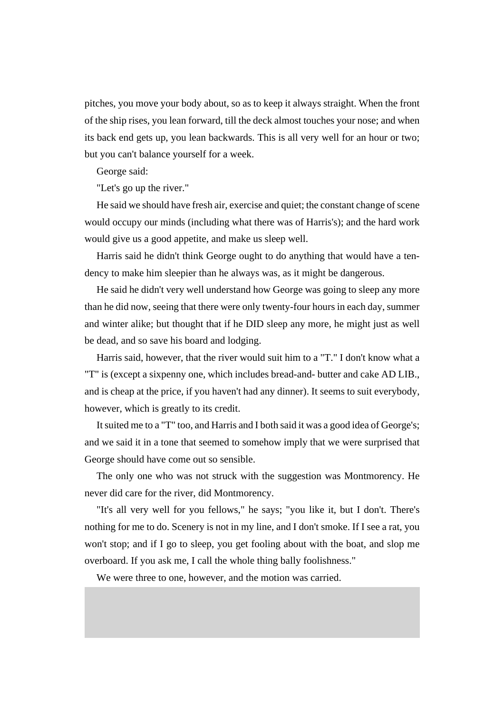pitches, you move your body about, so as to keep it always straight. When the front of the ship rises, you lean forward, till the deck almost touches your nose; and when its back end gets up, you lean backwards. This is all very well for an hour or two; but you can't balance yourself for a week.

George said:

"Let's go up the river."

He said we should have fresh air, exercise and quiet; the constant change of scene would occupy our minds (including what there was of Harris's); and the hard work would give us a good appetite, and make us sleep well.

Harris said he didn't think George ought to do anything that would have a tendency to make him sleepier than he always was, as it might be dangerous.

He said he didn't very well understand how George was going to sleep any more than he did now, seeing that there were only twenty-four hours in each day, summer and winter alike; but thought that if he DID sleep any more, he might just as well be dead, and so save his board and lodging.

Harris said, however, that the river would suit him to a "T." I don't know what a "T" is (except a sixpenny one, which includes bread-and- butter and cake AD LIB., and is cheap at the price, if you haven't had any dinner). It seems to suit everybody, however, which is greatly to its credit.

It suited me to a "T" too, and Harris and I both said it was a good idea of George's; and we said it in a tone that seemed to somehow imply that we were surprised that George should have come out so sensible.

The only one who was not struck with the suggestion was Montmorency. He never did care for the river, did Montmorency.

"It's all very well for you fellows," he says; "you like it, but I don't. There's nothing for me to do. Scenery is not in my line, and I don't smoke. If I see a rat, you won't stop; and if I go to sleep, you get fooling about with the boat, and slop me overboard. If you ask me, I call the whole thing bally foolishness."

We were three to one, however, and the motion was carried.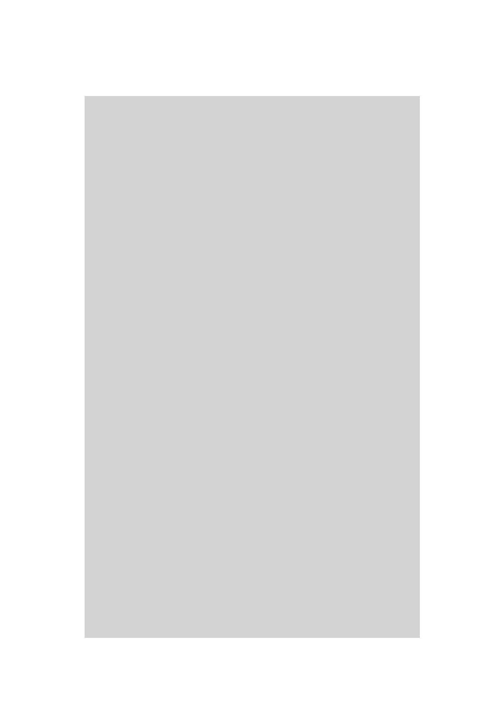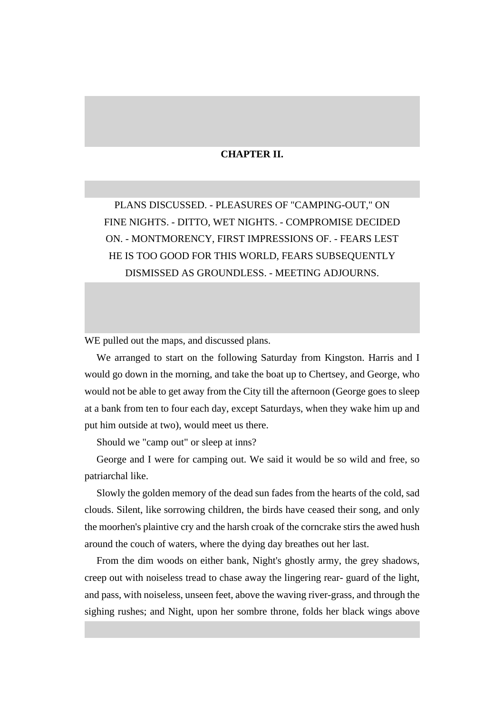# **CHAPTER II.**

PLANS DISCUSSED. - PLEASURES OF "CAMPING-OUT," ON FINE NIGHTS. - DITTO, WET NIGHTS. - COMPROMISE DECIDED ON. - MONTMORENCY, FIRST IMPRESSIONS OF. - FEARS LEST HE IS TOO GOOD FOR THIS WORLD. FEARS SUBSEQUENTLY DISMISSED AS GROUNDLESS. - MEETING ADJOURNS.

WE pulled out the maps, and discussed plans.

We arranged to start on the following Saturday from Kingston. Harris and I would go down in the morning, and take the boat up to Chertsey, and George, who would not be able to get away from the City till the afternoon (George goes to sleep at a bank from ten to four each day, except Saturdays, when they wake him up and put him outside at two), would meet us there.

Should we "camp out" or sleep at inns?

George and I were for camping out. We said it would be so wild and free, so patriarchal like.

Slowly the golden memory of the dead sun fades from the hearts of the cold, sad clouds. Silent, like sorrowing children, the birds have ceased their song, and only the moorhen's plaintive cry and the harsh croak of the corncrake stirs the awed hush around the couch of waters, where the dying day breathes out her last.

From the dim woods on either bank, Night's ghostly army, the grey shadows, creep out with noiseless tread to chase away the lingering rear- guard of the light, and pass, with noiseless, unseen feet, above the waving river-grass, and through the sighing rushes; and Night, upon her sombre throne, folds her black wings above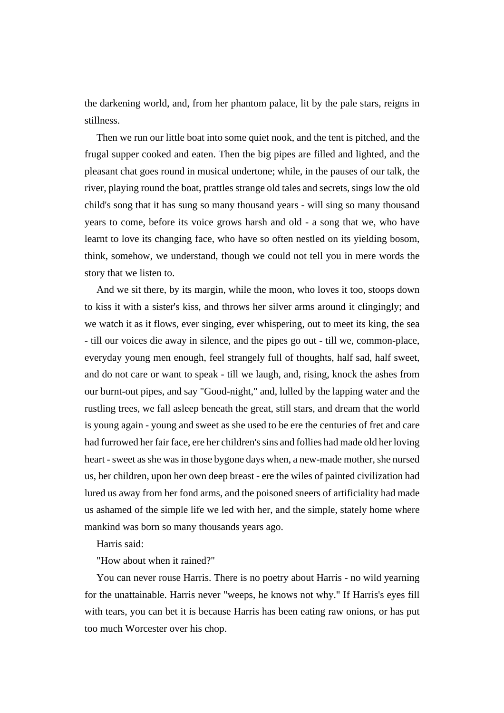the darkening world, and, from her phantom palace, lit by the pale stars, reigns in stillness.

Then we run our little boat into some quiet nook, and the tent is pitched, and the frugal supper cooked and eaten. Then the big pipes are filled and lighted, and the pleasant chat goes round in musical undertone; while, in the pauses of our talk, the river, playing round the boat, prattles strange old tales and secrets, sings low the old child's song that it has sung so many thousand years - will sing so many thousand years to come, before its voice grows harsh and old - a song that we, who have learnt to love its changing face, who have so often nestled on its yielding bosom, think, somehow, we understand, though we could not tell you in mere words the story that we listen to.

And we sit there, by its margin, while the moon, who loves it too, stoops down to kiss it with a sister's kiss, and throws her silver arms around it clingingly; and we watch it as it flows, ever singing, ever whispering, out to meet its king, the sea - till our voices die away in silence, and the pipes go out - till we, common-place, everyday young men enough, feel strangely full of thoughts, half sad, half sweet, and do not care or want to speak - till we laugh, and, rising, knock the ashes from our burnt-out pipes, and say "Good-night," and, lulled by the lapping water and the rustling trees, we fall asleep beneath the great, still stars, and dream that the world is young again - young and sweet as she used to be ere the centuries of fret and care had furrowed her fair face, ere her children's sins and follies had made old her loving heart - sweet as she was in those bygone days when, a new-made mother, she nursed us, her children, upon her own deep breast - ere the wiles of painted civilization had lured us away from her fond arms, and the poisoned sneers of artificiality had made us ashamed of the simple life we led with her, and the simple, stately home where mankind was born so many thousands years ago.

Harris said:

"How about when it rained?"

You can never rouse Harris. There is no poetry about Harris - no wild yearning for the unattainable. Harris never "weeps, he knows not why." If Harris's eyes fill with tears, you can bet it is because Harris has been eating raw onions, or has put too much Worcester over his chop.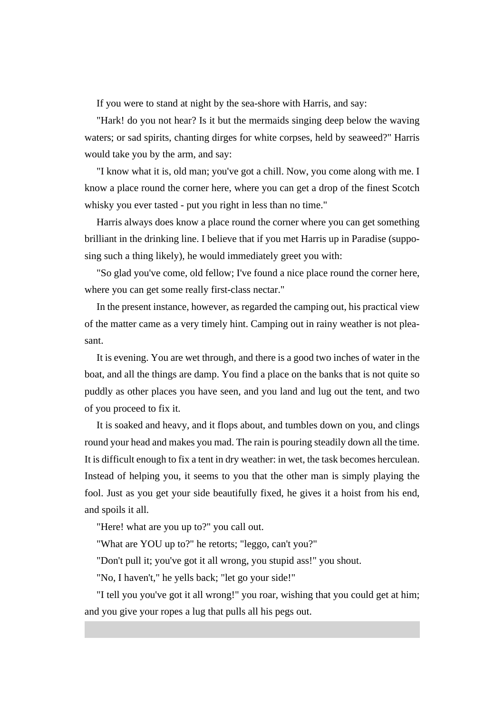If you were to stand at night by the sea-shore with Harris, and say:

"Hark! do you not hear? Is it but the mermaids singing deep below the waving waters; or sad spirits, chanting dirges for white corpses, held by seaweed?" Harris would take you by the arm, and say:

"I know what it is, old man; you've got a chill. Now, you come along with me. I know a place round the corner here, where you can get a drop of the finest Scotch whisky you ever tasted - put you right in less than no time."

Harris always does know a place round the corner where you can get something brilliant in the drinking line. I believe that if you met Harris up in Paradise (supposing such a thing likely), he would immediately greet you with:

"So glad you've come, old fellow; I've found a nice place round the corner here, where you can get some really first-class nectar."

In the present instance, however, as regarded the camping out, his practical view of the matter came as a very timely hint. Camping out in rainy weather is not pleasant.

It is evening. You are wet through, and there is a good two inches of water in the boat, and all the things are damp. You find a place on the banks that is not quite so puddly as other places you have seen, and you land and lug out the tent, and two of you proceed to fix it.

It is soaked and heavy, and it flops about, and tumbles down on you, and clings round your head and makes you mad. The rain is pouring steadily down all the time. It is difficult enough to fix a tent in dry weather: in wet, the task becomes herculean. Instead of helping you, it seems to you that the other man is simply playing the fool. Just as you get your side beautifully fixed, he gives it a hoist from his end, and spoils it all.

"Here! what are you up to?" you call out.

"What are YOU up to?" he retorts; "leggo, can't you?"

"Don't pull it; you've got it all wrong, you stupid ass!" you shout.

"No, I haven't," he yells back; "let go your side!"

"I tell you you've got it all wrong!" you roar, wishing that you could get at him; and you give your ropes a lug that pulls all his pegs out.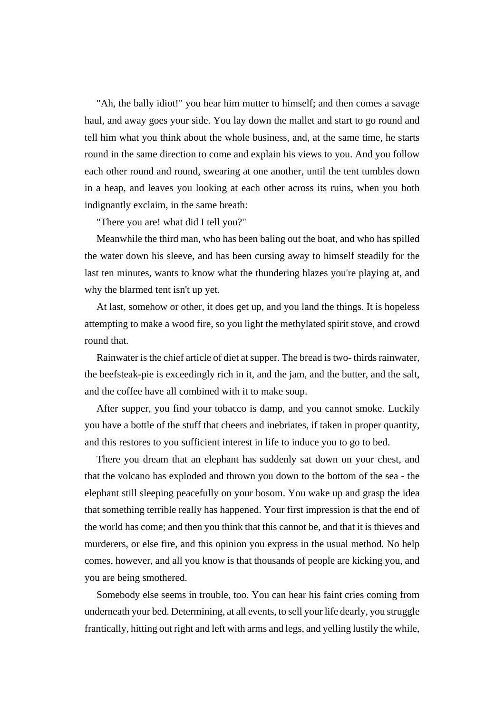"Ah, the bally idiot!" you hear him mutter to himself; and then comes a savage haul, and away goes your side. You lay down the mallet and start to go round and tell him what you think about the whole business, and, at the same time, he starts round in the same direction to come and explain his views to you. And you follow each other round and round, swearing at one another, until the tent tumbles down in a heap, and leaves you looking at each other across its ruins, when you both indignantly exclaim, in the same breath:

"There you are! what did I tell you?"

Meanwhile the third man, who has been baling out the boat, and who has spilled the water down his sleeve, and has been cursing away to himself steadily for the last ten minutes, wants to know what the thundering blazes you're playing at, and why the blarmed tent isn't up yet.

At last, somehow or other, it does get up, and you land the things. It is hopeless attempting to make a wood fire, so you light the methylated spirit stove, and crowd round that.

Rainwater is the chief article of diet at supper. The bread is two- thirds rainwater, the beefsteak-pie is exceedingly rich in it, and the jam, and the butter, and the salt, and the coffee have all combined with it to make soup.

After supper, you find your tobacco is damp, and you cannot smoke. Luckily you have a bottle of the stuff that cheers and inebriates, if taken in proper quantity, and this restores to you sufficient interest in life to induce you to go to bed.

There you dream that an elephant has suddenly sat down on your chest, and that the volcano has exploded and thrown you down to the bottom of the sea - the elephant still sleeping peacefully on your bosom. You wake up and grasp the idea that something terrible really has happened. Your first impression is that the end of the world has come; and then you think that this cannot be, and that it is thieves and murderers, or else fire, and this opinion you express in the usual method. No help comes, however, and all you know is that thousands of people are kicking you, and you are being smothered.

Somebody else seems in trouble, too. You can hear his faint cries coming from underneath your bed. Determining, at all events, to sell your life dearly, you struggle frantically, hitting out right and left with arms and legs, and yelling lustily the while,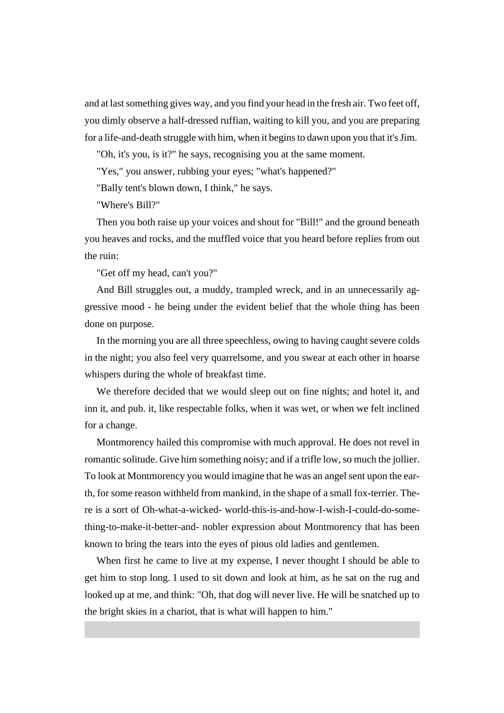and at last something gives way, and you find your head in the fresh air. Two feet off, you dimly observe a half-dressed ruffian, waiting to kill you, and you are preparing for a life-and-death struggle with him, when it begins to dawn upon you that it's Jim.

"Oh, it's you, is it?" he says, recognising you at the same moment.

"Yes," you answer, rubbing your eyes; "what's happened?"

"Bally tent's blown down, I think," he says.

"Where's Bill?"

Then you both raise up your voices and shout for "Bill!" and the ground beneath you heaves and rocks, and the muffled voice that you heard before replies from out the ruin:

"Get off my head, can't you?"

And Bill struggles out, a muddy, trampled wreck, and in an unnecessarily aggressive mood - he being under the evident belief that the whole thing has been done on purpose.

In the morning you are all three speechless, owing to having caught severe colds in the night; you also feel very quarrelsome, and you swear at each other in hoarse whispers during the whole of breakfast time.

We therefore decided that we would sleep out on fine nights; and hotel it, and inn it, and pub. it, like respectable folks, when it was wet, or when we felt inclined for a change.

Montmorency hailed this compromise with much approval. He does not revel in romantic solitude. Give him something noisy; and if a trifle low, so much the jollier. To look at Montmorency you would imagine that he was an angel sent upon the earth, for some reason withheld from mankind, in the shape of a small fox-terrier. There is a sort of Oh-what-a-wicked- world-this-is-and-how-I-wish-I-could-do-something-to-make-it-better-and- nobler expression about Montmorency that has been known to bring the tears into the eyes of pious old ladies and gentlemen.

When first he came to live at my expense, I never thought I should be able to get him to stop long. I used to sit down and look at him, as he sat on the rug and looked up at me, and think: "Oh, that dog will never live. He will be snatched up to the bright skies in a chariot, that is what will happen to him."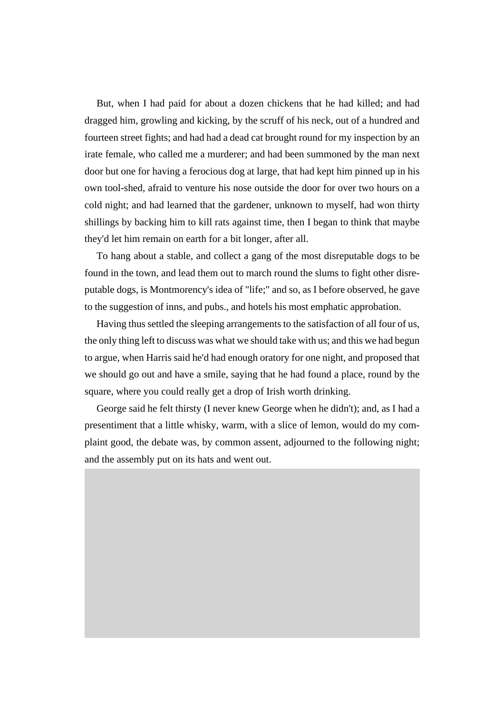But, when I had paid for about a dozen chickens that he had killed; and had dragged him, growling and kicking, by the scruff of his neck, out of a hundred and fourteen street fights; and had had a dead cat brought round for my inspection by an irate female, who called me a murderer; and had been summoned by the man next door but one for having a ferocious dog at large, that had kept him pinned up in his own tool-shed, afraid to venture his nose outside the door for over two hours on a cold night; and had learned that the gardener, unknown to myself, had won thirty shillings by backing him to kill rats against time, then I began to think that maybe they'd let him remain on earth for a bit longer, after all.

To hang about a stable, and collect a gang of the most disreputable dogs to be found in the town, and lead them out to march round the slums to fight other disreputable dogs, is Montmorency's idea of "life;" and so, as I before observed, he gave to the suggestion of inns, and pubs., and hotels his most emphatic approbation.

Having thus settled the sleeping arrangements to the satisfaction of all four of us, the only thing left to discuss was what we should take with us; and this we had begun to argue, when Harris said he'd had enough oratory for one night, and proposed that we should go out and have a smile, saying that he had found a place, round by the square, where you could really get a drop of Irish worth drinking.

George said he felt thirsty (I never knew George when he didn't); and, as I had a presentiment that a little whisky, warm, with a slice of lemon, would do my complaint good, the debate was, by common assent, adjourned to the following night; and the assembly put on its hats and went out.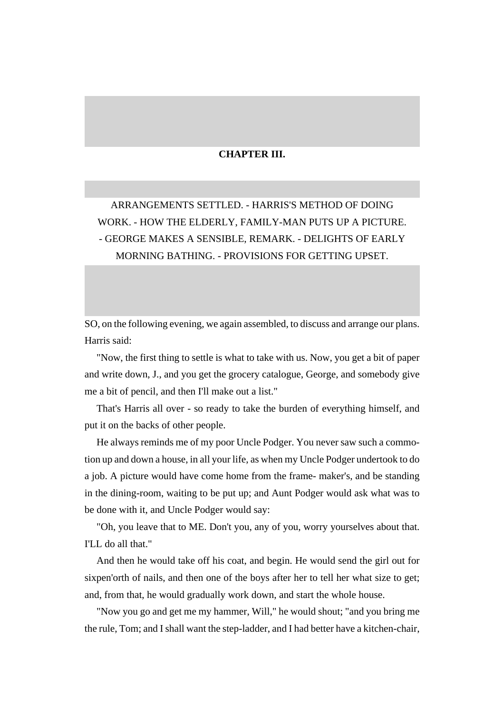# **CHAPTER III.**

# ARRANGEMENTS SETTLED. - HARRIS'S METHOD OF DOING WORK. - HOW THE ELDERLY, FAMILY-MAN PUTS UP A PICTURE. - GEORGE MAKES A SENSIBLE, REMARK. - DELIGHTS OF EARLY MORNING BATHING. - PROVISIONS FOR GETTING UPSET.

SO, on the following evening, we again assembled, to discuss and arrange our plans. Harris said:

"Now, the first thing to settle is what to take with us. Now, you get a bit of paper and write down, J., and you get the grocery catalogue, George, and somebody give me a bit of pencil, and then I'll make out a list."

That's Harris all over - so ready to take the burden of everything himself, and put it on the backs of other people.

He always reminds me of my poor Uncle Podger. You never saw such a commotion up and down a house, in all your life, as when my Uncle Podger undertook to do a job. A picture would have come home from the frame- maker's, and be standing in the dining-room, waiting to be put up; and Aunt Podger would ask what was to be done with it, and Uncle Podger would say:

"Oh, you leave that to ME. Don't you, any of you, worry yourselves about that. I'LL do all that."

And then he would take off his coat, and begin. He would send the girl out for sixpen'orth of nails, and then one of the boys after her to tell her what size to get; and, from that, he would gradually work down, and start the whole house.

"Now you go and get me my hammer, Will," he would shout; "and you bring me the rule, Tom; and I shall want the step-ladder, and I had better have a kitchen-chair,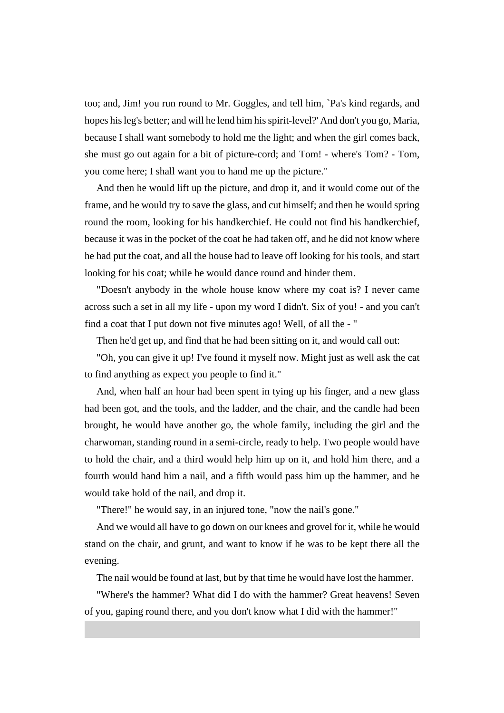too; and, Jim! you run round to Mr. Goggles, and tell him, `Pa's kind regards, and hopes his leg's better; and will he lend him his spirit-level?' And don't you go, Maria, because I shall want somebody to hold me the light; and when the girl comes back, she must go out again for a bit of picture-cord; and Tom! - where's Tom? - Tom, you come here; I shall want you to hand me up the picture."

And then he would lift up the picture, and drop it, and it would come out of the frame, and he would try to save the glass, and cut himself; and then he would spring round the room, looking for his handkerchief. He could not find his handkerchief, because it was in the pocket of the coat he had taken off, and he did not know where he had put the coat, and all the house had to leave off looking for his tools, and start looking for his coat; while he would dance round and hinder them.

"Doesn't anybody in the whole house know where my coat is? I never came across such a set in all my life - upon my word I didn't. Six of you! - and you can't find a coat that I put down not five minutes ago! Well, of all the - "

Then he'd get up, and find that he had been sitting on it, and would call out:

"Oh, you can give it up! I've found it myself now. Might just as well ask the cat to find anything as expect you people to find it."

And, when half an hour had been spent in tying up his finger, and a new glass had been got, and the tools, and the ladder, and the chair, and the candle had been brought, he would have another go, the whole family, including the girl and the charwoman, standing round in a semi-circle, ready to help. Two people would have to hold the chair, and a third would help him up on it, and hold him there, and a fourth would hand him a nail, and a fifth would pass him up the hammer, and he would take hold of the nail, and drop it.

"There!" he would say, in an injured tone, "now the nail's gone."

And we would all have to go down on our knees and grovel for it, while he would stand on the chair, and grunt, and want to know if he was to be kept there all the evening.

The nail would be found at last, but by that time he would have lost the hammer.

"Where's the hammer? What did I do with the hammer? Great heavens! Seven of you, gaping round there, and you don't know what I did with the hammer!"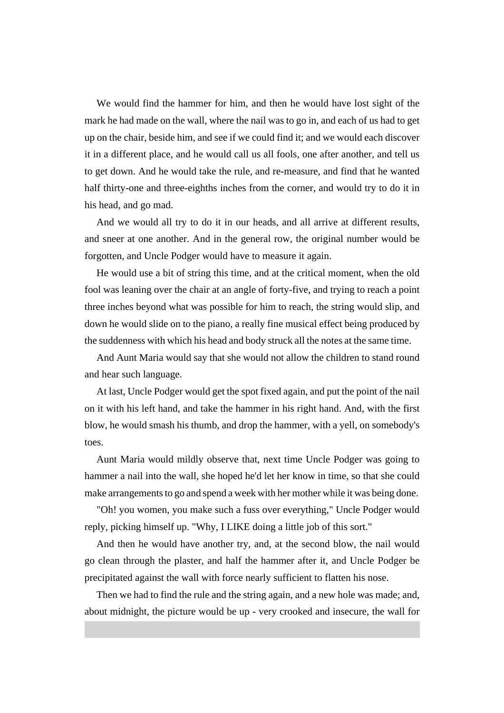We would find the hammer for him, and then he would have lost sight of the mark he had made on the wall, where the nail was to go in, and each of us had to get up on the chair, beside him, and see if we could find it; and we would each discover it in a different place, and he would call us all fools, one after another, and tell us to get down. And he would take the rule, and re-measure, and find that he wanted half thirty-one and three-eighths inches from the corner, and would try to do it in his head, and go mad.

And we would all try to do it in our heads, and all arrive at different results, and sneer at one another. And in the general row, the original number would be forgotten, and Uncle Podger would have to measure it again.

He would use a bit of string this time, and at the critical moment, when the old fool was leaning over the chair at an angle of forty-five, and trying to reach a point three inches beyond what was possible for him to reach, the string would slip, and down he would slide on to the piano, a really fine musical effect being produced by the suddenness with which his head and body struck all the notes at the same time.

And Aunt Maria would say that she would not allow the children to stand round and hear such language.

At last, Uncle Podger would get the spot fixed again, and put the point of the nail on it with his left hand, and take the hammer in his right hand. And, with the first blow, he would smash his thumb, and drop the hammer, with a yell, on somebody's toes.

Aunt Maria would mildly observe that, next time Uncle Podger was going to hammer a nail into the wall, she hoped he'd let her know in time, so that she could make arrangements to go and spend a week with her mother while it was being done.

"Oh! you women, you make such a fuss over everything," Uncle Podger would reply, picking himself up. "Why, I LIKE doing a little job of this sort."

And then he would have another try, and, at the second blow, the nail would go clean through the plaster, and half the hammer after it, and Uncle Podger be precipitated against the wall with force nearly sufficient to flatten his nose.

Then we had to find the rule and the string again, and a new hole was made; and, about midnight, the picture would be up - very crooked and insecure, the wall for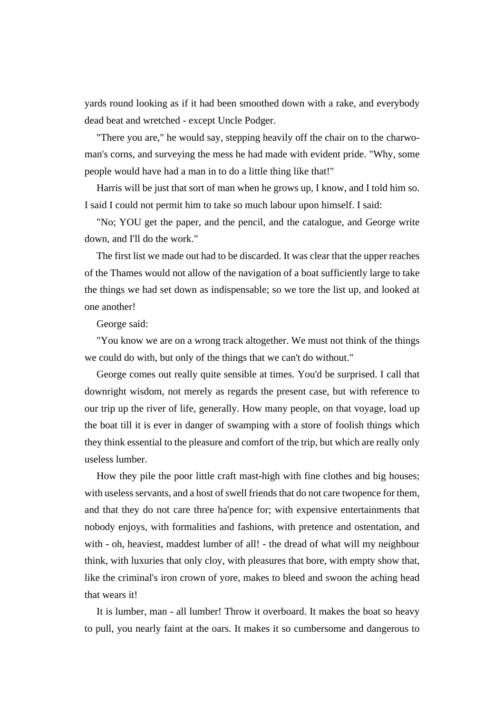yards round looking as if it had been smoothed down with a rake, and everybody dead beat and wretched - except Uncle Podger.

"There you are," he would say, stepping heavily off the chair on to the charwoman's corns, and surveying the mess he had made with evident pride. "Why, some people would have had a man in to do a little thing like that!"

Harris will be just that sort of man when he grows up, I know, and I told him so. I said I could not permit him to take so much labour upon himself. I said:

"No; YOU get the paper, and the pencil, and the catalogue, and George write down, and I'll do the work."

The first list we made out had to be discarded. It was clear that the upper reaches of the Thames would not allow of the navigation of a boat sufficiently large to take the things we had set down as indispensable; so we tore the list up, and looked at one another!

George said:

"You know we are on a wrong track altogether. We must not think of the things we could do with, but only of the things that we can't do without."

George comes out really quite sensible at times. You'd be surprised. I call that downright wisdom, not merely as regards the present case, but with reference to our trip up the river of life, generally. How many people, on that voyage, load up the boat till it is ever in danger of swamping with a store of foolish things which they think essential to the pleasure and comfort of the trip, but which are really only useless lumber.

How they pile the poor little craft mast-high with fine clothes and big houses; with useless servants, and a host of swell friends that do not care twopence for them, and that they do not care three ha'pence for; with expensive entertainments that nobody enjoys, with formalities and fashions, with pretence and ostentation, and with - oh, heaviest, maddest lumber of all! - the dread of what will my neighbour think, with luxuries that only cloy, with pleasures that bore, with empty show that, like the criminal's iron crown of yore, makes to bleed and swoon the aching head that wears it!

It is lumber, man - all lumber! Throw it overboard. It makes the boat so heavy to pull, you nearly faint at the oars. It makes it so cumbersome and dangerous to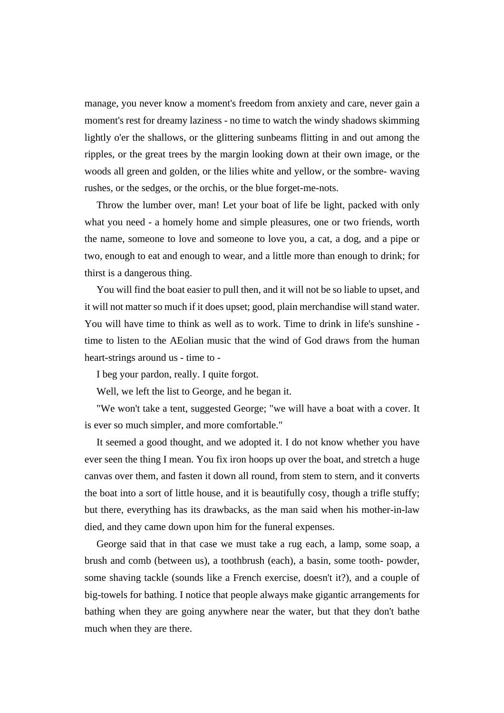manage, you never know a moment's freedom from anxiety and care, never gain a moment's rest for dreamy laziness - no time to watch the windy shadows skimming lightly o'er the shallows, or the glittering sunbeams flitting in and out among the ripples, or the great trees by the margin looking down at their own image, or the woods all green and golden, or the lilies white and yellow, or the sombre- waving rushes, or the sedges, or the orchis, or the blue forget-me-nots.

Throw the lumber over, man! Let your boat of life be light, packed with only what you need - a homely home and simple pleasures, one or two friends, worth the name, someone to love and someone to love you, a cat, a dog, and a pipe or two, enough to eat and enough to wear, and a little more than enough to drink; for thirst is a dangerous thing.

You will find the boat easier to pull then, and it will not be so liable to upset, and it will not matter so much if it does upset; good, plain merchandise will stand water. You will have time to think as well as to work. Time to drink in life's sunshine time to listen to the AEolian music that the wind of God draws from the human heart-strings around us - time to -

I beg your pardon, really. I quite forgot.

Well, we left the list to George, and he began it.

"We won't take a tent, suggested George; "we will have a boat with a cover. It is ever so much simpler, and more comfortable."

It seemed a good thought, and we adopted it. I do not know whether you have ever seen the thing I mean. You fix iron hoops up over the boat, and stretch a huge canvas over them, and fasten it down all round, from stem to stern, and it converts the boat into a sort of little house, and it is beautifully cosy, though a trifle stuffy; but there, everything has its drawbacks, as the man said when his mother-in-law died, and they came down upon him for the funeral expenses.

George said that in that case we must take a rug each, a lamp, some soap, a brush and comb (between us), a toothbrush (each), a basin, some tooth- powder, some shaving tackle (sounds like a French exercise, doesn't it?), and a couple of big-towels for bathing. I notice that people always make gigantic arrangements for bathing when they are going anywhere near the water, but that they don't bathe much when they are there.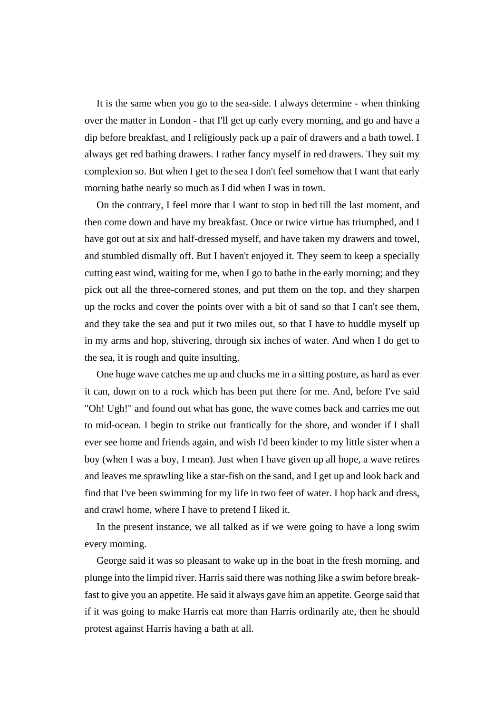It is the same when you go to the sea-side. I always determine - when thinking over the matter in London - that I'll get up early every morning, and go and have a dip before breakfast, and I religiously pack up a pair of drawers and a bath towel. I always get red bathing drawers. I rather fancy myself in red drawers. They suit my complexion so. But when I get to the sea I don't feel somehow that I want that early morning bathe nearly so much as I did when I was in town.

On the contrary, I feel more that I want to stop in bed till the last moment, and then come down and have my breakfast. Once or twice virtue has triumphed, and I have got out at six and half-dressed myself, and have taken my drawers and towel, and stumbled dismally off. But I haven't enjoyed it. They seem to keep a specially cutting east wind, waiting for me, when I go to bathe in the early morning; and they pick out all the three-cornered stones, and put them on the top, and they sharpen up the rocks and cover the points over with a bit of sand so that I can't see them, and they take the sea and put it two miles out, so that I have to huddle myself up in my arms and hop, shivering, through six inches of water. And when I do get to the sea, it is rough and quite insulting.

One huge wave catches me up and chucks me in a sitting posture, as hard as ever it can, down on to a rock which has been put there for me. And, before I've said "Oh! Ugh!" and found out what has gone, the wave comes back and carries me out to mid-ocean. I begin to strike out frantically for the shore, and wonder if I shall ever see home and friends again, and wish I'd been kinder to my little sister when a boy (when I was a boy, I mean). Just when I have given up all hope, a wave retires and leaves me sprawling like a star-fish on the sand, and I get up and look back and find that I've been swimming for my life in two feet of water. I hop back and dress, and crawl home, where I have to pretend I liked it.

In the present instance, we all talked as if we were going to have a long swim every morning.

George said it was so pleasant to wake up in the boat in the fresh morning, and plunge into the limpid river. Harris said there was nothing like a swim before breakfast to give you an appetite. He said it always gave him an appetite. George said that if it was going to make Harris eat more than Harris ordinarily ate, then he should protest against Harris having a bath at all.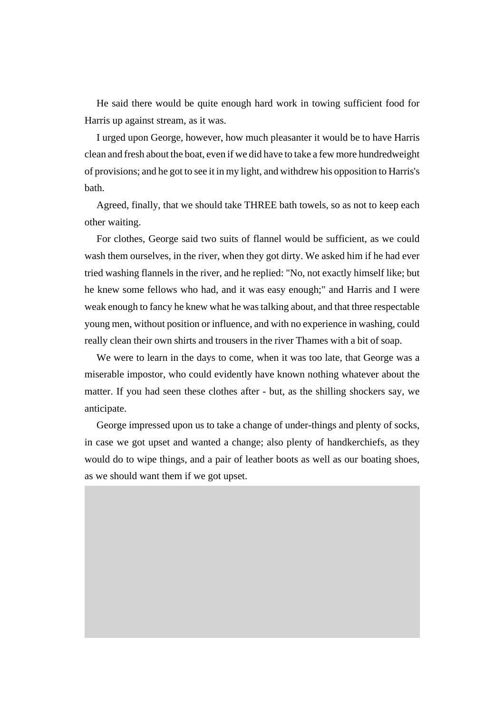He said there would be quite enough hard work in towing sufficient food for Harris up against stream, as it was.

I urged upon George, however, how much pleasanter it would be to have Harris clean and fresh about the boat, even if we did have to take a few more hundredweight of provisions; and he got to see it in my light, and withdrew his opposition to Harris's bath.

Agreed, finally, that we should take THREE bath towels, so as not to keep each other waiting.

For clothes, George said two suits of flannel would be sufficient, as we could wash them ourselves, in the river, when they got dirty. We asked him if he had ever tried washing flannels in the river, and he replied: "No, not exactly himself like; but he knew some fellows who had, and it was easy enough;" and Harris and I were weak enough to fancy he knew what he was talking about, and that three respectable young men, without position or influence, and with no experience in washing, could really clean their own shirts and trousers in the river Thames with a bit of soap.

We were to learn in the days to come, when it was too late, that George was a miserable impostor, who could evidently have known nothing whatever about the matter. If you had seen these clothes after - but, as the shilling shockers say, we anticipate.

George impressed upon us to take a change of under-things and plenty of socks, in case we got upset and wanted a change; also plenty of handkerchiefs, as they would do to wipe things, and a pair of leather boots as well as our boating shoes, as we should want them if we got upset.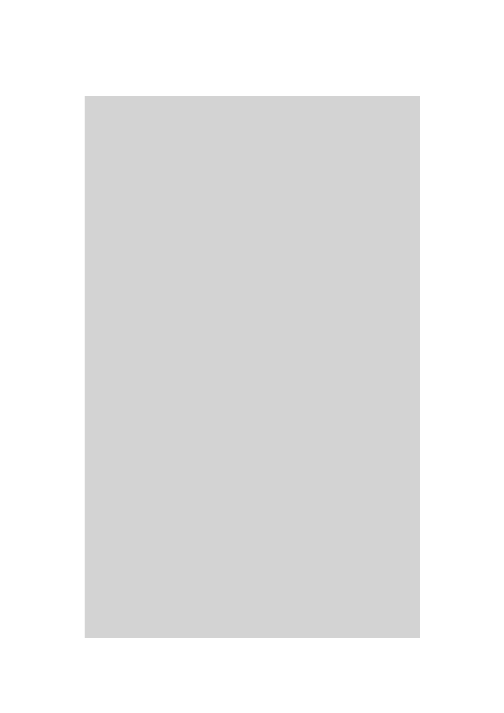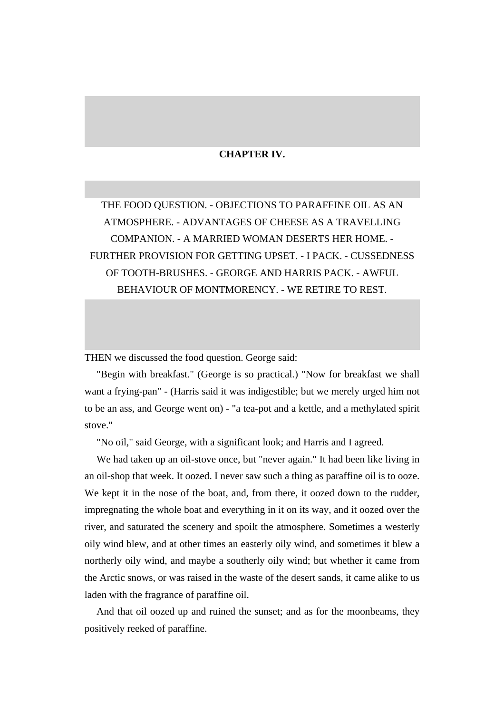# **CHAPTER IV.**

THE FOOD QUESTION. - OBJECTIONS TO PARAFFINE OIL AS AN ATMOSPHERE. - ADVANTAGES OF CHEESE AS A TRAVELLING COMPANION. - A MARRIED WOMAN DESERTS HER HOME. - FURTHER PROVISION FOR GETTING UPSET. - I PACK. - CUSSEDNESS OF TOOTH-BRUSHES. - GEORGE AND HARRIS PACK. - AWFUL BEHAVIOUR OF MONTMORENCY. - WE RETIRE TO REST.

THEN we discussed the food question. George said:

"Begin with breakfast." (George is so practical.) "Now for breakfast we shall want a frying-pan" - (Harris said it was indigestible; but we merely urged him not to be an ass, and George went on) - "a tea-pot and a kettle, and a methylated spirit stove."

"No oil," said George, with a significant look; and Harris and I agreed.

We had taken up an oil-stove once, but "never again." It had been like living in an oil-shop that week. It oozed. I never saw such a thing as paraffine oil is to ooze. We kept it in the nose of the boat, and, from there, it oozed down to the rudder, impregnating the whole boat and everything in it on its way, and it oozed over the river, and saturated the scenery and spoilt the atmosphere. Sometimes a westerly oily wind blew, and at other times an easterly oily wind, and sometimes it blew a northerly oily wind, and maybe a southerly oily wind; but whether it came from the Arctic snows, or was raised in the waste of the desert sands, it came alike to us laden with the fragrance of paraffine oil.

And that oil oozed up and ruined the sunset; and as for the moonbeams, they positively reeked of paraffine.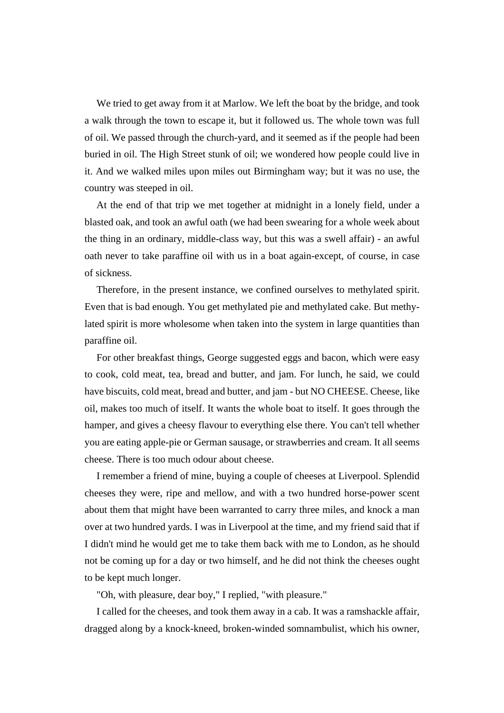We tried to get away from it at Marlow. We left the boat by the bridge, and took a walk through the town to escape it, but it followed us. The whole town was full of oil. We passed through the church-yard, and it seemed as if the people had been buried in oil. The High Street stunk of oil; we wondered how people could live in it. And we walked miles upon miles out Birmingham way; but it was no use, the country was steeped in oil.

At the end of that trip we met together at midnight in a lonely field, under a blasted oak, and took an awful oath (we had been swearing for a whole week about the thing in an ordinary, middle-class way, but this was a swell affair) - an awful oath never to take paraffine oil with us in a boat again-except, of course, in case of sickness.

Therefore, in the present instance, we confined ourselves to methylated spirit. Even that is bad enough. You get methylated pie and methylated cake. But methylated spirit is more wholesome when taken into the system in large quantities than paraffine oil.

For other breakfast things, George suggested eggs and bacon, which were easy to cook, cold meat, tea, bread and butter, and jam. For lunch, he said, we could have biscuits, cold meat, bread and butter, and jam - but NO CHEESE. Cheese, like oil, makes too much of itself. It wants the whole boat to itself. It goes through the hamper, and gives a cheesy flavour to everything else there. You can't tell whether you are eating apple-pie or German sausage, or strawberries and cream. It all seems cheese. There is too much odour about cheese.

I remember a friend of mine, buying a couple of cheeses at Liverpool. Splendid cheeses they were, ripe and mellow, and with a two hundred horse-power scent about them that might have been warranted to carry three miles, and knock a man over at two hundred yards. I was in Liverpool at the time, and my friend said that if I didn't mind he would get me to take them back with me to London, as he should not be coming up for a day or two himself, and he did not think the cheeses ought to be kept much longer.

"Oh, with pleasure, dear boy," I replied, "with pleasure."

I called for the cheeses, and took them away in a cab. It was a ramshackle affair, dragged along by a knock-kneed, broken-winded somnambulist, which his owner,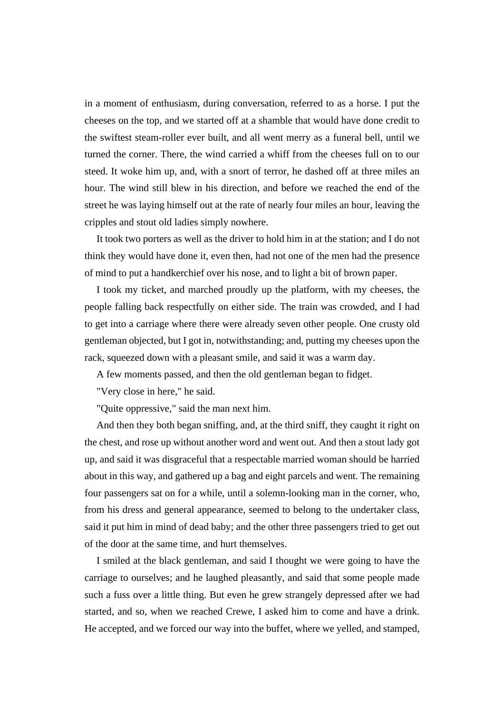in a moment of enthusiasm, during conversation, referred to as a horse. I put the cheeses on the top, and we started off at a shamble that would have done credit to the swiftest steam-roller ever built, and all went merry as a funeral bell, until we turned the corner. There, the wind carried a whiff from the cheeses full on to our steed. It woke him up, and, with a snort of terror, he dashed off at three miles an hour. The wind still blew in his direction, and before we reached the end of the street he was laying himself out at the rate of nearly four miles an hour, leaving the cripples and stout old ladies simply nowhere.

It took two porters as well as the driver to hold him in at the station; and I do not think they would have done it, even then, had not one of the men had the presence of mind to put a handkerchief over his nose, and to light a bit of brown paper.

I took my ticket, and marched proudly up the platform, with my cheeses, the people falling back respectfully on either side. The train was crowded, and I had to get into a carriage where there were already seven other people. One crusty old gentleman objected, but I got in, notwithstanding; and, putting my cheeses upon the rack, squeezed down with a pleasant smile, and said it was a warm day.

A few moments passed, and then the old gentleman began to fidget.

"Very close in here," he said.

"Quite oppressive," said the man next him.

And then they both began sniffing, and, at the third sniff, they caught it right on the chest, and rose up without another word and went out. And then a stout lady got up, and said it was disgraceful that a respectable married woman should be harried about in this way, and gathered up a bag and eight parcels and went. The remaining four passengers sat on for a while, until a solemn-looking man in the corner, who, from his dress and general appearance, seemed to belong to the undertaker class, said it put him in mind of dead baby; and the other three passengers tried to get out of the door at the same time, and hurt themselves.

I smiled at the black gentleman, and said I thought we were going to have the carriage to ourselves; and he laughed pleasantly, and said that some people made such a fuss over a little thing. But even he grew strangely depressed after we had started, and so, when we reached Crewe, I asked him to come and have a drink. He accepted, and we forced our way into the buffet, where we yelled, and stamped,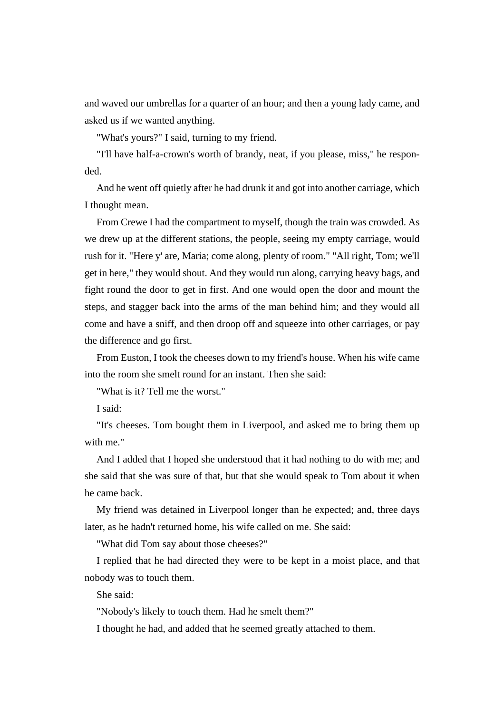and waved our umbrellas for a quarter of an hour; and then a young lady came, and asked us if we wanted anything.

"What's yours?" I said, turning to my friend.

"I'll have half-a-crown's worth of brandy, neat, if you please, miss," he responded.

And he went off quietly after he had drunk it and got into another carriage, which I thought mean.

From Crewe I had the compartment to myself, though the train was crowded. As we drew up at the different stations, the people, seeing my empty carriage, would rush for it. "Here y' are, Maria; come along, plenty of room." "All right, Tom; we'll get in here," they would shout. And they would run along, carrying heavy bags, and fight round the door to get in first. And one would open the door and mount the steps, and stagger back into the arms of the man behind him; and they would all come and have a sniff, and then droop off and squeeze into other carriages, or pay the difference and go first.

From Euston, I took the cheeses down to my friend's house. When his wife came into the room she smelt round for an instant. Then she said:

"What is it? Tell me the worst."

I said:

"It's cheeses. Tom bought them in Liverpool, and asked me to bring them up with me."

And I added that I hoped she understood that it had nothing to do with me; and she said that she was sure of that, but that she would speak to Tom about it when he came back.

My friend was detained in Liverpool longer than he expected; and, three days later, as he hadn't returned home, his wife called on me. She said:

"What did Tom say about those cheeses?"

I replied that he had directed they were to be kept in a moist place, and that nobody was to touch them.

She said:

"Nobody's likely to touch them. Had he smelt them?"

I thought he had, and added that he seemed greatly attached to them.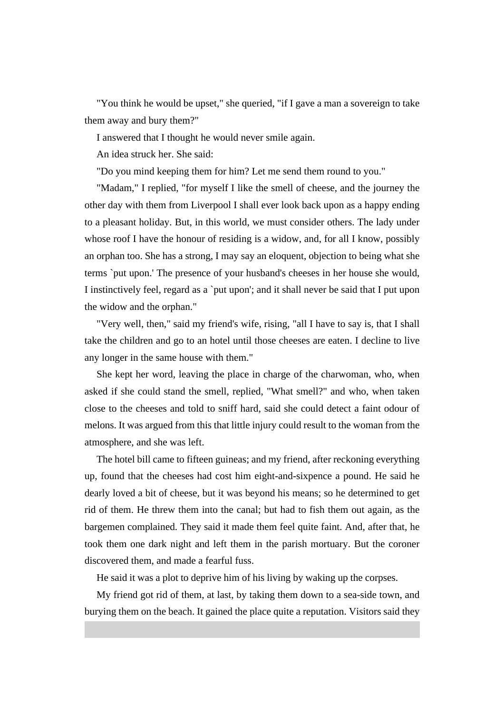"You think he would be upset," she queried, "if I gave a man a sovereign to take them away and bury them?"

I answered that I thought he would never smile again.

An idea struck her. She said:

"Do you mind keeping them for him? Let me send them round to you."

"Madam," I replied, "for myself I like the smell of cheese, and the journey the other day with them from Liverpool I shall ever look back upon as a happy ending to a pleasant holiday. But, in this world, we must consider others. The lady under whose roof I have the honour of residing is a widow, and, for all I know, possibly an orphan too. She has a strong, I may say an eloquent, objection to being what she terms `put upon.' The presence of your husband's cheeses in her house she would, I instinctively feel, regard as a `put upon'; and it shall never be said that I put upon the widow and the orphan."

"Very well, then," said my friend's wife, rising, "all I have to say is, that I shall take the children and go to an hotel until those cheeses are eaten. I decline to live any longer in the same house with them."

She kept her word, leaving the place in charge of the charwoman, who, when asked if she could stand the smell, replied, "What smell?" and who, when taken close to the cheeses and told to sniff hard, said she could detect a faint odour of melons. It was argued from this that little injury could result to the woman from the atmosphere, and she was left.

The hotel bill came to fifteen guineas; and my friend, after reckoning everything up, found that the cheeses had cost him eight-and-sixpence a pound. He said he dearly loved a bit of cheese, but it was beyond his means; so he determined to get rid of them. He threw them into the canal; but had to fish them out again, as the bargemen complained. They said it made them feel quite faint. And, after that, he took them one dark night and left them in the parish mortuary. But the coroner discovered them, and made a fearful fuss.

He said it was a plot to deprive him of his living by waking up the corpses.

My friend got rid of them, at last, by taking them down to a sea-side town, and burying them on the beach. It gained the place quite a reputation. Visitors said they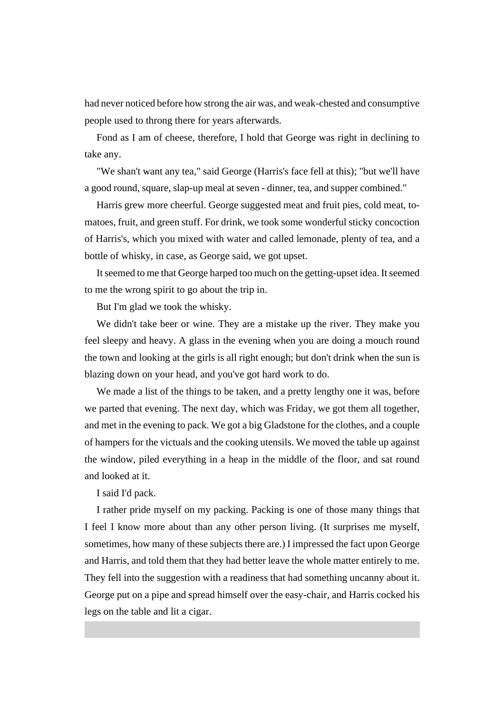had never noticed before how strong the air was, and weak-chested and consumptive people used to throng there for years afterwards.

Fond as I am of cheese, therefore, I hold that George was right in declining to take any.

"We shan't want any tea," said George (Harris's face fell at this); "but we'll have a good round, square, slap-up meal at seven - dinner, tea, and supper combined."

Harris grew more cheerful. George suggested meat and fruit pies, cold meat, tomatoes, fruit, and green stuff. For drink, we took some wonderful sticky concoction of Harris's, which you mixed with water and called lemonade, plenty of tea, and a bottle of whisky, in case, as George said, we got upset.

It seemed to me that George harped too much on the getting-upset idea. It seemed to me the wrong spirit to go about the trip in.

But I'm glad we took the whisky.

We didn't take beer or wine. They are a mistake up the river. They make you feel sleepy and heavy. A glass in the evening when you are doing a mouch round the town and looking at the girls is all right enough; but don't drink when the sun is blazing down on your head, and you've got hard work to do.

We made a list of the things to be taken, and a pretty lengthy one it was, before we parted that evening. The next day, which was Friday, we got them all together, and met in the evening to pack. We got a big Gladstone for the clothes, and a couple of hampers for the victuals and the cooking utensils. We moved the table up against the window, piled everything in a heap in the middle of the floor, and sat round and looked at it.

I said I'd pack.

I rather pride myself on my packing. Packing is one of those many things that I feel I know more about than any other person living. (It surprises me myself, sometimes, how many of these subjects there are.) I impressed the fact upon George and Harris, and told them that they had better leave the whole matter entirely to me. They fell into the suggestion with a readiness that had something uncanny about it. George put on a pipe and spread himself over the easy-chair, and Harris cocked his legs on the table and lit a cigar.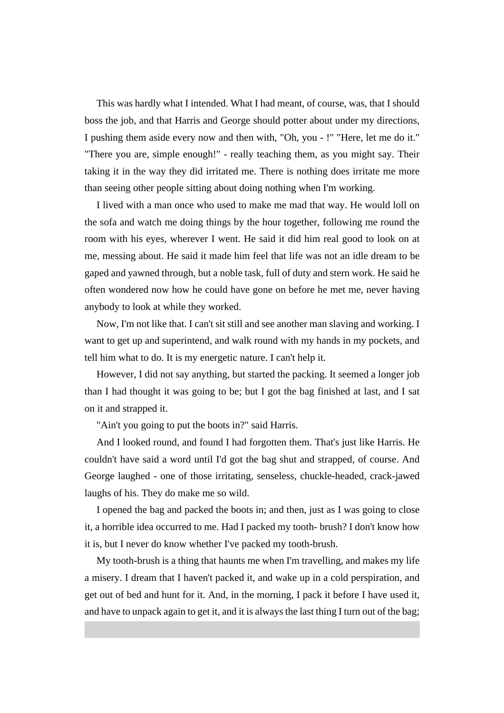This was hardly what I intended. What I had meant, of course, was, that I should boss the job, and that Harris and George should potter about under my directions, I pushing them aside every now and then with, "Oh, you - !" "Here, let me do it." "There you are, simple enough!" - really teaching them, as you might say. Their taking it in the way they did irritated me. There is nothing does irritate me more than seeing other people sitting about doing nothing when I'm working.

I lived with a man once who used to make me mad that way. He would loll on the sofa and watch me doing things by the hour together, following me round the room with his eyes, wherever I went. He said it did him real good to look on at me, messing about. He said it made him feel that life was not an idle dream to be gaped and yawned through, but a noble task, full of duty and stern work. He said he often wondered now how he could have gone on before he met me, never having anybody to look at while they worked.

Now, I'm not like that. I can't sit still and see another man slaving and working. I want to get up and superintend, and walk round with my hands in my pockets, and tell him what to do. It is my energetic nature. I can't help it.

However, I did not say anything, but started the packing. It seemed a longer job than I had thought it was going to be; but I got the bag finished at last, and I sat on it and strapped it.

"Ain't you going to put the boots in?" said Harris.

And I looked round, and found I had forgotten them. That's just like Harris. He couldn't have said a word until I'd got the bag shut and strapped, of course. And George laughed - one of those irritating, senseless, chuckle-headed, crack-jawed laughs of his. They do make me so wild.

I opened the bag and packed the boots in; and then, just as I was going to close it, a horrible idea occurred to me. Had I packed my tooth- brush? I don't know how it is, but I never do know whether I've packed my tooth-brush.

My tooth-brush is a thing that haunts me when I'm travelling, and makes my life a misery. I dream that I haven't packed it, and wake up in a cold perspiration, and get out of bed and hunt for it. And, in the morning, I pack it before I have used it, and have to unpack again to get it, and it is always the last thing I turn out of the bag;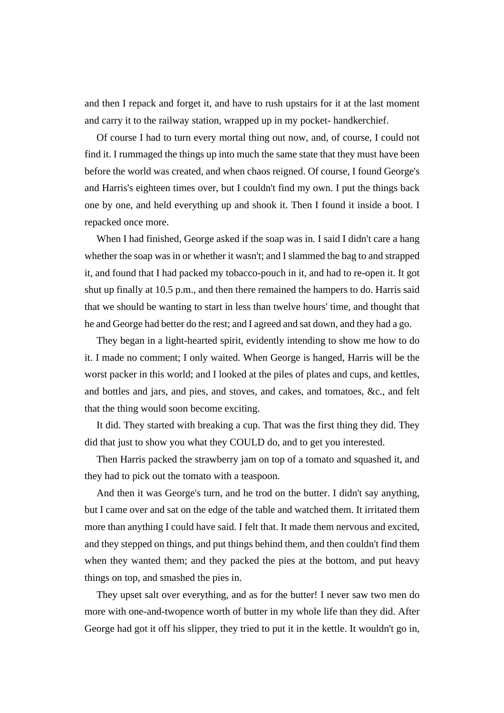and then I repack and forget it, and have to rush upstairs for it at the last moment and carry it to the railway station, wrapped up in my pocket- handkerchief.

Of course I had to turn every mortal thing out now, and, of course, I could not find it. I rummaged the things up into much the same state that they must have been before the world was created, and when chaos reigned. Of course, I found George's and Harris's eighteen times over, but I couldn't find my own. I put the things back one by one, and held everything up and shook it. Then I found it inside a boot. I repacked once more.

When I had finished, George asked if the soap was in. I said I didn't care a hang whether the soap was in or whether it wasn't; and I slammed the bag to and strapped it, and found that I had packed my tobacco-pouch in it, and had to re-open it. It got shut up finally at 10.5 p.m., and then there remained the hampers to do. Harris said that we should be wanting to start in less than twelve hours' time, and thought that he and George had better do the rest; and I agreed and sat down, and they had a go.

They began in a light-hearted spirit, evidently intending to show me how to do it. I made no comment; I only waited. When George is hanged, Harris will be the worst packer in this world; and I looked at the piles of plates and cups, and kettles, and bottles and jars, and pies, and stoves, and cakes, and tomatoes, &c., and felt that the thing would soon become exciting.

It did. They started with breaking a cup. That was the first thing they did. They did that just to show you what they COULD do, and to get you interested.

Then Harris packed the strawberry jam on top of a tomato and squashed it, and they had to pick out the tomato with a teaspoon.

And then it was George's turn, and he trod on the butter. I didn't say anything, but I came over and sat on the edge of the table and watched them. It irritated them more than anything I could have said. I felt that. It made them nervous and excited, and they stepped on things, and put things behind them, and then couldn't find them when they wanted them; and they packed the pies at the bottom, and put heavy things on top, and smashed the pies in.

They upset salt over everything, and as for the butter! I never saw two men do more with one-and-twopence worth of butter in my whole life than they did. After George had got it off his slipper, they tried to put it in the kettle. It wouldn't go in,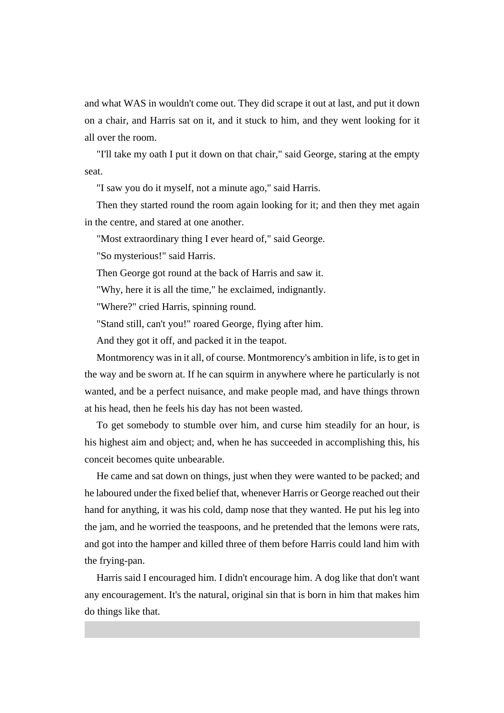and what WAS in wouldn't come out. They did scrape it out at last, and put it down on a chair, and Harris sat on it, and it stuck to him, and they went looking for it all over the room.

"I'll take my oath I put it down on that chair," said George, staring at the empty seat.

"I saw you do it myself, not a minute ago," said Harris.

Then they started round the room again looking for it; and then they met again in the centre, and stared at one another.

"Most extraordinary thing I ever heard of," said George.

"So mysterious!" said Harris.

Then George got round at the back of Harris and saw it.

"Why, here it is all the time," he exclaimed, indignantly.

"Where?" cried Harris, spinning round.

"Stand still, can't you!" roared George, flying after him.

And they got it off, and packed it in the teapot.

Montmorency was in it all, of course. Montmorency's ambition in life, is to get in the way and be sworn at. If he can squirm in anywhere where he particularly is not wanted, and be a perfect nuisance, and make people mad, and have things thrown at his head, then he feels his day has not been wasted.

To get somebody to stumble over him, and curse him steadily for an hour, is his highest aim and object; and, when he has succeeded in accomplishing this, his conceit becomes quite unbearable.

He came and sat down on things, just when they were wanted to be packed; and he laboured under the fixed belief that, whenever Harris or George reached out their hand for anything, it was his cold, damp nose that they wanted. He put his leg into the jam, and he worried the teaspoons, and he pretended that the lemons were rats, and got into the hamper and killed three of them before Harris could land him with the frying-pan.

Harris said I encouraged him. I didn't encourage him. A dog like that don't want any encouragement. It's the natural, original sin that is born in him that makes him do things like that.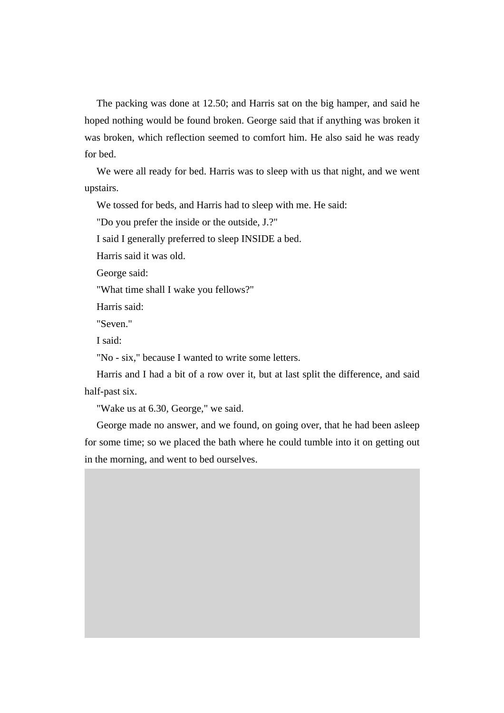The packing was done at 12.50; and Harris sat on the big hamper, and said he hoped nothing would be found broken. George said that if anything was broken it was broken, which reflection seemed to comfort him. He also said he was ready for bed.

We were all ready for bed. Harris was to sleep with us that night, and we went upstairs.

We tossed for beds, and Harris had to sleep with me. He said:

"Do you prefer the inside or the outside, J.?"

I said I generally preferred to sleep INSIDE a bed.

Harris said it was old.

George said:

"What time shall I wake you fellows?"

Harris said:

"Seven."

I said:

"No - six," because I wanted to write some letters.

Harris and I had a bit of a row over it, but at last split the difference, and said half-past six.

"Wake us at 6.30, George," we said.

George made no answer, and we found, on going over, that he had been asleep for some time; so we placed the bath where he could tumble into it on getting out in the morning, and went to bed ourselves.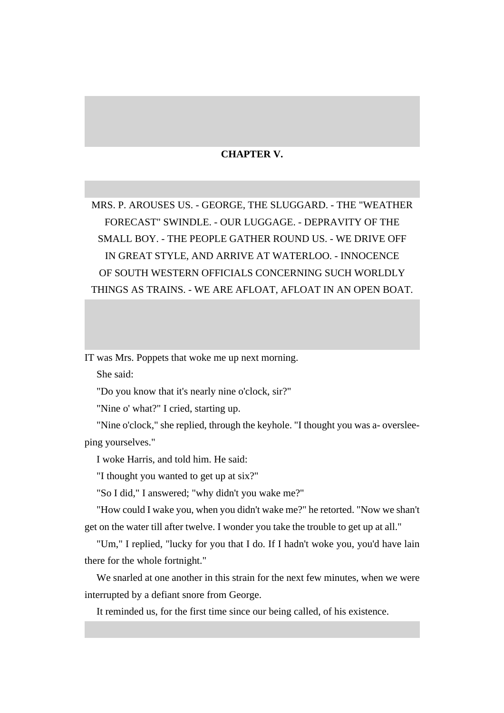# **CHAPTER V.**

MRS. P. AROUSES US. - GEORGE, THE SLUGGARD. - THE "WEATHER FORECAST" SWINDLE. - OUR LUGGAGE. - DEPRAVITY OF THE SMALL BOY. - THE PEOPLE GATHER ROUND US. - WE DRIVE OFF IN GREAT STYLE, AND ARRIVE AT WATERLOO. - INNOCENCE OF SOUTH WESTERN OFFICIALS CONCERNING SUCH WORLDLY THINGS AS TRAINS. - WE ARE AFLOAT, AFLOAT IN AN OPEN BOAT.

IT was Mrs. Poppets that woke me up next morning.

She said:

"Do you know that it's nearly nine o'clock, sir?"

"Nine o' what?" I cried, starting up.

"Nine o'clock," she replied, through the keyhole. "I thought you was a- oversleeping yourselves."

I woke Harris, and told him. He said:

"I thought you wanted to get up at six?"

"So I did," I answered; "why didn't you wake me?"

"How could I wake you, when you didn't wake me?" he retorted. "Now we shan't get on the water till after twelve. I wonder you take the trouble to get up at all."

"Um," I replied, "lucky for you that I do. If I hadn't woke you, you'd have lain there for the whole fortnight."

We snarled at one another in this strain for the next few minutes, when we were interrupted by a defiant snore from George.

It reminded us, for the first time since our being called, of his existence.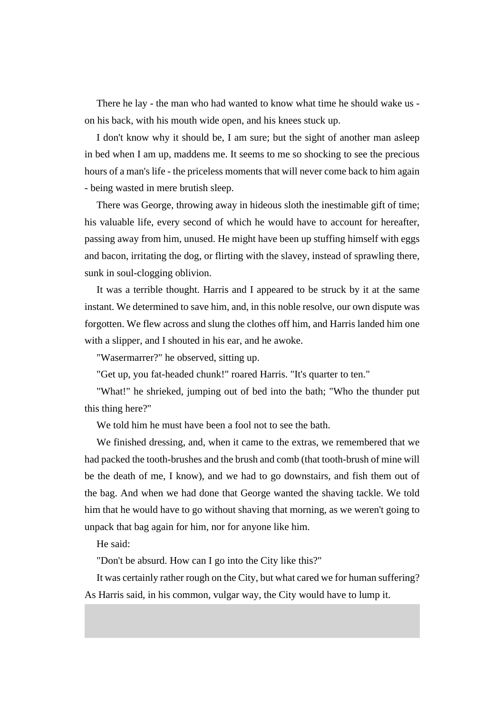There he lay - the man who had wanted to know what time he should wake us on his back, with his mouth wide open, and his knees stuck up.

I don't know why it should be, I am sure; but the sight of another man asleep in bed when I am up, maddens me. It seems to me so shocking to see the precious hours of a man's life - the priceless moments that will never come back to him again - being wasted in mere brutish sleep.

There was George, throwing away in hideous sloth the inestimable gift of time; his valuable life, every second of which he would have to account for hereafter, passing away from him, unused. He might have been up stuffing himself with eggs and bacon, irritating the dog, or flirting with the slavey, instead of sprawling there, sunk in soul-clogging oblivion.

It was a terrible thought. Harris and I appeared to be struck by it at the same instant. We determined to save him, and, in this noble resolve, our own dispute was forgotten. We flew across and slung the clothes off him, and Harris landed him one with a slipper, and I shouted in his ear, and he awoke.

"Wasermarrer?" he observed, sitting up.

"Get up, you fat-headed chunk!" roared Harris. "It's quarter to ten."

"What!" he shrieked, jumping out of bed into the bath; "Who the thunder put this thing here?"

We told him he must have been a fool not to see the bath.

We finished dressing, and, when it came to the extras, we remembered that we had packed the tooth-brushes and the brush and comb (that tooth-brush of mine will be the death of me, I know), and we had to go downstairs, and fish them out of the bag. And when we had done that George wanted the shaving tackle. We told him that he would have to go without shaving that morning, as we weren't going to unpack that bag again for him, nor for anyone like him.

He said:

"Don't be absurd. How can I go into the City like this?"

It was certainly rather rough on the City, but what cared we for human suffering? As Harris said, in his common, vulgar way, the City would have to lump it.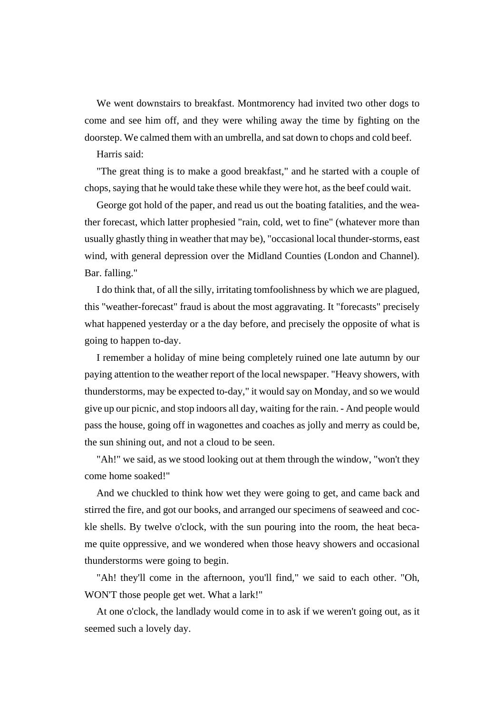We went downstairs to breakfast. Montmorency had invited two other dogs to come and see him off, and they were whiling away the time by fighting on the doorstep. We calmed them with an umbrella, and sat down to chops and cold beef.

Harris said:

"The great thing is to make a good breakfast," and he started with a couple of chops, saying that he would take these while they were hot, as the beef could wait.

George got hold of the paper, and read us out the boating fatalities, and the weather forecast, which latter prophesied "rain, cold, wet to fine" (whatever more than usually ghastly thing in weather that may be), "occasional local thunder-storms, east wind, with general depression over the Midland Counties (London and Channel). Bar. falling."

I do think that, of all the silly, irritating tomfoolishness by which we are plagued, this "weather-forecast" fraud is about the most aggravating. It "forecasts" precisely what happened yesterday or a the day before, and precisely the opposite of what is going to happen to-day.

I remember a holiday of mine being completely ruined one late autumn by our paying attention to the weather report of the local newspaper. "Heavy showers, with thunderstorms, may be expected to-day," it would say on Monday, and so we would give up our picnic, and stop indoors all day, waiting for the rain. - And people would pass the house, going off in wagonettes and coaches as jolly and merry as could be, the sun shining out, and not a cloud to be seen.

"Ah!" we said, as we stood looking out at them through the window, "won't they come home soaked!"

And we chuckled to think how wet they were going to get, and came back and stirred the fire, and got our books, and arranged our specimens of seaweed and cockle shells. By twelve o'clock, with the sun pouring into the room, the heat became quite oppressive, and we wondered when those heavy showers and occasional thunderstorms were going to begin.

"Ah! they'll come in the afternoon, you'll find," we said to each other. "Oh, WON'T those people get wet. What a lark!"

At one o'clock, the landlady would come in to ask if we weren't going out, as it seemed such a lovely day.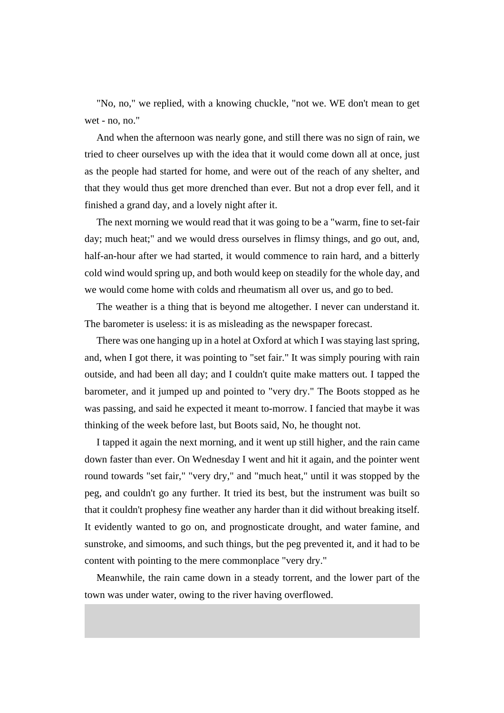"No, no," we replied, with a knowing chuckle, "not we. WE don't mean to get wet - no, no."

And when the afternoon was nearly gone, and still there was no sign of rain, we tried to cheer ourselves up with the idea that it would come down all at once, just as the people had started for home, and were out of the reach of any shelter, and that they would thus get more drenched than ever. But not a drop ever fell, and it finished a grand day, and a lovely night after it.

The next morning we would read that it was going to be a "warm, fine to set-fair day; much heat;" and we would dress ourselves in flimsy things, and go out, and, half-an-hour after we had started, it would commence to rain hard, and a bitterly cold wind would spring up, and both would keep on steadily for the whole day, and we would come home with colds and rheumatism all over us, and go to bed.

The weather is a thing that is beyond me altogether. I never can understand it. The barometer is useless: it is as misleading as the newspaper forecast.

There was one hanging up in a hotel at Oxford at which I was staying last spring, and, when I got there, it was pointing to "set fair." It was simply pouring with rain outside, and had been all day; and I couldn't quite make matters out. I tapped the barometer, and it jumped up and pointed to "very dry." The Boots stopped as he was passing, and said he expected it meant to-morrow. I fancied that maybe it was thinking of the week before last, but Boots said, No, he thought not.

I tapped it again the next morning, and it went up still higher, and the rain came down faster than ever. On Wednesday I went and hit it again, and the pointer went round towards "set fair," "very dry," and "much heat," until it was stopped by the peg, and couldn't go any further. It tried its best, but the instrument was built so that it couldn't prophesy fine weather any harder than it did without breaking itself. It evidently wanted to go on, and prognosticate drought, and water famine, and sunstroke, and simooms, and such things, but the peg prevented it, and it had to be content with pointing to the mere commonplace "very dry."

Meanwhile, the rain came down in a steady torrent, and the lower part of the town was under water, owing to the river having overflowed.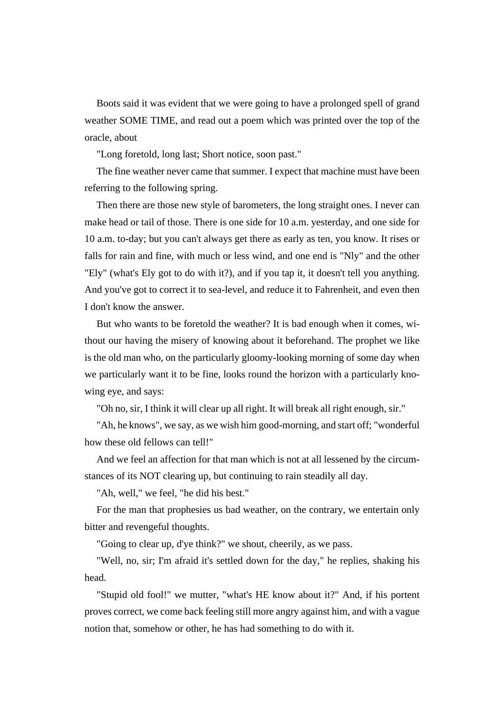Boots said it was evident that we were going to have a prolonged spell of grand weather SOME TIME, and read out a poem which was printed over the top of the oracle, about

"Long foretold, long last; Short notice, soon past."

The fine weather never came that summer. I expect that machine must have been referring to the following spring.

Then there are those new style of barometers, the long straight ones. I never can make head or tail of those. There is one side for 10 a.m. yesterday, and one side for 10 a.m. to-day; but you can't always get there as early as ten, you know. It rises or falls for rain and fine, with much or less wind, and one end is "Nly" and the other "Ely" (what's Ely got to do with it?), and if you tap it, it doesn't tell you anything. And you've got to correct it to sea-level, and reduce it to Fahrenheit, and even then I don't know the answer.

But who wants to be foretold the weather? It is bad enough when it comes, without our having the misery of knowing about it beforehand. The prophet we like is the old man who, on the particularly gloomy-looking morning of some day when we particularly want it to be fine, looks round the horizon with a particularly knowing eye, and says:

"Oh no, sir, I think it will clear up all right. It will break all right enough, sir."

"Ah, he knows", we say, as we wish him good-morning, and start off; "wonderful how these old fellows can tell!"

And we feel an affection for that man which is not at all lessened by the circumstances of its NOT clearing up, but continuing to rain steadily all day.

"Ah, well," we feel, "he did his best."

For the man that prophesies us bad weather, on the contrary, we entertain only bitter and revengeful thoughts.

"Going to clear up, d'ye think?" we shout, cheerily, as we pass.

"Well, no, sir; I'm afraid it's settled down for the day," he replies, shaking his head.

"Stupid old fool!" we mutter, "what's HE know about it?" And, if his portent proves correct, we come back feeling still more angry against him, and with a vague notion that, somehow or other, he has had something to do with it.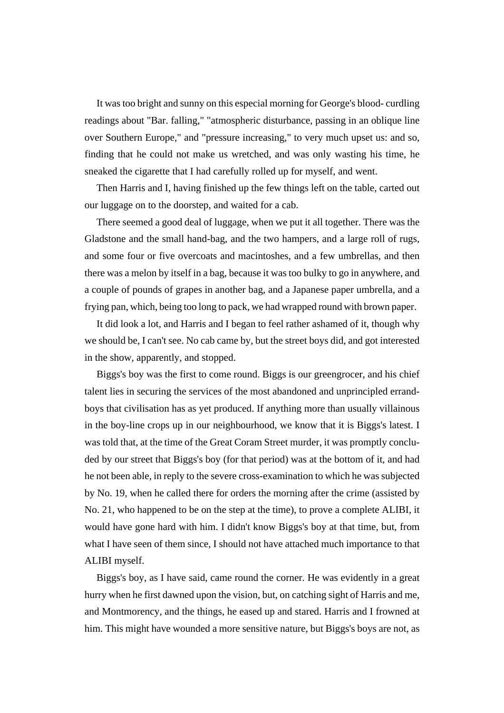It was too bright and sunny on this especial morning for George's blood- curdling readings about "Bar. falling," "atmospheric disturbance, passing in an oblique line over Southern Europe," and "pressure increasing," to very much upset us: and so, finding that he could not make us wretched, and was only wasting his time, he sneaked the cigarette that I had carefully rolled up for myself, and went.

Then Harris and I, having finished up the few things left on the table, carted out our luggage on to the doorstep, and waited for a cab.

There seemed a good deal of luggage, when we put it all together. There was the Gladstone and the small hand-bag, and the two hampers, and a large roll of rugs, and some four or five overcoats and macintoshes, and a few umbrellas, and then there was a melon by itself in a bag, because it was too bulky to go in anywhere, and a couple of pounds of grapes in another bag, and a Japanese paper umbrella, and a frying pan, which, being too long to pack, we had wrapped round with brown paper.

It did look a lot, and Harris and I began to feel rather ashamed of it, though why we should be, I can't see. No cab came by, but the street boys did, and got interested in the show, apparently, and stopped.

Biggs's boy was the first to come round. Biggs is our greengrocer, and his chief talent lies in securing the services of the most abandoned and unprincipled errandboys that civilisation has as yet produced. If anything more than usually villainous in the boy-line crops up in our neighbourhood, we know that it is Biggs's latest. I was told that, at the time of the Great Coram Street murder, it was promptly concluded by our street that Biggs's boy (for that period) was at the bottom of it, and had he not been able, in reply to the severe cross-examination to which he was subjected by No. 19, when he called there for orders the morning after the crime (assisted by No. 21, who happened to be on the step at the time), to prove a complete ALIBI, it would have gone hard with him. I didn't know Biggs's boy at that time, but, from what I have seen of them since, I should not have attached much importance to that ALIBI myself.

Biggs's boy, as I have said, came round the corner. He was evidently in a great hurry when he first dawned upon the vision, but, on catching sight of Harris and me, and Montmorency, and the things, he eased up and stared. Harris and I frowned at him. This might have wounded a more sensitive nature, but Biggs's boys are not, as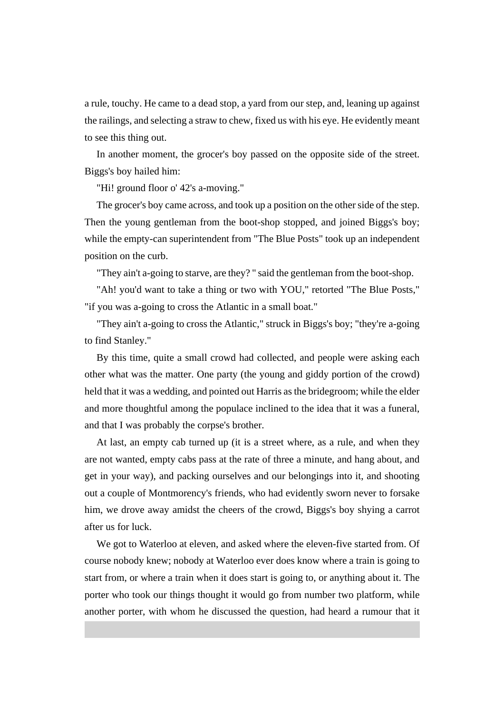a rule, touchy. He came to a dead stop, a yard from our step, and, leaning up against the railings, and selecting a straw to chew, fixed us with his eye. He evidently meant to see this thing out.

In another moment, the grocer's boy passed on the opposite side of the street. Biggs's boy hailed him:

"Hi! ground floor o' 42's a-moving."

The grocer's boy came across, and took up a position on the other side of the step. Then the young gentleman from the boot-shop stopped, and joined Biggs's boy; while the empty-can superintendent from "The Blue Posts" took up an independent position on the curb.

"They ain't a-going to starve, are they? " said the gentleman from the boot-shop.

"Ah! you'd want to take a thing or two with YOU," retorted "The Blue Posts," "if you was a-going to cross the Atlantic in a small boat."

"They ain't a-going to cross the Atlantic," struck in Biggs's boy; "they're a-going to find Stanley."

By this time, quite a small crowd had collected, and people were asking each other what was the matter. One party (the young and giddy portion of the crowd) held that it was a wedding, and pointed out Harris as the bridegroom; while the elder and more thoughtful among the populace inclined to the idea that it was a funeral, and that I was probably the corpse's brother.

At last, an empty cab turned up (it is a street where, as a rule, and when they are not wanted, empty cabs pass at the rate of three a minute, and hang about, and get in your way), and packing ourselves and our belongings into it, and shooting out a couple of Montmorency's friends, who had evidently sworn never to forsake him, we drove away amidst the cheers of the crowd, Biggs's boy shying a carrot after us for luck.

We got to Waterloo at eleven, and asked where the eleven-five started from. Of course nobody knew; nobody at Waterloo ever does know where a train is going to start from, or where a train when it does start is going to, or anything about it. The porter who took our things thought it would go from number two platform, while another porter, with whom he discussed the question, had heard a rumour that it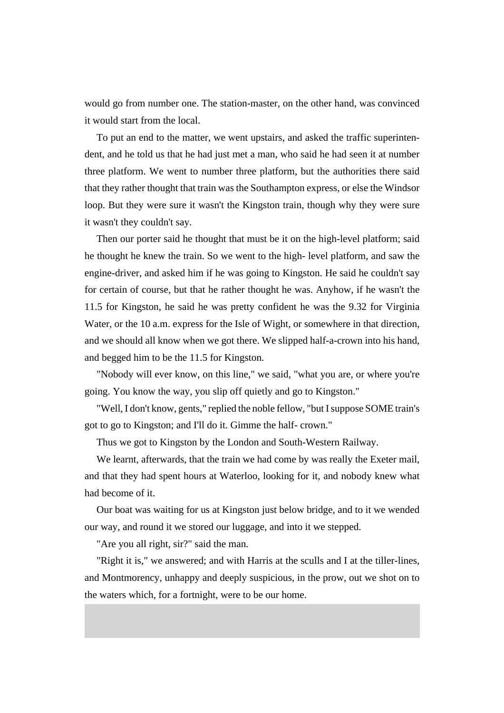would go from number one. The station-master, on the other hand, was convinced it would start from the local.

To put an end to the matter, we went upstairs, and asked the traffic superintendent, and he told us that he had just met a man, who said he had seen it at number three platform. We went to number three platform, but the authorities there said that they rather thought that train was the Southampton express, or else the Windsor loop. But they were sure it wasn't the Kingston train, though why they were sure it wasn't they couldn't say.

Then our porter said he thought that must be it on the high-level platform; said he thought he knew the train. So we went to the high- level platform, and saw the engine-driver, and asked him if he was going to Kingston. He said he couldn't say for certain of course, but that he rather thought he was. Anyhow, if he wasn't the 11.5 for Kingston, he said he was pretty confident he was the 9.32 for Virginia Water, or the 10 a.m. express for the Isle of Wight, or somewhere in that direction, and we should all know when we got there. We slipped half-a-crown into his hand, and begged him to be the 11.5 for Kingston.

"Nobody will ever know, on this line," we said, "what you are, or where you're going. You know the way, you slip off quietly and go to Kingston."

"Well, I don't know, gents," replied the noble fellow, "but I suppose SOME train's got to go to Kingston; and I'll do it. Gimme the half- crown."

Thus we got to Kingston by the London and South-Western Railway.

We learnt, afterwards, that the train we had come by was really the Exeter mail, and that they had spent hours at Waterloo, looking for it, and nobody knew what had become of it.

Our boat was waiting for us at Kingston just below bridge, and to it we wended our way, and round it we stored our luggage, and into it we stepped.

"Are you all right, sir?" said the man.

"Right it is," we answered; and with Harris at the sculls and I at the tiller-lines, and Montmorency, unhappy and deeply suspicious, in the prow, out we shot on to the waters which, for a fortnight, were to be our home.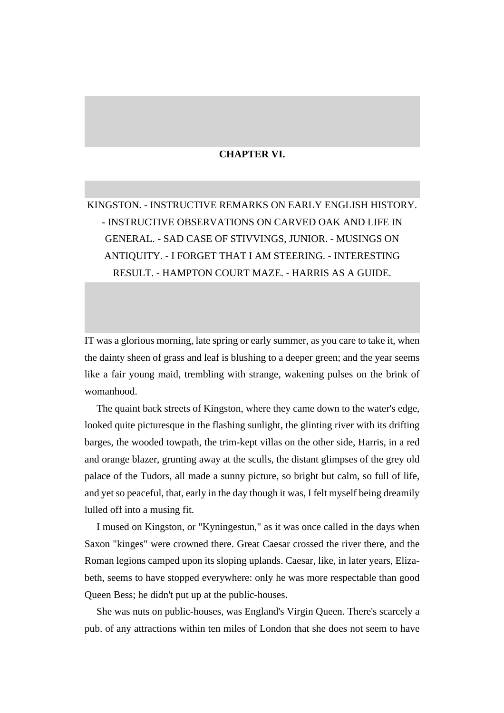# **CHAPTER VI.**

KINGSTON. - INSTRUCTIVE REMARKS ON EARLY ENGLISH HISTORY. - INSTRUCTIVE OBSERVATIONS ON CARVED OAK AND LIFE IN GENERAL. - SAD CASE OF STIVVINGS, JUNIOR. - MUSINGS ON ANTIQUITY. - I FORGET THAT I AM STEERING. - INTERESTING RESULT. - HAMPTON COURT MAZE. - HARRIS AS A GUIDE.

IT was a glorious morning, late spring or early summer, as you care to take it, when the dainty sheen of grass and leaf is blushing to a deeper green; and the year seems like a fair young maid, trembling with strange, wakening pulses on the brink of womanhood.

The quaint back streets of Kingston, where they came down to the water's edge, looked quite picturesque in the flashing sunlight, the glinting river with its drifting barges, the wooded towpath, the trim-kept villas on the other side, Harris, in a red and orange blazer, grunting away at the sculls, the distant glimpses of the grey old palace of the Tudors, all made a sunny picture, so bright but calm, so full of life, and yet so peaceful, that, early in the day though it was, I felt myself being dreamily lulled off into a musing fit.

I mused on Kingston, or "Kyningestun," as it was once called in the days when Saxon "kinges" were crowned there. Great Caesar crossed the river there, and the Roman legions camped upon its sloping uplands. Caesar, like, in later years, Elizabeth, seems to have stopped everywhere: only he was more respectable than good Queen Bess; he didn't put up at the public-houses.

She was nuts on public-houses, was England's Virgin Queen. There's scarcely a pub. of any attractions within ten miles of London that she does not seem to have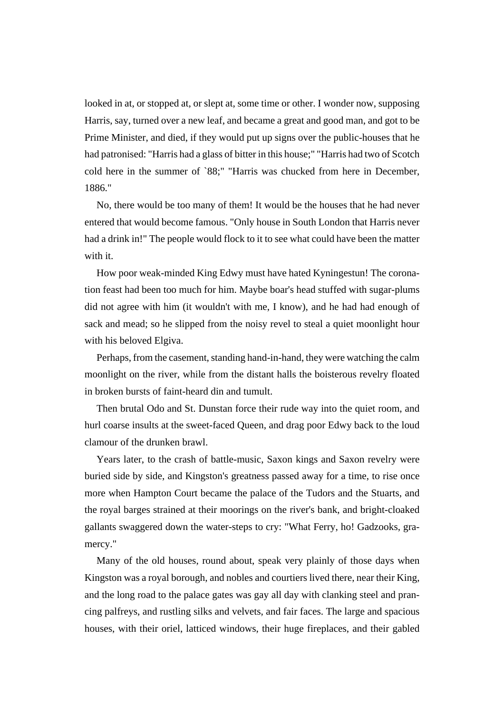looked in at, or stopped at, or slept at, some time or other. I wonder now, supposing Harris, say, turned over a new leaf, and became a great and good man, and got to be Prime Minister, and died, if they would put up signs over the public-houses that he had patronised: "Harris had a glass of bitter in this house;" "Harris had two of Scotch cold here in the summer of `88;" "Harris was chucked from here in December, 1886."

No, there would be too many of them! It would be the houses that he had never entered that would become famous. "Only house in South London that Harris never had a drink in!" The people would flock to it to see what could have been the matter with it.

How poor weak-minded King Edwy must have hated Kyningestun! The coronation feast had been too much for him. Maybe boar's head stuffed with sugar-plums did not agree with him (it wouldn't with me, I know), and he had had enough of sack and mead; so he slipped from the noisy revel to steal a quiet moonlight hour with his beloved Elgiva.

Perhaps, from the casement, standing hand-in-hand, they were watching the calm moonlight on the river, while from the distant halls the boisterous revelry floated in broken bursts of faint-heard din and tumult.

Then brutal Odo and St. Dunstan force their rude way into the quiet room, and hurl coarse insults at the sweet-faced Queen, and drag poor Edwy back to the loud clamour of the drunken brawl.

Years later, to the crash of battle-music, Saxon kings and Saxon revelry were buried side by side, and Kingston's greatness passed away for a time, to rise once more when Hampton Court became the palace of the Tudors and the Stuarts, and the royal barges strained at their moorings on the river's bank, and bright-cloaked gallants swaggered down the water-steps to cry: "What Ferry, ho! Gadzooks, gramercy."

Many of the old houses, round about, speak very plainly of those days when Kingston was a royal borough, and nobles and courtiers lived there, near their King, and the long road to the palace gates was gay all day with clanking steel and prancing palfreys, and rustling silks and velvets, and fair faces. The large and spacious houses, with their oriel, latticed windows, their huge fireplaces, and their gabled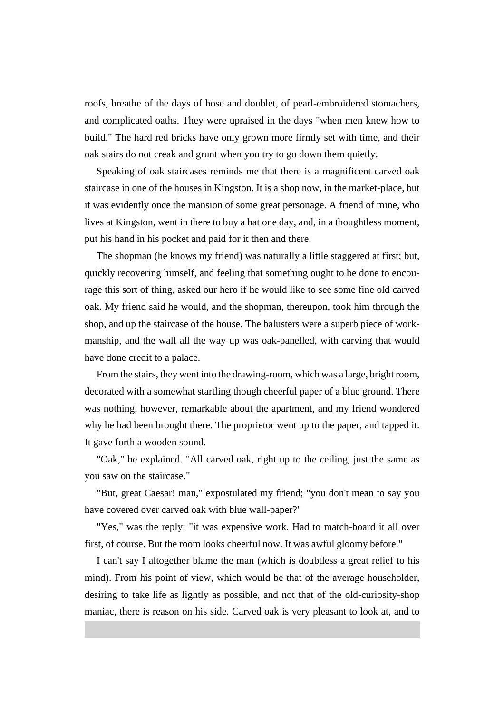roofs, breathe of the days of hose and doublet, of pearl-embroidered stomachers, and complicated oaths. They were upraised in the days "when men knew how to build." The hard red bricks have only grown more firmly set with time, and their oak stairs do not creak and grunt when you try to go down them quietly.

Speaking of oak staircases reminds me that there is a magnificent carved oak staircase in one of the houses in Kingston. It is a shop now, in the market-place, but it was evidently once the mansion of some great personage. A friend of mine, who lives at Kingston, went in there to buy a hat one day, and, in a thoughtless moment, put his hand in his pocket and paid for it then and there.

The shopman (he knows my friend) was naturally a little staggered at first; but, quickly recovering himself, and feeling that something ought to be done to encourage this sort of thing, asked our hero if he would like to see some fine old carved oak. My friend said he would, and the shopman, thereupon, took him through the shop, and up the staircase of the house. The balusters were a superb piece of workmanship, and the wall all the way up was oak-panelled, with carving that would have done credit to a palace.

From the stairs, they went into the drawing-room, which was a large, bright room, decorated with a somewhat startling though cheerful paper of a blue ground. There was nothing, however, remarkable about the apartment, and my friend wondered why he had been brought there. The proprietor went up to the paper, and tapped it. It gave forth a wooden sound.

"Oak," he explained. "All carved oak, right up to the ceiling, just the same as you saw on the staircase."

"But, great Caesar! man," expostulated my friend; "you don't mean to say you have covered over carved oak with blue wall-paper?"

"Yes," was the reply: "it was expensive work. Had to match-board it all over first, of course. But the room looks cheerful now. It was awful gloomy before."

I can't say I altogether blame the man (which is doubtless a great relief to his mind). From his point of view, which would be that of the average householder, desiring to take life as lightly as possible, and not that of the old-curiosity-shop maniac, there is reason on his side. Carved oak is very pleasant to look at, and to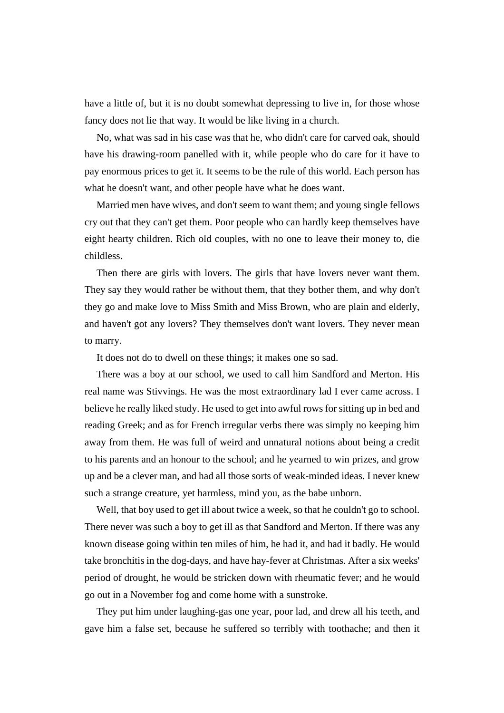have a little of, but it is no doubt somewhat depressing to live in, for those whose fancy does not lie that way. It would be like living in a church.

No, what was sad in his case was that he, who didn't care for carved oak, should have his drawing-room panelled with it, while people who do care for it have to pay enormous prices to get it. It seems to be the rule of this world. Each person has what he doesn't want, and other people have what he does want.

Married men have wives, and don't seem to want them; and young single fellows cry out that they can't get them. Poor people who can hardly keep themselves have eight hearty children. Rich old couples, with no one to leave their money to, die childless.

Then there are girls with lovers. The girls that have lovers never want them. They say they would rather be without them, that they bother them, and why don't they go and make love to Miss Smith and Miss Brown, who are plain and elderly, and haven't got any lovers? They themselves don't want lovers. They never mean to marry.

It does not do to dwell on these things; it makes one so sad.

There was a boy at our school, we used to call him Sandford and Merton. His real name was Stivvings. He was the most extraordinary lad I ever came across. I believe he really liked study. He used to get into awful rows for sitting up in bed and reading Greek; and as for French irregular verbs there was simply no keeping him away from them. He was full of weird and unnatural notions about being a credit to his parents and an honour to the school; and he yearned to win prizes, and grow up and be a clever man, and had all those sorts of weak-minded ideas. I never knew such a strange creature, yet harmless, mind you, as the babe unborn.

Well, that boy used to get ill about twice a week, so that he couldn't go to school. There never was such a boy to get ill as that Sandford and Merton. If there was any known disease going within ten miles of him, he had it, and had it badly. He would take bronchitis in the dog-days, and have hay-fever at Christmas. After a six weeks' period of drought, he would be stricken down with rheumatic fever; and he would go out in a November fog and come home with a sunstroke.

They put him under laughing-gas one year, poor lad, and drew all his teeth, and gave him a false set, because he suffered so terribly with toothache; and then it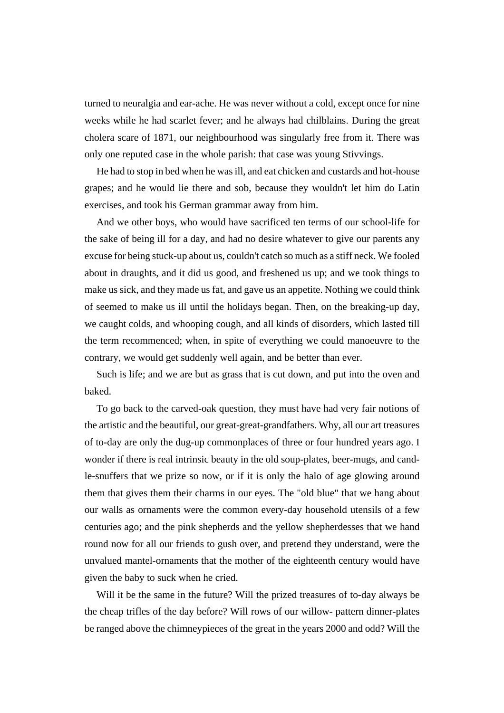turned to neuralgia and ear-ache. He was never without a cold, except once for nine weeks while he had scarlet fever; and he always had chilblains. During the great cholera scare of 1871, our neighbourhood was singularly free from it. There was only one reputed case in the whole parish: that case was young Stivvings.

He had to stop in bed when he was ill, and eat chicken and custards and hot-house grapes; and he would lie there and sob, because they wouldn't let him do Latin exercises, and took his German grammar away from him.

And we other boys, who would have sacrificed ten terms of our school-life for the sake of being ill for a day, and had no desire whatever to give our parents any excuse for being stuck-up about us, couldn't catch so much as a stiff neck. We fooled about in draughts, and it did us good, and freshened us up; and we took things to make us sick, and they made us fat, and gave us an appetite. Nothing we could think of seemed to make us ill until the holidays began. Then, on the breaking-up day, we caught colds, and whooping cough, and all kinds of disorders, which lasted till the term recommenced; when, in spite of everything we could manoeuvre to the contrary, we would get suddenly well again, and be better than ever.

Such is life; and we are but as grass that is cut down, and put into the oven and baked.

To go back to the carved-oak question, they must have had very fair notions of the artistic and the beautiful, our great-great-grandfathers. Why, all our art treasures of to-day are only the dug-up commonplaces of three or four hundred years ago. I wonder if there is real intrinsic beauty in the old soup-plates, beer-mugs, and candle-snuffers that we prize so now, or if it is only the halo of age glowing around them that gives them their charms in our eyes. The "old blue" that we hang about our walls as ornaments were the common every-day household utensils of a few centuries ago; and the pink shepherds and the yellow shepherdesses that we hand round now for all our friends to gush over, and pretend they understand, were the unvalued mantel-ornaments that the mother of the eighteenth century would have given the baby to suck when he cried.

Will it be the same in the future? Will the prized treasures of to-day always be the cheap trifles of the day before? Will rows of our willow- pattern dinner-plates be ranged above the chimneypieces of the great in the years 2000 and odd? Will the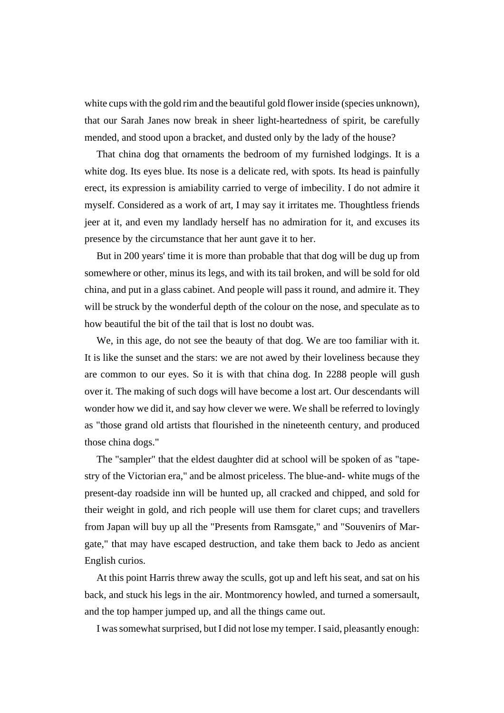white cups with the gold rim and the beautiful gold flower inside (species unknown), that our Sarah Janes now break in sheer light-heartedness of spirit, be carefully mended, and stood upon a bracket, and dusted only by the lady of the house?

That china dog that ornaments the bedroom of my furnished lodgings. It is a white dog. Its eyes blue. Its nose is a delicate red, with spots. Its head is painfully erect, its expression is amiability carried to verge of imbecility. I do not admire it myself. Considered as a work of art, I may say it irritates me. Thoughtless friends jeer at it, and even my landlady herself has no admiration for it, and excuses its presence by the circumstance that her aunt gave it to her.

But in 200 years' time it is more than probable that that dog will be dug up from somewhere or other, minus its legs, and with its tail broken, and will be sold for old china, and put in a glass cabinet. And people will pass it round, and admire it. They will be struck by the wonderful depth of the colour on the nose, and speculate as to how beautiful the bit of the tail that is lost no doubt was.

We, in this age, do not see the beauty of that dog. We are too familiar with it. It is like the sunset and the stars: we are not awed by their loveliness because they are common to our eyes. So it is with that china dog. In 2288 people will gush over it. The making of such dogs will have become a lost art. Our descendants will wonder how we did it, and say how clever we were. We shall be referred to lovingly as "those grand old artists that flourished in the nineteenth century, and produced those china dogs."

The "sampler" that the eldest daughter did at school will be spoken of as "tapestry of the Victorian era," and be almost priceless. The blue-and- white mugs of the present-day roadside inn will be hunted up, all cracked and chipped, and sold for their weight in gold, and rich people will use them for claret cups; and travellers from Japan will buy up all the "Presents from Ramsgate," and "Souvenirs of Margate," that may have escaped destruction, and take them back to Jedo as ancient English curios.

At this point Harris threw away the sculls, got up and left his seat, and sat on his back, and stuck his legs in the air. Montmorency howled, and turned a somersault, and the top hamper jumped up, and all the things came out.

I was somewhat surprised, but I did not lose my temper. I said, pleasantly enough: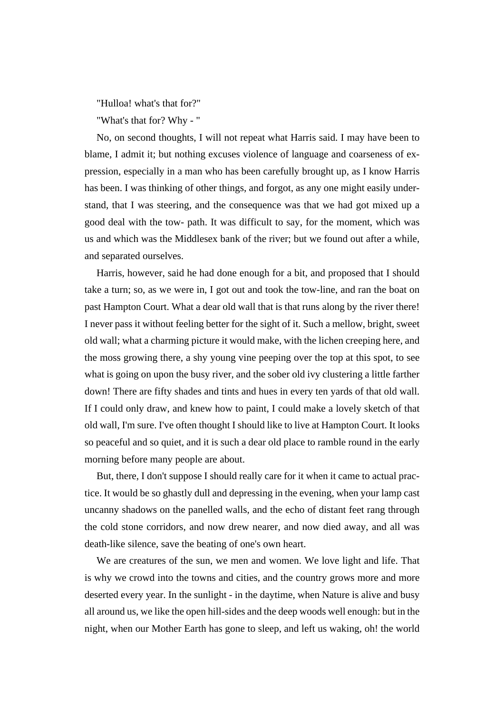"Hulloa! what's that for?"

"What's that for? Why - "

No, on second thoughts, I will not repeat what Harris said. I may have been to blame, I admit it; but nothing excuses violence of language and coarseness of expression, especially in a man who has been carefully brought up, as I know Harris has been. I was thinking of other things, and forgot, as any one might easily understand, that I was steering, and the consequence was that we had got mixed up a good deal with the tow- path. It was difficult to say, for the moment, which was us and which was the Middlesex bank of the river; but we found out after a while, and separated ourselves.

Harris, however, said he had done enough for a bit, and proposed that I should take a turn; so, as we were in, I got out and took the tow-line, and ran the boat on past Hampton Court. What a dear old wall that is that runs along by the river there! I never pass it without feeling better for the sight of it. Such a mellow, bright, sweet old wall; what a charming picture it would make, with the lichen creeping here, and the moss growing there, a shy young vine peeping over the top at this spot, to see what is going on upon the busy river, and the sober old ivy clustering a little farther down! There are fifty shades and tints and hues in every ten yards of that old wall. If I could only draw, and knew how to paint, I could make a lovely sketch of that old wall, I'm sure. I've often thought I should like to live at Hampton Court. It looks so peaceful and so quiet, and it is such a dear old place to ramble round in the early morning before many people are about.

But, there, I don't suppose I should really care for it when it came to actual practice. It would be so ghastly dull and depressing in the evening, when your lamp cast uncanny shadows on the panelled walls, and the echo of distant feet rang through the cold stone corridors, and now drew nearer, and now died away, and all was death-like silence, save the beating of one's own heart.

We are creatures of the sun, we men and women. We love light and life. That is why we crowd into the towns and cities, and the country grows more and more deserted every year. In the sunlight - in the daytime, when Nature is alive and busy all around us, we like the open hill-sides and the deep woods well enough: but in the night, when our Mother Earth has gone to sleep, and left us waking, oh! the world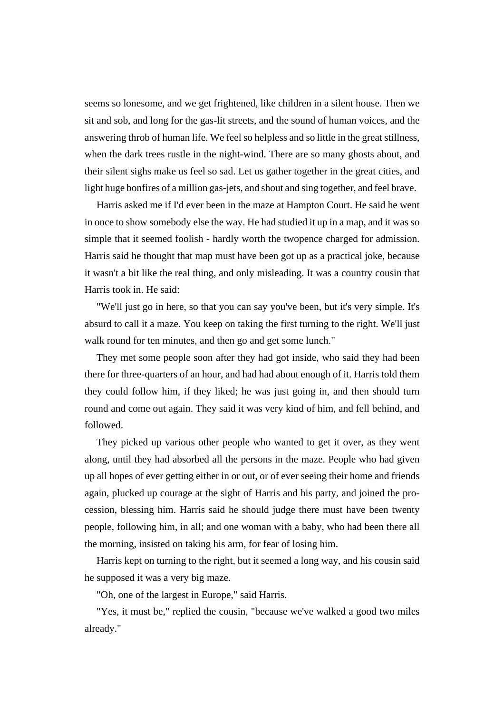seems so lonesome, and we get frightened, like children in a silent house. Then we sit and sob, and long for the gas-lit streets, and the sound of human voices, and the answering throb of human life. We feel so helpless and so little in the great stillness, when the dark trees rustle in the night-wind. There are so many ghosts about, and their silent sighs make us feel so sad. Let us gather together in the great cities, and light huge bonfires of a million gas-jets, and shout and sing together, and feel brave.

Harris asked me if I'd ever been in the maze at Hampton Court. He said he went in once to show somebody else the way. He had studied it up in a map, and it was so simple that it seemed foolish - hardly worth the twopence charged for admission. Harris said he thought that map must have been got up as a practical joke, because it wasn't a bit like the real thing, and only misleading. It was a country cousin that Harris took in. He said:

"We'll just go in here, so that you can say you've been, but it's very simple. It's absurd to call it a maze. You keep on taking the first turning to the right. We'll just walk round for ten minutes, and then go and get some lunch."

They met some people soon after they had got inside, who said they had been there for three-quarters of an hour, and had had about enough of it. Harris told them they could follow him, if they liked; he was just going in, and then should turn round and come out again. They said it was very kind of him, and fell behind, and followed.

They picked up various other people who wanted to get it over, as they went along, until they had absorbed all the persons in the maze. People who had given up all hopes of ever getting either in or out, or of ever seeing their home and friends again, plucked up courage at the sight of Harris and his party, and joined the procession, blessing him. Harris said he should judge there must have been twenty people, following him, in all; and one woman with a baby, who had been there all the morning, insisted on taking his arm, for fear of losing him.

Harris kept on turning to the right, but it seemed a long way, and his cousin said he supposed it was a very big maze.

"Oh, one of the largest in Europe," said Harris.

"Yes, it must be," replied the cousin, "because we've walked a good two miles already."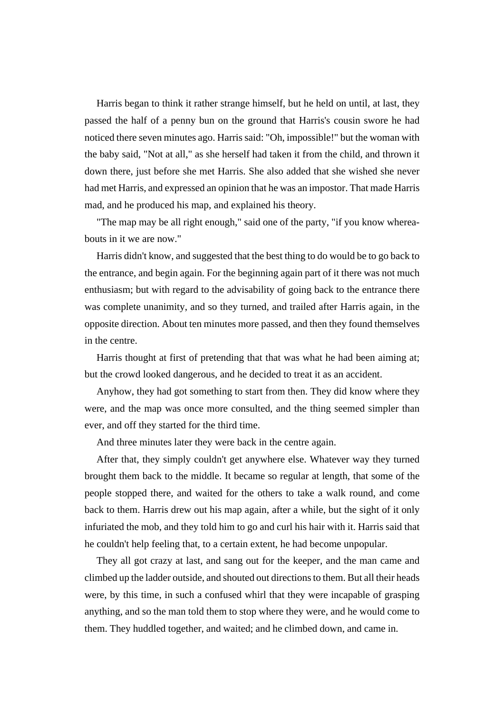Harris began to think it rather strange himself, but he held on until, at last, they passed the half of a penny bun on the ground that Harris's cousin swore he had noticed there seven minutes ago. Harris said: "Oh, impossible!" but the woman with the baby said, "Not at all," as she herself had taken it from the child, and thrown it down there, just before she met Harris. She also added that she wished she never had met Harris, and expressed an opinion that he was an impostor. That made Harris mad, and he produced his map, and explained his theory.

"The map may be all right enough," said one of the party, "if you know whereabouts in it we are now."

Harris didn't know, and suggested that the best thing to do would be to go back to the entrance, and begin again. For the beginning again part of it there was not much enthusiasm; but with regard to the advisability of going back to the entrance there was complete unanimity, and so they turned, and trailed after Harris again, in the opposite direction. About ten minutes more passed, and then they found themselves in the centre.

Harris thought at first of pretending that that was what he had been aiming at; but the crowd looked dangerous, and he decided to treat it as an accident.

Anyhow, they had got something to start from then. They did know where they were, and the map was once more consulted, and the thing seemed simpler than ever, and off they started for the third time.

And three minutes later they were back in the centre again.

After that, they simply couldn't get anywhere else. Whatever way they turned brought them back to the middle. It became so regular at length, that some of the people stopped there, and waited for the others to take a walk round, and come back to them. Harris drew out his map again, after a while, but the sight of it only infuriated the mob, and they told him to go and curl his hair with it. Harris said that he couldn't help feeling that, to a certain extent, he had become unpopular.

They all got crazy at last, and sang out for the keeper, and the man came and climbed up the ladder outside, and shouted out directions to them. But all their heads were, by this time, in such a confused whirl that they were incapable of grasping anything, and so the man told them to stop where they were, and he would come to them. They huddled together, and waited; and he climbed down, and came in.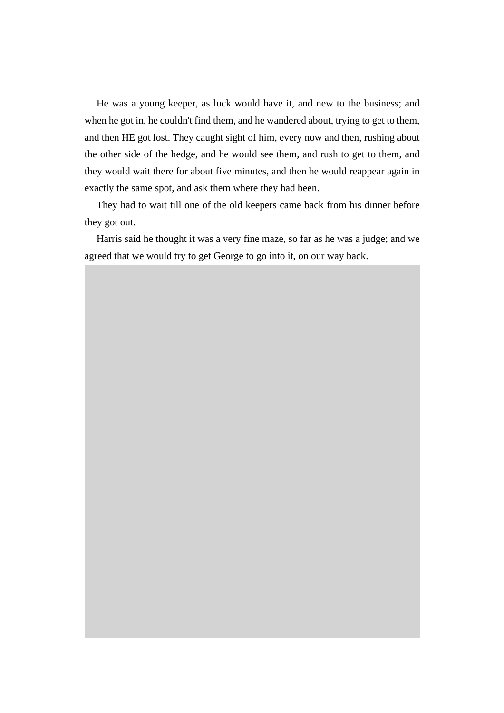He was a young keeper, as luck would have it, and new to the business; and when he got in, he couldn't find them, and he wandered about, trying to get to them, and then HE got lost. They caught sight of him, every now and then, rushing about the other side of the hedge, and he would see them, and rush to get to them, and they would wait there for about five minutes, and then he would reappear again in exactly the same spot, and ask them where they had been.

They had to wait till one of the old keepers came back from his dinner before they got out.

Harris said he thought it was a very fine maze, so far as he was a judge; and we agreed that we would try to get George to go into it, on our way back.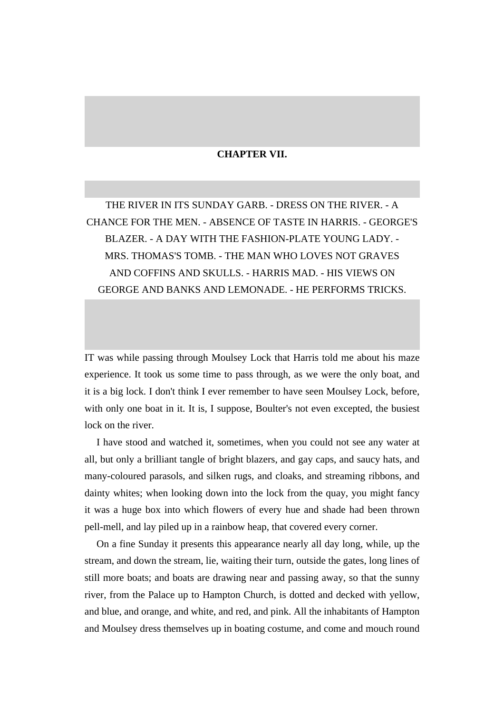# **CHAPTER VII.**

THE RIVER IN ITS SUNDAY GARB. - DRESS ON THE RIVER. - A CHANCE FOR THE MEN. - ABSENCE OF TASTE IN HARRIS. - GEORGE'S BLAZER. - A DAY WITH THE FASHION-PLATE YOUNG LADY. - MRS. THOMAS'S TOMB. - THE MAN WHO LOVES NOT GRAVES AND COFFINS AND SKULLS. - HARRIS MAD. - HIS VIEWS ON GEORGE AND BANKS AND LEMONADE. - HE PERFORMS TRICKS.

IT was while passing through Moulsey Lock that Harris told me about his maze experience. It took us some time to pass through, as we were the only boat, and it is a big lock. I don't think I ever remember to have seen Moulsey Lock, before, with only one boat in it. It is, I suppose, Boulter's not even excepted, the busiest lock on the river.

I have stood and watched it, sometimes, when you could not see any water at all, but only a brilliant tangle of bright blazers, and gay caps, and saucy hats, and many-coloured parasols, and silken rugs, and cloaks, and streaming ribbons, and dainty whites; when looking down into the lock from the quay, you might fancy it was a huge box into which flowers of every hue and shade had been thrown pell-mell, and lay piled up in a rainbow heap, that covered every corner.

On a fine Sunday it presents this appearance nearly all day long, while, up the stream, and down the stream, lie, waiting their turn, outside the gates, long lines of still more boats; and boats are drawing near and passing away, so that the sunny river, from the Palace up to Hampton Church, is dotted and decked with yellow, and blue, and orange, and white, and red, and pink. All the inhabitants of Hampton and Moulsey dress themselves up in boating costume, and come and mouch round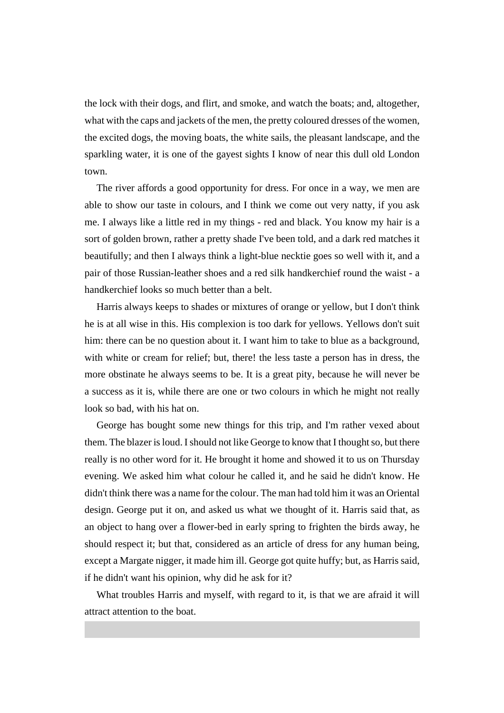the lock with their dogs, and flirt, and smoke, and watch the boats; and, altogether, what with the caps and jackets of the men, the pretty coloured dresses of the women, the excited dogs, the moving boats, the white sails, the pleasant landscape, and the sparkling water, it is one of the gayest sights I know of near this dull old London town.

The river affords a good opportunity for dress. For once in a way, we men are able to show our taste in colours, and I think we come out very natty, if you ask me. I always like a little red in my things - red and black. You know my hair is a sort of golden brown, rather a pretty shade I've been told, and a dark red matches it beautifully; and then I always think a light-blue necktie goes so well with it, and a pair of those Russian-leather shoes and a red silk handkerchief round the waist - a handkerchief looks so much better than a belt.

Harris always keeps to shades or mixtures of orange or yellow, but I don't think he is at all wise in this. His complexion is too dark for yellows. Yellows don't suit him: there can be no question about it. I want him to take to blue as a background, with white or cream for relief; but, there! the less taste a person has in dress, the more obstinate he always seems to be. It is a great pity, because he will never be a success as it is, while there are one or two colours in which he might not really look so bad, with his hat on.

George has bought some new things for this trip, and I'm rather vexed about them. The blazer is loud. I should not like George to know that I thought so, but there really is no other word for it. He brought it home and showed it to us on Thursday evening. We asked him what colour he called it, and he said he didn't know. He didn't think there was a name for the colour. The man had told him it was an Oriental design. George put it on, and asked us what we thought of it. Harris said that, as an object to hang over a flower-bed in early spring to frighten the birds away, he should respect it; but that, considered as an article of dress for any human being, except a Margate nigger, it made him ill. George got quite huffy; but, as Harris said, if he didn't want his opinion, why did he ask for it?

What troubles Harris and myself, with regard to it, is that we are afraid it will attract attention to the boat.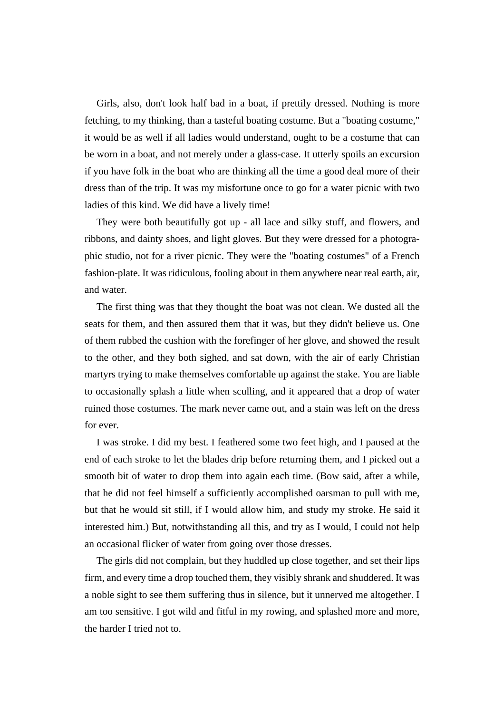Girls, also, don't look half bad in a boat, if prettily dressed. Nothing is more fetching, to my thinking, than a tasteful boating costume. But a "boating costume," it would be as well if all ladies would understand, ought to be a costume that can be worn in a boat, and not merely under a glass-case. It utterly spoils an excursion if you have folk in the boat who are thinking all the time a good deal more of their dress than of the trip. It was my misfortune once to go for a water picnic with two ladies of this kind. We did have a lively time!

They were both beautifully got up - all lace and silky stuff, and flowers, and ribbons, and dainty shoes, and light gloves. But they were dressed for a photographic studio, not for a river picnic. They were the "boating costumes" of a French fashion-plate. It was ridiculous, fooling about in them anywhere near real earth, air, and water.

The first thing was that they thought the boat was not clean. We dusted all the seats for them, and then assured them that it was, but they didn't believe us. One of them rubbed the cushion with the forefinger of her glove, and showed the result to the other, and they both sighed, and sat down, with the air of early Christian martyrs trying to make themselves comfortable up against the stake. You are liable to occasionally splash a little when sculling, and it appeared that a drop of water ruined those costumes. The mark never came out, and a stain was left on the dress for ever.

I was stroke. I did my best. I feathered some two feet high, and I paused at the end of each stroke to let the blades drip before returning them, and I picked out a smooth bit of water to drop them into again each time. (Bow said, after a while, that he did not feel himself a sufficiently accomplished oarsman to pull with me, but that he would sit still, if I would allow him, and study my stroke. He said it interested him.) But, notwithstanding all this, and try as I would, I could not help an occasional flicker of water from going over those dresses.

The girls did not complain, but they huddled up close together, and set their lips firm, and every time a drop touched them, they visibly shrank and shuddered. It was a noble sight to see them suffering thus in silence, but it unnerved me altogether. I am too sensitive. I got wild and fitful in my rowing, and splashed more and more, the harder I tried not to.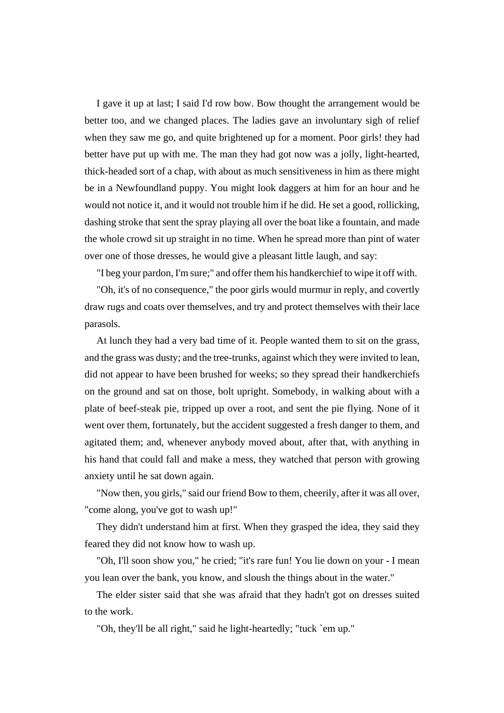I gave it up at last; I said I'd row bow. Bow thought the arrangement would be better too, and we changed places. The ladies gave an involuntary sigh of relief when they saw me go, and quite brightened up for a moment. Poor girls! they had better have put up with me. The man they had got now was a jolly, light-hearted, thick-headed sort of a chap, with about as much sensitiveness in him as there might be in a Newfoundland puppy. You might look daggers at him for an hour and he would not notice it, and it would not trouble him if he did. He set a good, rollicking, dashing stroke that sent the spray playing all over the boat like a fountain, and made the whole crowd sit up straight in no time. When he spread more than pint of water over one of those dresses, he would give a pleasant little laugh, and say:

"I beg your pardon, I'm sure;" and offer them his handkerchief to wipe it off with.

"Oh, it's of no consequence," the poor girls would murmur in reply, and covertly draw rugs and coats over themselves, and try and protect themselves with their lace parasols.

At lunch they had a very bad time of it. People wanted them to sit on the grass, and the grass was dusty; and the tree-trunks, against which they were invited to lean, did not appear to have been brushed for weeks; so they spread their handkerchiefs on the ground and sat on those, bolt upright. Somebody, in walking about with a plate of beef-steak pie, tripped up over a root, and sent the pie flying. None of it went over them, fortunately, but the accident suggested a fresh danger to them, and agitated them; and, whenever anybody moved about, after that, with anything in his hand that could fall and make a mess, they watched that person with growing anxiety until he sat down again.

"Now then, you girls," said our friend Bow to them, cheerily, after it was all over, "come along, you've got to wash up!"

They didn't understand him at first. When they grasped the idea, they said they feared they did not know how to wash up.

"Oh, I'll soon show you," he cried; "it's rare fun! You lie down on your - I mean you lean over the bank, you know, and sloush the things about in the water."

The elder sister said that she was afraid that they hadn't got on dresses suited to the work.

"Oh, they'll be all right," said he light-heartedly; "tuck `em up."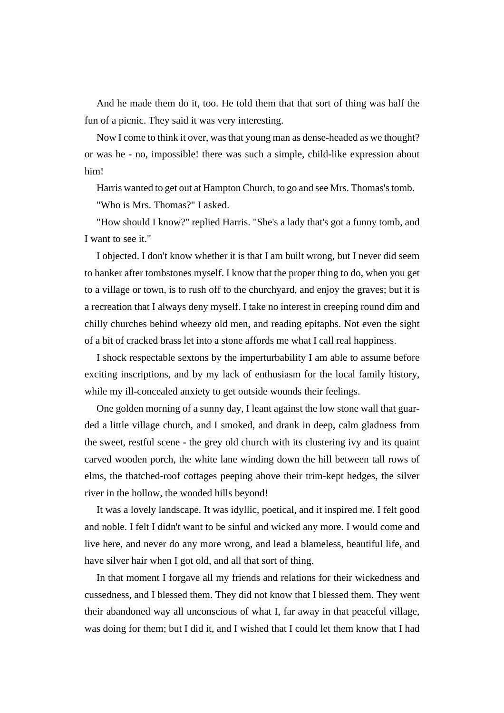And he made them do it, too. He told them that that sort of thing was half the fun of a picnic. They said it was very interesting.

Now I come to think it over, was that young man as dense-headed as we thought? or was he - no, impossible! there was such a simple, child-like expression about him!

Harris wanted to get out at Hampton Church, to go and see Mrs. Thomas's tomb.

"Who is Mrs. Thomas?" I asked.

"How should I know?" replied Harris. "She's a lady that's got a funny tomb, and I want to see it."

I objected. I don't know whether it is that I am built wrong, but I never did seem to hanker after tombstones myself. I know that the proper thing to do, when you get to a village or town, is to rush off to the churchyard, and enjoy the graves; but it is a recreation that I always deny myself. I take no interest in creeping round dim and chilly churches behind wheezy old men, and reading epitaphs. Not even the sight of a bit of cracked brass let into a stone affords me what I call real happiness.

I shock respectable sextons by the imperturbability I am able to assume before exciting inscriptions, and by my lack of enthusiasm for the local family history, while my ill-concealed anxiety to get outside wounds their feelings.

One golden morning of a sunny day, I leant against the low stone wall that guarded a little village church, and I smoked, and drank in deep, calm gladness from the sweet, restful scene - the grey old church with its clustering ivy and its quaint carved wooden porch, the white lane winding down the hill between tall rows of elms, the thatched-roof cottages peeping above their trim-kept hedges, the silver river in the hollow, the wooded hills beyond!

It was a lovely landscape. It was idyllic, poetical, and it inspired me. I felt good and noble. I felt I didn't want to be sinful and wicked any more. I would come and live here, and never do any more wrong, and lead a blameless, beautiful life, and have silver hair when I got old, and all that sort of thing.

In that moment I forgave all my friends and relations for their wickedness and cussedness, and I blessed them. They did not know that I blessed them. They went their abandoned way all unconscious of what I, far away in that peaceful village, was doing for them; but I did it, and I wished that I could let them know that I had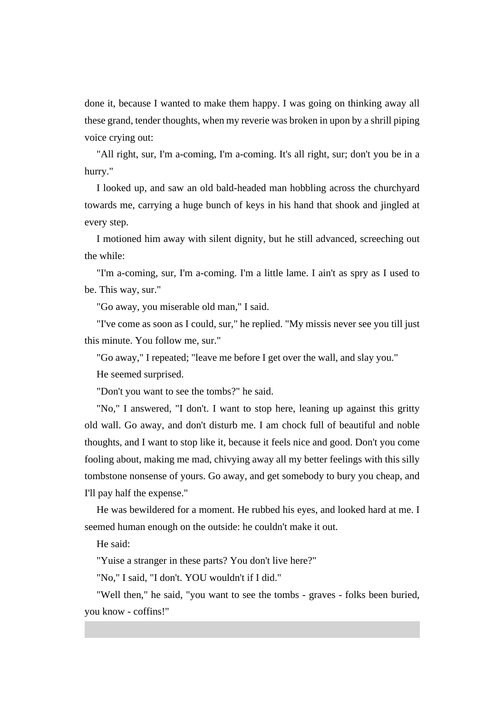done it, because I wanted to make them happy. I was going on thinking away all these grand, tender thoughts, when my reverie was broken in upon by a shrill piping voice crying out:

"All right, sur, I'm a-coming, I'm a-coming. It's all right, sur; don't you be in a hurry."

I looked up, and saw an old bald-headed man hobbling across the churchyard towards me, carrying a huge bunch of keys in his hand that shook and jingled at every step.

I motioned him away with silent dignity, but he still advanced, screeching out the while:

"I'm a-coming, sur, I'm a-coming. I'm a little lame. I ain't as spry as I used to be. This way, sur."

"Go away, you miserable old man," I said.

"I've come as soon as I could, sur," he replied. "My missis never see you till just this minute. You follow me, sur."

"Go away," I repeated; "leave me before I get over the wall, and slay you."

He seemed surprised.

"Don't you want to see the tombs?" he said.

"No," I answered, "I don't. I want to stop here, leaning up against this gritty old wall. Go away, and don't disturb me. I am chock full of beautiful and noble thoughts, and I want to stop like it, because it feels nice and good. Don't you come fooling about, making me mad, chivying away all my better feelings with this silly tombstone nonsense of yours. Go away, and get somebody to bury you cheap, and I'll pay half the expense."

He was bewildered for a moment. He rubbed his eyes, and looked hard at me. I seemed human enough on the outside: he couldn't make it out.

He said:

"Yuise a stranger in these parts? You don't live here?"

"No," I said, "I don't. YOU wouldn't if I did."

"Well then," he said, "you want to see the tombs - graves - folks been buried, you know - coffins!"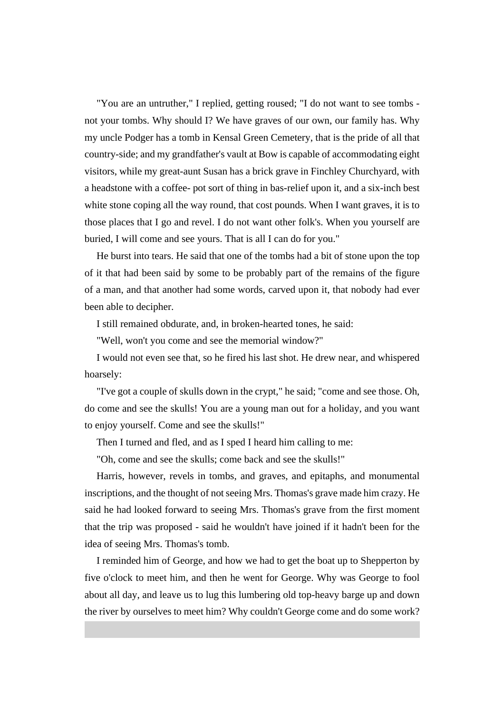"You are an untruther," I replied, getting roused; "I do not want to see tombs not your tombs. Why should I? We have graves of our own, our family has. Why my uncle Podger has a tomb in Kensal Green Cemetery, that is the pride of all that country-side; and my grandfather's vault at Bow is capable of accommodating eight visitors, while my great-aunt Susan has a brick grave in Finchley Churchyard, with a headstone with a coffee- pot sort of thing in bas-relief upon it, and a six-inch best white stone coping all the way round, that cost pounds. When I want graves, it is to those places that I go and revel. I do not want other folk's. When you yourself are buried, I will come and see yours. That is all I can do for you."

He burst into tears. He said that one of the tombs had a bit of stone upon the top of it that had been said by some to be probably part of the remains of the figure of a man, and that another had some words, carved upon it, that nobody had ever been able to decipher.

I still remained obdurate, and, in broken-hearted tones, he said:

"Well, won't you come and see the memorial window?"

I would not even see that, so he fired his last shot. He drew near, and whispered hoarsely:

"I've got a couple of skulls down in the crypt," he said; "come and see those. Oh, do come and see the skulls! You are a young man out for a holiday, and you want to enjoy yourself. Come and see the skulls!"

Then I turned and fled, and as I sped I heard him calling to me:

"Oh, come and see the skulls; come back and see the skulls!"

Harris, however, revels in tombs, and graves, and epitaphs, and monumental inscriptions, and the thought of not seeing Mrs. Thomas's grave made him crazy. He said he had looked forward to seeing Mrs. Thomas's grave from the first moment that the trip was proposed - said he wouldn't have joined if it hadn't been for the idea of seeing Mrs. Thomas's tomb.

I reminded him of George, and how we had to get the boat up to Shepperton by five o'clock to meet him, and then he went for George. Why was George to fool about all day, and leave us to lug this lumbering old top-heavy barge up and down the river by ourselves to meet him? Why couldn't George come and do some work?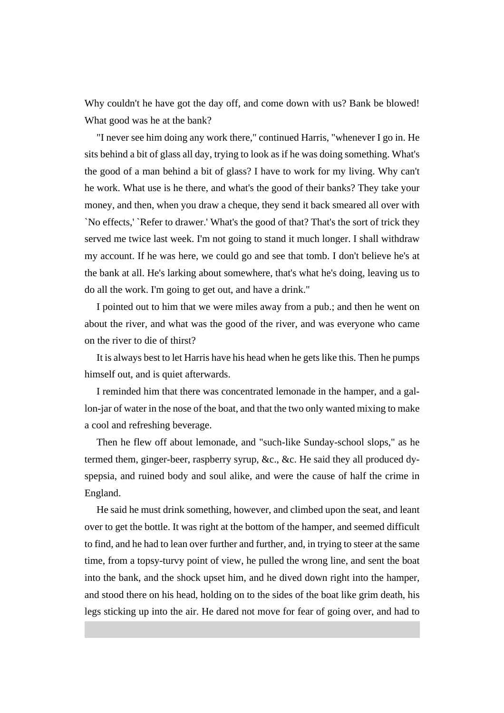Why couldn't he have got the day off, and come down with us? Bank be blowed! What good was he at the bank?

"I never see him doing any work there," continued Harris, "whenever I go in. He sits behind a bit of glass all day, trying to look as if he was doing something. What's the good of a man behind a bit of glass? I have to work for my living. Why can't he work. What use is he there, and what's the good of their banks? They take your money, and then, when you draw a cheque, they send it back smeared all over with `No effects,' `Refer to drawer.' What's the good of that? That's the sort of trick they served me twice last week. I'm not going to stand it much longer. I shall withdraw my account. If he was here, we could go and see that tomb. I don't believe he's at the bank at all. He's larking about somewhere, that's what he's doing, leaving us to do all the work. I'm going to get out, and have a drink."

I pointed out to him that we were miles away from a pub.; and then he went on about the river, and what was the good of the river, and was everyone who came on the river to die of thirst?

It is always best to let Harris have his head when he gets like this. Then he pumps himself out, and is quiet afterwards.

I reminded him that there was concentrated lemonade in the hamper, and a gallon-jar of water in the nose of the boat, and that the two only wanted mixing to make a cool and refreshing beverage.

Then he flew off about lemonade, and "such-like Sunday-school slops," as he termed them, ginger-beer, raspberry syrup, &c., &c. He said they all produced dyspepsia, and ruined body and soul alike, and were the cause of half the crime in England.

He said he must drink something, however, and climbed upon the seat, and leant over to get the bottle. It was right at the bottom of the hamper, and seemed difficult to find, and he had to lean over further and further, and, in trying to steer at the same time, from a topsy-turvy point of view, he pulled the wrong line, and sent the boat into the bank, and the shock upset him, and he dived down right into the hamper, and stood there on his head, holding on to the sides of the boat like grim death, his legs sticking up into the air. He dared not move for fear of going over, and had to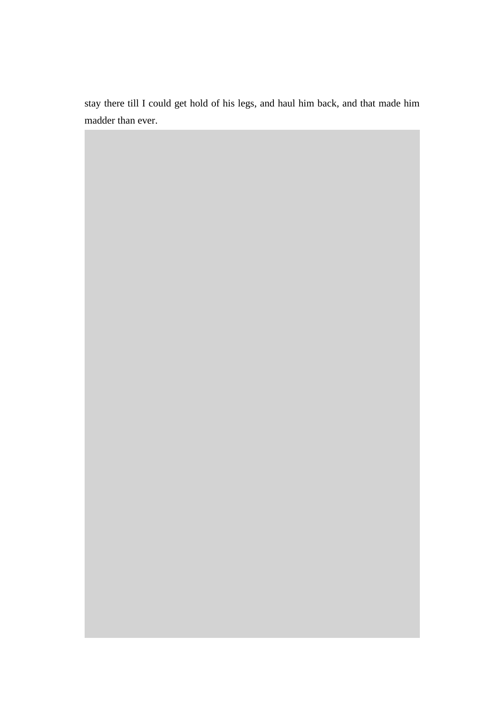stay there till I could get hold of his legs, and haul him back, and that made him madder than ever.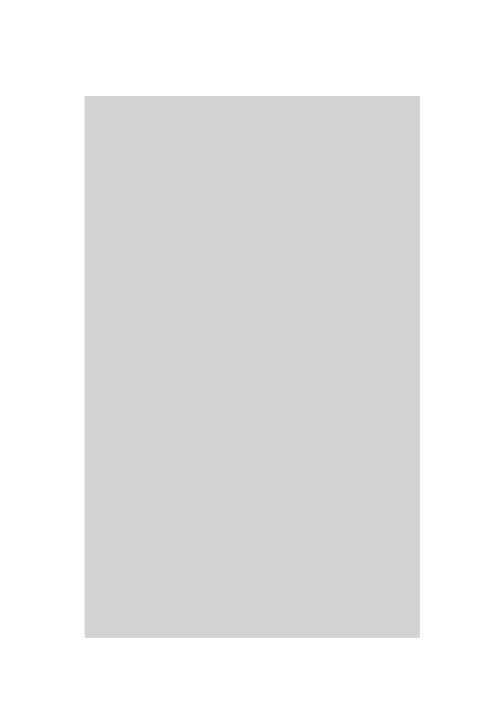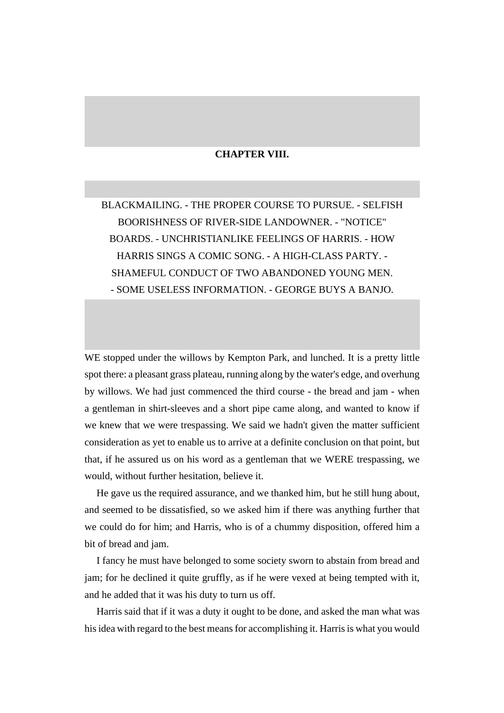# **CHAPTER VIII.**

BLACKMAILING. - THE PROPER COURSE TO PURSUE. - SELFISH BOORISHNESS OF RIVER-SIDE LANDOWNER. - "NOTICE" BOARDS. - UNCHRISTIANLIKE FEELINGS OF HARRIS. - HOW HARRIS SINGS A COMIC SONG. - A HIGH-CLASS PARTY. - SHAMEFUL CONDUCT OF TWO ABANDONED YOUNG MEN. - SOME USELESS INFORMATION. - GEORGE BUYS A BANJO.

WE stopped under the willows by Kempton Park, and lunched. It is a pretty little spot there: a pleasant grass plateau, running along by the water's edge, and overhung by willows. We had just commenced the third course - the bread and jam - when a gentleman in shirt-sleeves and a short pipe came along, and wanted to know if we knew that we were trespassing. We said we hadn't given the matter sufficient consideration as yet to enable us to arrive at a definite conclusion on that point, but that, if he assured us on his word as a gentleman that we WERE trespassing, we would, without further hesitation, believe it.

He gave us the required assurance, and we thanked him, but he still hung about, and seemed to be dissatisfied, so we asked him if there was anything further that we could do for him; and Harris, who is of a chummy disposition, offered him a bit of bread and jam.

I fancy he must have belonged to some society sworn to abstain from bread and jam; for he declined it quite gruffly, as if he were vexed at being tempted with it, and he added that it was his duty to turn us off.

Harris said that if it was a duty it ought to be done, and asked the man what was his idea with regard to the best means for accomplishing it. Harris is what you would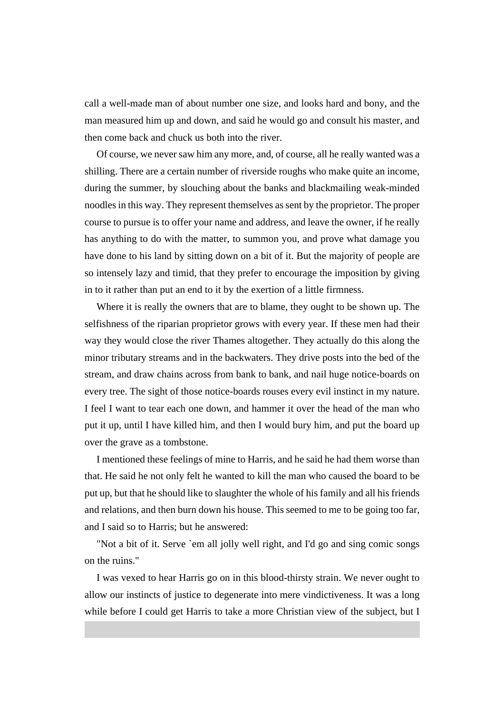call a well-made man of about number one size, and looks hard and bony, and the man measured him up and down, and said he would go and consult his master, and then come back and chuck us both into the river.

Of course, we never saw him any more, and, of course, all he really wanted was a shilling. There are a certain number of riverside roughs who make quite an income, during the summer, by slouching about the banks and blackmailing weak-minded noodles in this way. They represent themselves as sent by the proprietor. The proper course to pursue is to offer your name and address, and leave the owner, if he really has anything to do with the matter, to summon you, and prove what damage you have done to his land by sitting down on a bit of it. But the majority of people are so intensely lazy and timid, that they prefer to encourage the imposition by giving in to it rather than put an end to it by the exertion of a little firmness.

Where it is really the owners that are to blame, they ought to be shown up. The selfishness of the riparian proprietor grows with every year. If these men had their way they would close the river Thames altogether. They actually do this along the minor tributary streams and in the backwaters. They drive posts into the bed of the stream, and draw chains across from bank to bank, and nail huge notice-boards on every tree. The sight of those notice-boards rouses every evil instinct in my nature. I feel I want to tear each one down, and hammer it over the head of the man who put it up, until I have killed him, and then I would bury him, and put the board up over the grave as a tombstone.

I mentioned these feelings of mine to Harris, and he said he had them worse than that. He said he not only felt he wanted to kill the man who caused the board to be put up, but that he should like to slaughter the whole of his family and all his friends and relations, and then burn down his house. This seemed to me to be going too far, and I said so to Harris; but he answered:

"Not a bit of it. Serve `em all jolly well right, and I'd go and sing comic songs on the ruins."

I was vexed to hear Harris go on in this blood-thirsty strain. We never ought to allow our instincts of justice to degenerate into mere vindictiveness. It was a long while before I could get Harris to take a more Christian view of the subject, but I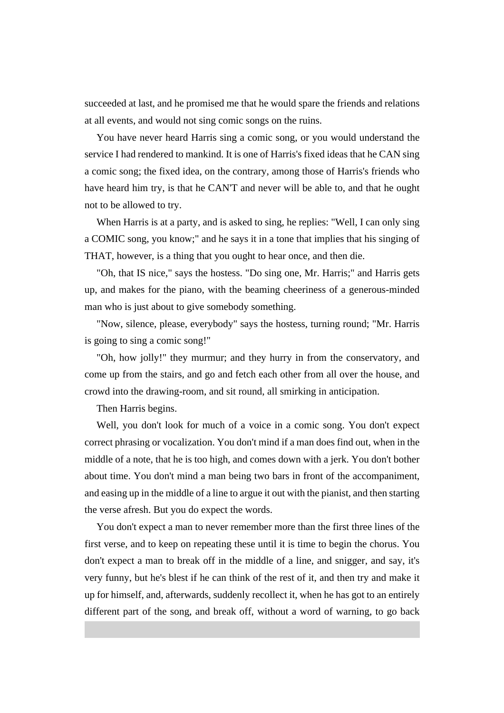succeeded at last, and he promised me that he would spare the friends and relations at all events, and would not sing comic songs on the ruins.

You have never heard Harris sing a comic song, or you would understand the service I had rendered to mankind. It is one of Harris's fixed ideas that he CAN sing a comic song; the fixed idea, on the contrary, among those of Harris's friends who have heard him try, is that he CAN'T and never will be able to, and that he ought not to be allowed to try.

When Harris is at a party, and is asked to sing, he replies: "Well, I can only sing a COMIC song, you know;" and he says it in a tone that implies that his singing of THAT, however, is a thing that you ought to hear once, and then die.

"Oh, that IS nice," says the hostess. "Do sing one, Mr. Harris;" and Harris gets up, and makes for the piano, with the beaming cheeriness of a generous-minded man who is just about to give somebody something.

"Now, silence, please, everybody" says the hostess, turning round; "Mr. Harris is going to sing a comic song!"

"Oh, how jolly!" they murmur; and they hurry in from the conservatory, and come up from the stairs, and go and fetch each other from all over the house, and crowd into the drawing-room, and sit round, all smirking in anticipation.

Then Harris begins.

Well, you don't look for much of a voice in a comic song. You don't expect correct phrasing or vocalization. You don't mind if a man does find out, when in the middle of a note, that he is too high, and comes down with a jerk. You don't bother about time. You don't mind a man being two bars in front of the accompaniment, and easing up in the middle of a line to argue it out with the pianist, and then starting the verse afresh. But you do expect the words.

You don't expect a man to never remember more than the first three lines of the first verse, and to keep on repeating these until it is time to begin the chorus. You don't expect a man to break off in the middle of a line, and snigger, and say, it's very funny, but he's blest if he can think of the rest of it, and then try and make it up for himself, and, afterwards, suddenly recollect it, when he has got to an entirely different part of the song, and break off, without a word of warning, to go back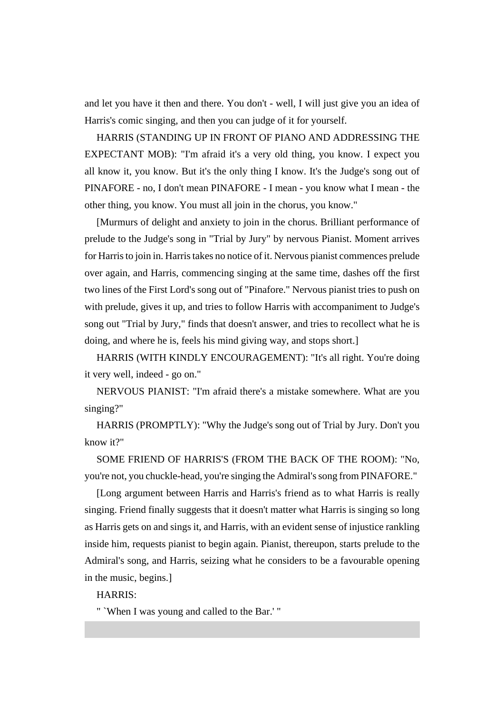and let you have it then and there. You don't - well, I will just give you an idea of Harris's comic singing, and then you can judge of it for yourself.

HARRIS (STANDING UP IN FRONT OF PIANO AND ADDRESSING THE EXPECTANT MOB): "I'm afraid it's a very old thing, you know. I expect you all know it, you know. But it's the only thing I know. It's the Judge's song out of PINAFORE - no, I don't mean PINAFORE - I mean - you know what I mean - the other thing, you know. You must all join in the chorus, you know."

[Murmurs of delight and anxiety to join in the chorus. Brilliant performance of prelude to the Judge's song in "Trial by Jury" by nervous Pianist. Moment arrives for Harris to join in. Harris takes no notice of it. Nervous pianist commences prelude over again, and Harris, commencing singing at the same time, dashes off the first two lines of the First Lord's song out of "Pinafore." Nervous pianist tries to push on with prelude, gives it up, and tries to follow Harris with accompaniment to Judge's song out "Trial by Jury," finds that doesn't answer, and tries to recollect what he is doing, and where he is, feels his mind giving way, and stops short.]

HARRIS (WITH KINDLY ENCOURAGEMENT): "It's all right. You're doing it very well, indeed - go on."

NERVOUS PIANIST: "I'm afraid there's a mistake somewhere. What are you singing?"

HARRIS (PROMPTLY): "Why the Judge's song out of Trial by Jury. Don't you know it?"

SOME FRIEND OF HARRIS'S (FROM THE BACK OF THE ROOM): "No, you're not, you chuckle-head, you're singing the Admiral's song from PINAFORE."

[Long argument between Harris and Harris's friend as to what Harris is really singing. Friend finally suggests that it doesn't matter what Harris is singing so long as Harris gets on and sings it, and Harris, with an evident sense of injustice rankling inside him, requests pianist to begin again. Pianist, thereupon, starts prelude to the Admiral's song, and Harris, seizing what he considers to be a favourable opening in the music, begins.]

### HARRIS:

" `When I was young and called to the Bar.' "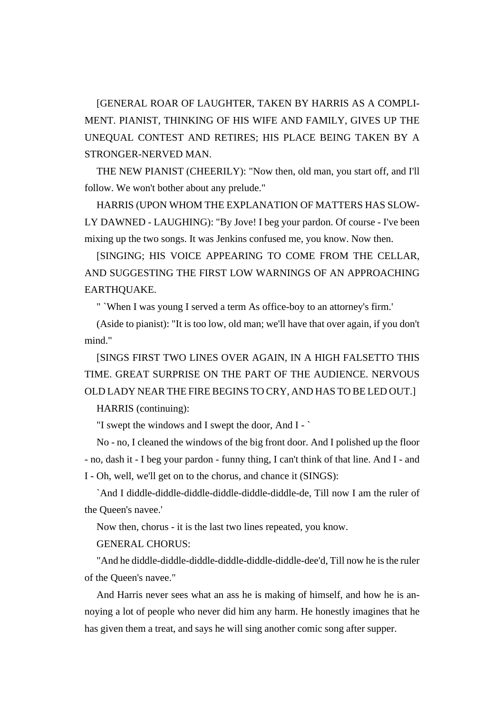[GENERAL ROAR OF LAUGHTER, TAKEN BY HARRIS AS A COMPLI-MENT. PIANIST, THINKING OF HIS WIFE AND FAMILY, GIVES UP THE UNEQUAL CONTEST AND RETIRES; HIS PLACE BEING TAKEN BY A STRONGER-NERVED MAN.

THE NEW PIANIST (CHEERILY): "Now then, old man, you start off, and I'll follow. We won't bother about any prelude."

HARRIS (UPON WHOM THE EXPLANATION OF MATTERS HAS SLOW-LY DAWNED - LAUGHING): "By Jove! I beg your pardon. Of course - I've been mixing up the two songs. It was Jenkins confused me, you know. Now then.

[SINGING; HIS VOICE APPEARING TO COME FROM THE CELLAR, AND SUGGESTING THE FIRST LOW WARNINGS OF AN APPROACHING EARTHQUAKE.

" `When I was young I served a term As office-boy to an attorney's firm.'

(Aside to pianist): "It is too low, old man; we'll have that over again, if you don't mind."

[SINGS FIRST TWO LINES OVER AGAIN, IN A HIGH FALSETTO THIS TIME. GREAT SURPRISE ON THE PART OF THE AUDIENCE. NERVOUS OLD LADY NEAR THE FIRE BEGINS TO CRY, AND HAS TO BE LED OUT.]

HARRIS (continuing):

"I swept the windows and I swept the door, And I - `

No - no, I cleaned the windows of the big front door. And I polished up the floor - no, dash it - I beg your pardon - funny thing, I can't think of that line. And I - and I - Oh, well, we'll get on to the chorus, and chance it (SINGS):

`And I diddle-diddle-diddle-diddle-diddle-diddle-de, Till now I am the ruler of the Queen's navee.'

Now then, chorus - it is the last two lines repeated, you know.

GENERAL CHORUS:

"And he diddle-diddle-diddle-diddle-diddle-diddle-dee'd, Till now he is the ruler of the Queen's navee."

And Harris never sees what an ass he is making of himself, and how he is annoying a lot of people who never did him any harm. He honestly imagines that he has given them a treat, and says he will sing another comic song after supper.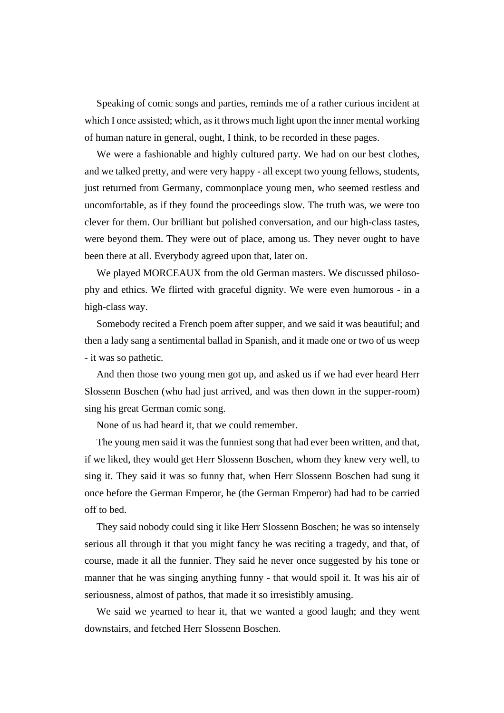Speaking of comic songs and parties, reminds me of a rather curious incident at which I once assisted; which, as it throws much light upon the inner mental working of human nature in general, ought, I think, to be recorded in these pages.

We were a fashionable and highly cultured party. We had on our best clothes, and we talked pretty, and were very happy - all except two young fellows, students, just returned from Germany, commonplace young men, who seemed restless and uncomfortable, as if they found the proceedings slow. The truth was, we were too clever for them. Our brilliant but polished conversation, and our high-class tastes, were beyond them. They were out of place, among us. They never ought to have been there at all. Everybody agreed upon that, later on.

We played MORCEAUX from the old German masters. We discussed philosophy and ethics. We flirted with graceful dignity. We were even humorous - in a high-class way.

Somebody recited a French poem after supper, and we said it was beautiful; and then a lady sang a sentimental ballad in Spanish, and it made one or two of us weep - it was so pathetic.

And then those two young men got up, and asked us if we had ever heard Herr Slossenn Boschen (who had just arrived, and was then down in the supper-room) sing his great German comic song.

None of us had heard it, that we could remember.

The young men said it was the funniest song that had ever been written, and that, if we liked, they would get Herr Slossenn Boschen, whom they knew very well, to sing it. They said it was so funny that, when Herr Slossenn Boschen had sung it once before the German Emperor, he (the German Emperor) had had to be carried off to bed.

They said nobody could sing it like Herr Slossenn Boschen; he was so intensely serious all through it that you might fancy he was reciting a tragedy, and that, of course, made it all the funnier. They said he never once suggested by his tone or manner that he was singing anything funny - that would spoil it. It was his air of seriousness, almost of pathos, that made it so irresistibly amusing.

We said we yearned to hear it, that we wanted a good laugh; and they went downstairs, and fetched Herr Slossenn Boschen.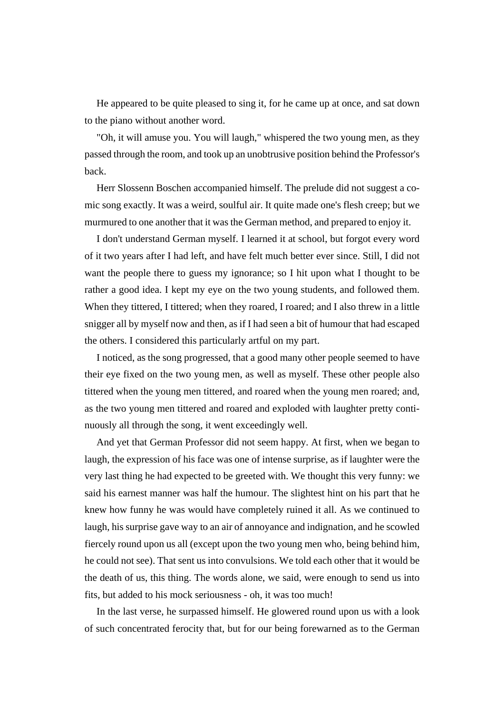He appeared to be quite pleased to sing it, for he came up at once, and sat down to the piano without another word.

"Oh, it will amuse you. You will laugh," whispered the two young men, as they passed through the room, and took up an unobtrusive position behind the Professor's back.

Herr Slossenn Boschen accompanied himself. The prelude did not suggest a comic song exactly. It was a weird, soulful air. It quite made one's flesh creep; but we murmured to one another that it was the German method, and prepared to enjoy it.

I don't understand German myself. I learned it at school, but forgot every word of it two years after I had left, and have felt much better ever since. Still, I did not want the people there to guess my ignorance; so I hit upon what I thought to be rather a good idea. I kept my eye on the two young students, and followed them. When they tittered, I tittered; when they roared, I roared; and I also threw in a little snigger all by myself now and then, as if I had seen a bit of humour that had escaped the others. I considered this particularly artful on my part.

I noticed, as the song progressed, that a good many other people seemed to have their eye fixed on the two young men, as well as myself. These other people also tittered when the young men tittered, and roared when the young men roared; and, as the two young men tittered and roared and exploded with laughter pretty continuously all through the song, it went exceedingly well.

And yet that German Professor did not seem happy. At first, when we began to laugh, the expression of his face was one of intense surprise, as if laughter were the very last thing he had expected to be greeted with. We thought this very funny: we said his earnest manner was half the humour. The slightest hint on his part that he knew how funny he was would have completely ruined it all. As we continued to laugh, his surprise gave way to an air of annoyance and indignation, and he scowled fiercely round upon us all (except upon the two young men who, being behind him, he could not see). That sent us into convulsions. We told each other that it would be the death of us, this thing. The words alone, we said, were enough to send us into fits, but added to his mock seriousness - oh, it was too much!

In the last verse, he surpassed himself. He glowered round upon us with a look of such concentrated ferocity that, but for our being forewarned as to the German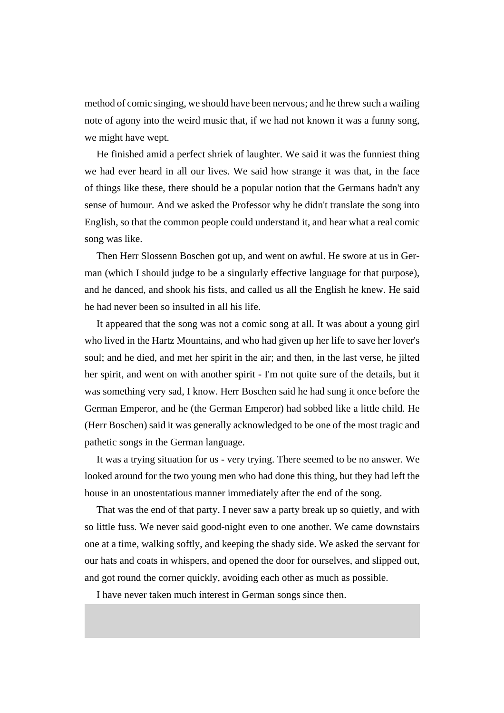method of comic singing, we should have been nervous; and he threw such a wailing note of agony into the weird music that, if we had not known it was a funny song, we might have wept.

He finished amid a perfect shriek of laughter. We said it was the funniest thing we had ever heard in all our lives. We said how strange it was that, in the face of things like these, there should be a popular notion that the Germans hadn't any sense of humour. And we asked the Professor why he didn't translate the song into English, so that the common people could understand it, and hear what a real comic song was like.

Then Herr Slossenn Boschen got up, and went on awful. He swore at us in German (which I should judge to be a singularly effective language for that purpose), and he danced, and shook his fists, and called us all the English he knew. He said he had never been so insulted in all his life.

It appeared that the song was not a comic song at all. It was about a young girl who lived in the Hartz Mountains, and who had given up her life to save her lover's soul; and he died, and met her spirit in the air; and then, in the last verse, he jilted her spirit, and went on with another spirit - I'm not quite sure of the details, but it was something very sad, I know. Herr Boschen said he had sung it once before the German Emperor, and he (the German Emperor) had sobbed like a little child. He (Herr Boschen) said it was generally acknowledged to be one of the most tragic and pathetic songs in the German language.

It was a trying situation for us - very trying. There seemed to be no answer. We looked around for the two young men who had done this thing, but they had left the house in an unostentatious manner immediately after the end of the song.

That was the end of that party. I never saw a party break up so quietly, and with so little fuss. We never said good-night even to one another. We came downstairs one at a time, walking softly, and keeping the shady side. We asked the servant for our hats and coats in whispers, and opened the door for ourselves, and slipped out, and got round the corner quickly, avoiding each other as much as possible.

I have never taken much interest in German songs since then.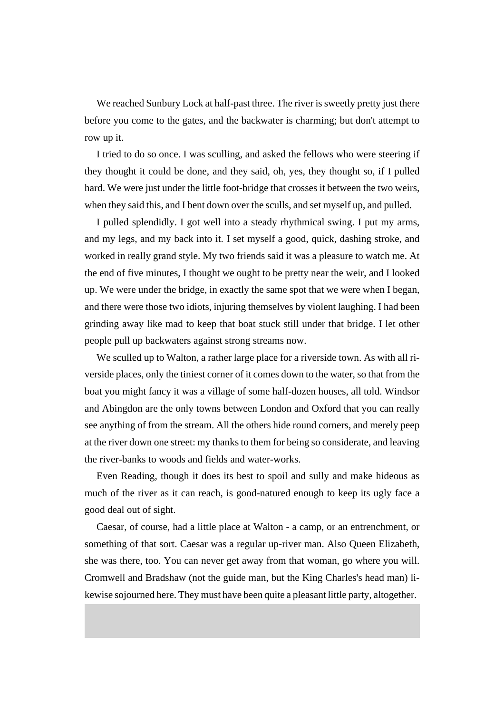We reached Sunbury Lock at half-past three. The river is sweetly pretty just there before you come to the gates, and the backwater is charming; but don't attempt to row up it.

I tried to do so once. I was sculling, and asked the fellows who were steering if they thought it could be done, and they said, oh, yes, they thought so, if I pulled hard. We were just under the little foot-bridge that crosses it between the two weirs, when they said this, and I bent down over the sculls, and set myself up, and pulled.

I pulled splendidly. I got well into a steady rhythmical swing. I put my arms, and my legs, and my back into it. I set myself a good, quick, dashing stroke, and worked in really grand style. My two friends said it was a pleasure to watch me. At the end of five minutes, I thought we ought to be pretty near the weir, and I looked up. We were under the bridge, in exactly the same spot that we were when I began, and there were those two idiots, injuring themselves by violent laughing. I had been grinding away like mad to keep that boat stuck still under that bridge. I let other people pull up backwaters against strong streams now.

We sculled up to Walton, a rather large place for a riverside town. As with all riverside places, only the tiniest corner of it comes down to the water, so that from the boat you might fancy it was a village of some half-dozen houses, all told. Windsor and Abingdon are the only towns between London and Oxford that you can really see anything of from the stream. All the others hide round corners, and merely peep at the river down one street: my thanks to them for being so considerate, and leaving the river-banks to woods and fields and water-works.

Even Reading, though it does its best to spoil and sully and make hideous as much of the river as it can reach, is good-natured enough to keep its ugly face a good deal out of sight.

Caesar, of course, had a little place at Walton - a camp, or an entrenchment, or something of that sort. Caesar was a regular up-river man. Also Queen Elizabeth, she was there, too. You can never get away from that woman, go where you will. Cromwell and Bradshaw (not the guide man, but the King Charles's head man) likewise sojourned here. They must have been quite a pleasant little party, altogether.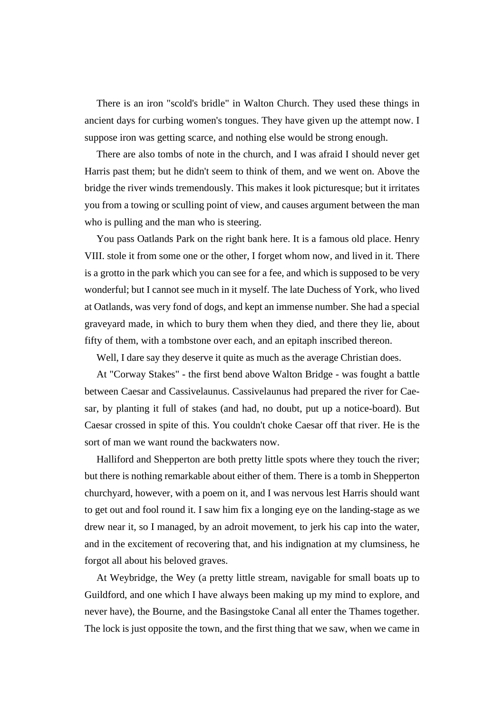There is an iron "scold's bridle" in Walton Church. They used these things in ancient days for curbing women's tongues. They have given up the attempt now. I suppose iron was getting scarce, and nothing else would be strong enough.

There are also tombs of note in the church, and I was afraid I should never get Harris past them; but he didn't seem to think of them, and we went on. Above the bridge the river winds tremendously. This makes it look picturesque; but it irritates you from a towing or sculling point of view, and causes argument between the man who is pulling and the man who is steering.

You pass Oatlands Park on the right bank here. It is a famous old place. Henry VIII. stole it from some one or the other, I forget whom now, and lived in it. There is a grotto in the park which you can see for a fee, and which is supposed to be very wonderful; but I cannot see much in it myself. The late Duchess of York, who lived at Oatlands, was very fond of dogs, and kept an immense number. She had a special graveyard made, in which to bury them when they died, and there they lie, about fifty of them, with a tombstone over each, and an epitaph inscribed thereon.

Well, I dare say they deserve it quite as much as the average Christian does.

At "Corway Stakes" - the first bend above Walton Bridge - was fought a battle between Caesar and Cassivelaunus. Cassivelaunus had prepared the river for Caesar, by planting it full of stakes (and had, no doubt, put up a notice-board). But Caesar crossed in spite of this. You couldn't choke Caesar off that river. He is the sort of man we want round the backwaters now.

Halliford and Shepperton are both pretty little spots where they touch the river; but there is nothing remarkable about either of them. There is a tomb in Shepperton churchyard, however, with a poem on it, and I was nervous lest Harris should want to get out and fool round it. I saw him fix a longing eye on the landing-stage as we drew near it, so I managed, by an adroit movement, to jerk his cap into the water, and in the excitement of recovering that, and his indignation at my clumsiness, he forgot all about his beloved graves.

At Weybridge, the Wey (a pretty little stream, navigable for small boats up to Guildford, and one which I have always been making up my mind to explore, and never have), the Bourne, and the Basingstoke Canal all enter the Thames together. The lock is just opposite the town, and the first thing that we saw, when we came in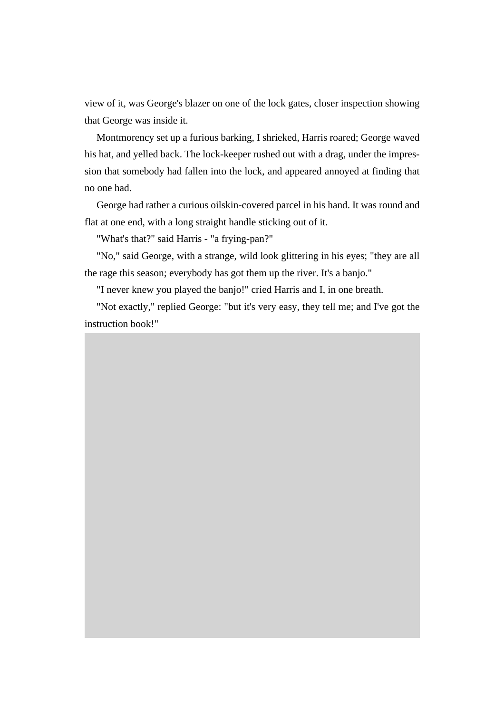view of it, was George's blazer on one of the lock gates, closer inspection showing that George was inside it.

Montmorency set up a furious barking, I shrieked, Harris roared; George waved his hat, and yelled back. The lock-keeper rushed out with a drag, under the impression that somebody had fallen into the lock, and appeared annoyed at finding that no one had.

George had rather a curious oilskin-covered parcel in his hand. It was round and flat at one end, with a long straight handle sticking out of it.

"What's that?" said Harris - "a frying-pan?"

"No," said George, with a strange, wild look glittering in his eyes; "they are all the rage this season; everybody has got them up the river. It's a banjo."

"I never knew you played the banjo!" cried Harris and I, in one breath.

"Not exactly," replied George: "but it's very easy, they tell me; and I've got the instruction book!"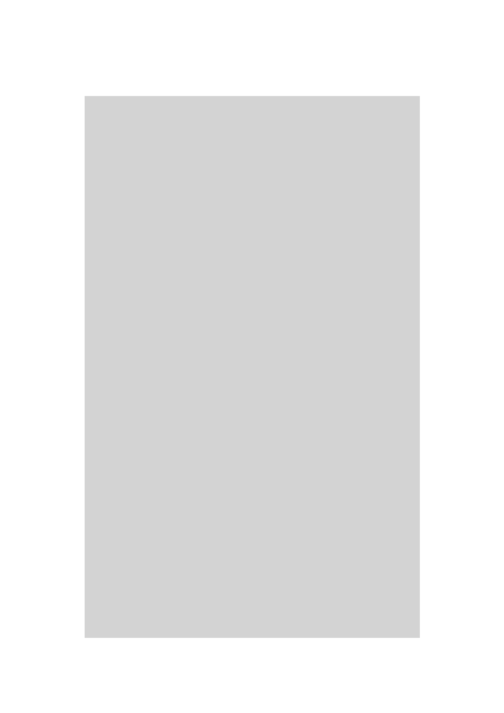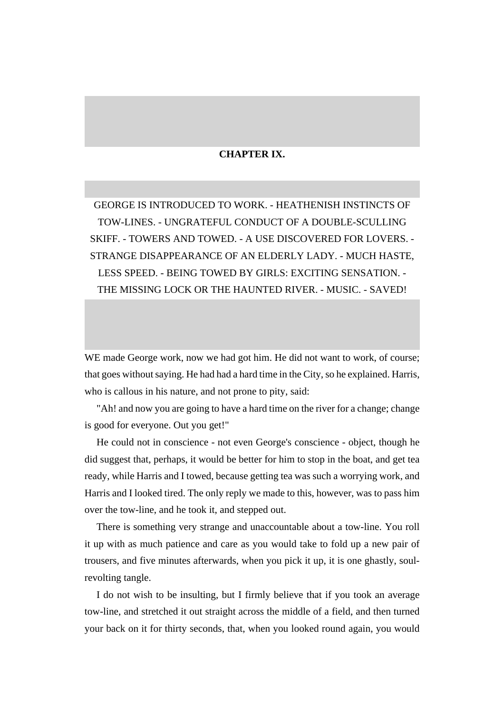## **CHAPTER IX.**

GEORGE IS INTRODUCED TO WORK. - HEATHENISH INSTINCTS OF TOW-LINES. - UNGRATEFUL CONDUCT OF A DOUBLE-SCULLING SKIFF. - TOWERS AND TOWED. - A USE DISCOVERED FOR LOVERS. - STRANGE DISAPPEARANCE OF AN ELDERLY LADY. - MUCH HASTE, LESS SPEED. - BEING TOWED BY GIRLS: EXCITING SENSATION. - THE MISSING LOCK OR THE HAUNTED RIVER. - MUSIC. - SAVED!

WE made George work, now we had got him. He did not want to work, of course; that goes without saying. He had had a hard time in the City, so he explained. Harris, who is callous in his nature, and not prone to pity, said:

"Ah! and now you are going to have a hard time on the river for a change; change is good for everyone. Out you get!"

He could not in conscience - not even George's conscience - object, though he did suggest that, perhaps, it would be better for him to stop in the boat, and get tea ready, while Harris and I towed, because getting tea was such a worrying work, and Harris and I looked tired. The only reply we made to this, however, was to pass him over the tow-line, and he took it, and stepped out.

There is something very strange and unaccountable about a tow-line. You roll it up with as much patience and care as you would take to fold up a new pair of trousers, and five minutes afterwards, when you pick it up, it is one ghastly, soulrevolting tangle.

I do not wish to be insulting, but I firmly believe that if you took an average tow-line, and stretched it out straight across the middle of a field, and then turned your back on it for thirty seconds, that, when you looked round again, you would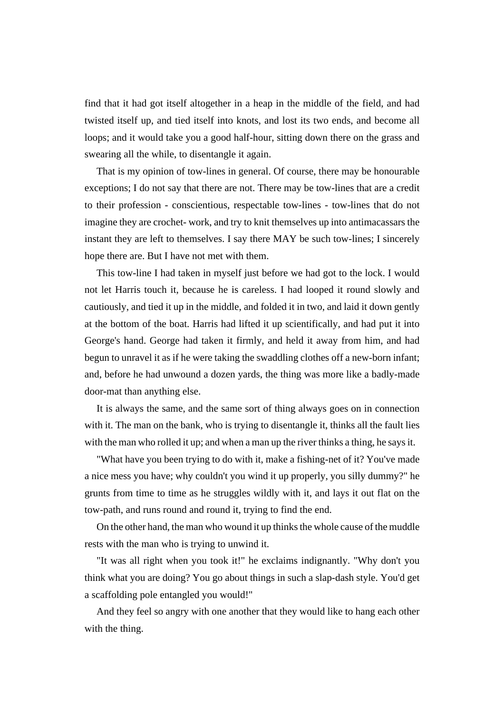find that it had got itself altogether in a heap in the middle of the field, and had twisted itself up, and tied itself into knots, and lost its two ends, and become all loops; and it would take you a good half-hour, sitting down there on the grass and swearing all the while, to disentangle it again.

That is my opinion of tow-lines in general. Of course, there may be honourable exceptions; I do not say that there are not. There may be tow-lines that are a credit to their profession - conscientious, respectable tow-lines - tow-lines that do not imagine they are crochet- work, and try to knit themselves up into antimacassars the instant they are left to themselves. I say there MAY be such tow-lines; I sincerely hope there are. But I have not met with them.

This tow-line I had taken in myself just before we had got to the lock. I would not let Harris touch it, because he is careless. I had looped it round slowly and cautiously, and tied it up in the middle, and folded it in two, and laid it down gently at the bottom of the boat. Harris had lifted it up scientifically, and had put it into George's hand. George had taken it firmly, and held it away from him, and had begun to unravel it as if he were taking the swaddling clothes off a new-born infant; and, before he had unwound a dozen yards, the thing was more like a badly-made door-mat than anything else.

It is always the same, and the same sort of thing always goes on in connection with it. The man on the bank, who is trying to disentangle it, thinks all the fault lies with the man who rolled it up; and when a man up the river thinks a thing, he says it.

"What have you been trying to do with it, make a fishing-net of it? You've made a nice mess you have; why couldn't you wind it up properly, you silly dummy?" he grunts from time to time as he struggles wildly with it, and lays it out flat on the tow-path, and runs round and round it, trying to find the end.

On the other hand, the man who wound it up thinks the whole cause of the muddle rests with the man who is trying to unwind it.

"It was all right when you took it!" he exclaims indignantly. "Why don't you think what you are doing? You go about things in such a slap-dash style. You'd get a scaffolding pole entangled you would!"

And they feel so angry with one another that they would like to hang each other with the thing.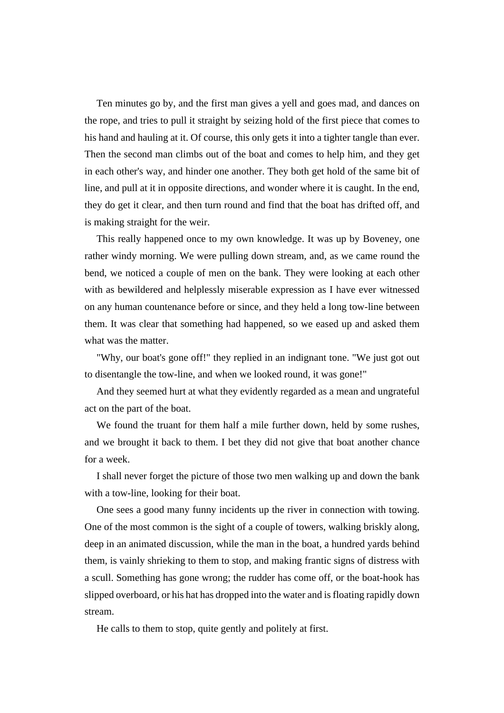Ten minutes go by, and the first man gives a yell and goes mad, and dances on the rope, and tries to pull it straight by seizing hold of the first piece that comes to his hand and hauling at it. Of course, this only gets it into a tighter tangle than ever. Then the second man climbs out of the boat and comes to help him, and they get in each other's way, and hinder one another. They both get hold of the same bit of line, and pull at it in opposite directions, and wonder where it is caught. In the end, they do get it clear, and then turn round and find that the boat has drifted off, and is making straight for the weir.

This really happened once to my own knowledge. It was up by Boveney, one rather windy morning. We were pulling down stream, and, as we came round the bend, we noticed a couple of men on the bank. They were looking at each other with as bewildered and helplessly miserable expression as I have ever witnessed on any human countenance before or since, and they held a long tow-line between them. It was clear that something had happened, so we eased up and asked them what was the matter.

"Why, our boat's gone off!" they replied in an indignant tone. "We just got out to disentangle the tow-line, and when we looked round, it was gone!"

And they seemed hurt at what they evidently regarded as a mean and ungrateful act on the part of the boat.

We found the truant for them half a mile further down, held by some rushes, and we brought it back to them. I bet they did not give that boat another chance for a week.

I shall never forget the picture of those two men walking up and down the bank with a tow-line, looking for their boat.

One sees a good many funny incidents up the river in connection with towing. One of the most common is the sight of a couple of towers, walking briskly along, deep in an animated discussion, while the man in the boat, a hundred yards behind them, is vainly shrieking to them to stop, and making frantic signs of distress with a scull. Something has gone wrong; the rudder has come off, or the boat-hook has slipped overboard, or his hat has dropped into the water and is floating rapidly down stream.

He calls to them to stop, quite gently and politely at first.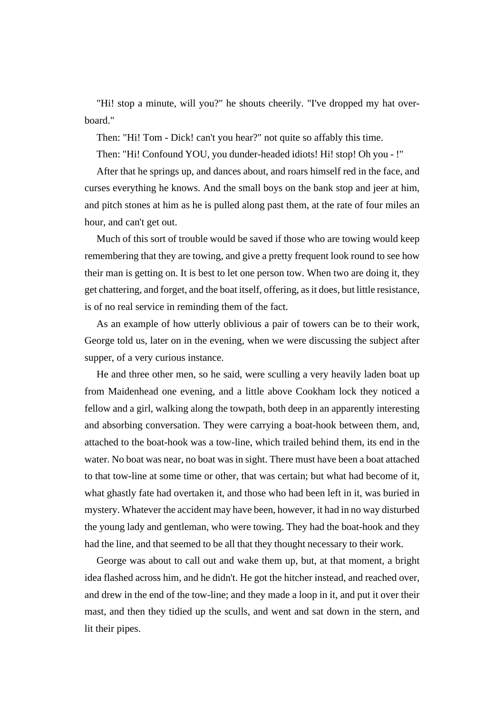"Hi! stop a minute, will you?" he shouts cheerily. "I've dropped my hat overboard."

Then: "Hi! Tom - Dick! can't you hear?" not quite so affably this time.

Then: "Hi! Confound YOU, you dunder-headed idiots! Hi! stop! Oh you - !"

After that he springs up, and dances about, and roars himself red in the face, and curses everything he knows. And the small boys on the bank stop and jeer at him, and pitch stones at him as he is pulled along past them, at the rate of four miles an hour, and can't get out.

Much of this sort of trouble would be saved if those who are towing would keep remembering that they are towing, and give a pretty frequent look round to see how their man is getting on. It is best to let one person tow. When two are doing it, they get chattering, and forget, and the boat itself, offering, as it does, but little resistance, is of no real service in reminding them of the fact.

As an example of how utterly oblivious a pair of towers can be to their work, George told us, later on in the evening, when we were discussing the subject after supper, of a very curious instance.

He and three other men, so he said, were sculling a very heavily laden boat up from Maidenhead one evening, and a little above Cookham lock they noticed a fellow and a girl, walking along the towpath, both deep in an apparently interesting and absorbing conversation. They were carrying a boat-hook between them, and, attached to the boat-hook was a tow-line, which trailed behind them, its end in the water. No boat was near, no boat was in sight. There must have been a boat attached to that tow-line at some time or other, that was certain; but what had become of it, what ghastly fate had overtaken it, and those who had been left in it, was buried in mystery. Whatever the accident may have been, however, it had in no way disturbed the young lady and gentleman, who were towing. They had the boat-hook and they had the line, and that seemed to be all that they thought necessary to their work.

George was about to call out and wake them up, but, at that moment, a bright idea flashed across him, and he didn't. He got the hitcher instead, and reached over, and drew in the end of the tow-line; and they made a loop in it, and put it over their mast, and then they tidied up the sculls, and went and sat down in the stern, and lit their pipes.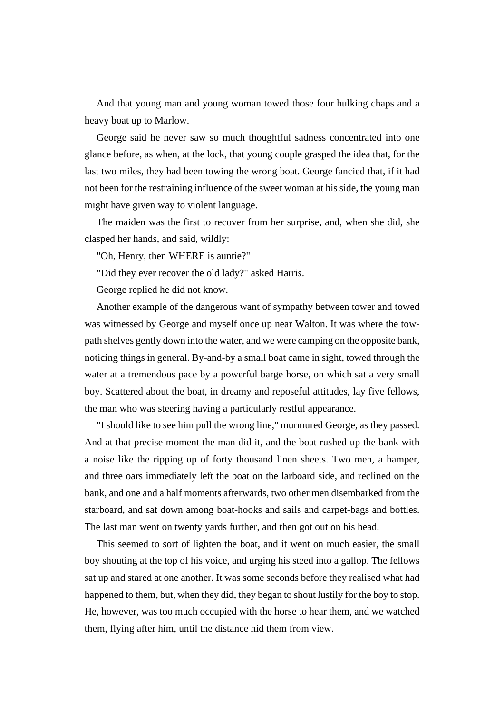And that young man and young woman towed those four hulking chaps and a heavy boat up to Marlow.

George said he never saw so much thoughtful sadness concentrated into one glance before, as when, at the lock, that young couple grasped the idea that, for the last two miles, they had been towing the wrong boat. George fancied that, if it had not been for the restraining influence of the sweet woman at his side, the young man might have given way to violent language.

The maiden was the first to recover from her surprise, and, when she did, she clasped her hands, and said, wildly:

"Oh, Henry, then WHERE is auntie?"

"Did they ever recover the old lady?" asked Harris.

George replied he did not know.

Another example of the dangerous want of sympathy between tower and towed was witnessed by George and myself once up near Walton. It was where the towpath shelves gently down into the water, and we were camping on the opposite bank, noticing things in general. By-and-by a small boat came in sight, towed through the water at a tremendous pace by a powerful barge horse, on which sat a very small boy. Scattered about the boat, in dreamy and reposeful attitudes, lay five fellows, the man who was steering having a particularly restful appearance.

"I should like to see him pull the wrong line," murmured George, as they passed. And at that precise moment the man did it, and the boat rushed up the bank with a noise like the ripping up of forty thousand linen sheets. Two men, a hamper, and three oars immediately left the boat on the larboard side, and reclined on the bank, and one and a half moments afterwards, two other men disembarked from the starboard, and sat down among boat-hooks and sails and carpet-bags and bottles. The last man went on twenty yards further, and then got out on his head.

This seemed to sort of lighten the boat, and it went on much easier, the small boy shouting at the top of his voice, and urging his steed into a gallop. The fellows sat up and stared at one another. It was some seconds before they realised what had happened to them, but, when they did, they began to shout lustily for the boy to stop. He, however, was too much occupied with the horse to hear them, and we watched them, flying after him, until the distance hid them from view.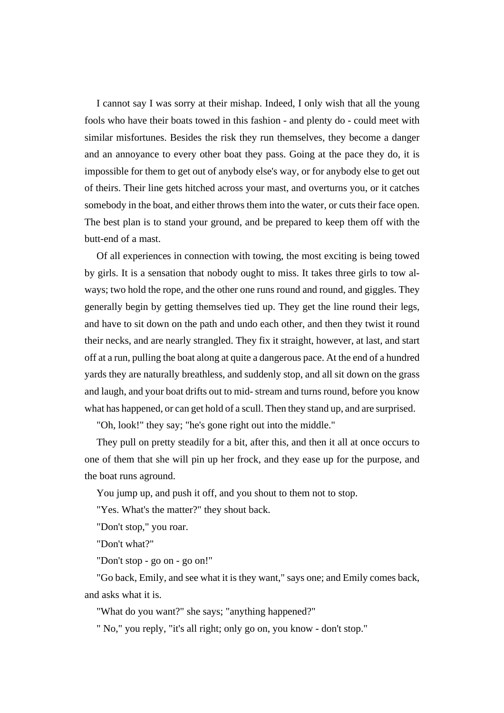I cannot say I was sorry at their mishap. Indeed, I only wish that all the young fools who have their boats towed in this fashion - and plenty do - could meet with similar misfortunes. Besides the risk they run themselves, they become a danger and an annoyance to every other boat they pass. Going at the pace they do, it is impossible for them to get out of anybody else's way, or for anybody else to get out of theirs. Their line gets hitched across your mast, and overturns you, or it catches somebody in the boat, and either throws them into the water, or cuts their face open. The best plan is to stand your ground, and be prepared to keep them off with the butt-end of a mast.

Of all experiences in connection with towing, the most exciting is being towed by girls. It is a sensation that nobody ought to miss. It takes three girls to tow always; two hold the rope, and the other one runs round and round, and giggles. They generally begin by getting themselves tied up. They get the line round their legs, and have to sit down on the path and undo each other, and then they twist it round their necks, and are nearly strangled. They fix it straight, however, at last, and start off at a run, pulling the boat along at quite a dangerous pace. At the end of a hundred yards they are naturally breathless, and suddenly stop, and all sit down on the grass and laugh, and your boat drifts out to mid- stream and turns round, before you know what has happened, or can get hold of a scull. Then they stand up, and are surprised.

"Oh, look!" they say; "he's gone right out into the middle."

They pull on pretty steadily for a bit, after this, and then it all at once occurs to one of them that she will pin up her frock, and they ease up for the purpose, and the boat runs aground.

You jump up, and push it off, and you shout to them not to stop.

"Yes. What's the matter?" they shout back.

"Don't stop," you roar.

"Don't what?"

"Don't stop - go on - go on!"

"Go back, Emily, and see what it is they want," says one; and Emily comes back, and asks what it is.

"What do you want?" she says; "anything happened?"

" No," you reply, "it's all right; only go on, you know - don't stop."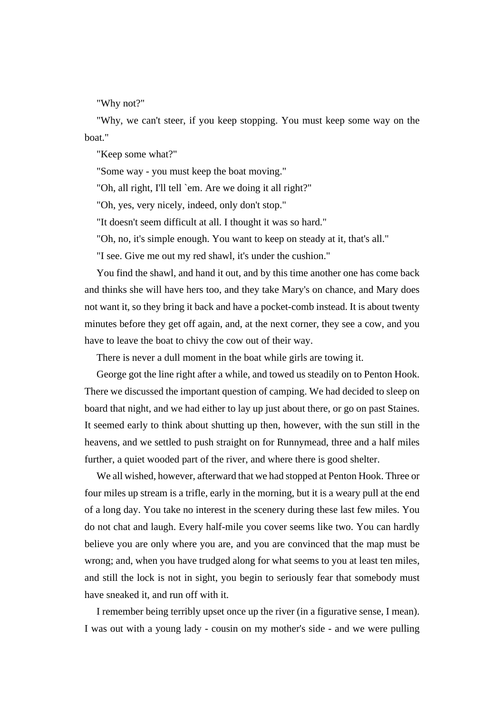"Why not?"

"Why, we can't steer, if you keep stopping. You must keep some way on the boat."

"Keep some what?"

"Some way - you must keep the boat moving."

"Oh, all right, I'll tell `em. Are we doing it all right?"

"Oh, yes, very nicely, indeed, only don't stop."

"It doesn't seem difficult at all. I thought it was so hard."

"Oh, no, it's simple enough. You want to keep on steady at it, that's all."

"I see. Give me out my red shawl, it's under the cushion."

You find the shawl, and hand it out, and by this time another one has come back and thinks she will have hers too, and they take Mary's on chance, and Mary does not want it, so they bring it back and have a pocket-comb instead. It is about twenty minutes before they get off again, and, at the next corner, they see a cow, and you have to leave the boat to chivy the cow out of their way.

There is never a dull moment in the boat while girls are towing it.

George got the line right after a while, and towed us steadily on to Penton Hook. There we discussed the important question of camping. We had decided to sleep on board that night, and we had either to lay up just about there, or go on past Staines. It seemed early to think about shutting up then, however, with the sun still in the heavens, and we settled to push straight on for Runnymead, three and a half miles further, a quiet wooded part of the river, and where there is good shelter.

We all wished, however, afterward that we had stopped at Penton Hook. Three or four miles up stream is a trifle, early in the morning, but it is a weary pull at the end of a long day. You take no interest in the scenery during these last few miles. You do not chat and laugh. Every half-mile you cover seems like two. You can hardly believe you are only where you are, and you are convinced that the map must be wrong; and, when you have trudged along for what seems to you at least ten miles, and still the lock is not in sight, you begin to seriously fear that somebody must have sneaked it, and run off with it.

I remember being terribly upset once up the river (in a figurative sense, I mean). I was out with a young lady - cousin on my mother's side - and we were pulling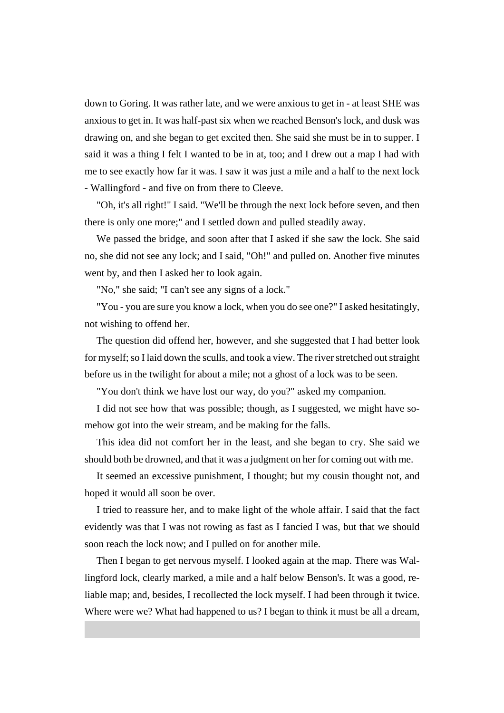down to Goring. It was rather late, and we were anxious to get in - at least SHE was anxious to get in. It was half-past six when we reached Benson's lock, and dusk was drawing on, and she began to get excited then. She said she must be in to supper. I said it was a thing I felt I wanted to be in at, too; and I drew out a map I had with me to see exactly how far it was. I saw it was just a mile and a half to the next lock - Wallingford - and five on from there to Cleeve.

"Oh, it's all right!" I said. "We'll be through the next lock before seven, and then there is only one more;" and I settled down and pulled steadily away.

We passed the bridge, and soon after that I asked if she saw the lock. She said no, she did not see any lock; and I said, "Oh!" and pulled on. Another five minutes went by, and then I asked her to look again.

"No," she said; "I can't see any signs of a lock."

"You - you are sure you know a lock, when you do see one?" I asked hesitatingly, not wishing to offend her.

The question did offend her, however, and she suggested that I had better look for myself; so I laid down the sculls, and took a view. The river stretched out straight before us in the twilight for about a mile; not a ghost of a lock was to be seen.

"You don't think we have lost our way, do you?" asked my companion.

I did not see how that was possible; though, as I suggested, we might have somehow got into the weir stream, and be making for the falls.

This idea did not comfort her in the least, and she began to cry. She said we should both be drowned, and that it was a judgment on her for coming out with me.

It seemed an excessive punishment, I thought; but my cousin thought not, and hoped it would all soon be over.

I tried to reassure her, and to make light of the whole affair. I said that the fact evidently was that I was not rowing as fast as I fancied I was, but that we should soon reach the lock now; and I pulled on for another mile.

Then I began to get nervous myself. I looked again at the map. There was Wallingford lock, clearly marked, a mile and a half below Benson's. It was a good, reliable map; and, besides, I recollected the lock myself. I had been through it twice. Where were we? What had happened to us? I began to think it must be all a dream,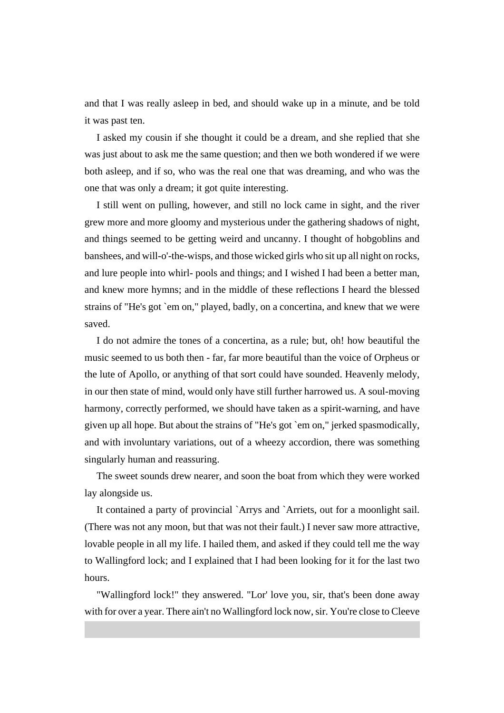and that I was really asleep in bed, and should wake up in a minute, and be told it was past ten.

I asked my cousin if she thought it could be a dream, and she replied that she was just about to ask me the same question; and then we both wondered if we were both asleep, and if so, who was the real one that was dreaming, and who was the one that was only a dream; it got quite interesting.

I still went on pulling, however, and still no lock came in sight, and the river grew more and more gloomy and mysterious under the gathering shadows of night, and things seemed to be getting weird and uncanny. I thought of hobgoblins and banshees, and will-o'-the-wisps, and those wicked girls who sit up all night on rocks, and lure people into whirl- pools and things; and I wished I had been a better man, and knew more hymns; and in the middle of these reflections I heard the blessed strains of "He's got `em on," played, badly, on a concertina, and knew that we were saved.

I do not admire the tones of a concertina, as a rule; but, oh! how beautiful the music seemed to us both then - far, far more beautiful than the voice of Orpheus or the lute of Apollo, or anything of that sort could have sounded. Heavenly melody, in our then state of mind, would only have still further harrowed us. A soul-moving harmony, correctly performed, we should have taken as a spirit-warning, and have given up all hope. But about the strains of "He's got `em on," jerked spasmodically, and with involuntary variations, out of a wheezy accordion, there was something singularly human and reassuring.

The sweet sounds drew nearer, and soon the boat from which they were worked lay alongside us.

It contained a party of provincial `Arrys and `Arriets, out for a moonlight sail. (There was not any moon, but that was not their fault.) I never saw more attractive, lovable people in all my life. I hailed them, and asked if they could tell me the way to Wallingford lock; and I explained that I had been looking for it for the last two hours.

"Wallingford lock!" they answered. "Lor' love you, sir, that's been done away with for over a year. There ain't no Wallingford lock now, sir. You're close to Cleeve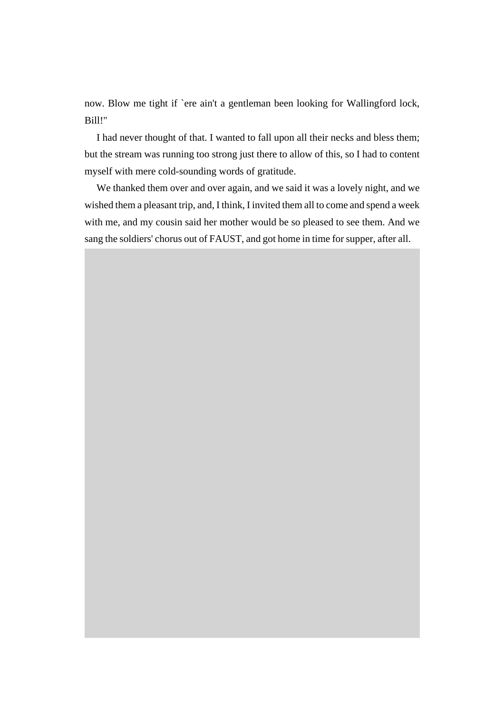now. Blow me tight if `ere ain't a gentleman been looking for Wallingford lock, Bill!"

I had never thought of that. I wanted to fall upon all their necks and bless them; but the stream was running too strong just there to allow of this, so I had to content myself with mere cold-sounding words of gratitude.

We thanked them over and over again, and we said it was a lovely night, and we wished them a pleasant trip, and, I think, I invited them all to come and spend a week with me, and my cousin said her mother would be so pleased to see them. And we sang the soldiers' chorus out of FAUST, and got home in time for supper, after all.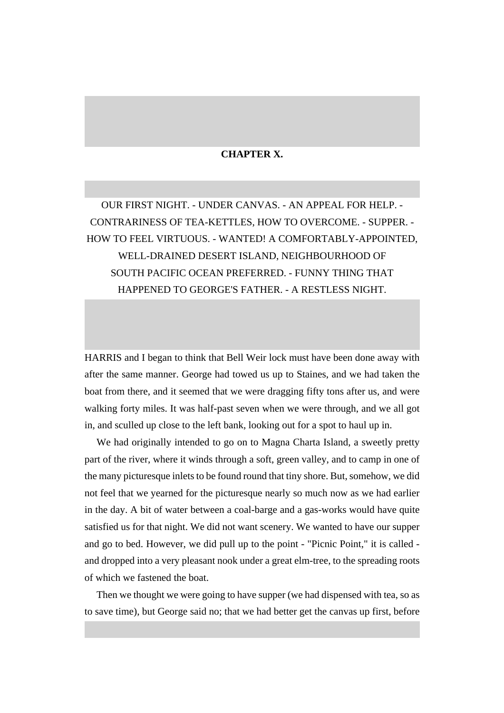## **CHAPTER X.**

OUR FIRST NIGHT. - UNDER CANVAS. - AN APPEAL FOR HELP. - CONTRARINESS OF TEA-KETTLES, HOW TO OVERCOME. - SUPPER. - HOW TO FEEL VIRTUOUS. - WANTED! A COMFORTABLY-APPOINTED, WELL-DRAINED DESERT ISLAND, NEIGHBOURHOOD OF SOUTH PACIFIC OCEAN PREFERRED. - FUNNY THING THAT HAPPENED TO GEORGE'S FATHER. - A RESTLESS NIGHT.

HARRIS and I began to think that Bell Weir lock must have been done away with after the same manner. George had towed us up to Staines, and we had taken the boat from there, and it seemed that we were dragging fifty tons after us, and were walking forty miles. It was half-past seven when we were through, and we all got in, and sculled up close to the left bank, looking out for a spot to haul up in.

We had originally intended to go on to Magna Charta Island, a sweetly pretty part of the river, where it winds through a soft, green valley, and to camp in one of the many picturesque inlets to be found round that tiny shore. But, somehow, we did not feel that we yearned for the picturesque nearly so much now as we had earlier in the day. A bit of water between a coal-barge and a gas-works would have quite satisfied us for that night. We did not want scenery. We wanted to have our supper and go to bed. However, we did pull up to the point - "Picnic Point," it is called and dropped into a very pleasant nook under a great elm-tree, to the spreading roots of which we fastened the boat.

Then we thought we were going to have supper (we had dispensed with tea, so as to save time), but George said no; that we had better get the canvas up first, before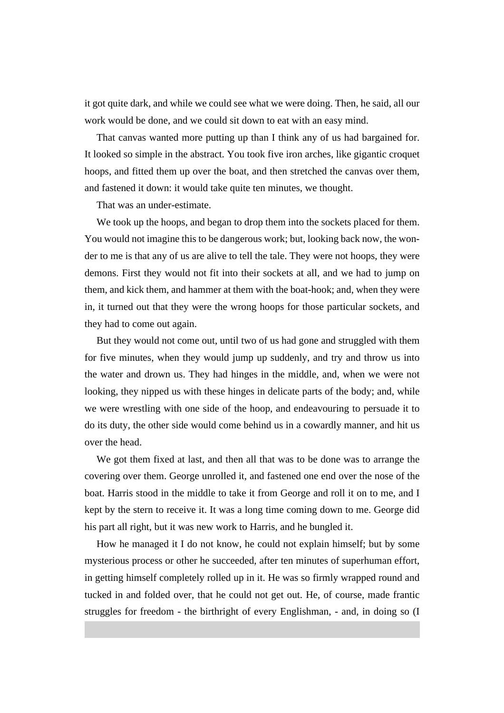it got quite dark, and while we could see what we were doing. Then, he said, all our work would be done, and we could sit down to eat with an easy mind.

That canvas wanted more putting up than I think any of us had bargained for. It looked so simple in the abstract. You took five iron arches, like gigantic croquet hoops, and fitted them up over the boat, and then stretched the canvas over them, and fastened it down: it would take quite ten minutes, we thought.

That was an under-estimate.

We took up the hoops, and began to drop them into the sockets placed for them. You would not imagine this to be dangerous work; but, looking back now, the wonder to me is that any of us are alive to tell the tale. They were not hoops, they were demons. First they would not fit into their sockets at all, and we had to jump on them, and kick them, and hammer at them with the boat-hook; and, when they were in, it turned out that they were the wrong hoops for those particular sockets, and they had to come out again.

But they would not come out, until two of us had gone and struggled with them for five minutes, when they would jump up suddenly, and try and throw us into the water and drown us. They had hinges in the middle, and, when we were not looking, they nipped us with these hinges in delicate parts of the body; and, while we were wrestling with one side of the hoop, and endeavouring to persuade it to do its duty, the other side would come behind us in a cowardly manner, and hit us over the head.

We got them fixed at last, and then all that was to be done was to arrange the covering over them. George unrolled it, and fastened one end over the nose of the boat. Harris stood in the middle to take it from George and roll it on to me, and I kept by the stern to receive it. It was a long time coming down to me. George did his part all right, but it was new work to Harris, and he bungled it.

How he managed it I do not know, he could not explain himself; but by some mysterious process or other he succeeded, after ten minutes of superhuman effort, in getting himself completely rolled up in it. He was so firmly wrapped round and tucked in and folded over, that he could not get out. He, of course, made frantic struggles for freedom - the birthright of every Englishman, - and, in doing so (I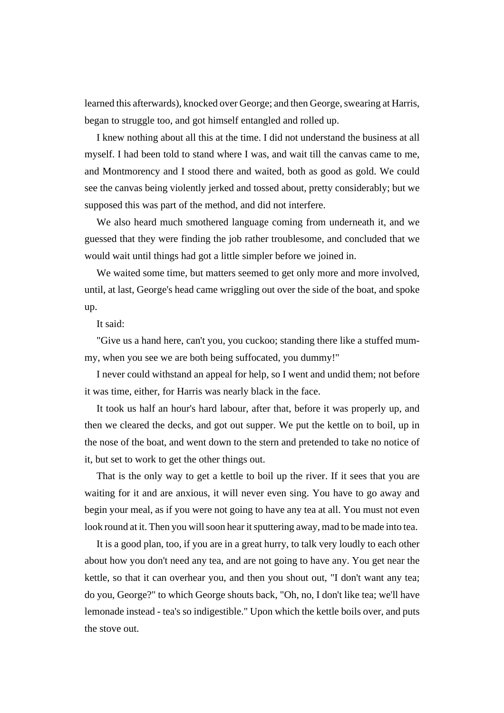learned this afterwards), knocked over George; and then George, swearing at Harris, began to struggle too, and got himself entangled and rolled up.

I knew nothing about all this at the time. I did not understand the business at all myself. I had been told to stand where I was, and wait till the canvas came to me, and Montmorency and I stood there and waited, both as good as gold. We could see the canvas being violently jerked and tossed about, pretty considerably; but we supposed this was part of the method, and did not interfere.

We also heard much smothered language coming from underneath it, and we guessed that they were finding the job rather troublesome, and concluded that we would wait until things had got a little simpler before we joined in.

We waited some time, but matters seemed to get only more and more involved, until, at last, George's head came wriggling out over the side of the boat, and spoke up.

It said:

"Give us a hand here, can't you, you cuckoo; standing there like a stuffed mummy, when you see we are both being suffocated, you dummy!"

I never could withstand an appeal for help, so I went and undid them; not before it was time, either, for Harris was nearly black in the face.

It took us half an hour's hard labour, after that, before it was properly up, and then we cleared the decks, and got out supper. We put the kettle on to boil, up in the nose of the boat, and went down to the stern and pretended to take no notice of it, but set to work to get the other things out.

That is the only way to get a kettle to boil up the river. If it sees that you are waiting for it and are anxious, it will never even sing. You have to go away and begin your meal, as if you were not going to have any tea at all. You must not even look round at it. Then you will soon hear it sputtering away, mad to be made into tea.

It is a good plan, too, if you are in a great hurry, to talk very loudly to each other about how you don't need any tea, and are not going to have any. You get near the kettle, so that it can overhear you, and then you shout out, "I don't want any tea; do you, George?" to which George shouts back, "Oh, no, I don't like tea; we'll have lemonade instead - tea's so indigestible." Upon which the kettle boils over, and puts the stove out.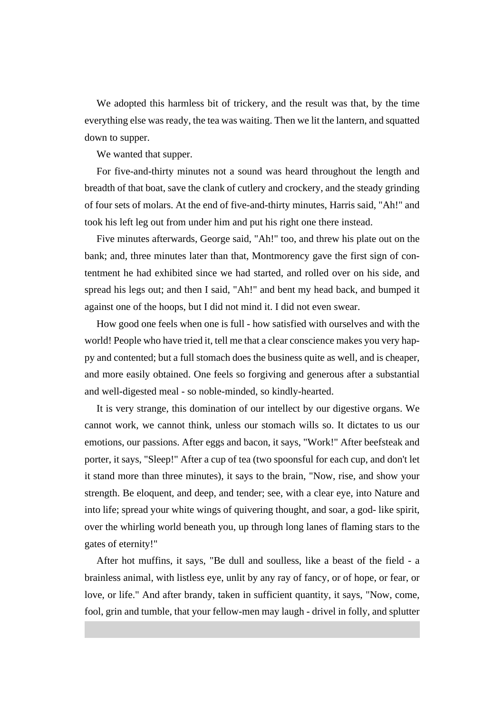We adopted this harmless bit of trickery, and the result was that, by the time everything else was ready, the tea was waiting. Then we lit the lantern, and squatted down to supper.

We wanted that supper.

For five-and-thirty minutes not a sound was heard throughout the length and breadth of that boat, save the clank of cutlery and crockery, and the steady grinding of four sets of molars. At the end of five-and-thirty minutes, Harris said, "Ah!" and took his left leg out from under him and put his right one there instead.

Five minutes afterwards, George said, "Ah!" too, and threw his plate out on the bank; and, three minutes later than that, Montmorency gave the first sign of contentment he had exhibited since we had started, and rolled over on his side, and spread his legs out; and then I said, "Ah!" and bent my head back, and bumped it against one of the hoops, but I did not mind it. I did not even swear.

How good one feels when one is full - how satisfied with ourselves and with the world! People who have tried it, tell me that a clear conscience makes you very happy and contented; but a full stomach does the business quite as well, and is cheaper, and more easily obtained. One feels so forgiving and generous after a substantial and well-digested meal - so noble-minded, so kindly-hearted.

It is very strange, this domination of our intellect by our digestive organs. We cannot work, we cannot think, unless our stomach wills so. It dictates to us our emotions, our passions. After eggs and bacon, it says, "Work!" After beefsteak and porter, it says, "Sleep!" After a cup of tea (two spoonsful for each cup, and don't let it stand more than three minutes), it says to the brain, "Now, rise, and show your strength. Be eloquent, and deep, and tender; see, with a clear eye, into Nature and into life; spread your white wings of quivering thought, and soar, a god- like spirit, over the whirling world beneath you, up through long lanes of flaming stars to the gates of eternity!"

After hot muffins, it says, "Be dull and soulless, like a beast of the field - a brainless animal, with listless eye, unlit by any ray of fancy, or of hope, or fear, or love, or life." And after brandy, taken in sufficient quantity, it says, "Now, come, fool, grin and tumble, that your fellow-men may laugh - drivel in folly, and splutter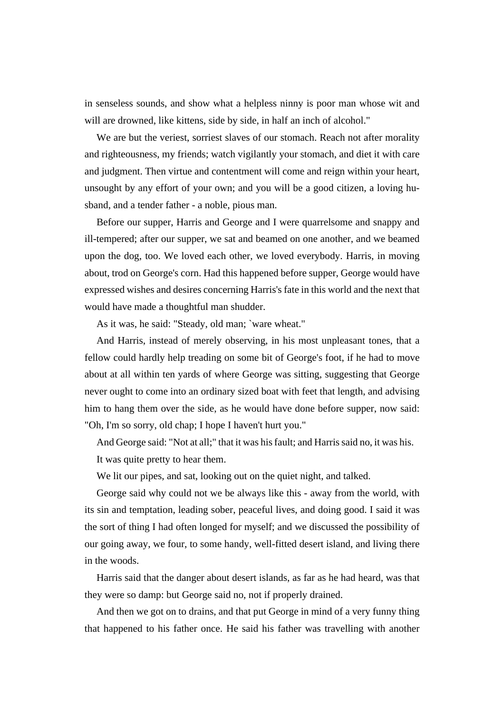in senseless sounds, and show what a helpless ninny is poor man whose wit and will are drowned, like kittens, side by side, in half an inch of alcohol."

We are but the veriest, sorriest slaves of our stomach. Reach not after morality and righteousness, my friends; watch vigilantly your stomach, and diet it with care and judgment. Then virtue and contentment will come and reign within your heart, unsought by any effort of your own; and you will be a good citizen, a loving husband, and a tender father - a noble, pious man.

Before our supper, Harris and George and I were quarrelsome and snappy and ill-tempered; after our supper, we sat and beamed on one another, and we beamed upon the dog, too. We loved each other, we loved everybody. Harris, in moving about, trod on George's corn. Had this happened before supper, George would have expressed wishes and desires concerning Harris's fate in this world and the next that would have made a thoughtful man shudder.

As it was, he said: "Steady, old man; `ware wheat."

And Harris, instead of merely observing, in his most unpleasant tones, that a fellow could hardly help treading on some bit of George's foot, if he had to move about at all within ten yards of where George was sitting, suggesting that George never ought to come into an ordinary sized boat with feet that length, and advising him to hang them over the side, as he would have done before supper, now said: "Oh, I'm so sorry, old chap; I hope I haven't hurt you."

And George said: "Not at all;" that it was his fault; and Harris said no, it was his.

It was quite pretty to hear them.

We lit our pipes, and sat, looking out on the quiet night, and talked.

George said why could not we be always like this - away from the world, with its sin and temptation, leading sober, peaceful lives, and doing good. I said it was the sort of thing I had often longed for myself; and we discussed the possibility of our going away, we four, to some handy, well-fitted desert island, and living there in the woods.

Harris said that the danger about desert islands, as far as he had heard, was that they were so damp: but George said no, not if properly drained.

And then we got on to drains, and that put George in mind of a very funny thing that happened to his father once. He said his father was travelling with another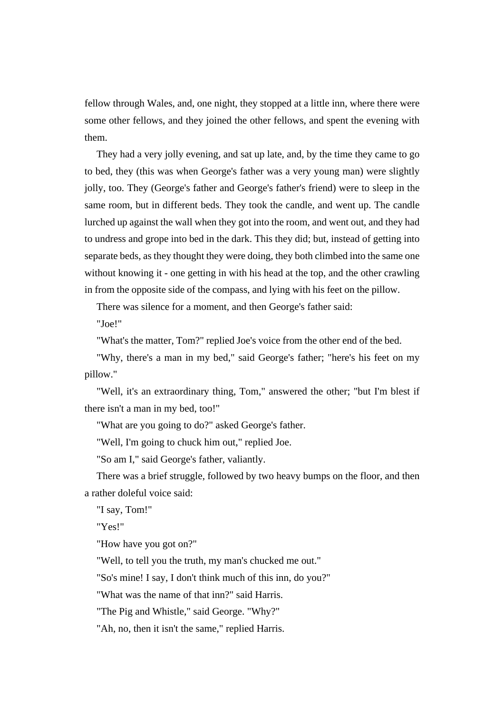fellow through Wales, and, one night, they stopped at a little inn, where there were some other fellows, and they joined the other fellows, and spent the evening with them.

They had a very jolly evening, and sat up late, and, by the time they came to go to bed, they (this was when George's father was a very young man) were slightly jolly, too. They (George's father and George's father's friend) were to sleep in the same room, but in different beds. They took the candle, and went up. The candle lurched up against the wall when they got into the room, and went out, and they had to undress and grope into bed in the dark. This they did; but, instead of getting into separate beds, as they thought they were doing, they both climbed into the same one without knowing it - one getting in with his head at the top, and the other crawling in from the opposite side of the compass, and lying with his feet on the pillow.

There was silence for a moment, and then George's father said:

"Joe!"

"What's the matter, Tom?" replied Joe's voice from the other end of the bed.

"Why, there's a man in my bed," said George's father; "here's his feet on my pillow."

"Well, it's an extraordinary thing, Tom," answered the other; "but I'm blest if there isn't a man in my bed, too!"

"What are you going to do?" asked George's father.

"Well, I'm going to chuck him out," replied Joe.

"So am I," said George's father, valiantly.

There was a brief struggle, followed by two heavy bumps on the floor, and then a rather doleful voice said:

"I say, Tom!"

"Yes!"

"How have you got on?"

"Well, to tell you the truth, my man's chucked me out."

"So's mine! I say, I don't think much of this inn, do you?"

"What was the name of that inn?" said Harris.

"The Pig and Whistle," said George. "Why?"

"Ah, no, then it isn't the same," replied Harris.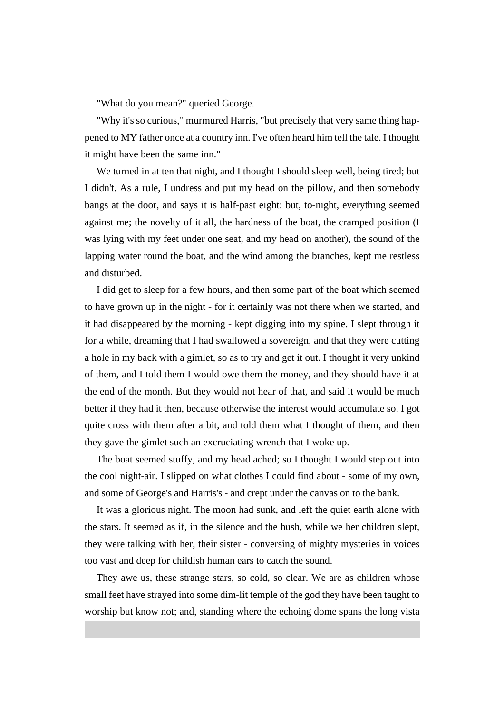"What do you mean?" queried George.

"Why it's so curious," murmured Harris, "but precisely that very same thing happened to MY father once at a country inn. I've often heard him tell the tale. I thought it might have been the same inn."

We turned in at ten that night, and I thought I should sleep well, being tired; but I didn't. As a rule, I undress and put my head on the pillow, and then somebody bangs at the door, and says it is half-past eight: but, to-night, everything seemed against me; the novelty of it all, the hardness of the boat, the cramped position (I was lying with my feet under one seat, and my head on another), the sound of the lapping water round the boat, and the wind among the branches, kept me restless and disturbed.

I did get to sleep for a few hours, and then some part of the boat which seemed to have grown up in the night - for it certainly was not there when we started, and it had disappeared by the morning - kept digging into my spine. I slept through it for a while, dreaming that I had swallowed a sovereign, and that they were cutting a hole in my back with a gimlet, so as to try and get it out. I thought it very unkind of them, and I told them I would owe them the money, and they should have it at the end of the month. But they would not hear of that, and said it would be much better if they had it then, because otherwise the interest would accumulate so. I got quite cross with them after a bit, and told them what I thought of them, and then they gave the gimlet such an excruciating wrench that I woke up.

The boat seemed stuffy, and my head ached; so I thought I would step out into the cool night-air. I slipped on what clothes I could find about - some of my own, and some of George's and Harris's - and crept under the canvas on to the bank.

It was a glorious night. The moon had sunk, and left the quiet earth alone with the stars. It seemed as if, in the silence and the hush, while we her children slept, they were talking with her, their sister - conversing of mighty mysteries in voices too vast and deep for childish human ears to catch the sound.

They awe us, these strange stars, so cold, so clear. We are as children whose small feet have strayed into some dim-lit temple of the god they have been taught to worship but know not; and, standing where the echoing dome spans the long vista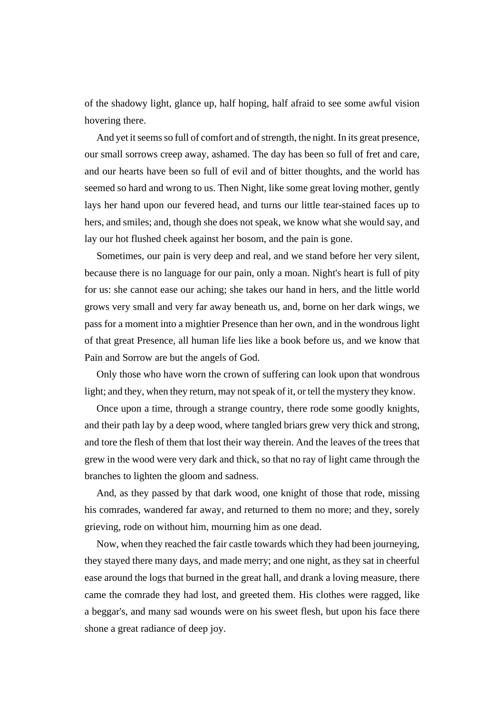of the shadowy light, glance up, half hoping, half afraid to see some awful vision hovering there.

And yet it seems so full of comfort and of strength, the night. In its great presence, our small sorrows creep away, ashamed. The day has been so full of fret and care, and our hearts have been so full of evil and of bitter thoughts, and the world has seemed so hard and wrong to us. Then Night, like some great loving mother, gently lays her hand upon our fevered head, and turns our little tear-stained faces up to hers, and smiles; and, though she does not speak, we know what she would say, and lay our hot flushed cheek against her bosom, and the pain is gone.

Sometimes, our pain is very deep and real, and we stand before her very silent, because there is no language for our pain, only a moan. Night's heart is full of pity for us: she cannot ease our aching; she takes our hand in hers, and the little world grows very small and very far away beneath us, and, borne on her dark wings, we pass for a moment into a mightier Presence than her own, and in the wondrous light of that great Presence, all human life lies like a book before us, and we know that Pain and Sorrow are but the angels of God.

Only those who have worn the crown of suffering can look upon that wondrous light; and they, when they return, may not speak of it, or tell the mystery they know.

Once upon a time, through a strange country, there rode some goodly knights, and their path lay by a deep wood, where tangled briars grew very thick and strong, and tore the flesh of them that lost their way therein. And the leaves of the trees that grew in the wood were very dark and thick, so that no ray of light came through the branches to lighten the gloom and sadness.

And, as they passed by that dark wood, one knight of those that rode, missing his comrades, wandered far away, and returned to them no more; and they, sorely grieving, rode on without him, mourning him as one dead.

Now, when they reached the fair castle towards which they had been journeying, they stayed there many days, and made merry; and one night, as they sat in cheerful ease around the logs that burned in the great hall, and drank a loving measure, there came the comrade they had lost, and greeted them. His clothes were ragged, like a beggar's, and many sad wounds were on his sweet flesh, but upon his face there shone a great radiance of deep joy.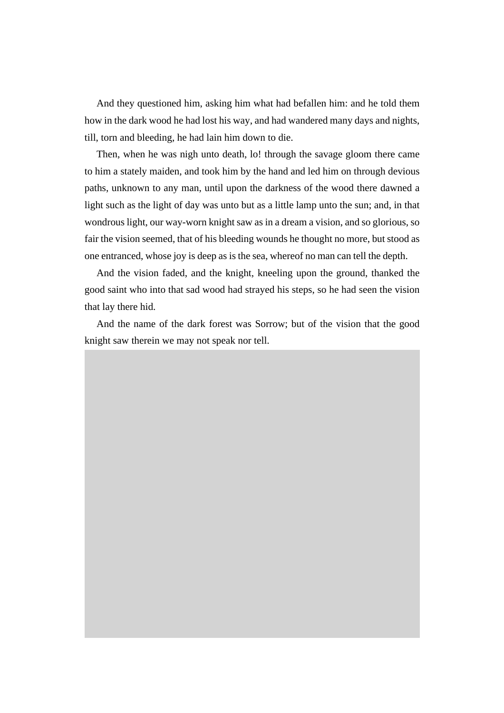And they questioned him, asking him what had befallen him: and he told them how in the dark wood he had lost his way, and had wandered many days and nights, till, torn and bleeding, he had lain him down to die.

Then, when he was nigh unto death, lo! through the savage gloom there came to him a stately maiden, and took him by the hand and led him on through devious paths, unknown to any man, until upon the darkness of the wood there dawned a light such as the light of day was unto but as a little lamp unto the sun; and, in that wondrous light, our way-worn knight saw as in a dream a vision, and so glorious, so fair the vision seemed, that of his bleeding wounds he thought no more, but stood as one entranced, whose joy is deep as is the sea, whereof no man can tell the depth.

And the vision faded, and the knight, kneeling upon the ground, thanked the good saint who into that sad wood had strayed his steps, so he had seen the vision that lay there hid.

And the name of the dark forest was Sorrow; but of the vision that the good knight saw therein we may not speak nor tell.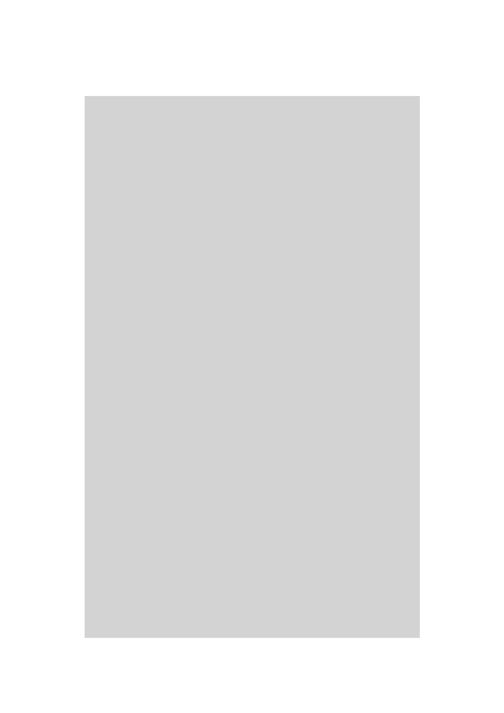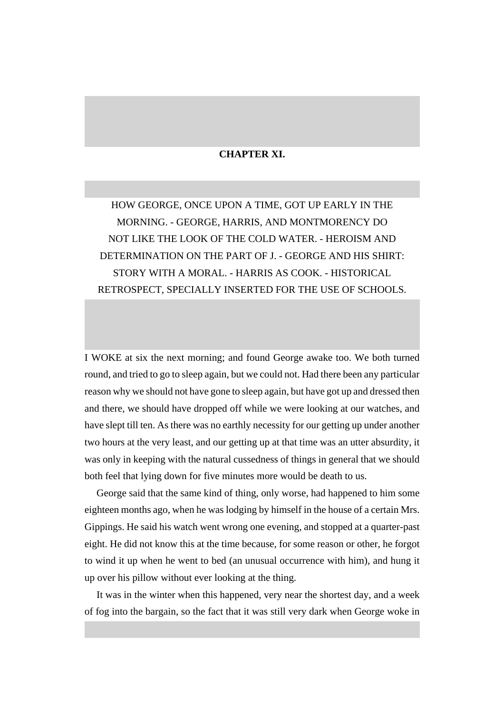## **CHAPTER XI.**

HOW GEORGE, ONCE UPON A TIME, GOT UP EARLY IN THE MORNING. - GEORGE, HARRIS, AND MONTMORENCY DO NOT LIKE THE LOOK OF THE COLD WATER. - HEROISM AND DETERMINATION ON THE PART OF J. - GEORGE AND HIS SHIRT: STORY WITH A MORAL. - HARRIS AS COOK. - HISTORICAL RETROSPECT, SPECIALLY INSERTED FOR THE USE OF SCHOOLS.

I WOKE at six the next morning; and found George awake too. We both turned round, and tried to go to sleep again, but we could not. Had there been any particular reason why we should not have gone to sleep again, but have got up and dressed then and there, we should have dropped off while we were looking at our watches, and have slept till ten. As there was no earthly necessity for our getting up under another two hours at the very least, and our getting up at that time was an utter absurdity, it was only in keeping with the natural cussedness of things in general that we should both feel that lying down for five minutes more would be death to us.

George said that the same kind of thing, only worse, had happened to him some eighteen months ago, when he was lodging by himself in the house of a certain Mrs. Gippings. He said his watch went wrong one evening, and stopped at a quarter-past eight. He did not know this at the time because, for some reason or other, he forgot to wind it up when he went to bed (an unusual occurrence with him), and hung it up over his pillow without ever looking at the thing.

It was in the winter when this happened, very near the shortest day, and a week of fog into the bargain, so the fact that it was still very dark when George woke in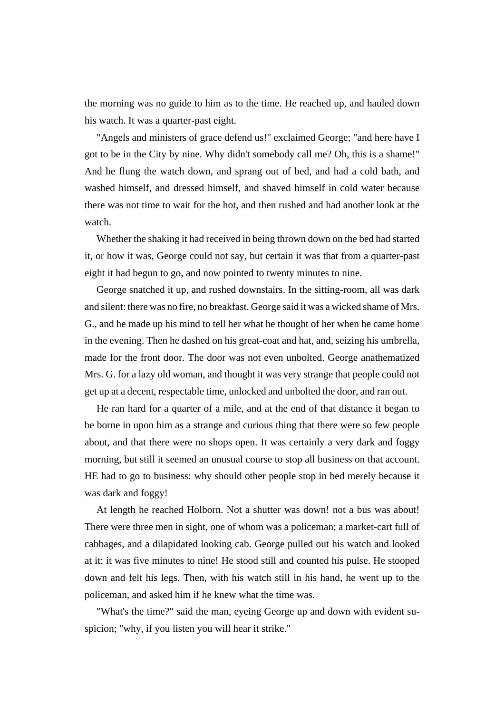the morning was no guide to him as to the time. He reached up, and hauled down his watch. It was a quarter-past eight.

"Angels and ministers of grace defend us!" exclaimed George; "and here have I got to be in the City by nine. Why didn't somebody call me? Oh, this is a shame!" And he flung the watch down, and sprang out of bed, and had a cold bath, and washed himself, and dressed himself, and shaved himself in cold water because there was not time to wait for the hot, and then rushed and had another look at the watch.

Whether the shaking it had received in being thrown down on the bed had started it, or how it was, George could not say, but certain it was that from a quarter-past eight it had begun to go, and now pointed to twenty minutes to nine.

George snatched it up, and rushed downstairs. In the sitting-room, all was dark and silent: there was no fire, no breakfast. George said it was a wicked shame of Mrs. G., and he made up his mind to tell her what he thought of her when he came home in the evening. Then he dashed on his great-coat and hat, and, seizing his umbrella, made for the front door. The door was not even unbolted. George anathematized Mrs. G. for a lazy old woman, and thought it was very strange that people could not get up at a decent, respectable time, unlocked and unbolted the door, and ran out.

He ran hard for a quarter of a mile, and at the end of that distance it began to be borne in upon him as a strange and curious thing that there were so few people about, and that there were no shops open. It was certainly a very dark and foggy morning, but still it seemed an unusual course to stop all business on that account. HE had to go to business: why should other people stop in bed merely because it was dark and foggy!

At length he reached Holborn. Not a shutter was down! not a bus was about! There were three men in sight, one of whom was a policeman; a market-cart full of cabbages, and a dilapidated looking cab. George pulled out his watch and looked at it: it was five minutes to nine! He stood still and counted his pulse. He stooped down and felt his legs. Then, with his watch still in his hand, he went up to the policeman, and asked him if he knew what the time was.

"What's the time?" said the man, eyeing George up and down with evident suspicion; "why, if you listen you will hear it strike."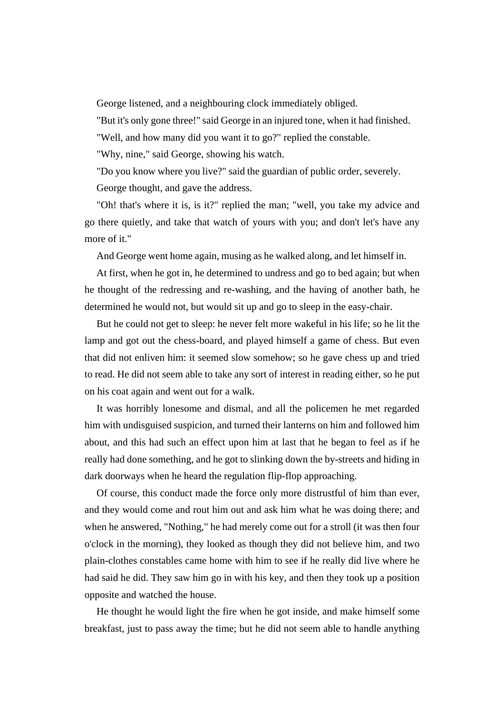George listened, and a neighbouring clock immediately obliged.

"But it's only gone three!" said George in an injured tone, when it had finished.

"Well, and how many did you want it to go?" replied the constable.

"Why, nine," said George, showing his watch.

"Do you know where you live?" said the guardian of public order, severely. George thought, and gave the address.

"Oh! that's where it is, is it?" replied the man; "well, you take my advice and go there quietly, and take that watch of yours with you; and don't let's have any more of it."

And George went home again, musing as he walked along, and let himself in.

At first, when he got in, he determined to undress and go to bed again; but when he thought of the redressing and re-washing, and the having of another bath, he determined he would not, but would sit up and go to sleep in the easy-chair.

But he could not get to sleep: he never felt more wakeful in his life; so he lit the lamp and got out the chess-board, and played himself a game of chess. But even that did not enliven him: it seemed slow somehow; so he gave chess up and tried to read. He did not seem able to take any sort of interest in reading either, so he put on his coat again and went out for a walk.

It was horribly lonesome and dismal, and all the policemen he met regarded him with undisguised suspicion, and turned their lanterns on him and followed him about, and this had such an effect upon him at last that he began to feel as if he really had done something, and he got to slinking down the by-streets and hiding in dark doorways when he heard the regulation flip-flop approaching.

Of course, this conduct made the force only more distrustful of him than ever, and they would come and rout him out and ask him what he was doing there; and when he answered, "Nothing," he had merely come out for a stroll (it was then four o'clock in the morning), they looked as though they did not believe him, and two plain-clothes constables came home with him to see if he really did live where he had said he did. They saw him go in with his key, and then they took up a position opposite and watched the house.

He thought he would light the fire when he got inside, and make himself some breakfast, just to pass away the time; but he did not seem able to handle anything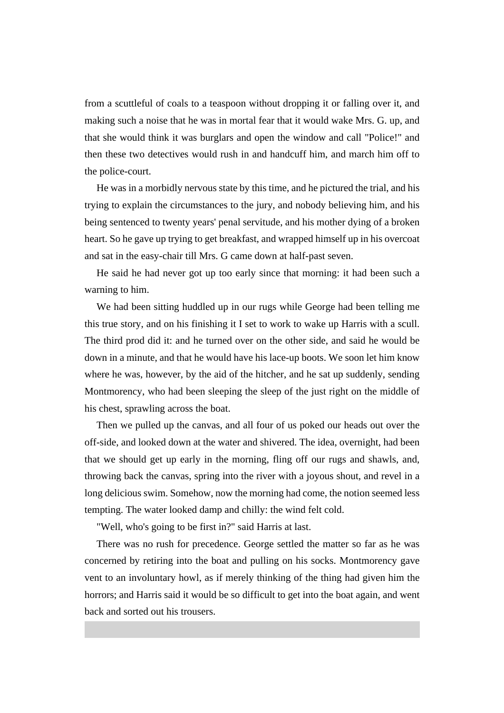from a scuttleful of coals to a teaspoon without dropping it or falling over it, and making such a noise that he was in mortal fear that it would wake Mrs. G. up, and that she would think it was burglars and open the window and call "Police!" and then these two detectives would rush in and handcuff him, and march him off to the police-court.

He was in a morbidly nervous state by this time, and he pictured the trial, and his trying to explain the circumstances to the jury, and nobody believing him, and his being sentenced to twenty years' penal servitude, and his mother dying of a broken heart. So he gave up trying to get breakfast, and wrapped himself up in his overcoat and sat in the easy-chair till Mrs. G came down at half-past seven.

He said he had never got up too early since that morning: it had been such a warning to him.

We had been sitting huddled up in our rugs while George had been telling me this true story, and on his finishing it I set to work to wake up Harris with a scull. The third prod did it: and he turned over on the other side, and said he would be down in a minute, and that he would have his lace-up boots. We soon let him know where he was, however, by the aid of the hitcher, and he sat up suddenly, sending Montmorency, who had been sleeping the sleep of the just right on the middle of his chest, sprawling across the boat.

Then we pulled up the canvas, and all four of us poked our heads out over the off-side, and looked down at the water and shivered. The idea, overnight, had been that we should get up early in the morning, fling off our rugs and shawls, and, throwing back the canvas, spring into the river with a joyous shout, and revel in a long delicious swim. Somehow, now the morning had come, the notion seemed less tempting. The water looked damp and chilly: the wind felt cold.

"Well, who's going to be first in?" said Harris at last.

There was no rush for precedence. George settled the matter so far as he was concerned by retiring into the boat and pulling on his socks. Montmorency gave vent to an involuntary howl, as if merely thinking of the thing had given him the horrors; and Harris said it would be so difficult to get into the boat again, and went back and sorted out his trousers.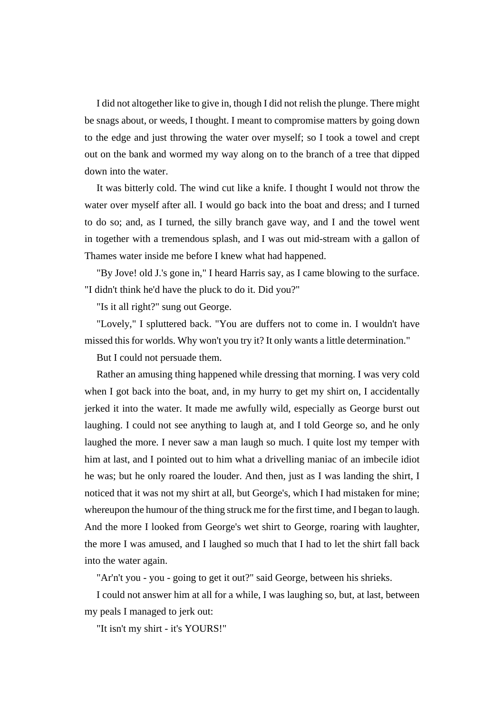I did not altogether like to give in, though I did not relish the plunge. There might be snags about, or weeds, I thought. I meant to compromise matters by going down to the edge and just throwing the water over myself; so I took a towel and crept out on the bank and wormed my way along on to the branch of a tree that dipped down into the water.

It was bitterly cold. The wind cut like a knife. I thought I would not throw the water over myself after all. I would go back into the boat and dress; and I turned to do so; and, as I turned, the silly branch gave way, and I and the towel went in together with a tremendous splash, and I was out mid-stream with a gallon of Thames water inside me before I knew what had happened.

"By Jove! old J.'s gone in," I heard Harris say, as I came blowing to the surface. "I didn't think he'd have the pluck to do it. Did you?"

"Is it all right?" sung out George.

"Lovely," I spluttered back. "You are duffers not to come in. I wouldn't have missed this for worlds. Why won't you try it? It only wants a little determination."

But I could not persuade them.

Rather an amusing thing happened while dressing that morning. I was very cold when I got back into the boat, and, in my hurry to get my shirt on, I accidentally jerked it into the water. It made me awfully wild, especially as George burst out laughing. I could not see anything to laugh at, and I told George so, and he only laughed the more. I never saw a man laugh so much. I quite lost my temper with him at last, and I pointed out to him what a drivelling maniac of an imbecile idiot he was; but he only roared the louder. And then, just as I was landing the shirt, I noticed that it was not my shirt at all, but George's, which I had mistaken for mine; whereupon the humour of the thing struck me for the first time, and I began to laugh. And the more I looked from George's wet shirt to George, roaring with laughter, the more I was amused, and I laughed so much that I had to let the shirt fall back into the water again.

"Ar'n't you - you - going to get it out?" said George, between his shrieks.

I could not answer him at all for a while, I was laughing so, but, at last, between my peals I managed to jerk out:

"It isn't my shirt - it's YOURS!"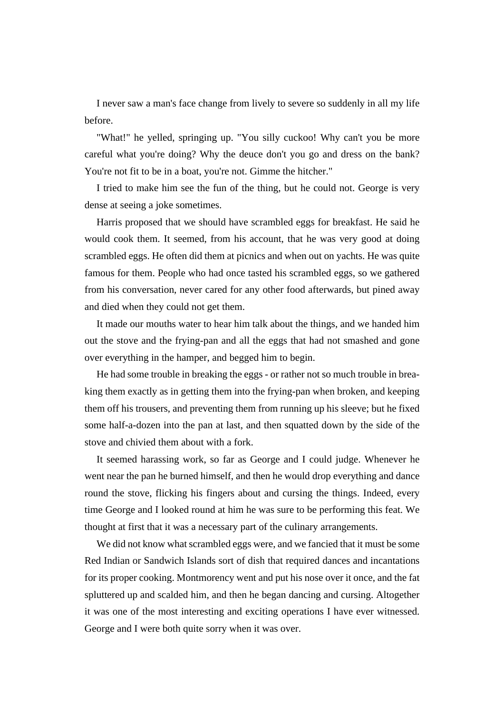I never saw a man's face change from lively to severe so suddenly in all my life before.

"What!" he yelled, springing up. "You silly cuckoo! Why can't you be more careful what you're doing? Why the deuce don't you go and dress on the bank? You're not fit to be in a boat, you're not. Gimme the hitcher."

I tried to make him see the fun of the thing, but he could not. George is very dense at seeing a joke sometimes.

Harris proposed that we should have scrambled eggs for breakfast. He said he would cook them. It seemed, from his account, that he was very good at doing scrambled eggs. He often did them at picnics and when out on yachts. He was quite famous for them. People who had once tasted his scrambled eggs, so we gathered from his conversation, never cared for any other food afterwards, but pined away and died when they could not get them.

It made our mouths water to hear him talk about the things, and we handed him out the stove and the frying-pan and all the eggs that had not smashed and gone over everything in the hamper, and begged him to begin.

He had some trouble in breaking the eggs - or rather not so much trouble in breaking them exactly as in getting them into the frying-pan when broken, and keeping them off his trousers, and preventing them from running up his sleeve; but he fixed some half-a-dozen into the pan at last, and then squatted down by the side of the stove and chivied them about with a fork.

It seemed harassing work, so far as George and I could judge. Whenever he went near the pan he burned himself, and then he would drop everything and dance round the stove, flicking his fingers about and cursing the things. Indeed, every time George and I looked round at him he was sure to be performing this feat. We thought at first that it was a necessary part of the culinary arrangements.

We did not know what scrambled eggs were, and we fancied that it must be some Red Indian or Sandwich Islands sort of dish that required dances and incantations for its proper cooking. Montmorency went and put his nose over it once, and the fat spluttered up and scalded him, and then he began dancing and cursing. Altogether it was one of the most interesting and exciting operations I have ever witnessed. George and I were both quite sorry when it was over.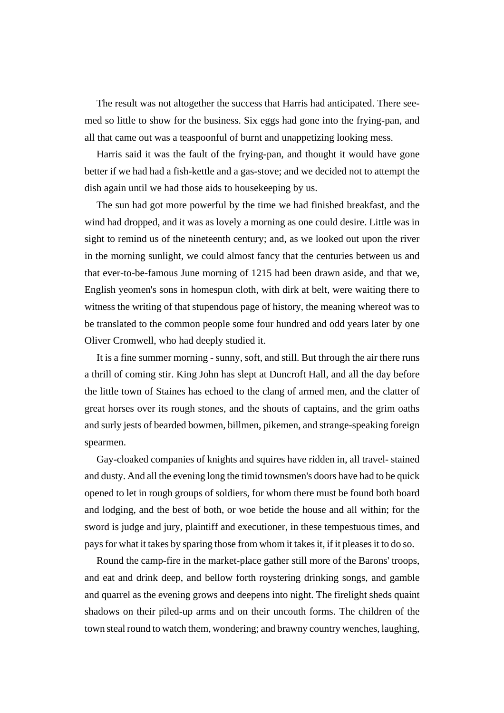The result was not altogether the success that Harris had anticipated. There seemed so little to show for the business. Six eggs had gone into the frying-pan, and all that came out was a teaspoonful of burnt and unappetizing looking mess.

Harris said it was the fault of the frying-pan, and thought it would have gone better if we had had a fish-kettle and a gas-stove; and we decided not to attempt the dish again until we had those aids to housekeeping by us.

The sun had got more powerful by the time we had finished breakfast, and the wind had dropped, and it was as lovely a morning as one could desire. Little was in sight to remind us of the nineteenth century; and, as we looked out upon the river in the morning sunlight, we could almost fancy that the centuries between us and that ever-to-be-famous June morning of 1215 had been drawn aside, and that we, English yeomen's sons in homespun cloth, with dirk at belt, were waiting there to witness the writing of that stupendous page of history, the meaning whereof was to be translated to the common people some four hundred and odd years later by one Oliver Cromwell, who had deeply studied it.

It is a fine summer morning - sunny, soft, and still. But through the air there runs a thrill of coming stir. King John has slept at Duncroft Hall, and all the day before the little town of Staines has echoed to the clang of armed men, and the clatter of great horses over its rough stones, and the shouts of captains, and the grim oaths and surly jests of bearded bowmen, billmen, pikemen, and strange-speaking foreign spearmen.

Gay-cloaked companies of knights and squires have ridden in, all travel- stained and dusty. And all the evening long the timid townsmen's doors have had to be quick opened to let in rough groups of soldiers, for whom there must be found both board and lodging, and the best of both, or woe betide the house and all within; for the sword is judge and jury, plaintiff and executioner, in these tempestuous times, and pays for what it takes by sparing those from whom it takes it, if it pleases it to do so.

Round the camp-fire in the market-place gather still more of the Barons' troops, and eat and drink deep, and bellow forth roystering drinking songs, and gamble and quarrel as the evening grows and deepens into night. The firelight sheds quaint shadows on their piled-up arms and on their uncouth forms. The children of the town steal round to watch them, wondering; and brawny country wenches, laughing,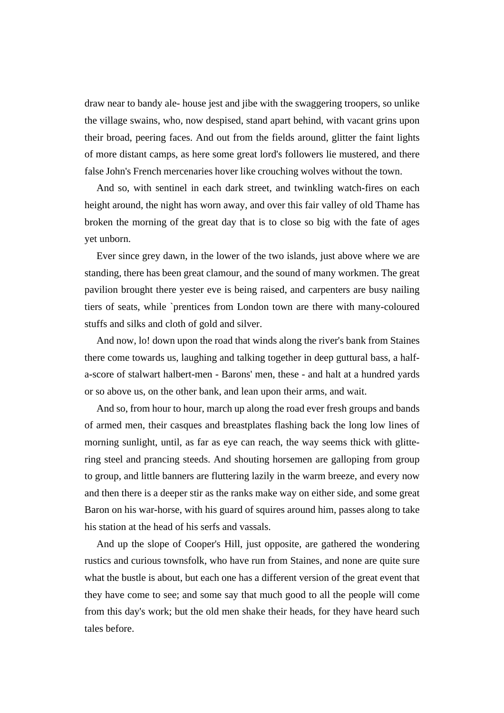draw near to bandy ale- house jest and jibe with the swaggering troopers, so unlike the village swains, who, now despised, stand apart behind, with vacant grins upon their broad, peering faces. And out from the fields around, glitter the faint lights of more distant camps, as here some great lord's followers lie mustered, and there false John's French mercenaries hover like crouching wolves without the town.

And so, with sentinel in each dark street, and twinkling watch-fires on each height around, the night has worn away, and over this fair valley of old Thame has broken the morning of the great day that is to close so big with the fate of ages yet unborn.

Ever since grey dawn, in the lower of the two islands, just above where we are standing, there has been great clamour, and the sound of many workmen. The great pavilion brought there yester eve is being raised, and carpenters are busy nailing tiers of seats, while `prentices from London town are there with many-coloured stuffs and silks and cloth of gold and silver.

And now, lo! down upon the road that winds along the river's bank from Staines there come towards us, laughing and talking together in deep guttural bass, a halfa-score of stalwart halbert-men - Barons' men, these - and halt at a hundred yards or so above us, on the other bank, and lean upon their arms, and wait.

And so, from hour to hour, march up along the road ever fresh groups and bands of armed men, their casques and breastplates flashing back the long low lines of morning sunlight, until, as far as eye can reach, the way seems thick with glittering steel and prancing steeds. And shouting horsemen are galloping from group to group, and little banners are fluttering lazily in the warm breeze, and every now and then there is a deeper stir as the ranks make way on either side, and some great Baron on his war-horse, with his guard of squires around him, passes along to take his station at the head of his serfs and vassals.

And up the slope of Cooper's Hill, just opposite, are gathered the wondering rustics and curious townsfolk, who have run from Staines, and none are quite sure what the bustle is about, but each one has a different version of the great event that they have come to see; and some say that much good to all the people will come from this day's work; but the old men shake their heads, for they have heard such tales before.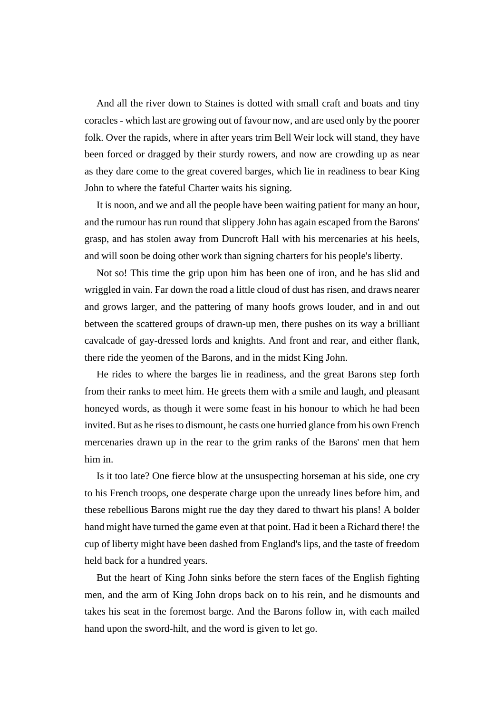And all the river down to Staines is dotted with small craft and boats and tiny coracles - which last are growing out of favour now, and are used only by the poorer folk. Over the rapids, where in after years trim Bell Weir lock will stand, they have been forced or dragged by their sturdy rowers, and now are crowding up as near as they dare come to the great covered barges, which lie in readiness to bear King John to where the fateful Charter waits his signing.

It is noon, and we and all the people have been waiting patient for many an hour, and the rumour has run round that slippery John has again escaped from the Barons' grasp, and has stolen away from Duncroft Hall with his mercenaries at his heels, and will soon be doing other work than signing charters for his people's liberty.

Not so! This time the grip upon him has been one of iron, and he has slid and wriggled in vain. Far down the road a little cloud of dust has risen, and draws nearer and grows larger, and the pattering of many hoofs grows louder, and in and out between the scattered groups of drawn-up men, there pushes on its way a brilliant cavalcade of gay-dressed lords and knights. And front and rear, and either flank, there ride the yeomen of the Barons, and in the midst King John.

He rides to where the barges lie in readiness, and the great Barons step forth from their ranks to meet him. He greets them with a smile and laugh, and pleasant honeyed words, as though it were some feast in his honour to which he had been invited. But as he rises to dismount, he casts one hurried glance from his own French mercenaries drawn up in the rear to the grim ranks of the Barons' men that hem him in.

Is it too late? One fierce blow at the unsuspecting horseman at his side, one cry to his French troops, one desperate charge upon the unready lines before him, and these rebellious Barons might rue the day they dared to thwart his plans! A bolder hand might have turned the game even at that point. Had it been a Richard there! the cup of liberty might have been dashed from England's lips, and the taste of freedom held back for a hundred years.

But the heart of King John sinks before the stern faces of the English fighting men, and the arm of King John drops back on to his rein, and he dismounts and takes his seat in the foremost barge. And the Barons follow in, with each mailed hand upon the sword-hilt, and the word is given to let go.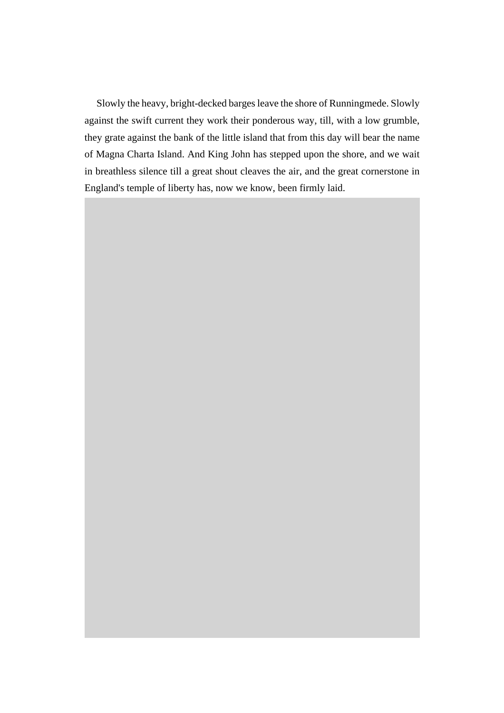Slowly the heavy, bright-decked barges leave the shore of Runningmede. Slowly against the swift current they work their ponderous way, till, with a low grumble, they grate against the bank of the little island that from this day will bear the name of Magna Charta Island. And King John has stepped upon the shore, and we wait in breathless silence till a great shout cleaves the air, and the great cornerstone in England's temple of liberty has, now we know, been firmly laid.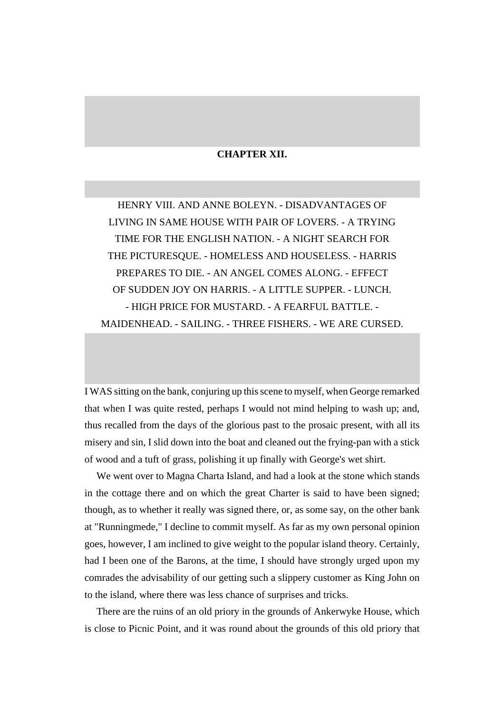## **CHAPTER XII.**

HENRY VIII. AND ANNE BOLEYN. - DISADVANTAGES OF LIVING IN SAME HOUSE WITH PAIR OF LOVERS. - A TRYING TIME FOR THE ENGLISH NATION. - A NIGHT SEARCH FOR THE PICTURESQUE. - HOMELESS AND HOUSELESS. - HARRIS PREPARES TO DIE. - AN ANGEL COMES ALONG. - EFFECT OF SUDDEN JOY ON HARRIS. - A LITTLE SUPPER. - LUNCH. - HIGH PRICE FOR MUSTARD. - A FEARFUL BATTLE. - MAIDENHEAD. - SAILING. - THREE FISHERS. - WE ARE CURSED.

I WAS sitting on the bank, conjuring up this scene to myself, when George remarked that when I was quite rested, perhaps I would not mind helping to wash up; and, thus recalled from the days of the glorious past to the prosaic present, with all its misery and sin, I slid down into the boat and cleaned out the frying-pan with a stick of wood and a tuft of grass, polishing it up finally with George's wet shirt.

We went over to Magna Charta Island, and had a look at the stone which stands in the cottage there and on which the great Charter is said to have been signed; though, as to whether it really was signed there, or, as some say, on the other bank at "Runningmede," I decline to commit myself. As far as my own personal opinion goes, however, I am inclined to give weight to the popular island theory. Certainly, had I been one of the Barons, at the time, I should have strongly urged upon my comrades the advisability of our getting such a slippery customer as King John on to the island, where there was less chance of surprises and tricks.

There are the ruins of an old priory in the grounds of Ankerwyke House, which is close to Picnic Point, and it was round about the grounds of this old priory that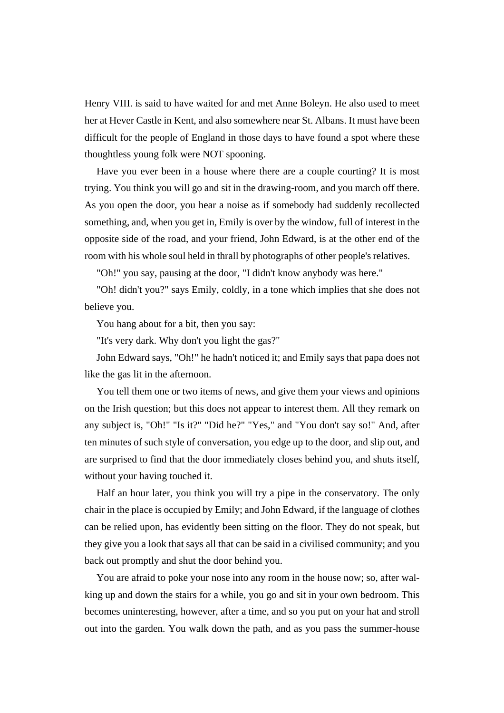Henry VIII. is said to have waited for and met Anne Boleyn. He also used to meet her at Hever Castle in Kent, and also somewhere near St. Albans. It must have been difficult for the people of England in those days to have found a spot where these thoughtless young folk were NOT spooning.

Have you ever been in a house where there are a couple courting? It is most trying. You think you will go and sit in the drawing-room, and you march off there. As you open the door, you hear a noise as if somebody had suddenly recollected something, and, when you get in, Emily is over by the window, full of interest in the opposite side of the road, and your friend, John Edward, is at the other end of the room with his whole soul held in thrall by photographs of other people's relatives.

"Oh!" you say, pausing at the door, "I didn't know anybody was here."

"Oh! didn't you?" says Emily, coldly, in a tone which implies that she does not believe you.

You hang about for a bit, then you say:

"It's very dark. Why don't you light the gas?"

John Edward says, "Oh!" he hadn't noticed it; and Emily says that papa does not like the gas lit in the afternoon.

You tell them one or two items of news, and give them your views and opinions on the Irish question; but this does not appear to interest them. All they remark on any subject is, "Oh!" "Is it?" "Did he?" "Yes," and "You don't say so!" And, after ten minutes of such style of conversation, you edge up to the door, and slip out, and are surprised to find that the door immediately closes behind you, and shuts itself, without your having touched it.

Half an hour later, you think you will try a pipe in the conservatory. The only chair in the place is occupied by Emily; and John Edward, if the language of clothes can be relied upon, has evidently been sitting on the floor. They do not speak, but they give you a look that says all that can be said in a civilised community; and you back out promptly and shut the door behind you.

You are afraid to poke your nose into any room in the house now; so, after walking up and down the stairs for a while, you go and sit in your own bedroom. This becomes uninteresting, however, after a time, and so you put on your hat and stroll out into the garden. You walk down the path, and as you pass the summer-house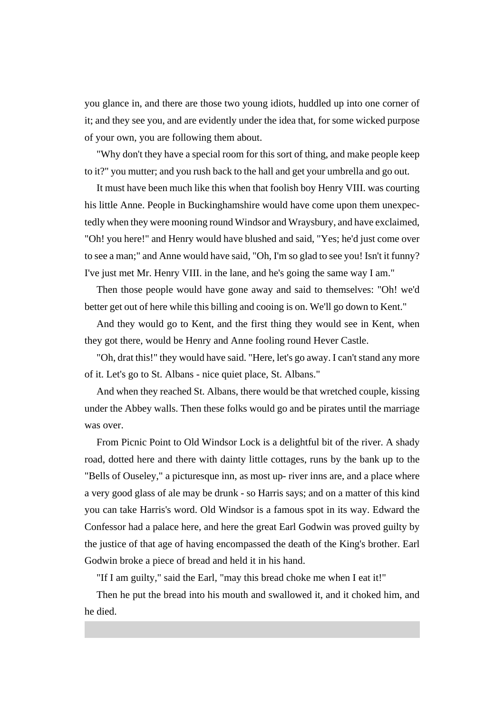you glance in, and there are those two young idiots, huddled up into one corner of it; and they see you, and are evidently under the idea that, for some wicked purpose of your own, you are following them about.

"Why don't they have a special room for this sort of thing, and make people keep to it?" you mutter; and you rush back to the hall and get your umbrella and go out.

It must have been much like this when that foolish boy Henry VIII. was courting his little Anne. People in Buckinghamshire would have come upon them unexpectedly when they were mooning round Windsor and Wraysbury, and have exclaimed, "Oh! you here!" and Henry would have blushed and said, "Yes; he'd just come over to see a man;" and Anne would have said, "Oh, I'm so glad to see you! Isn't it funny? I've just met Mr. Henry VIII. in the lane, and he's going the same way I am."

Then those people would have gone away and said to themselves: "Oh! we'd better get out of here while this billing and cooing is on. We'll go down to Kent."

And they would go to Kent, and the first thing they would see in Kent, when they got there, would be Henry and Anne fooling round Hever Castle.

"Oh, drat this!" they would have said. "Here, let's go away. I can't stand any more of it. Let's go to St. Albans - nice quiet place, St. Albans."

And when they reached St. Albans, there would be that wretched couple, kissing under the Abbey walls. Then these folks would go and be pirates until the marriage was over.

From Picnic Point to Old Windsor Lock is a delightful bit of the river. A shady road, dotted here and there with dainty little cottages, runs by the bank up to the "Bells of Ouseley," a picturesque inn, as most up- river inns are, and a place where a very good glass of ale may be drunk - so Harris says; and on a matter of this kind you can take Harris's word. Old Windsor is a famous spot in its way. Edward the Confessor had a palace here, and here the great Earl Godwin was proved guilty by the justice of that age of having encompassed the death of the King's brother. Earl Godwin broke a piece of bread and held it in his hand.

"If I am guilty," said the Earl, "may this bread choke me when I eat it!"

Then he put the bread into his mouth and swallowed it, and it choked him, and he died.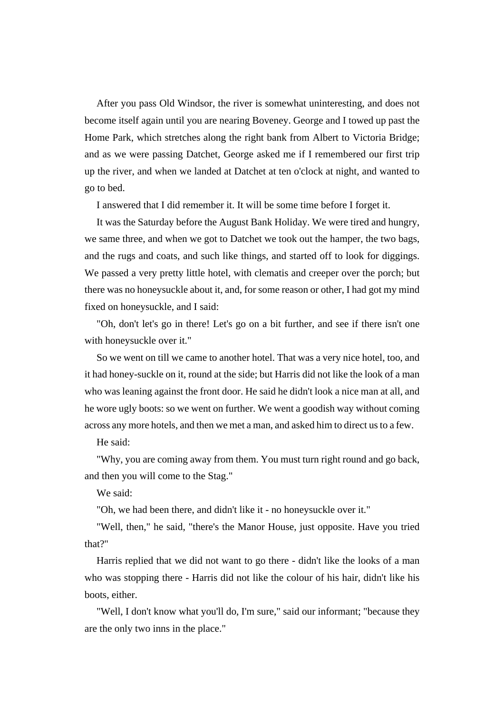After you pass Old Windsor, the river is somewhat uninteresting, and does not become itself again until you are nearing Boveney. George and I towed up past the Home Park, which stretches along the right bank from Albert to Victoria Bridge; and as we were passing Datchet, George asked me if I remembered our first trip up the river, and when we landed at Datchet at ten o'clock at night, and wanted to go to bed.

I answered that I did remember it. It will be some time before I forget it.

It was the Saturday before the August Bank Holiday. We were tired and hungry, we same three, and when we got to Datchet we took out the hamper, the two bags, and the rugs and coats, and such like things, and started off to look for diggings. We passed a very pretty little hotel, with clematis and creeper over the porch; but there was no honeysuckle about it, and, for some reason or other, I had got my mind fixed on honeysuckle, and I said:

"Oh, don't let's go in there! Let's go on a bit further, and see if there isn't one with honeysuckle over it."

So we went on till we came to another hotel. That was a very nice hotel, too, and it had honey-suckle on it, round at the side; but Harris did not like the look of a man who was leaning against the front door. He said he didn't look a nice man at all, and he wore ugly boots: so we went on further. We went a goodish way without coming across any more hotels, and then we met a man, and asked him to direct us to a few.

He said:

"Why, you are coming away from them. You must turn right round and go back, and then you will come to the Stag."

We said:

"Oh, we had been there, and didn't like it - no honeysuckle over it."

"Well, then," he said, "there's the Manor House, just opposite. Have you tried that?"

Harris replied that we did not want to go there - didn't like the looks of a man who was stopping there - Harris did not like the colour of his hair, didn't like his boots, either.

"Well, I don't know what you'll do, I'm sure," said our informant; "because they are the only two inns in the place."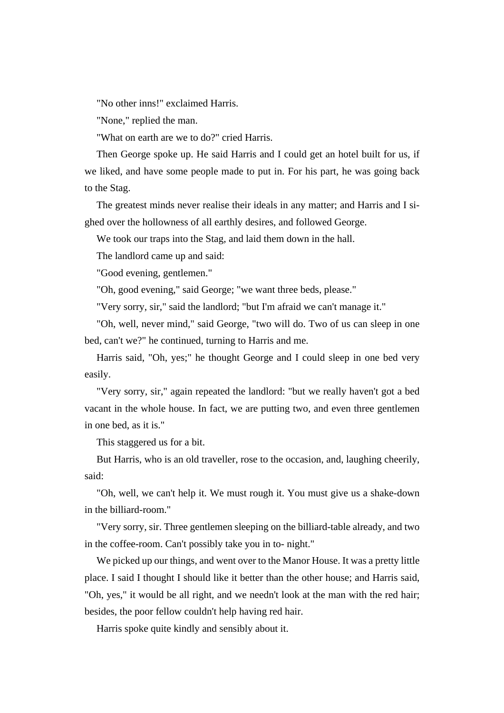"No other inns!" exclaimed Harris.

"None," replied the man.

"What on earth are we to do?" cried Harris.

Then George spoke up. He said Harris and I could get an hotel built for us, if we liked, and have some people made to put in. For his part, he was going back to the Stag.

The greatest minds never realise their ideals in any matter; and Harris and I sighed over the hollowness of all earthly desires, and followed George.

We took our traps into the Stag, and laid them down in the hall.

The landlord came up and said:

"Good evening, gentlemen."

"Oh, good evening," said George; "we want three beds, please."

"Very sorry, sir," said the landlord; "but I'm afraid we can't manage it."

"Oh, well, never mind," said George, "two will do. Two of us can sleep in one bed, can't we?" he continued, turning to Harris and me.

Harris said, "Oh, yes;" he thought George and I could sleep in one bed very easily.

"Very sorry, sir," again repeated the landlord: "but we really haven't got a bed vacant in the whole house. In fact, we are putting two, and even three gentlemen in one bed, as it is."

This staggered us for a bit.

But Harris, who is an old traveller, rose to the occasion, and, laughing cheerily, said:

"Oh, well, we can't help it. We must rough it. You must give us a shake-down in the billiard-room."

"Very sorry, sir. Three gentlemen sleeping on the billiard-table already, and two in the coffee-room. Can't possibly take you in to- night."

We picked up our things, and went over to the Manor House. It was a pretty little place. I said I thought I should like it better than the other house; and Harris said, "Oh, yes," it would be all right, and we needn't look at the man with the red hair; besides, the poor fellow couldn't help having red hair.

Harris spoke quite kindly and sensibly about it.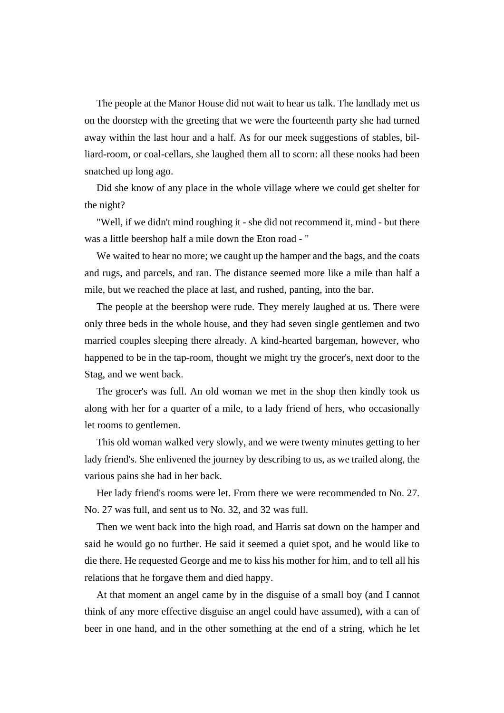The people at the Manor House did not wait to hear us talk. The landlady met us on the doorstep with the greeting that we were the fourteenth party she had turned away within the last hour and a half. As for our meek suggestions of stables, billiard-room, or coal-cellars, she laughed them all to scorn: all these nooks had been snatched up long ago.

Did she know of any place in the whole village where we could get shelter for the night?

"Well, if we didn't mind roughing it - she did not recommend it, mind - but there was a little beershop half a mile down the Eton road - "

We waited to hear no more; we caught up the hamper and the bags, and the coats and rugs, and parcels, and ran. The distance seemed more like a mile than half a mile, but we reached the place at last, and rushed, panting, into the bar.

The people at the beershop were rude. They merely laughed at us. There were only three beds in the whole house, and they had seven single gentlemen and two married couples sleeping there already. A kind-hearted bargeman, however, who happened to be in the tap-room, thought we might try the grocer's, next door to the Stag, and we went back.

The grocer's was full. An old woman we met in the shop then kindly took us along with her for a quarter of a mile, to a lady friend of hers, who occasionally let rooms to gentlemen.

This old woman walked very slowly, and we were twenty minutes getting to her lady friend's. She enlivened the journey by describing to us, as we trailed along, the various pains she had in her back.

Her lady friend's rooms were let. From there we were recommended to No. 27. No. 27 was full, and sent us to No. 32, and 32 was full.

Then we went back into the high road, and Harris sat down on the hamper and said he would go no further. He said it seemed a quiet spot, and he would like to die there. He requested George and me to kiss his mother for him, and to tell all his relations that he forgave them and died happy.

At that moment an angel came by in the disguise of a small boy (and I cannot think of any more effective disguise an angel could have assumed), with a can of beer in one hand, and in the other something at the end of a string, which he let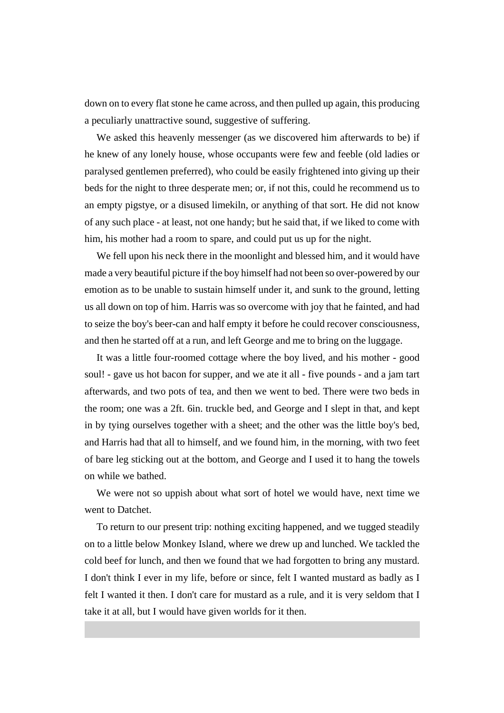down on to every flat stone he came across, and then pulled up again, this producing a peculiarly unattractive sound, suggestive of suffering.

We asked this heavenly messenger (as we discovered him afterwards to be) if he knew of any lonely house, whose occupants were few and feeble (old ladies or paralysed gentlemen preferred), who could be easily frightened into giving up their beds for the night to three desperate men; or, if not this, could he recommend us to an empty pigstye, or a disused limekiln, or anything of that sort. He did not know of any such place - at least, not one handy; but he said that, if we liked to come with him, his mother had a room to spare, and could put us up for the night.

We fell upon his neck there in the moonlight and blessed him, and it would have made a very beautiful picture if the boy himself had not been so over-powered by our emotion as to be unable to sustain himself under it, and sunk to the ground, letting us all down on top of him. Harris was so overcome with joy that he fainted, and had to seize the boy's beer-can and half empty it before he could recover consciousness, and then he started off at a run, and left George and me to bring on the luggage.

It was a little four-roomed cottage where the boy lived, and his mother - good soul! - gave us hot bacon for supper, and we ate it all - five pounds - and a jam tart afterwards, and two pots of tea, and then we went to bed. There were two beds in the room; one was a 2ft. 6in. truckle bed, and George and I slept in that, and kept in by tying ourselves together with a sheet; and the other was the little boy's bed, and Harris had that all to himself, and we found him, in the morning, with two feet of bare leg sticking out at the bottom, and George and I used it to hang the towels on while we bathed.

We were not so uppish about what sort of hotel we would have, next time we went to Datchet.

To return to our present trip: nothing exciting happened, and we tugged steadily on to a little below Monkey Island, where we drew up and lunched. We tackled the cold beef for lunch, and then we found that we had forgotten to bring any mustard. I don't think I ever in my life, before or since, felt I wanted mustard as badly as I felt I wanted it then. I don't care for mustard as a rule, and it is very seldom that I take it at all, but I would have given worlds for it then.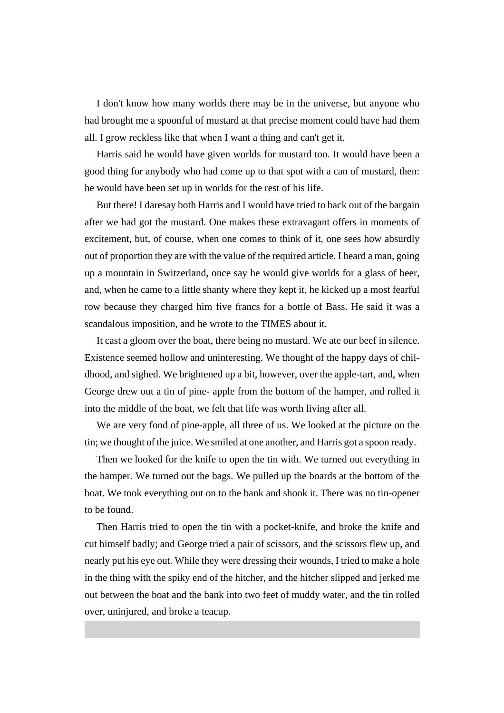I don't know how many worlds there may be in the universe, but anyone who had brought me a spoonful of mustard at that precise moment could have had them all. I grow reckless like that when I want a thing and can't get it.

Harris said he would have given worlds for mustard too. It would have been a good thing for anybody who had come up to that spot with a can of mustard, then: he would have been set up in worlds for the rest of his life.

But there! I daresay both Harris and I would have tried to back out of the bargain after we had got the mustard. One makes these extravagant offers in moments of excitement, but, of course, when one comes to think of it, one sees how absurdly out of proportion they are with the value of the required article. I heard a man, going up a mountain in Switzerland, once say he would give worlds for a glass of beer, and, when he came to a little shanty where they kept it, he kicked up a most fearful row because they charged him five francs for a bottle of Bass. He said it was a scandalous imposition, and he wrote to the TIMES about it.

It cast a gloom over the boat, there being no mustard. We ate our beef in silence. Existence seemed hollow and uninteresting. We thought of the happy days of childhood, and sighed. We brightened up a bit, however, over the apple-tart, and, when George drew out a tin of pine- apple from the bottom of the hamper, and rolled it into the middle of the boat, we felt that life was worth living after all.

We are very fond of pine-apple, all three of us. We looked at the picture on the tin; we thought of the juice. We smiled at one another, and Harris got a spoon ready.

Then we looked for the knife to open the tin with. We turned out everything in the hamper. We turned out the bags. We pulled up the boards at the bottom of the boat. We took everything out on to the bank and shook it. There was no tin-opener to be found.

Then Harris tried to open the tin with a pocket-knife, and broke the knife and cut himself badly; and George tried a pair of scissors, and the scissors flew up, and nearly put his eye out. While they were dressing their wounds, I tried to make a hole in the thing with the spiky end of the hitcher, and the hitcher slipped and jerked me out between the boat and the bank into two feet of muddy water, and the tin rolled over, uninjured, and broke a teacup.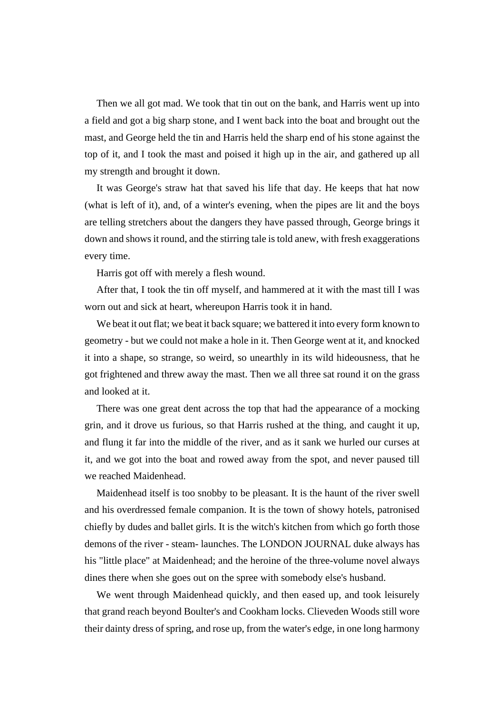Then we all got mad. We took that tin out on the bank, and Harris went up into a field and got a big sharp stone, and I went back into the boat and brought out the mast, and George held the tin and Harris held the sharp end of his stone against the top of it, and I took the mast and poised it high up in the air, and gathered up all my strength and brought it down.

It was George's straw hat that saved his life that day. He keeps that hat now (what is left of it), and, of a winter's evening, when the pipes are lit and the boys are telling stretchers about the dangers they have passed through, George brings it down and shows it round, and the stirring tale is told anew, with fresh exaggerations every time.

Harris got off with merely a flesh wound.

After that, I took the tin off myself, and hammered at it with the mast till I was worn out and sick at heart, whereupon Harris took it in hand.

We beat it out flat; we beat it back square; we battered it into every form known to geometry - but we could not make a hole in it. Then George went at it, and knocked it into a shape, so strange, so weird, so unearthly in its wild hideousness, that he got frightened and threw away the mast. Then we all three sat round it on the grass and looked at it.

There was one great dent across the top that had the appearance of a mocking grin, and it drove us furious, so that Harris rushed at the thing, and caught it up, and flung it far into the middle of the river, and as it sank we hurled our curses at it, and we got into the boat and rowed away from the spot, and never paused till we reached Maidenhead.

Maidenhead itself is too snobby to be pleasant. It is the haunt of the river swell and his overdressed female companion. It is the town of showy hotels, patronised chiefly by dudes and ballet girls. It is the witch's kitchen from which go forth those demons of the river - steam- launches. The LONDON JOURNAL duke always has his "little place" at Maidenhead; and the heroine of the three-volume novel always dines there when she goes out on the spree with somebody else's husband.

We went through Maidenhead quickly, and then eased up, and took leisurely that grand reach beyond Boulter's and Cookham locks. Clieveden Woods still wore their dainty dress of spring, and rose up, from the water's edge, in one long harmony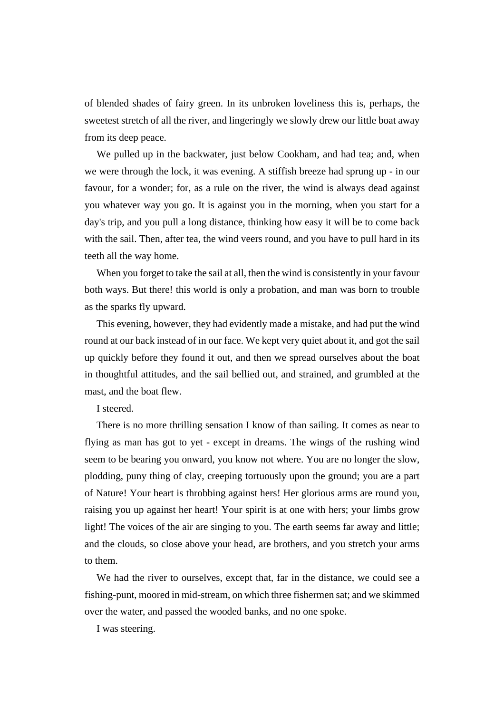of blended shades of fairy green. In its unbroken loveliness this is, perhaps, the sweetest stretch of all the river, and lingeringly we slowly drew our little boat away from its deep peace.

We pulled up in the backwater, just below Cookham, and had tea; and, when we were through the lock, it was evening. A stiffish breeze had sprung up - in our favour, for a wonder; for, as a rule on the river, the wind is always dead against you whatever way you go. It is against you in the morning, when you start for a day's trip, and you pull a long distance, thinking how easy it will be to come back with the sail. Then, after tea, the wind veers round, and you have to pull hard in its teeth all the way home.

When you forget to take the sail at all, then the wind is consistently in your favour both ways. But there! this world is only a probation, and man was born to trouble as the sparks fly upward.

This evening, however, they had evidently made a mistake, and had put the wind round at our back instead of in our face. We kept very quiet about it, and got the sail up quickly before they found it out, and then we spread ourselves about the boat in thoughtful attitudes, and the sail bellied out, and strained, and grumbled at the mast, and the boat flew.

I steered.

There is no more thrilling sensation I know of than sailing. It comes as near to flying as man has got to yet - except in dreams. The wings of the rushing wind seem to be bearing you onward, you know not where. You are no longer the slow, plodding, puny thing of clay, creeping tortuously upon the ground; you are a part of Nature! Your heart is throbbing against hers! Her glorious arms are round you, raising you up against her heart! Your spirit is at one with hers; your limbs grow light! The voices of the air are singing to you. The earth seems far away and little; and the clouds, so close above your head, are brothers, and you stretch your arms to them.

We had the river to ourselves, except that, far in the distance, we could see a fishing-punt, moored in mid-stream, on which three fishermen sat; and we skimmed over the water, and passed the wooded banks, and no one spoke.

I was steering.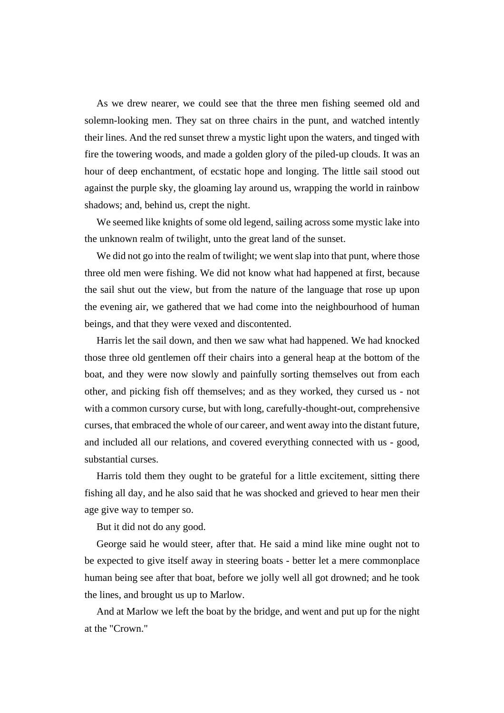As we drew nearer, we could see that the three men fishing seemed old and solemn-looking men. They sat on three chairs in the punt, and watched intently their lines. And the red sunset threw a mystic light upon the waters, and tinged with fire the towering woods, and made a golden glory of the piled-up clouds. It was an hour of deep enchantment, of ecstatic hope and longing. The little sail stood out against the purple sky, the gloaming lay around us, wrapping the world in rainbow shadows; and, behind us, crept the night.

We seemed like knights of some old legend, sailing across some mystic lake into the unknown realm of twilight, unto the great land of the sunset.

We did not go into the realm of twilight; we went slap into that punt, where those three old men were fishing. We did not know what had happened at first, because the sail shut out the view, but from the nature of the language that rose up upon the evening air, we gathered that we had come into the neighbourhood of human beings, and that they were vexed and discontented.

Harris let the sail down, and then we saw what had happened. We had knocked those three old gentlemen off their chairs into a general heap at the bottom of the boat, and they were now slowly and painfully sorting themselves out from each other, and picking fish off themselves; and as they worked, they cursed us - not with a common cursory curse, but with long, carefully-thought-out, comprehensive curses, that embraced the whole of our career, and went away into the distant future, and included all our relations, and covered everything connected with us - good, substantial curses.

Harris told them they ought to be grateful for a little excitement, sitting there fishing all day, and he also said that he was shocked and grieved to hear men their age give way to temper so.

But it did not do any good.

George said he would steer, after that. He said a mind like mine ought not to be expected to give itself away in steering boats - better let a mere commonplace human being see after that boat, before we jolly well all got drowned; and he took the lines, and brought us up to Marlow.

And at Marlow we left the boat by the bridge, and went and put up for the night at the "Crown."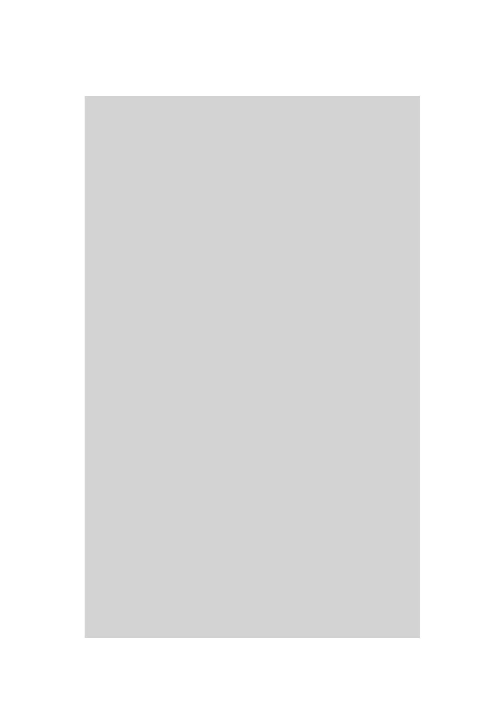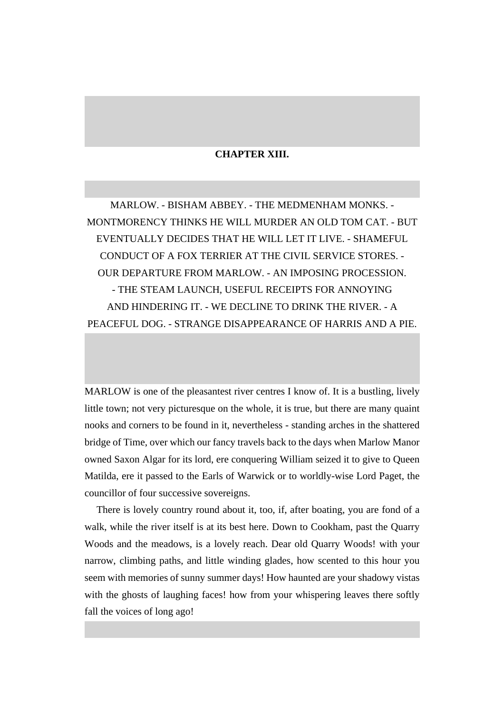## **CHAPTER XIII.**

MARLOW. - BISHAM ABBEY. - THE MEDMENHAM MONKS. - MONTMORENCY THINKS HE WILL MURDER AN OLD TOM CAT. - BUT EVENTUALLY DECIDES THAT HE WILL LET IT LIVE. - SHAMEFUL CONDUCT OF A FOX TERRIER AT THE CIVIL SERVICE STORES. - OUR DEPARTURE FROM MARLOW. - AN IMPOSING PROCESSION. - THE STEAM LAUNCH, USEFUL RECEIPTS FOR ANNOYING AND HINDERING IT. - WE DECLINE TO DRINK THE RIVER. - A PEACEFUL DOG. - STRANGE DISAPPEARANCE OF HARRIS AND A PIE.

MARLOW is one of the pleasantest river centres I know of. It is a bustling, lively little town; not very picturesque on the whole, it is true, but there are many quaint nooks and corners to be found in it, nevertheless - standing arches in the shattered bridge of Time, over which our fancy travels back to the days when Marlow Manor owned Saxon Algar for its lord, ere conquering William seized it to give to Queen Matilda, ere it passed to the Earls of Warwick or to worldly-wise Lord Paget, the councillor of four successive sovereigns.

There is lovely country round about it, too, if, after boating, you are fond of a walk, while the river itself is at its best here. Down to Cookham, past the Quarry Woods and the meadows, is a lovely reach. Dear old Quarry Woods! with your narrow, climbing paths, and little winding glades, how scented to this hour you seem with memories of sunny summer days! How haunted are your shadowy vistas with the ghosts of laughing faces! how from your whispering leaves there softly fall the voices of long ago!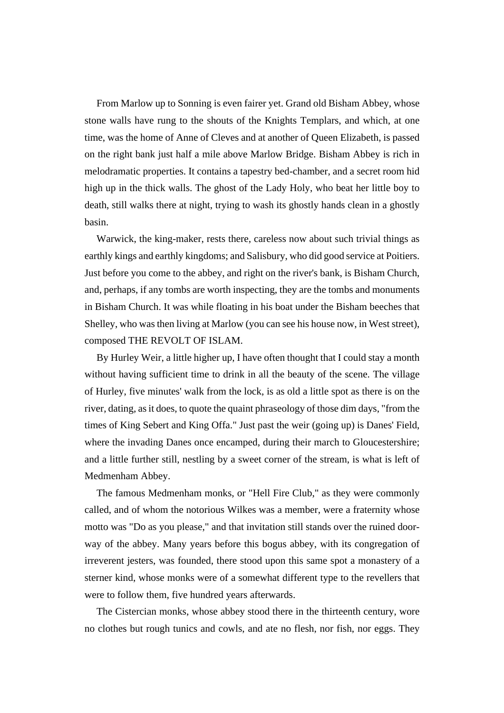From Marlow up to Sonning is even fairer yet. Grand old Bisham Abbey, whose stone walls have rung to the shouts of the Knights Templars, and which, at one time, was the home of Anne of Cleves and at another of Queen Elizabeth, is passed on the right bank just half a mile above Marlow Bridge. Bisham Abbey is rich in melodramatic properties. It contains a tapestry bed-chamber, and a secret room hid high up in the thick walls. The ghost of the Lady Holy, who beat her little boy to death, still walks there at night, trying to wash its ghostly hands clean in a ghostly basin.

Warwick, the king-maker, rests there, careless now about such trivial things as earthly kings and earthly kingdoms; and Salisbury, who did good service at Poitiers. Just before you come to the abbey, and right on the river's bank, is Bisham Church, and, perhaps, if any tombs are worth inspecting, they are the tombs and monuments in Bisham Church. It was while floating in his boat under the Bisham beeches that Shelley, who was then living at Marlow (you can see his house now, in West street), composed THE REVOLT OF ISLAM.

By Hurley Weir, a little higher up, I have often thought that I could stay a month without having sufficient time to drink in all the beauty of the scene. The village of Hurley, five minutes' walk from the lock, is as old a little spot as there is on the river, dating, as it does, to quote the quaint phraseology of those dim days, "from the times of King Sebert and King Offa." Just past the weir (going up) is Danes' Field, where the invading Danes once encamped, during their march to Gloucestershire; and a little further still, nestling by a sweet corner of the stream, is what is left of Medmenham Abbey.

The famous Medmenham monks, or "Hell Fire Club," as they were commonly called, and of whom the notorious Wilkes was a member, were a fraternity whose motto was "Do as you please," and that invitation still stands over the ruined doorway of the abbey. Many years before this bogus abbey, with its congregation of irreverent jesters, was founded, there stood upon this same spot a monastery of a sterner kind, whose monks were of a somewhat different type to the revellers that were to follow them, five hundred years afterwards.

The Cistercian monks, whose abbey stood there in the thirteenth century, wore no clothes but rough tunics and cowls, and ate no flesh, nor fish, nor eggs. They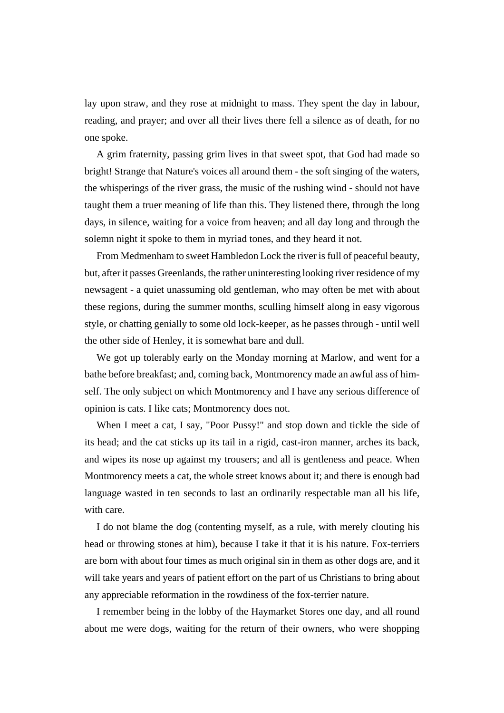lay upon straw, and they rose at midnight to mass. They spent the day in labour, reading, and prayer; and over all their lives there fell a silence as of death, for no one spoke.

A grim fraternity, passing grim lives in that sweet spot, that God had made so bright! Strange that Nature's voices all around them - the soft singing of the waters, the whisperings of the river grass, the music of the rushing wind - should not have taught them a truer meaning of life than this. They listened there, through the long days, in silence, waiting for a voice from heaven; and all day long and through the solemn night it spoke to them in myriad tones, and they heard it not.

From Medmenham to sweet Hambledon Lock the river is full of peaceful beauty, but, after it passes Greenlands, the rather uninteresting looking river residence of my newsagent - a quiet unassuming old gentleman, who may often be met with about these regions, during the summer months, sculling himself along in easy vigorous style, or chatting genially to some old lock-keeper, as he passes through - until well the other side of Henley, it is somewhat bare and dull.

We got up tolerably early on the Monday morning at Marlow, and went for a bathe before breakfast; and, coming back, Montmorency made an awful ass of himself. The only subject on which Montmorency and I have any serious difference of opinion is cats. I like cats; Montmorency does not.

When I meet a cat, I say, "Poor Pussy!" and stop down and tickle the side of its head; and the cat sticks up its tail in a rigid, cast-iron manner, arches its back, and wipes its nose up against my trousers; and all is gentleness and peace. When Montmorency meets a cat, the whole street knows about it; and there is enough bad language wasted in ten seconds to last an ordinarily respectable man all his life, with care.

I do not blame the dog (contenting myself, as a rule, with merely clouting his head or throwing stones at him), because I take it that it is his nature. Fox-terriers are born with about four times as much original sin in them as other dogs are, and it will take years and years of patient effort on the part of us Christians to bring about any appreciable reformation in the rowdiness of the fox-terrier nature.

I remember being in the lobby of the Haymarket Stores one day, and all round about me were dogs, waiting for the return of their owners, who were shopping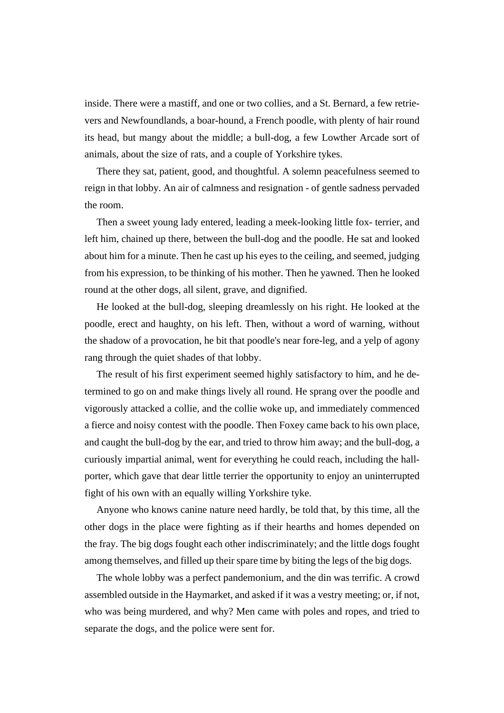inside. There were a mastiff, and one or two collies, and a St. Bernard, a few retrievers and Newfoundlands, a boar-hound, a French poodle, with plenty of hair round its head, but mangy about the middle; a bull-dog, a few Lowther Arcade sort of animals, about the size of rats, and a couple of Yorkshire tykes.

There they sat, patient, good, and thoughtful. A solemn peacefulness seemed to reign in that lobby. An air of calmness and resignation - of gentle sadness pervaded the room.

Then a sweet young lady entered, leading a meek-looking little fox- terrier, and left him, chained up there, between the bull-dog and the poodle. He sat and looked about him for a minute. Then he cast up his eyes to the ceiling, and seemed, judging from his expression, to be thinking of his mother. Then he yawned. Then he looked round at the other dogs, all silent, grave, and dignified.

He looked at the bull-dog, sleeping dreamlessly on his right. He looked at the poodle, erect and haughty, on his left. Then, without a word of warning, without the shadow of a provocation, he bit that poodle's near fore-leg, and a yelp of agony rang through the quiet shades of that lobby.

The result of his first experiment seemed highly satisfactory to him, and he determined to go on and make things lively all round. He sprang over the poodle and vigorously attacked a collie, and the collie woke up, and immediately commenced a fierce and noisy contest with the poodle. Then Foxey came back to his own place, and caught the bull-dog by the ear, and tried to throw him away; and the bull-dog, a curiously impartial animal, went for everything he could reach, including the hallporter, which gave that dear little terrier the opportunity to enjoy an uninterrupted fight of his own with an equally willing Yorkshire tyke.

Anyone who knows canine nature need hardly, be told that, by this time, all the other dogs in the place were fighting as if their hearths and homes depended on the fray. The big dogs fought each other indiscriminately; and the little dogs fought among themselves, and filled up their spare time by biting the legs of the big dogs.

The whole lobby was a perfect pandemonium, and the din was terrific. A crowd assembled outside in the Haymarket, and asked if it was a vestry meeting; or, if not, who was being murdered, and why? Men came with poles and ropes, and tried to separate the dogs, and the police were sent for.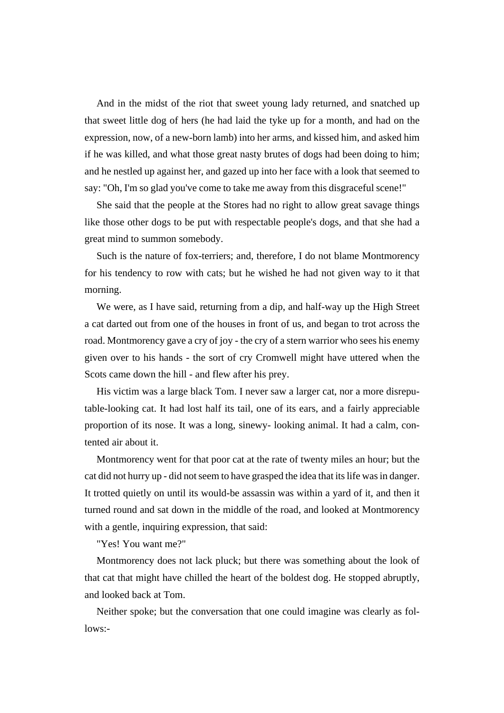And in the midst of the riot that sweet young lady returned, and snatched up that sweet little dog of hers (he had laid the tyke up for a month, and had on the expression, now, of a new-born lamb) into her arms, and kissed him, and asked him if he was killed, and what those great nasty brutes of dogs had been doing to him; and he nestled up against her, and gazed up into her face with a look that seemed to say: "Oh, I'm so glad you've come to take me away from this disgraceful scene!"

She said that the people at the Stores had no right to allow great savage things like those other dogs to be put with respectable people's dogs, and that she had a great mind to summon somebody.

Such is the nature of fox-terriers; and, therefore, I do not blame Montmorency for his tendency to row with cats; but he wished he had not given way to it that morning.

We were, as I have said, returning from a dip, and half-way up the High Street a cat darted out from one of the houses in front of us, and began to trot across the road. Montmorency gave a cry of joy - the cry of a stern warrior who sees his enemy given over to his hands - the sort of cry Cromwell might have uttered when the Scots came down the hill - and flew after his prey.

His victim was a large black Tom. I never saw a larger cat, nor a more disreputable-looking cat. It had lost half its tail, one of its ears, and a fairly appreciable proportion of its nose. It was a long, sinewy- looking animal. It had a calm, contented air about it.

Montmorency went for that poor cat at the rate of twenty miles an hour; but the cat did not hurry up - did not seem to have grasped the idea that its life was in danger. It trotted quietly on until its would-be assassin was within a yard of it, and then it turned round and sat down in the middle of the road, and looked at Montmorency with a gentle, inquiring expression, that said:

"Yes! You want me?"

Montmorency does not lack pluck; but there was something about the look of that cat that might have chilled the heart of the boldest dog. He stopped abruptly, and looked back at Tom.

Neither spoke; but the conversation that one could imagine was clearly as fol $lows$ :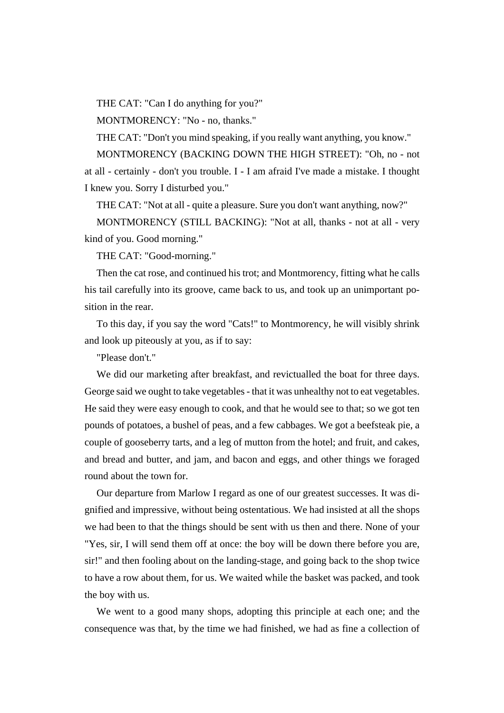THE CAT: "Can I do anything for you?"

MONTMORENCY: "No - no, thanks."

THE CAT: "Don't you mind speaking, if you really want anything, you know." MONTMORENCY (BACKING DOWN THE HIGH STREET): "Oh, no - not at all - certainly - don't you trouble. I - I am afraid I've made a mistake. I thought I knew you. Sorry I disturbed you."

THE CAT: "Not at all - quite a pleasure. Sure you don't want anything, now?"

MONTMORENCY (STILL BACKING): "Not at all, thanks - not at all - very kind of you. Good morning."

THE CAT: "Good-morning."

Then the cat rose, and continued his trot; and Montmorency, fitting what he calls his tail carefully into its groove, came back to us, and took up an unimportant position in the rear.

To this day, if you say the word "Cats!" to Montmorency, he will visibly shrink and look up piteously at you, as if to say:

"Please don't."

We did our marketing after breakfast, and revictualled the boat for three days. George said we ought to take vegetables - that it was unhealthy not to eat vegetables. He said they were easy enough to cook, and that he would see to that; so we got ten pounds of potatoes, a bushel of peas, and a few cabbages. We got a beefsteak pie, a couple of gooseberry tarts, and a leg of mutton from the hotel; and fruit, and cakes, and bread and butter, and jam, and bacon and eggs, and other things we foraged round about the town for.

Our departure from Marlow I regard as one of our greatest successes. It was dignified and impressive, without being ostentatious. We had insisted at all the shops we had been to that the things should be sent with us then and there. None of your "Yes, sir, I will send them off at once: the boy will be down there before you are, sir!" and then fooling about on the landing-stage, and going back to the shop twice to have a row about them, for us. We waited while the basket was packed, and took the boy with us.

We went to a good many shops, adopting this principle at each one; and the consequence was that, by the time we had finished, we had as fine a collection of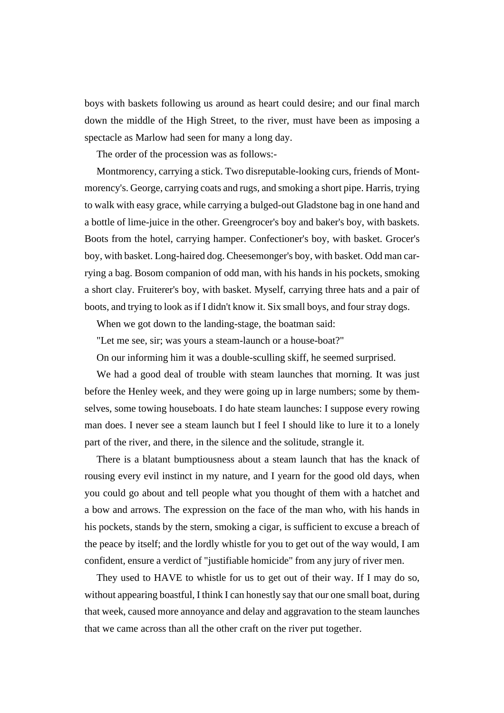boys with baskets following us around as heart could desire; and our final march down the middle of the High Street, to the river, must have been as imposing a spectacle as Marlow had seen for many a long day.

The order of the procession was as follows:-

Montmorency, carrying a stick. Two disreputable-looking curs, friends of Montmorency's. George, carrying coats and rugs, and smoking a short pipe. Harris, trying to walk with easy grace, while carrying a bulged-out Gladstone bag in one hand and a bottle of lime-juice in the other. Greengrocer's boy and baker's boy, with baskets. Boots from the hotel, carrying hamper. Confectioner's boy, with basket. Grocer's boy, with basket. Long-haired dog. Cheesemonger's boy, with basket. Odd man carrying a bag. Bosom companion of odd man, with his hands in his pockets, smoking a short clay. Fruiterer's boy, with basket. Myself, carrying three hats and a pair of boots, and trying to look as if I didn't know it. Six small boys, and four stray dogs.

When we got down to the landing-stage, the boatman said:

"Let me see, sir; was yours a steam-launch or a house-boat?"

On our informing him it was a double-sculling skiff, he seemed surprised.

We had a good deal of trouble with steam launches that morning. It was just before the Henley week, and they were going up in large numbers; some by themselves, some towing houseboats. I do hate steam launches: I suppose every rowing man does. I never see a steam launch but I feel I should like to lure it to a lonely part of the river, and there, in the silence and the solitude, strangle it.

There is a blatant bumptiousness about a steam launch that has the knack of rousing every evil instinct in my nature, and I yearn for the good old days, when you could go about and tell people what you thought of them with a hatchet and a bow and arrows. The expression on the face of the man who, with his hands in his pockets, stands by the stern, smoking a cigar, is sufficient to excuse a breach of the peace by itself; and the lordly whistle for you to get out of the way would, I am confident, ensure a verdict of "justifiable homicide" from any jury of river men.

They used to HAVE to whistle for us to get out of their way. If I may do so, without appearing boastful, I think I can honestly say that our one small boat, during that week, caused more annoyance and delay and aggravation to the steam launches that we came across than all the other craft on the river put together.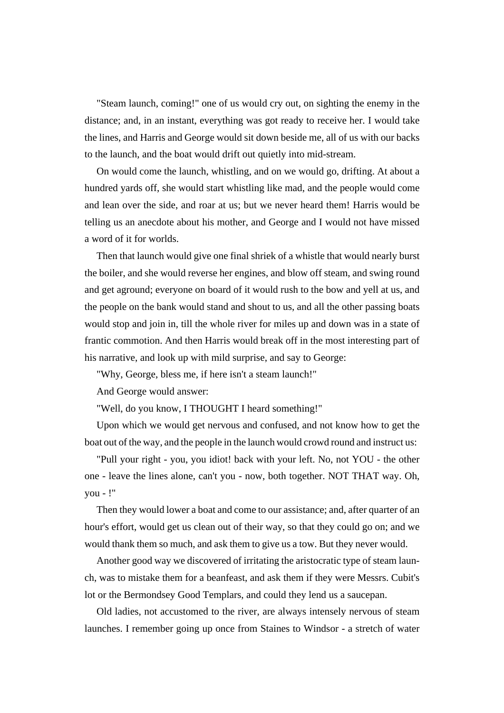"Steam launch, coming!" one of us would cry out, on sighting the enemy in the distance; and, in an instant, everything was got ready to receive her. I would take the lines, and Harris and George would sit down beside me, all of us with our backs to the launch, and the boat would drift out quietly into mid-stream.

On would come the launch, whistling, and on we would go, drifting. At about a hundred yards off, she would start whistling like mad, and the people would come and lean over the side, and roar at us; but we never heard them! Harris would be telling us an anecdote about his mother, and George and I would not have missed a word of it for worlds.

Then that launch would give one final shriek of a whistle that would nearly burst the boiler, and she would reverse her engines, and blow off steam, and swing round and get aground; everyone on board of it would rush to the bow and yell at us, and the people on the bank would stand and shout to us, and all the other passing boats would stop and join in, till the whole river for miles up and down was in a state of frantic commotion. And then Harris would break off in the most interesting part of his narrative, and look up with mild surprise, and say to George:

"Why, George, bless me, if here isn't a steam launch!"

And George would answer:

"Well, do you know, I THOUGHT I heard something!"

Upon which we would get nervous and confused, and not know how to get the boat out of the way, and the people in the launch would crowd round and instruct us:

"Pull your right - you, you idiot! back with your left. No, not YOU - the other one - leave the lines alone, can't you - now, both together. NOT THAT way. Oh, you - !"

Then they would lower a boat and come to our assistance; and, after quarter of an hour's effort, would get us clean out of their way, so that they could go on; and we would thank them so much, and ask them to give us a tow. But they never would.

Another good way we discovered of irritating the aristocratic type of steam launch, was to mistake them for a beanfeast, and ask them if they were Messrs. Cubit's lot or the Bermondsey Good Templars, and could they lend us a saucepan.

Old ladies, not accustomed to the river, are always intensely nervous of steam launches. I remember going up once from Staines to Windsor - a stretch of water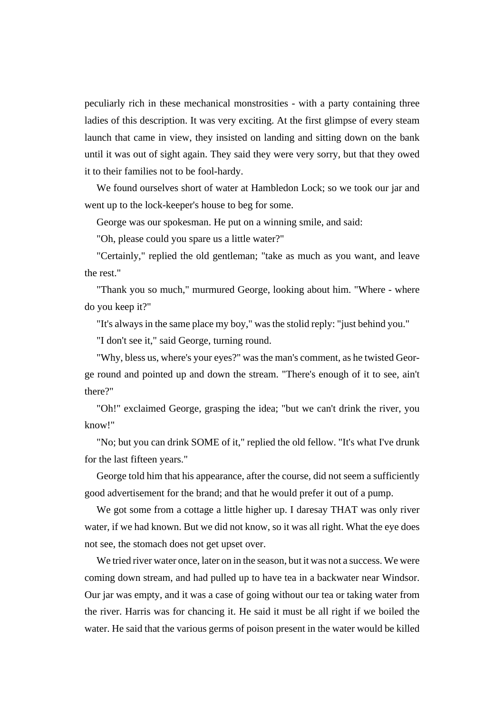peculiarly rich in these mechanical monstrosities - with a party containing three ladies of this description. It was very exciting. At the first glimpse of every steam launch that came in view, they insisted on landing and sitting down on the bank until it was out of sight again. They said they were very sorry, but that they owed it to their families not to be fool-hardy.

We found ourselves short of water at Hambledon Lock; so we took our jar and went up to the lock-keeper's house to beg for some.

George was our spokesman. He put on a winning smile, and said:

"Oh, please could you spare us a little water?"

"Certainly," replied the old gentleman; "take as much as you want, and leave the rest."

"Thank you so much," murmured George, looking about him. "Where - where do you keep it?"

"It's always in the same place my boy," was the stolid reply: "just behind you."

"I don't see it," said George, turning round.

"Why, bless us, where's your eyes?" was the man's comment, as he twisted George round and pointed up and down the stream. "There's enough of it to see, ain't there?"

"Oh!" exclaimed George, grasping the idea; "but we can't drink the river, you know!"

"No; but you can drink SOME of it," replied the old fellow. "It's what I've drunk for the last fifteen years."

George told him that his appearance, after the course, did not seem a sufficiently good advertisement for the brand; and that he would prefer it out of a pump.

We got some from a cottage a little higher up. I daresay THAT was only river water, if we had known. But we did not know, so it was all right. What the eye does not see, the stomach does not get upset over.

We tried river water once, later on in the season, but it was not a success. We were coming down stream, and had pulled up to have tea in a backwater near Windsor. Our jar was empty, and it was a case of going without our tea or taking water from the river. Harris was for chancing it. He said it must be all right if we boiled the water. He said that the various germs of poison present in the water would be killed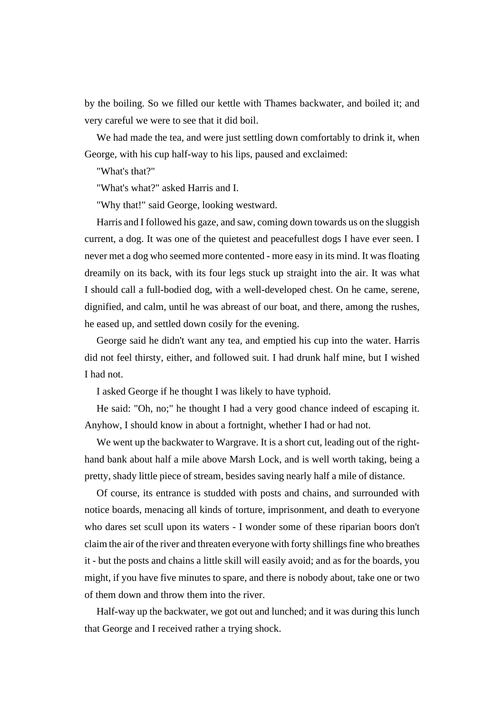by the boiling. So we filled our kettle with Thames backwater, and boiled it; and very careful we were to see that it did boil.

We had made the tea, and were just settling down comfortably to drink it, when George, with his cup half-way to his lips, paused and exclaimed:

"What's that?"

"What's what?" asked Harris and I.

"Why that!" said George, looking westward.

Harris and I followed his gaze, and saw, coming down towards us on the sluggish current, a dog. It was one of the quietest and peacefullest dogs I have ever seen. I never met a dog who seemed more contented - more easy in its mind. It was floating dreamily on its back, with its four legs stuck up straight into the air. It was what I should call a full-bodied dog, with a well-developed chest. On he came, serene, dignified, and calm, until he was abreast of our boat, and there, among the rushes, he eased up, and settled down cosily for the evening.

George said he didn't want any tea, and emptied his cup into the water. Harris did not feel thirsty, either, and followed suit. I had drunk half mine, but I wished I had not.

I asked George if he thought I was likely to have typhoid.

He said: "Oh, no;" he thought I had a very good chance indeed of escaping it. Anyhow, I should know in about a fortnight, whether I had or had not.

We went up the backwater to Wargrave. It is a short cut, leading out of the righthand bank about half a mile above Marsh Lock, and is well worth taking, being a pretty, shady little piece of stream, besides saving nearly half a mile of distance.

Of course, its entrance is studded with posts and chains, and surrounded with notice boards, menacing all kinds of torture, imprisonment, and death to everyone who dares set scull upon its waters - I wonder some of these riparian boors don't claim the air of the river and threaten everyone with forty shillings fine who breathes it - but the posts and chains a little skill will easily avoid; and as for the boards, you might, if you have five minutes to spare, and there is nobody about, take one or two of them down and throw them into the river.

Half-way up the backwater, we got out and lunched; and it was during this lunch that George and I received rather a trying shock.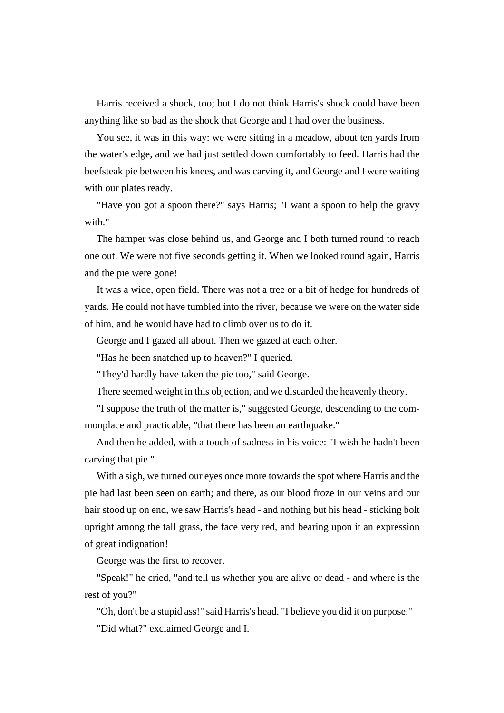Harris received a shock, too; but I do not think Harris's shock could have been anything like so bad as the shock that George and I had over the business.

You see, it was in this way: we were sitting in a meadow, about ten yards from the water's edge, and we had just settled down comfortably to feed. Harris had the beefsteak pie between his knees, and was carving it, and George and I were waiting with our plates ready.

"Have you got a spoon there?" says Harris; "I want a spoon to help the gravy with."

The hamper was close behind us, and George and I both turned round to reach one out. We were not five seconds getting it. When we looked round again, Harris and the pie were gone!

It was a wide, open field. There was not a tree or a bit of hedge for hundreds of yards. He could not have tumbled into the river, because we were on the water side of him, and he would have had to climb over us to do it.

George and I gazed all about. Then we gazed at each other.

"Has he been snatched up to heaven?" I queried.

"They'd hardly have taken the pie too," said George.

There seemed weight in this objection, and we discarded the heavenly theory.

"I suppose the truth of the matter is," suggested George, descending to the commonplace and practicable, "that there has been an earthquake."

And then he added, with a touch of sadness in his voice: "I wish he hadn't been carving that pie."

With a sigh, we turned our eyes once more towards the spot where Harris and the pie had last been seen on earth; and there, as our blood froze in our veins and our hair stood up on end, we saw Harris's head - and nothing but his head - sticking bolt upright among the tall grass, the face very red, and bearing upon it an expression of great indignation!

George was the first to recover.

"Speak!" he cried, "and tell us whether you are alive or dead - and where is the rest of you?"

"Oh, don't be a stupid ass!" said Harris's head. "I believe you did it on purpose." "Did what?" exclaimed George and I.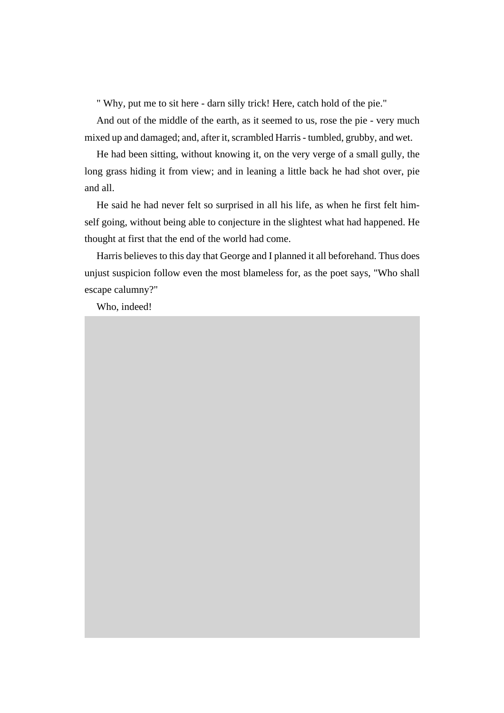" Why, put me to sit here - darn silly trick! Here, catch hold of the pie."

And out of the middle of the earth, as it seemed to us, rose the pie - very much mixed up and damaged; and, after it, scrambled Harris - tumbled, grubby, and wet.

He had been sitting, without knowing it, on the very verge of a small gully, the long grass hiding it from view; and in leaning a little back he had shot over, pie and all.

He said he had never felt so surprised in all his life, as when he first felt himself going, without being able to conjecture in the slightest what had happened. He thought at first that the end of the world had come.

Harris believes to this day that George and I planned it all beforehand. Thus does unjust suspicion follow even the most blameless for, as the poet says, "Who shall escape calumny?"

Who, indeed!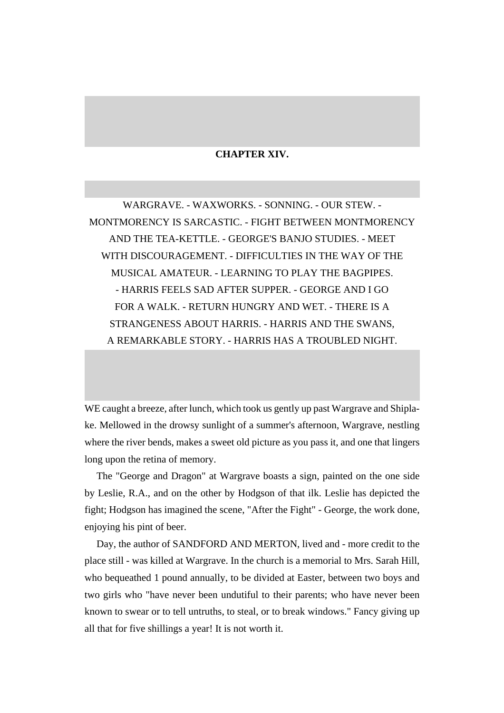## **CHAPTER XIV.**

WARGRAVE. - WAXWORKS. - SONNING. - OUR STEW. - MONTMORENCY IS SARCASTIC. - FIGHT BETWEEN MONTMORENCY AND THE TEA-KETTLE. - GEORGE'S BANJO STUDIES. - MEET WITH DISCOURAGEMENT. - DIFFICULTIES IN THE WAY OF THE MUSICAL AMATEUR. - LEARNING TO PLAY THE BAGPIPES. - HARRIS FEELS SAD AFTER SUPPER. - GEORGE AND I GO FOR A WALK. - RETURN HUNGRY AND WET. - THERE IS A STRANGENESS ABOUT HARRIS. - HARRIS AND THE SWANS, A REMARKABLE STORY. - HARRIS HAS A TROUBLED NIGHT.

WE caught a breeze, after lunch, which took us gently up past Wargrave and Shiplake. Mellowed in the drowsy sunlight of a summer's afternoon, Wargrave, nestling where the river bends, makes a sweet old picture as you pass it, and one that lingers long upon the retina of memory.

The "George and Dragon" at Wargrave boasts a sign, painted on the one side by Leslie, R.A., and on the other by Hodgson of that ilk. Leslie has depicted the fight; Hodgson has imagined the scene, "After the Fight" - George, the work done, enjoying his pint of beer.

Day, the author of SANDFORD AND MERTON, lived and - more credit to the place still - was killed at Wargrave. In the church is a memorial to Mrs. Sarah Hill, who bequeathed 1 pound annually, to be divided at Easter, between two boys and two girls who "have never been undutiful to their parents; who have never been known to swear or to tell untruths, to steal, or to break windows." Fancy giving up all that for five shillings a year! It is not worth it.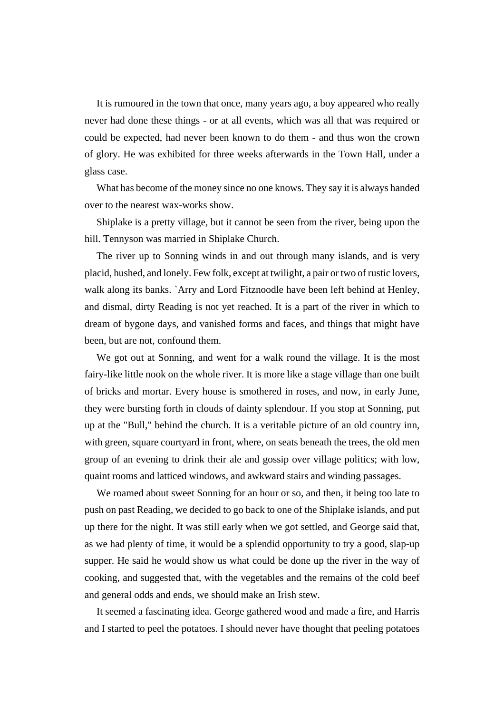It is rumoured in the town that once, many years ago, a boy appeared who really never had done these things - or at all events, which was all that was required or could be expected, had never been known to do them - and thus won the crown of glory. He was exhibited for three weeks afterwards in the Town Hall, under a glass case.

What has become of the money since no one knows. They say it is always handed over to the nearest wax-works show.

Shiplake is a pretty village, but it cannot be seen from the river, being upon the hill. Tennyson was married in Shiplake Church.

The river up to Sonning winds in and out through many islands, and is very placid, hushed, and lonely. Few folk, except at twilight, a pair or two of rustic lovers, walk along its banks. `Arry and Lord Fitznoodle have been left behind at Henley, and dismal, dirty Reading is not yet reached. It is a part of the river in which to dream of bygone days, and vanished forms and faces, and things that might have been, but are not, confound them.

We got out at Sonning, and went for a walk round the village. It is the most fairy-like little nook on the whole river. It is more like a stage village than one built of bricks and mortar. Every house is smothered in roses, and now, in early June, they were bursting forth in clouds of dainty splendour. If you stop at Sonning, put up at the "Bull," behind the church. It is a veritable picture of an old country inn, with green, square courtyard in front, where, on seats beneath the trees, the old men group of an evening to drink their ale and gossip over village politics; with low, quaint rooms and latticed windows, and awkward stairs and winding passages.

We roamed about sweet Sonning for an hour or so, and then, it being too late to push on past Reading, we decided to go back to one of the Shiplake islands, and put up there for the night. It was still early when we got settled, and George said that, as we had plenty of time, it would be a splendid opportunity to try a good, slap-up supper. He said he would show us what could be done up the river in the way of cooking, and suggested that, with the vegetables and the remains of the cold beef and general odds and ends, we should make an Irish stew.

It seemed a fascinating idea. George gathered wood and made a fire, and Harris and I started to peel the potatoes. I should never have thought that peeling potatoes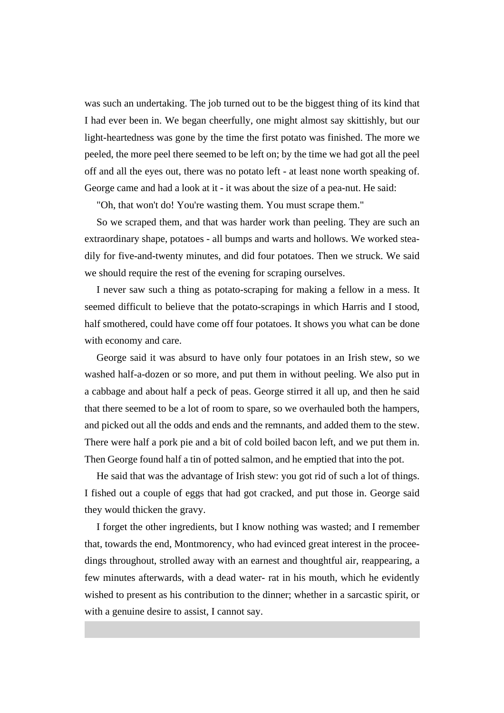was such an undertaking. The job turned out to be the biggest thing of its kind that I had ever been in. We began cheerfully, one might almost say skittishly, but our light-heartedness was gone by the time the first potato was finished. The more we peeled, the more peel there seemed to be left on; by the time we had got all the peel off and all the eyes out, there was no potato left - at least none worth speaking of. George came and had a look at it - it was about the size of a pea-nut. He said:

"Oh, that won't do! You're wasting them. You must scrape them."

So we scraped them, and that was harder work than peeling. They are such an extraordinary shape, potatoes - all bumps and warts and hollows. We worked steadily for five-and-twenty minutes, and did four potatoes. Then we struck. We said we should require the rest of the evening for scraping ourselves.

I never saw such a thing as potato-scraping for making a fellow in a mess. It seemed difficult to believe that the potato-scrapings in which Harris and I stood, half smothered, could have come off four potatoes. It shows you what can be done with economy and care.

George said it was absurd to have only four potatoes in an Irish stew, so we washed half-a-dozen or so more, and put them in without peeling. We also put in a cabbage and about half a peck of peas. George stirred it all up, and then he said that there seemed to be a lot of room to spare, so we overhauled both the hampers, and picked out all the odds and ends and the remnants, and added them to the stew. There were half a pork pie and a bit of cold boiled bacon left, and we put them in. Then George found half a tin of potted salmon, and he emptied that into the pot.

He said that was the advantage of Irish stew: you got rid of such a lot of things. I fished out a couple of eggs that had got cracked, and put those in. George said they would thicken the gravy.

I forget the other ingredients, but I know nothing was wasted; and I remember that, towards the end, Montmorency, who had evinced great interest in the proceedings throughout, strolled away with an earnest and thoughtful air, reappearing, a few minutes afterwards, with a dead water- rat in his mouth, which he evidently wished to present as his contribution to the dinner; whether in a sarcastic spirit, or with a genuine desire to assist, I cannot say.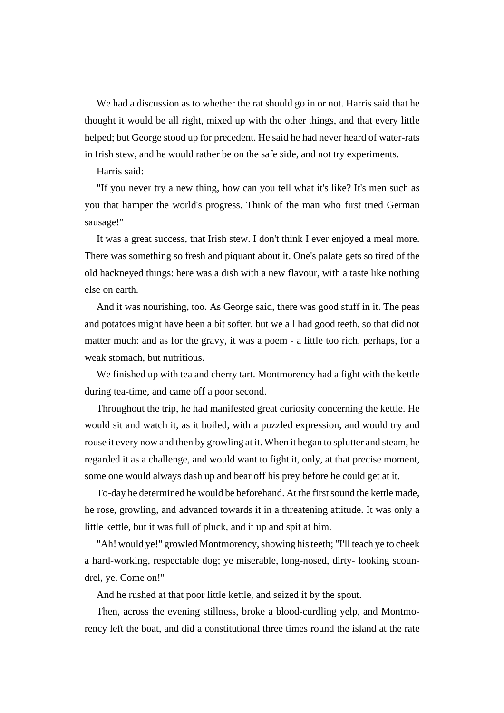We had a discussion as to whether the rat should go in or not. Harris said that he thought it would be all right, mixed up with the other things, and that every little helped; but George stood up for precedent. He said he had never heard of water-rats in Irish stew, and he would rather be on the safe side, and not try experiments.

Harris said:

"If you never try a new thing, how can you tell what it's like? It's men such as you that hamper the world's progress. Think of the man who first tried German sausage!"

It was a great success, that Irish stew. I don't think I ever enjoyed a meal more. There was something so fresh and piquant about it. One's palate gets so tired of the old hackneyed things: here was a dish with a new flavour, with a taste like nothing else on earth.

And it was nourishing, too. As George said, there was good stuff in it. The peas and potatoes might have been a bit softer, but we all had good teeth, so that did not matter much: and as for the gravy, it was a poem - a little too rich, perhaps, for a weak stomach, but nutritious.

We finished up with tea and cherry tart. Montmorency had a fight with the kettle during tea-time, and came off a poor second.

Throughout the trip, he had manifested great curiosity concerning the kettle. He would sit and watch it, as it boiled, with a puzzled expression, and would try and rouse it every now and then by growling at it. When it began to splutter and steam, he regarded it as a challenge, and would want to fight it, only, at that precise moment, some one would always dash up and bear off his prey before he could get at it.

To-day he determined he would be beforehand. At the first sound the kettle made, he rose, growling, and advanced towards it in a threatening attitude. It was only a little kettle, but it was full of pluck, and it up and spit at him.

"Ah! would ye!" growled Montmorency, showing his teeth; "I'll teach ye to cheek a hard-working, respectable dog; ye miserable, long-nosed, dirty- looking scoundrel, ye. Come on!"

And he rushed at that poor little kettle, and seized it by the spout.

Then, across the evening stillness, broke a blood-curdling yelp, and Montmorency left the boat, and did a constitutional three times round the island at the rate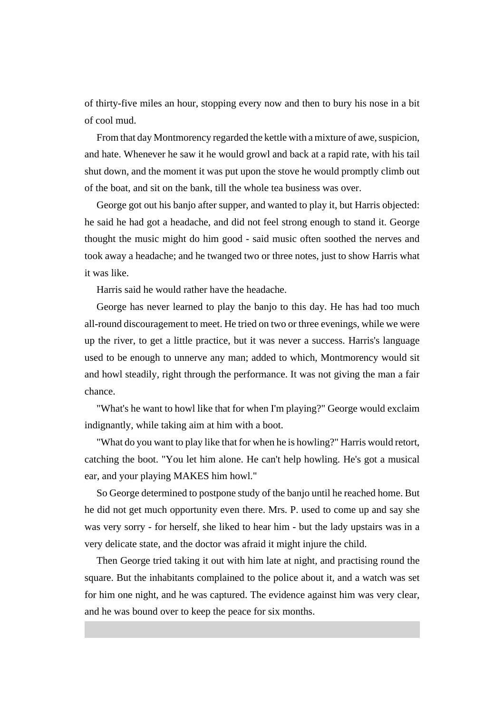of thirty-five miles an hour, stopping every now and then to bury his nose in a bit of cool mud.

From that day Montmorency regarded the kettle with a mixture of awe, suspicion, and hate. Whenever he saw it he would growl and back at a rapid rate, with his tail shut down, and the moment it was put upon the stove he would promptly climb out of the boat, and sit on the bank, till the whole tea business was over.

George got out his banjo after supper, and wanted to play it, but Harris objected: he said he had got a headache, and did not feel strong enough to stand it. George thought the music might do him good - said music often soothed the nerves and took away a headache; and he twanged two or three notes, just to show Harris what it was like.

Harris said he would rather have the headache.

George has never learned to play the banjo to this day. He has had too much all-round discouragement to meet. He tried on two or three evenings, while we were up the river, to get a little practice, but it was never a success. Harris's language used to be enough to unnerve any man; added to which, Montmorency would sit and howl steadily, right through the performance. It was not giving the man a fair chance.

"What's he want to howl like that for when I'm playing?" George would exclaim indignantly, while taking aim at him with a boot.

"What do you want to play like that for when he is howling?" Harris would retort, catching the boot. "You let him alone. He can't help howling. He's got a musical ear, and your playing MAKES him howl."

So George determined to postpone study of the banjo until he reached home. But he did not get much opportunity even there. Mrs. P. used to come up and say she was very sorry - for herself, she liked to hear him - but the lady upstairs was in a very delicate state, and the doctor was afraid it might injure the child.

Then George tried taking it out with him late at night, and practising round the square. But the inhabitants complained to the police about it, and a watch was set for him one night, and he was captured. The evidence against him was very clear, and he was bound over to keep the peace for six months.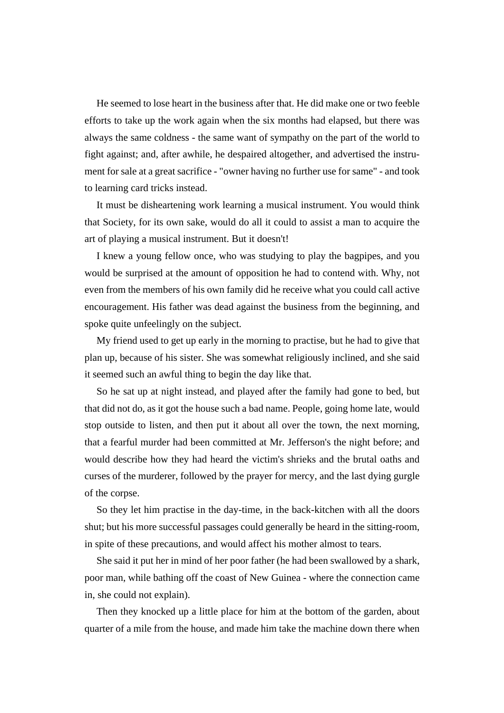He seemed to lose heart in the business after that. He did make one or two feeble efforts to take up the work again when the six months had elapsed, but there was always the same coldness - the same want of sympathy on the part of the world to fight against; and, after awhile, he despaired altogether, and advertised the instrument for sale at a great sacrifice - "owner having no further use for same" - and took to learning card tricks instead.

It must be disheartening work learning a musical instrument. You would think that Society, for its own sake, would do all it could to assist a man to acquire the art of playing a musical instrument. But it doesn't!

I knew a young fellow once, who was studying to play the bagpipes, and you would be surprised at the amount of opposition he had to contend with. Why, not even from the members of his own family did he receive what you could call active encouragement. His father was dead against the business from the beginning, and spoke quite unfeelingly on the subject.

My friend used to get up early in the morning to practise, but he had to give that plan up, because of his sister. She was somewhat religiously inclined, and she said it seemed such an awful thing to begin the day like that.

So he sat up at night instead, and played after the family had gone to bed, but that did not do, as it got the house such a bad name. People, going home late, would stop outside to listen, and then put it about all over the town, the next morning, that a fearful murder had been committed at Mr. Jefferson's the night before; and would describe how they had heard the victim's shrieks and the brutal oaths and curses of the murderer, followed by the prayer for mercy, and the last dying gurgle of the corpse.

So they let him practise in the day-time, in the back-kitchen with all the doors shut; but his more successful passages could generally be heard in the sitting-room, in spite of these precautions, and would affect his mother almost to tears.

She said it put her in mind of her poor father (he had been swallowed by a shark, poor man, while bathing off the coast of New Guinea - where the connection came in, she could not explain).

Then they knocked up a little place for him at the bottom of the garden, about quarter of a mile from the house, and made him take the machine down there when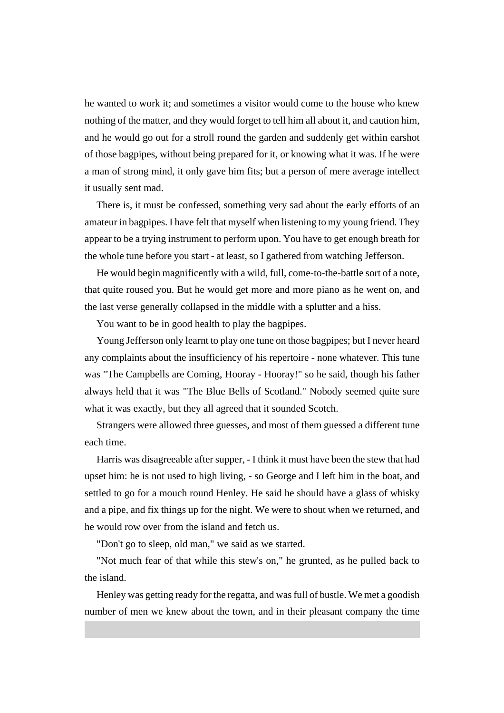he wanted to work it; and sometimes a visitor would come to the house who knew nothing of the matter, and they would forget to tell him all about it, and caution him, and he would go out for a stroll round the garden and suddenly get within earshot of those bagpipes, without being prepared for it, or knowing what it was. If he were a man of strong mind, it only gave him fits; but a person of mere average intellect it usually sent mad.

There is, it must be confessed, something very sad about the early efforts of an amateur in bagpipes. I have felt that myself when listening to my young friend. They appear to be a trying instrument to perform upon. You have to get enough breath for the whole tune before you start - at least, so I gathered from watching Jefferson.

He would begin magnificently with a wild, full, come-to-the-battle sort of a note, that quite roused you. But he would get more and more piano as he went on, and the last verse generally collapsed in the middle with a splutter and a hiss.

You want to be in good health to play the bagpipes.

Young Jefferson only learnt to play one tune on those bagpipes; but I never heard any complaints about the insufficiency of his repertoire - none whatever. This tune was "The Campbells are Coming, Hooray - Hooray!" so he said, though his father always held that it was "The Blue Bells of Scotland." Nobody seemed quite sure what it was exactly, but they all agreed that it sounded Scotch.

Strangers were allowed three guesses, and most of them guessed a different tune each time.

Harris was disagreeable after supper, - I think it must have been the stew that had upset him: he is not used to high living, - so George and I left him in the boat, and settled to go for a mouch round Henley. He said he should have a glass of whisky and a pipe, and fix things up for the night. We were to shout when we returned, and he would row over from the island and fetch us.

"Don't go to sleep, old man," we said as we started.

"Not much fear of that while this stew's on," he grunted, as he pulled back to the island.

Henley was getting ready for the regatta, and was full of bustle. We met a goodish number of men we knew about the town, and in their pleasant company the time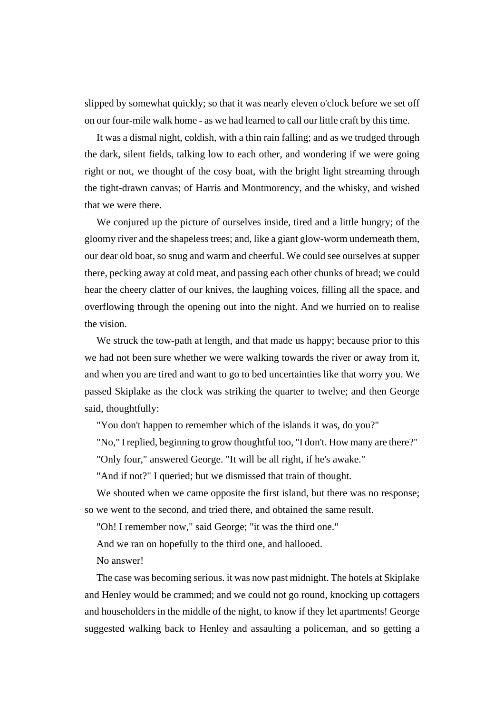slipped by somewhat quickly; so that it was nearly eleven o'clock before we set off on our four-mile walk home - as we had learned to call our little craft by this time.

It was a dismal night, coldish, with a thin rain falling; and as we trudged through the dark, silent fields, talking low to each other, and wondering if we were going right or not, we thought of the cosy boat, with the bright light streaming through the tight-drawn canvas; of Harris and Montmorency, and the whisky, and wished that we were there.

We conjured up the picture of ourselves inside, tired and a little hungry; of the gloomy river and the shapeless trees; and, like a giant glow-worm underneath them, our dear old boat, so snug and warm and cheerful. We could see ourselves at supper there, pecking away at cold meat, and passing each other chunks of bread; we could hear the cheery clatter of our knives, the laughing voices, filling all the space, and overflowing through the opening out into the night. And we hurried on to realise the vision.

We struck the tow-path at length, and that made us happy; because prior to this we had not been sure whether we were walking towards the river or away from it, and when you are tired and want to go to bed uncertainties like that worry you. We passed Skiplake as the clock was striking the quarter to twelve; and then George said, thoughtfully:

"You don't happen to remember which of the islands it was, do you?"

"No," I replied, beginning to grow thoughtful too, "I don't. How many are there?"

"Only four," answered George. "It will be all right, if he's awake."

"And if not?" I queried; but we dismissed that train of thought.

We shouted when we came opposite the first island, but there was no response; so we went to the second, and tried there, and obtained the same result.

"Oh! I remember now," said George; "it was the third one."

And we ran on hopefully to the third one, and hallooed.

No answer!

The case was becoming serious. it was now past midnight. The hotels at Skiplake and Henley would be crammed; and we could not go round, knocking up cottagers and householders in the middle of the night, to know if they let apartments! George suggested walking back to Henley and assaulting a policeman, and so getting a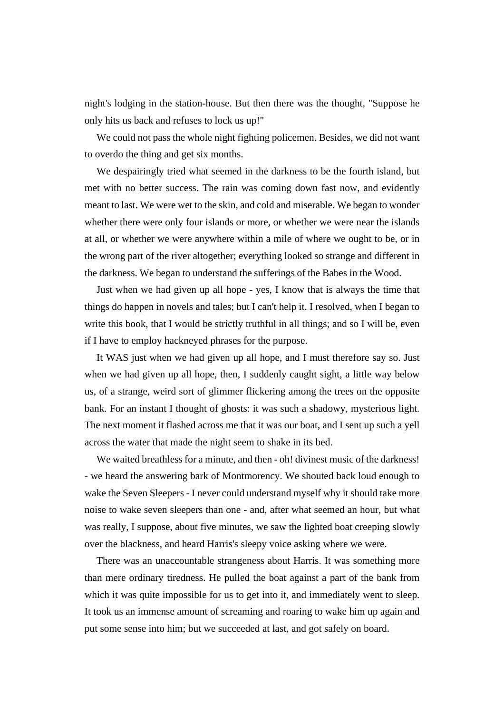night's lodging in the station-house. But then there was the thought, "Suppose he only hits us back and refuses to lock us up!"

We could not pass the whole night fighting policemen. Besides, we did not want to overdo the thing and get six months.

We despairingly tried what seemed in the darkness to be the fourth island, but met with no better success. The rain was coming down fast now, and evidently meant to last. We were wet to the skin, and cold and miserable. We began to wonder whether there were only four islands or more, or whether we were near the islands at all, or whether we were anywhere within a mile of where we ought to be, or in the wrong part of the river altogether; everything looked so strange and different in the darkness. We began to understand the sufferings of the Babes in the Wood.

Just when we had given up all hope - yes, I know that is always the time that things do happen in novels and tales; but I can't help it. I resolved, when I began to write this book, that I would be strictly truthful in all things; and so I will be, even if I have to employ hackneyed phrases for the purpose.

It WAS just when we had given up all hope, and I must therefore say so. Just when we had given up all hope, then, I suddenly caught sight, a little way below us, of a strange, weird sort of glimmer flickering among the trees on the opposite bank. For an instant I thought of ghosts: it was such a shadowy, mysterious light. The next moment it flashed across me that it was our boat, and I sent up such a yell across the water that made the night seem to shake in its bed.

We waited breathless for a minute, and then - oh! divinest music of the darkness! - we heard the answering bark of Montmorency. We shouted back loud enough to wake the Seven Sleepers - I never could understand myself why it should take more noise to wake seven sleepers than one - and, after what seemed an hour, but what was really, I suppose, about five minutes, we saw the lighted boat creeping slowly over the blackness, and heard Harris's sleepy voice asking where we were.

There was an unaccountable strangeness about Harris. It was something more than mere ordinary tiredness. He pulled the boat against a part of the bank from which it was quite impossible for us to get into it, and immediately went to sleep. It took us an immense amount of screaming and roaring to wake him up again and put some sense into him; but we succeeded at last, and got safely on board.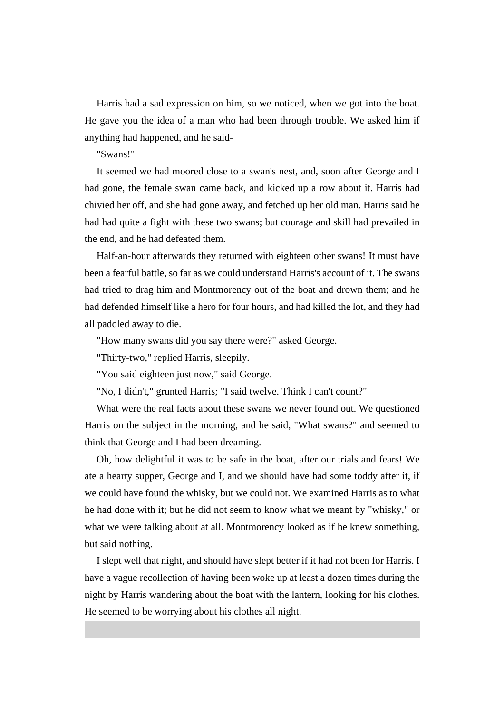Harris had a sad expression on him, so we noticed, when we got into the boat. He gave you the idea of a man who had been through trouble. We asked him if anything had happened, and he said-

"Swans!"

It seemed we had moored close to a swan's nest, and, soon after George and I had gone, the female swan came back, and kicked up a row about it. Harris had chivied her off, and she had gone away, and fetched up her old man. Harris said he had had quite a fight with these two swans; but courage and skill had prevailed in the end, and he had defeated them.

Half-an-hour afterwards they returned with eighteen other swans! It must have been a fearful battle, so far as we could understand Harris's account of it. The swans had tried to drag him and Montmorency out of the boat and drown them; and he had defended himself like a hero for four hours, and had killed the lot, and they had all paddled away to die.

"How many swans did you say there were?" asked George.

"Thirty-two," replied Harris, sleepily.

"You said eighteen just now," said George.

"No, I didn't," grunted Harris; "I said twelve. Think I can't count?"

What were the real facts about these swans we never found out. We questioned Harris on the subject in the morning, and he said, "What swans?" and seemed to think that George and I had been dreaming.

Oh, how delightful it was to be safe in the boat, after our trials and fears! We ate a hearty supper, George and I, and we should have had some toddy after it, if we could have found the whisky, but we could not. We examined Harris as to what he had done with it; but he did not seem to know what we meant by "whisky," or what we were talking about at all. Montmorency looked as if he knew something, but said nothing.

I slept well that night, and should have slept better if it had not been for Harris. I have a vague recollection of having been woke up at least a dozen times during the night by Harris wandering about the boat with the lantern, looking for his clothes. He seemed to be worrying about his clothes all night.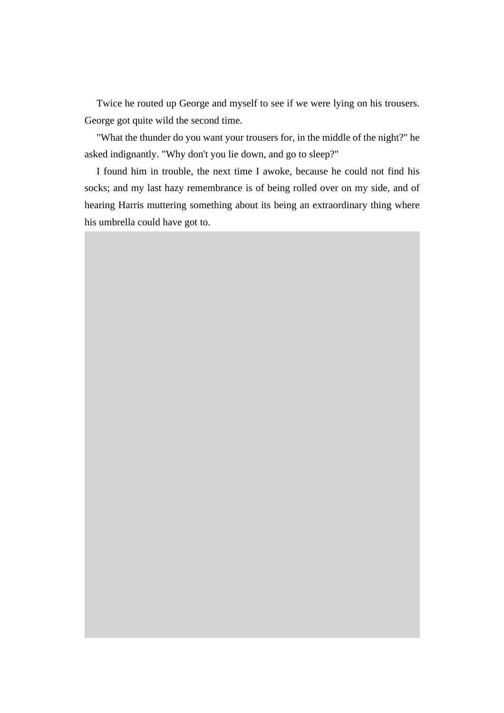Twice he routed up George and myself to see if we were lying on his trousers. George got quite wild the second time.

"What the thunder do you want your trousers for, in the middle of the night?" he asked indignantly. "Why don't you lie down, and go to sleep?"

I found him in trouble, the next time I awoke, because he could not find his socks; and my last hazy remembrance is of being rolled over on my side, and of hearing Harris muttering something about its being an extraordinary thing where his umbrella could have got to.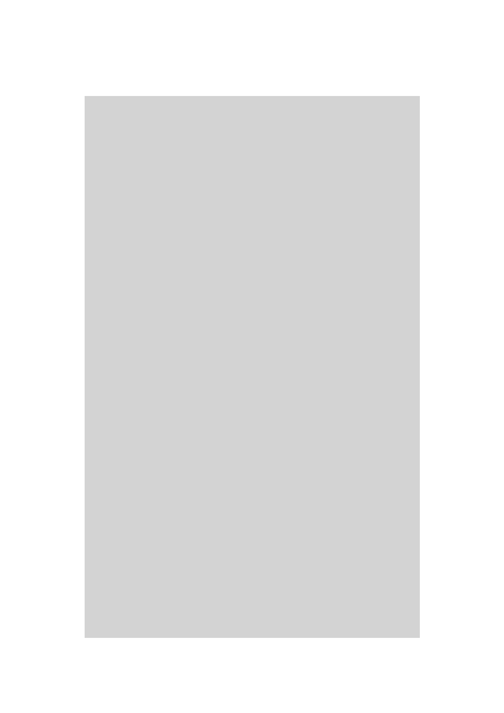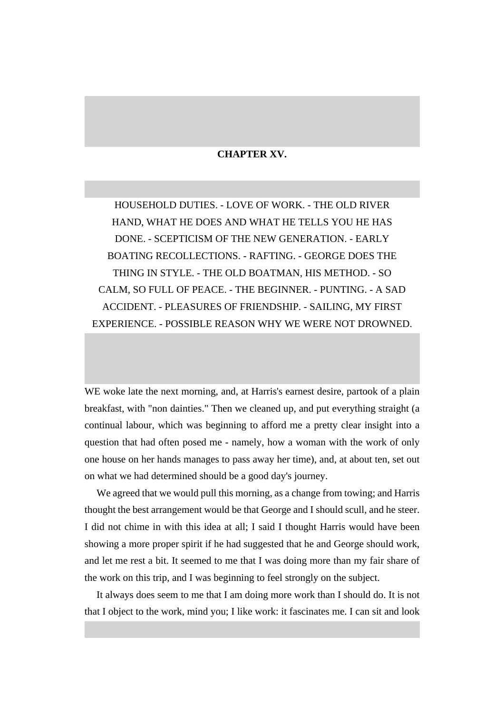## **CHAPTER XV.**

HOUSEHOLD DUTIES. - LOVE OF WORK. - THE OLD RIVER HAND, WHAT HE DOES AND WHAT HE TELLS YOU HE HAS DONE. - SCEPTICISM OF THE NEW GENERATION. - EARLY BOATING RECOLLECTIONS. - RAFTING. - GEORGE DOES THE THING IN STYLE. - THE OLD BOATMAN, HIS METHOD. - SO CALM, SO FULL OF PEACE. - THE BEGINNER. - PUNTING. - A SAD ACCIDENT. - PLEASURES OF FRIENDSHIP. - SAILING, MY FIRST EXPERIENCE. - POSSIBLE REASON WHY WE WERE NOT DROWNED.

WE woke late the next morning, and, at Harris's earnest desire, partook of a plain breakfast, with "non dainties." Then we cleaned up, and put everything straight (a continual labour, which was beginning to afford me a pretty clear insight into a question that had often posed me - namely, how a woman with the work of only one house on her hands manages to pass away her time), and, at about ten, set out on what we had determined should be a good day's journey.

We agreed that we would pull this morning, as a change from towing; and Harris thought the best arrangement would be that George and I should scull, and he steer. I did not chime in with this idea at all; I said I thought Harris would have been showing a more proper spirit if he had suggested that he and George should work, and let me rest a bit. It seemed to me that I was doing more than my fair share of the work on this trip, and I was beginning to feel strongly on the subject.

It always does seem to me that I am doing more work than I should do. It is not that I object to the work, mind you; I like work: it fascinates me. I can sit and look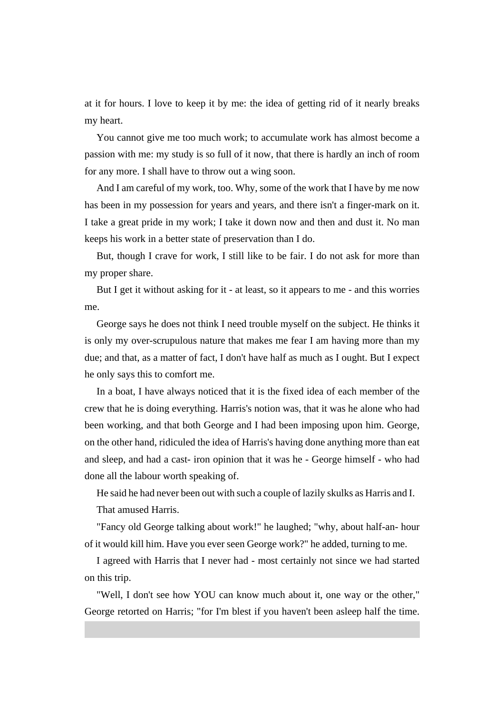at it for hours. I love to keep it by me: the idea of getting rid of it nearly breaks my heart.

You cannot give me too much work; to accumulate work has almost become a passion with me: my study is so full of it now, that there is hardly an inch of room for any more. I shall have to throw out a wing soon.

And I am careful of my work, too. Why, some of the work that I have by me now has been in my possession for years and years, and there isn't a finger-mark on it. I take a great pride in my work; I take it down now and then and dust it. No man keeps his work in a better state of preservation than I do.

But, though I crave for work, I still like to be fair. I do not ask for more than my proper share.

But I get it without asking for it - at least, so it appears to me - and this worries me.

George says he does not think I need trouble myself on the subject. He thinks it is only my over-scrupulous nature that makes me fear I am having more than my due; and that, as a matter of fact, I don't have half as much as I ought. But I expect he only says this to comfort me.

In a boat, I have always noticed that it is the fixed idea of each member of the crew that he is doing everything. Harris's notion was, that it was he alone who had been working, and that both George and I had been imposing upon him. George, on the other hand, ridiculed the idea of Harris's having done anything more than eat and sleep, and had a cast- iron opinion that it was he - George himself - who had done all the labour worth speaking of.

He said he had never been out with such a couple of lazily skulks as Harris and I. That amused Harris.

"Fancy old George talking about work!" he laughed; "why, about half-an- hour of it would kill him. Have you ever seen George work?" he added, turning to me.

I agreed with Harris that I never had - most certainly not since we had started on this trip.

"Well, I don't see how YOU can know much about it, one way or the other," George retorted on Harris; "for I'm blest if you haven't been asleep half the time.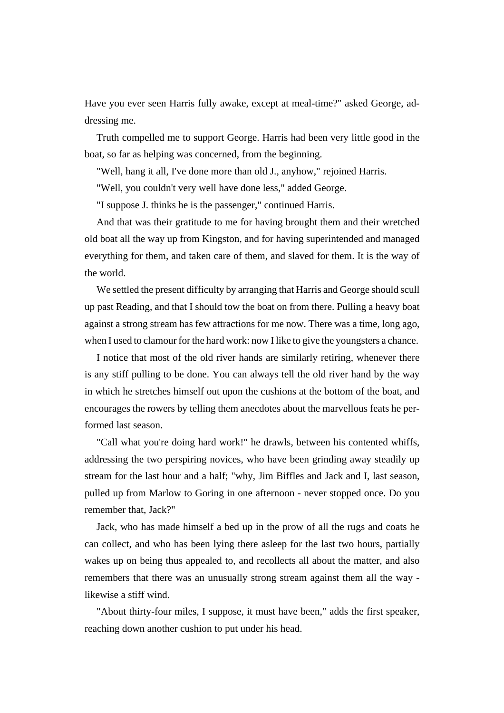Have you ever seen Harris fully awake, except at meal-time?" asked George, addressing me.

Truth compelled me to support George. Harris had been very little good in the boat, so far as helping was concerned, from the beginning.

"Well, hang it all, I've done more than old J., anyhow," rejoined Harris.

"Well, you couldn't very well have done less," added George.

"I suppose J. thinks he is the passenger," continued Harris.

And that was their gratitude to me for having brought them and their wretched old boat all the way up from Kingston, and for having superintended and managed everything for them, and taken care of them, and slaved for them. It is the way of the world.

We settled the present difficulty by arranging that Harris and George should scull up past Reading, and that I should tow the boat on from there. Pulling a heavy boat against a strong stream has few attractions for me now. There was a time, long ago, when I used to clamour for the hard work: now I like to give the youngsters a chance.

I notice that most of the old river hands are similarly retiring, whenever there is any stiff pulling to be done. You can always tell the old river hand by the way in which he stretches himself out upon the cushions at the bottom of the boat, and encourages the rowers by telling them anecdotes about the marvellous feats he performed last season.

"Call what you're doing hard work!" he drawls, between his contented whiffs, addressing the two perspiring novices, who have been grinding away steadily up stream for the last hour and a half; "why, Jim Biffles and Jack and I, last season, pulled up from Marlow to Goring in one afternoon - never stopped once. Do you remember that, Jack?"

Jack, who has made himself a bed up in the prow of all the rugs and coats he can collect, and who has been lying there asleep for the last two hours, partially wakes up on being thus appealed to, and recollects all about the matter, and also remembers that there was an unusually strong stream against them all the way likewise a stiff wind.

"About thirty-four miles, I suppose, it must have been," adds the first speaker, reaching down another cushion to put under his head.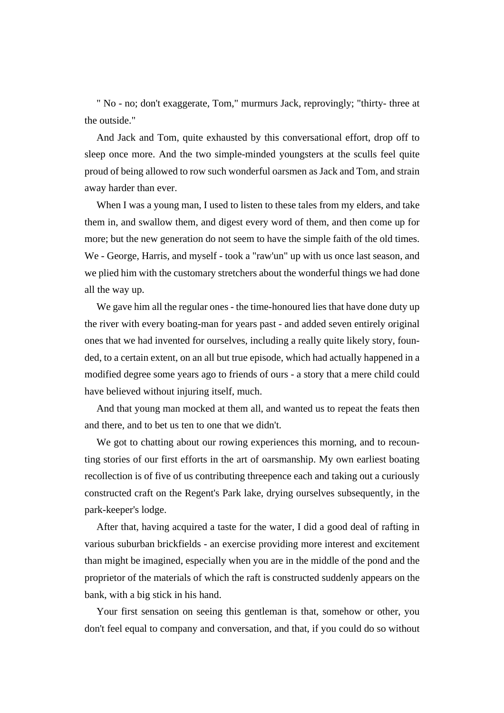" No - no; don't exaggerate, Tom," murmurs Jack, reprovingly; "thirty- three at the outside."

And Jack and Tom, quite exhausted by this conversational effort, drop off to sleep once more. And the two simple-minded youngsters at the sculls feel quite proud of being allowed to row such wonderful oarsmen as Jack and Tom, and strain away harder than ever.

When I was a young man, I used to listen to these tales from my elders, and take them in, and swallow them, and digest every word of them, and then come up for more; but the new generation do not seem to have the simple faith of the old times. We - George, Harris, and myself - took a "raw'un" up with us once last season, and we plied him with the customary stretchers about the wonderful things we had done all the way up.

We gave him all the regular ones - the time-honoured lies that have done duty up the river with every boating-man for years past - and added seven entirely original ones that we had invented for ourselves, including a really quite likely story, founded, to a certain extent, on an all but true episode, which had actually happened in a modified degree some years ago to friends of ours - a story that a mere child could have believed without injuring itself, much.

And that young man mocked at them all, and wanted us to repeat the feats then and there, and to bet us ten to one that we didn't.

We got to chatting about our rowing experiences this morning, and to recounting stories of our first efforts in the art of oarsmanship. My own earliest boating recollection is of five of us contributing threepence each and taking out a curiously constructed craft on the Regent's Park lake, drying ourselves subsequently, in the park-keeper's lodge.

After that, having acquired a taste for the water, I did a good deal of rafting in various suburban brickfields - an exercise providing more interest and excitement than might be imagined, especially when you are in the middle of the pond and the proprietor of the materials of which the raft is constructed suddenly appears on the bank, with a big stick in his hand.

Your first sensation on seeing this gentleman is that, somehow or other, you don't feel equal to company and conversation, and that, if you could do so without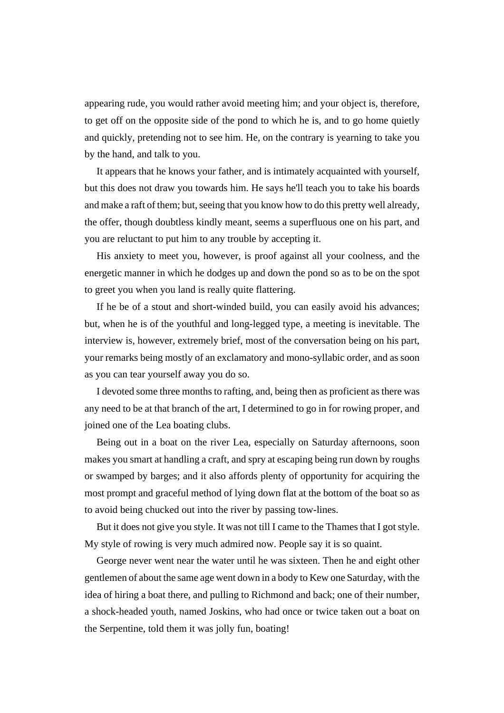appearing rude, you would rather avoid meeting him; and your object is, therefore, to get off on the opposite side of the pond to which he is, and to go home quietly and quickly, pretending not to see him. He, on the contrary is yearning to take you by the hand, and talk to you.

It appears that he knows your father, and is intimately acquainted with yourself, but this does not draw you towards him. He says he'll teach you to take his boards and make a raft of them; but, seeing that you know how to do this pretty well already, the offer, though doubtless kindly meant, seems a superfluous one on his part, and you are reluctant to put him to any trouble by accepting it.

His anxiety to meet you, however, is proof against all your coolness, and the energetic manner in which he dodges up and down the pond so as to be on the spot to greet you when you land is really quite flattering.

If he be of a stout and short-winded build, you can easily avoid his advances; but, when he is of the youthful and long-legged type, a meeting is inevitable. The interview is, however, extremely brief, most of the conversation being on his part, your remarks being mostly of an exclamatory and mono-syllabic order, and as soon as you can tear yourself away you do so.

I devoted some three months to rafting, and, being then as proficient as there was any need to be at that branch of the art, I determined to go in for rowing proper, and joined one of the Lea boating clubs.

Being out in a boat on the river Lea, especially on Saturday afternoons, soon makes you smart at handling a craft, and spry at escaping being run down by roughs or swamped by barges; and it also affords plenty of opportunity for acquiring the most prompt and graceful method of lying down flat at the bottom of the boat so as to avoid being chucked out into the river by passing tow-lines.

But it does not give you style. It was not till I came to the Thames that I got style. My style of rowing is very much admired now. People say it is so quaint.

George never went near the water until he was sixteen. Then he and eight other gentlemen of about the same age went down in a body to Kew one Saturday, with the idea of hiring a boat there, and pulling to Richmond and back; one of their number, a shock-headed youth, named Joskins, who had once or twice taken out a boat on the Serpentine, told them it was jolly fun, boating!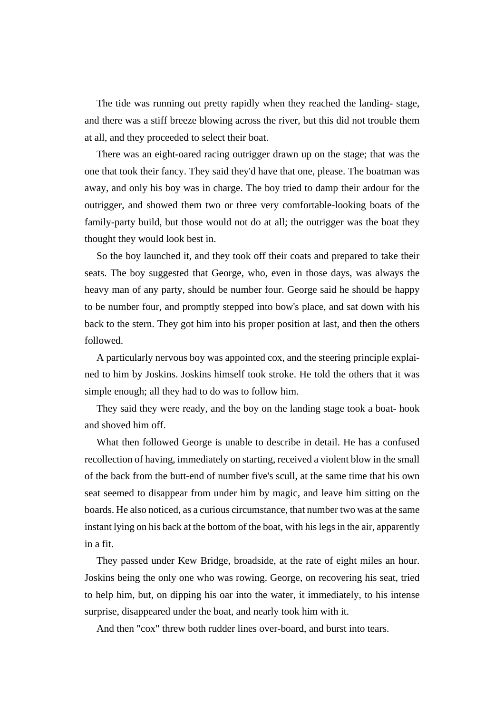The tide was running out pretty rapidly when they reached the landing- stage, and there was a stiff breeze blowing across the river, but this did not trouble them at all, and they proceeded to select their boat.

There was an eight-oared racing outrigger drawn up on the stage; that was the one that took their fancy. They said they'd have that one, please. The boatman was away, and only his boy was in charge. The boy tried to damp their ardour for the outrigger, and showed them two or three very comfortable-looking boats of the family-party build, but those would not do at all; the outrigger was the boat they thought they would look best in.

So the boy launched it, and they took off their coats and prepared to take their seats. The boy suggested that George, who, even in those days, was always the heavy man of any party, should be number four. George said he should be happy to be number four, and promptly stepped into bow's place, and sat down with his back to the stern. They got him into his proper position at last, and then the others followed.

A particularly nervous boy was appointed cox, and the steering principle explained to him by Joskins. Joskins himself took stroke. He told the others that it was simple enough; all they had to do was to follow him.

They said they were ready, and the boy on the landing stage took a boat- hook and shoved him off.

What then followed George is unable to describe in detail. He has a confused recollection of having, immediately on starting, received a violent blow in the small of the back from the butt-end of number five's scull, at the same time that his own seat seemed to disappear from under him by magic, and leave him sitting on the boards. He also noticed, as a curious circumstance, that number two was at the same instant lying on his back at the bottom of the boat, with his legs in the air, apparently in a fit.

They passed under Kew Bridge, broadside, at the rate of eight miles an hour. Joskins being the only one who was rowing. George, on recovering his seat, tried to help him, but, on dipping his oar into the water, it immediately, to his intense surprise, disappeared under the boat, and nearly took him with it.

And then "cox" threw both rudder lines over-board, and burst into tears.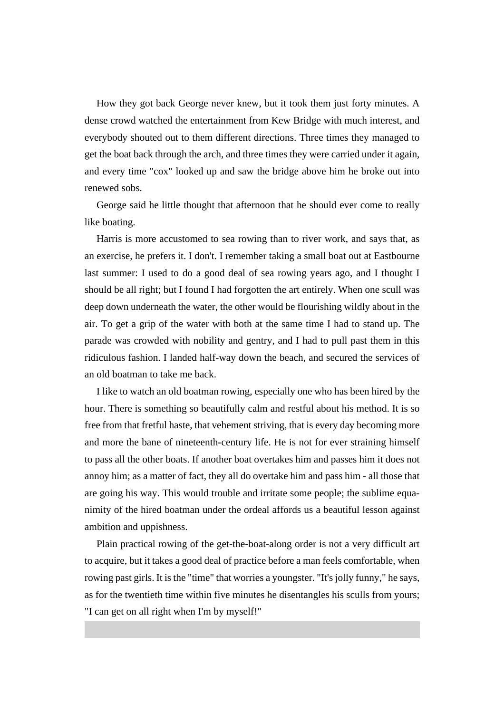How they got back George never knew, but it took them just forty minutes. A dense crowd watched the entertainment from Kew Bridge with much interest, and everybody shouted out to them different directions. Three times they managed to get the boat back through the arch, and three times they were carried under it again, and every time "cox" looked up and saw the bridge above him he broke out into renewed sobs.

George said he little thought that afternoon that he should ever come to really like boating.

Harris is more accustomed to sea rowing than to river work, and says that, as an exercise, he prefers it. I don't. I remember taking a small boat out at Eastbourne last summer: I used to do a good deal of sea rowing years ago, and I thought I should be all right; but I found I had forgotten the art entirely. When one scull was deep down underneath the water, the other would be flourishing wildly about in the air. To get a grip of the water with both at the same time I had to stand up. The parade was crowded with nobility and gentry, and I had to pull past them in this ridiculous fashion. I landed half-way down the beach, and secured the services of an old boatman to take me back.

I like to watch an old boatman rowing, especially one who has been hired by the hour. There is something so beautifully calm and restful about his method. It is so free from that fretful haste, that vehement striving, that is every day becoming more and more the bane of nineteenth-century life. He is not for ever straining himself to pass all the other boats. If another boat overtakes him and passes him it does not annoy him; as a matter of fact, they all do overtake him and pass him - all those that are going his way. This would trouble and irritate some people; the sublime equanimity of the hired boatman under the ordeal affords us a beautiful lesson against ambition and uppishness.

Plain practical rowing of the get-the-boat-along order is not a very difficult art to acquire, but it takes a good deal of practice before a man feels comfortable, when rowing past girls. It is the "time" that worries a youngster. "It's jolly funny," he says, as for the twentieth time within five minutes he disentangles his sculls from yours; "I can get on all right when I'm by myself!"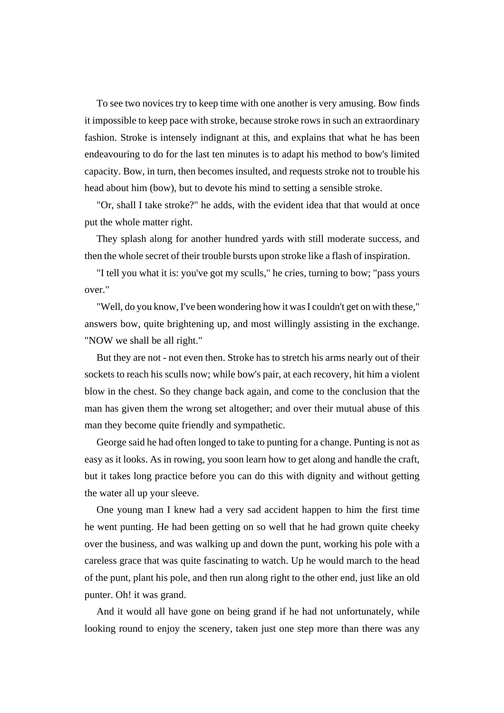To see two novices try to keep time with one another is very amusing. Bow finds it impossible to keep pace with stroke, because stroke rows in such an extraordinary fashion. Stroke is intensely indignant at this, and explains that what he has been endeavouring to do for the last ten minutes is to adapt his method to bow's limited capacity. Bow, in turn, then becomes insulted, and requests stroke not to trouble his head about him (bow), but to devote his mind to setting a sensible stroke.

"Or, shall I take stroke?" he adds, with the evident idea that that would at once put the whole matter right.

They splash along for another hundred yards with still moderate success, and then the whole secret of their trouble bursts upon stroke like a flash of inspiration.

"I tell you what it is: you've got my sculls," he cries, turning to bow; "pass yours over."

"Well, do you know, I've been wondering how it was I couldn't get on with these," answers bow, quite brightening up, and most willingly assisting in the exchange. "NOW we shall be all right."

But they are not - not even then. Stroke has to stretch his arms nearly out of their sockets to reach his sculls now; while bow's pair, at each recovery, hit him a violent blow in the chest. So they change back again, and come to the conclusion that the man has given them the wrong set altogether; and over their mutual abuse of this man they become quite friendly and sympathetic.

George said he had often longed to take to punting for a change. Punting is not as easy as it looks. As in rowing, you soon learn how to get along and handle the craft, but it takes long practice before you can do this with dignity and without getting the water all up your sleeve.

One young man I knew had a very sad accident happen to him the first time he went punting. He had been getting on so well that he had grown quite cheeky over the business, and was walking up and down the punt, working his pole with a careless grace that was quite fascinating to watch. Up he would march to the head of the punt, plant his pole, and then run along right to the other end, just like an old punter. Oh! it was grand.

And it would all have gone on being grand if he had not unfortunately, while looking round to enjoy the scenery, taken just one step more than there was any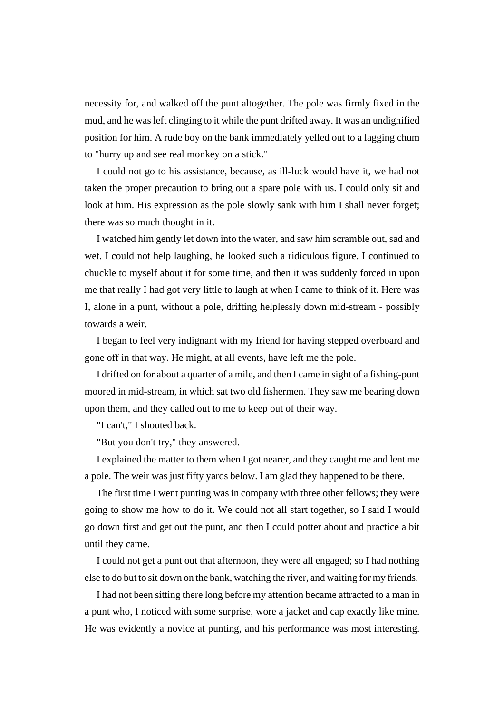necessity for, and walked off the punt altogether. The pole was firmly fixed in the mud, and he was left clinging to it while the punt drifted away. It was an undignified position for him. A rude boy on the bank immediately yelled out to a lagging chum to "hurry up and see real monkey on a stick."

I could not go to his assistance, because, as ill-luck would have it, we had not taken the proper precaution to bring out a spare pole with us. I could only sit and look at him. His expression as the pole slowly sank with him I shall never forget; there was so much thought in it.

I watched him gently let down into the water, and saw him scramble out, sad and wet. I could not help laughing, he looked such a ridiculous figure. I continued to chuckle to myself about it for some time, and then it was suddenly forced in upon me that really I had got very little to laugh at when I came to think of it. Here was I, alone in a punt, without a pole, drifting helplessly down mid-stream - possibly towards a weir.

I began to feel very indignant with my friend for having stepped overboard and gone off in that way. He might, at all events, have left me the pole.

I drifted on for about a quarter of a mile, and then I came in sight of a fishing-punt moored in mid-stream, in which sat two old fishermen. They saw me bearing down upon them, and they called out to me to keep out of their way.

"I can't," I shouted back.

"But you don't try," they answered.

I explained the matter to them when I got nearer, and they caught me and lent me a pole. The weir was just fifty yards below. I am glad they happened to be there.

The first time I went punting was in company with three other fellows; they were going to show me how to do it. We could not all start together, so I said I would go down first and get out the punt, and then I could potter about and practice a bit until they came.

I could not get a punt out that afternoon, they were all engaged; so I had nothing else to do but to sit down on the bank, watching the river, and waiting for my friends.

I had not been sitting there long before my attention became attracted to a man in a punt who, I noticed with some surprise, wore a jacket and cap exactly like mine. He was evidently a novice at punting, and his performance was most interesting.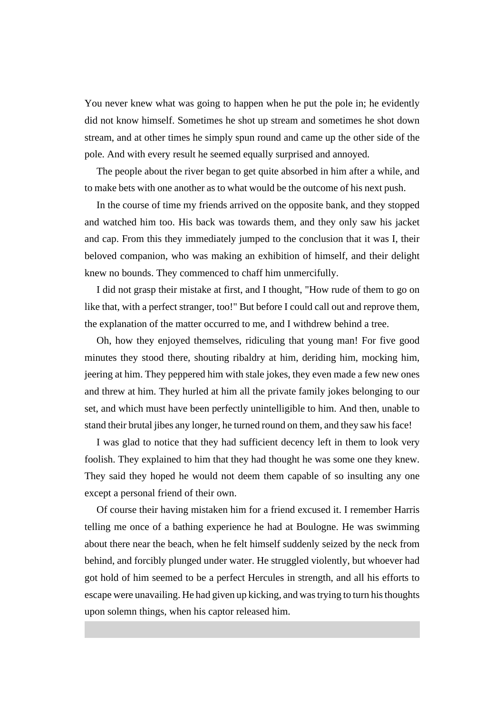You never knew what was going to happen when he put the pole in; he evidently did not know himself. Sometimes he shot up stream and sometimes he shot down stream, and at other times he simply spun round and came up the other side of the pole. And with every result he seemed equally surprised and annoyed.

The people about the river began to get quite absorbed in him after a while, and to make bets with one another as to what would be the outcome of his next push.

In the course of time my friends arrived on the opposite bank, and they stopped and watched him too. His back was towards them, and they only saw his jacket and cap. From this they immediately jumped to the conclusion that it was I, their beloved companion, who was making an exhibition of himself, and their delight knew no bounds. They commenced to chaff him unmercifully.

I did not grasp their mistake at first, and I thought, "How rude of them to go on like that, with a perfect stranger, too!" But before I could call out and reprove them, the explanation of the matter occurred to me, and I withdrew behind a tree.

Oh, how they enjoyed themselves, ridiculing that young man! For five good minutes they stood there, shouting ribaldry at him, deriding him, mocking him, jeering at him. They peppered him with stale jokes, they even made a few new ones and threw at him. They hurled at him all the private family jokes belonging to our set, and which must have been perfectly unintelligible to him. And then, unable to stand their brutal jibes any longer, he turned round on them, and they saw his face!

I was glad to notice that they had sufficient decency left in them to look very foolish. They explained to him that they had thought he was some one they knew. They said they hoped he would not deem them capable of so insulting any one except a personal friend of their own.

Of course their having mistaken him for a friend excused it. I remember Harris telling me once of a bathing experience he had at Boulogne. He was swimming about there near the beach, when he felt himself suddenly seized by the neck from behind, and forcibly plunged under water. He struggled violently, but whoever had got hold of him seemed to be a perfect Hercules in strength, and all his efforts to escape were unavailing. He had given up kicking, and was trying to turn his thoughts upon solemn things, when his captor released him.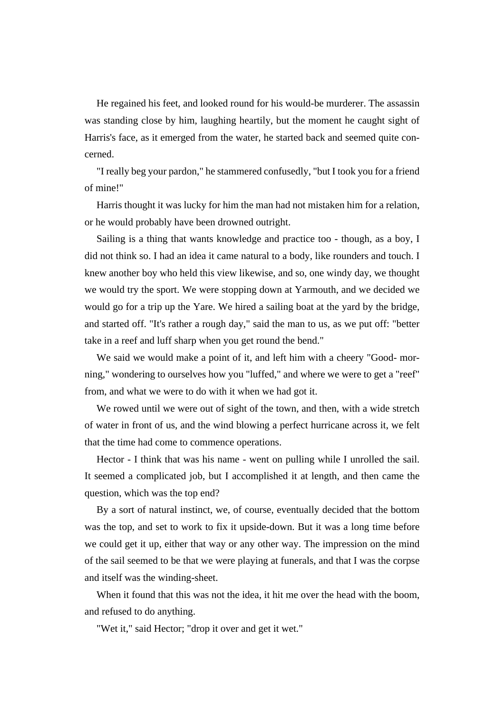He regained his feet, and looked round for his would-be murderer. The assassin was standing close by him, laughing heartily, but the moment he caught sight of Harris's face, as it emerged from the water, he started back and seemed quite concerned.

"I really beg your pardon," he stammered confusedly, "but I took you for a friend of mine!"

Harris thought it was lucky for him the man had not mistaken him for a relation, or he would probably have been drowned outright.

Sailing is a thing that wants knowledge and practice too - though, as a boy, I did not think so. I had an idea it came natural to a body, like rounders and touch. I knew another boy who held this view likewise, and so, one windy day, we thought we would try the sport. We were stopping down at Yarmouth, and we decided we would go for a trip up the Yare. We hired a sailing boat at the yard by the bridge, and started off. "It's rather a rough day," said the man to us, as we put off: "better take in a reef and luff sharp when you get round the bend."

We said we would make a point of it, and left him with a cheery "Good- morning," wondering to ourselves how you "luffed," and where we were to get a "reef" from, and what we were to do with it when we had got it.

We rowed until we were out of sight of the town, and then, with a wide stretch of water in front of us, and the wind blowing a perfect hurricane across it, we felt that the time had come to commence operations.

Hector - I think that was his name - went on pulling while I unrolled the sail. It seemed a complicated job, but I accomplished it at length, and then came the question, which was the top end?

By a sort of natural instinct, we, of course, eventually decided that the bottom was the top, and set to work to fix it upside-down. But it was a long time before we could get it up, either that way or any other way. The impression on the mind of the sail seemed to be that we were playing at funerals, and that I was the corpse and itself was the winding-sheet.

When it found that this was not the idea, it hit me over the head with the boom, and refused to do anything.

"Wet it," said Hector; "drop it over and get it wet."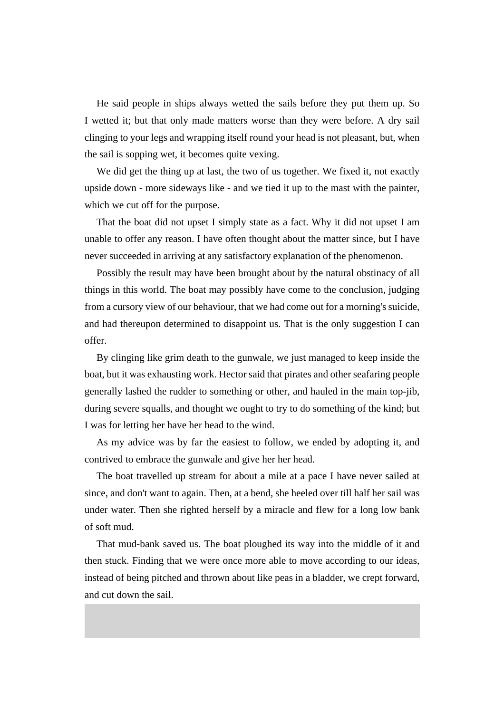He said people in ships always wetted the sails before they put them up. So I wetted it; but that only made matters worse than they were before. A dry sail clinging to your legs and wrapping itself round your head is not pleasant, but, when the sail is sopping wet, it becomes quite vexing.

We did get the thing up at last, the two of us together. We fixed it, not exactly upside down - more sideways like - and we tied it up to the mast with the painter, which we cut off for the purpose.

That the boat did not upset I simply state as a fact. Why it did not upset I am unable to offer any reason. I have often thought about the matter since, but I have never succeeded in arriving at any satisfactory explanation of the phenomenon.

Possibly the result may have been brought about by the natural obstinacy of all things in this world. The boat may possibly have come to the conclusion, judging from a cursory view of our behaviour, that we had come out for a morning's suicide, and had thereupon determined to disappoint us. That is the only suggestion I can offer.

By clinging like grim death to the gunwale, we just managed to keep inside the boat, but it was exhausting work. Hector said that pirates and other seafaring people generally lashed the rudder to something or other, and hauled in the main top-jib, during severe squalls, and thought we ought to try to do something of the kind; but I was for letting her have her head to the wind.

As my advice was by far the easiest to follow, we ended by adopting it, and contrived to embrace the gunwale and give her her head.

The boat travelled up stream for about a mile at a pace I have never sailed at since, and don't want to again. Then, at a bend, she heeled over till half her sail was under water. Then she righted herself by a miracle and flew for a long low bank of soft mud.

That mud-bank saved us. The boat ploughed its way into the middle of it and then stuck. Finding that we were once more able to move according to our ideas, instead of being pitched and thrown about like peas in a bladder, we crept forward, and cut down the sail.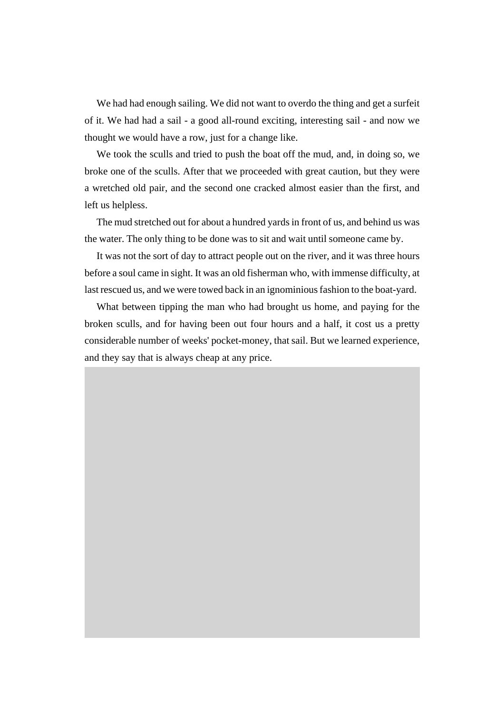We had had enough sailing. We did not want to overdo the thing and get a surfeit of it. We had had a sail - a good all-round exciting, interesting sail - and now we thought we would have a row, just for a change like.

We took the sculls and tried to push the boat off the mud, and, in doing so, we broke one of the sculls. After that we proceeded with great caution, but they were a wretched old pair, and the second one cracked almost easier than the first, and left us helpless.

The mud stretched out for about a hundred yards in front of us, and behind us was the water. The only thing to be done was to sit and wait until someone came by.

It was not the sort of day to attract people out on the river, and it was three hours before a soul came in sight. It was an old fisherman who, with immense difficulty, at last rescued us, and we were towed back in an ignominious fashion to the boat-yard.

What between tipping the man who had brought us home, and paying for the broken sculls, and for having been out four hours and a half, it cost us a pretty considerable number of weeks' pocket-money, that sail. But we learned experience, and they say that is always cheap at any price.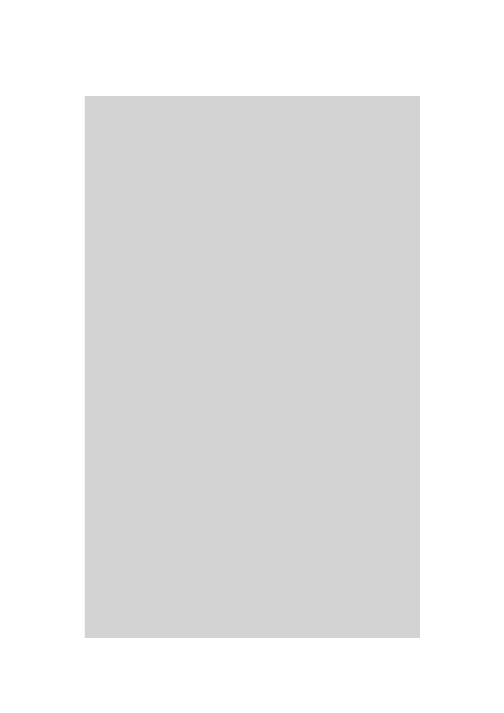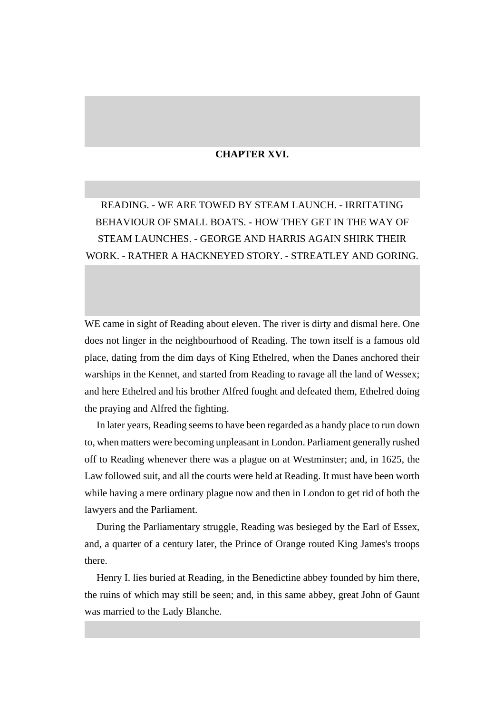### **CHAPTER XVI.**

READING. - WE ARE TOWED BY STEAM LAUNCH. - IRRITATING BEHAVIOUR OF SMALL BOATS. - HOW THEY GET IN THE WAY OF STEAM LAUNCHES. - GEORGE AND HARRIS AGAIN SHIRK THEIR WORK. - RATHER A HACKNEYED STORY. - STREATLEY AND GORING.

WE came in sight of Reading about eleven. The river is dirty and dismal here. One does not linger in the neighbourhood of Reading. The town itself is a famous old place, dating from the dim days of King Ethelred, when the Danes anchored their warships in the Kennet, and started from Reading to ravage all the land of Wessex; and here Ethelred and his brother Alfred fought and defeated them, Ethelred doing the praying and Alfred the fighting.

In later years, Reading seems to have been regarded as a handy place to run down to, when matters were becoming unpleasant in London. Parliament generally rushed off to Reading whenever there was a plague on at Westminster; and, in 1625, the Law followed suit, and all the courts were held at Reading. It must have been worth while having a mere ordinary plague now and then in London to get rid of both the lawyers and the Parliament.

During the Parliamentary struggle, Reading was besieged by the Earl of Essex, and, a quarter of a century later, the Prince of Orange routed King James's troops there.

Henry I. lies buried at Reading, in the Benedictine abbey founded by him there, the ruins of which may still be seen; and, in this same abbey, great John of Gaunt was married to the Lady Blanche.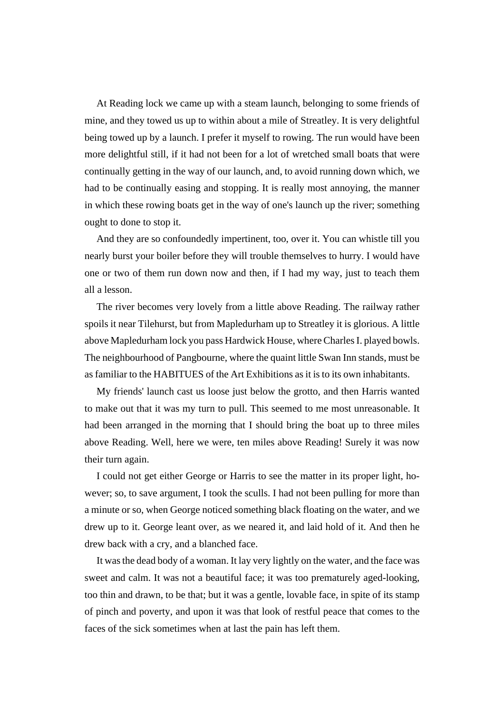At Reading lock we came up with a steam launch, belonging to some friends of mine, and they towed us up to within about a mile of Streatley. It is very delightful being towed up by a launch. I prefer it myself to rowing. The run would have been more delightful still, if it had not been for a lot of wretched small boats that were continually getting in the way of our launch, and, to avoid running down which, we had to be continually easing and stopping. It is really most annoying, the manner in which these rowing boats get in the way of one's launch up the river; something ought to done to stop it.

And they are so confoundedly impertinent, too, over it. You can whistle till you nearly burst your boiler before they will trouble themselves to hurry. I would have one or two of them run down now and then, if I had my way, just to teach them all a lesson.

The river becomes very lovely from a little above Reading. The railway rather spoils it near Tilehurst, but from Mapledurham up to Streatley it is glorious. A little above Mapledurham lock you pass Hardwick House, where Charles I. played bowls. The neighbourhood of Pangbourne, where the quaint little Swan Inn stands, must be as familiar to the HABITUES of the Art Exhibitions as it is to its own inhabitants.

My friends' launch cast us loose just below the grotto, and then Harris wanted to make out that it was my turn to pull. This seemed to me most unreasonable. It had been arranged in the morning that I should bring the boat up to three miles above Reading. Well, here we were, ten miles above Reading! Surely it was now their turn again.

I could not get either George or Harris to see the matter in its proper light, however; so, to save argument, I took the sculls. I had not been pulling for more than a minute or so, when George noticed something black floating on the water, and we drew up to it. George leant over, as we neared it, and laid hold of it. And then he drew back with a cry, and a blanched face.

It was the dead body of a woman. It lay very lightly on the water, and the face was sweet and calm. It was not a beautiful face; it was too prematurely aged-looking, too thin and drawn, to be that; but it was a gentle, lovable face, in spite of its stamp of pinch and poverty, and upon it was that look of restful peace that comes to the faces of the sick sometimes when at last the pain has left them.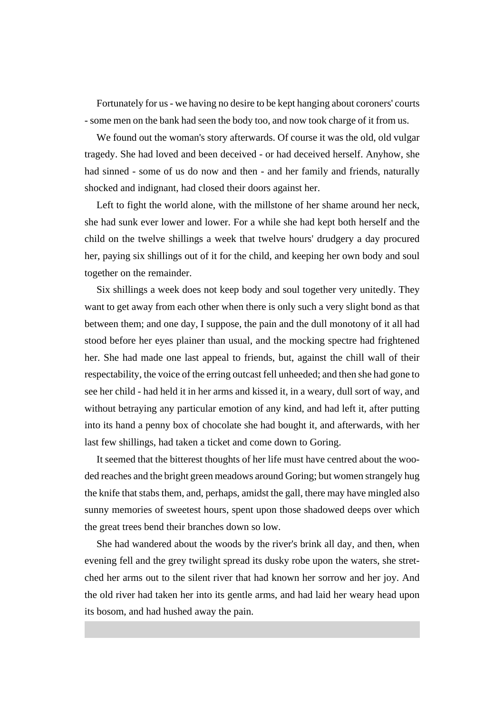Fortunately for us - we having no desire to be kept hanging about coroners' courts - some men on the bank had seen the body too, and now took charge of it from us.

We found out the woman's story afterwards. Of course it was the old, old vulgar tragedy. She had loved and been deceived - or had deceived herself. Anyhow, she had sinned - some of us do now and then - and her family and friends, naturally shocked and indignant, had closed their doors against her.

Left to fight the world alone, with the millstone of her shame around her neck, she had sunk ever lower and lower. For a while she had kept both herself and the child on the twelve shillings a week that twelve hours' drudgery a day procured her, paying six shillings out of it for the child, and keeping her own body and soul together on the remainder.

Six shillings a week does not keep body and soul together very unitedly. They want to get away from each other when there is only such a very slight bond as that between them; and one day, I suppose, the pain and the dull monotony of it all had stood before her eyes plainer than usual, and the mocking spectre had frightened her. She had made one last appeal to friends, but, against the chill wall of their respectability, the voice of the erring outcast fell unheeded; and then she had gone to see her child - had held it in her arms and kissed it, in a weary, dull sort of way, and without betraying any particular emotion of any kind, and had left it, after putting into its hand a penny box of chocolate she had bought it, and afterwards, with her last few shillings, had taken a ticket and come down to Goring.

It seemed that the bitterest thoughts of her life must have centred about the wooded reaches and the bright green meadows around Goring; but women strangely hug the knife that stabs them, and, perhaps, amidst the gall, there may have mingled also sunny memories of sweetest hours, spent upon those shadowed deeps over which the great trees bend their branches down so low.

She had wandered about the woods by the river's brink all day, and then, when evening fell and the grey twilight spread its dusky robe upon the waters, she stretched her arms out to the silent river that had known her sorrow and her joy. And the old river had taken her into its gentle arms, and had laid her weary head upon its bosom, and had hushed away the pain.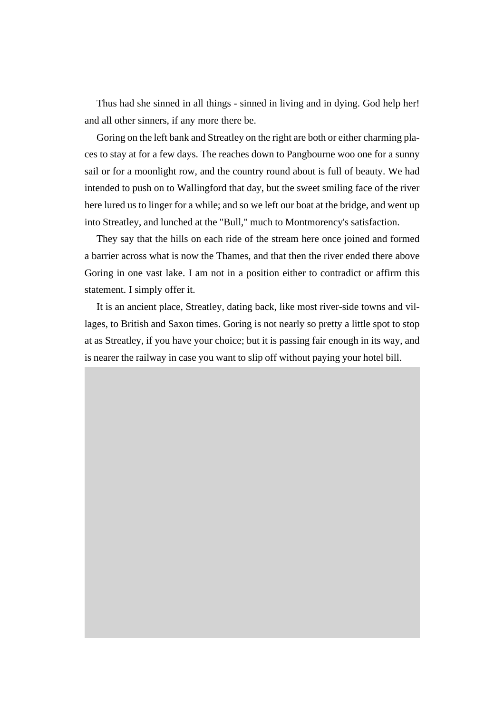Thus had she sinned in all things - sinned in living and in dying. God help her! and all other sinners, if any more there be.

Goring on the left bank and Streatley on the right are both or either charming places to stay at for a few days. The reaches down to Pangbourne woo one for a sunny sail or for a moonlight row, and the country round about is full of beauty. We had intended to push on to Wallingford that day, but the sweet smiling face of the river here lured us to linger for a while; and so we left our boat at the bridge, and went up into Streatley, and lunched at the "Bull," much to Montmorency's satisfaction.

They say that the hills on each ride of the stream here once joined and formed a barrier across what is now the Thames, and that then the river ended there above Goring in one vast lake. I am not in a position either to contradict or affirm this statement. I simply offer it.

It is an ancient place, Streatley, dating back, like most river-side towns and villages, to British and Saxon times. Goring is not nearly so pretty a little spot to stop at as Streatley, if you have your choice; but it is passing fair enough in its way, and is nearer the railway in case you want to slip off without paying your hotel bill.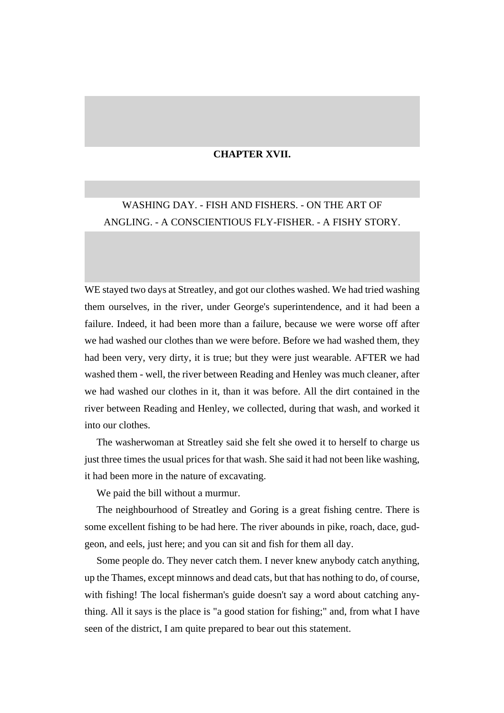## **CHAPTER XVII.**

# WASHING DAY. - FISH AND FISHERS. - ON THE ART OF ANGLING. - A CONSCIENTIOUS FLY-FISHER. - A FISHY STORY.

WE stayed two days at Streatley, and got our clothes washed. We had tried washing them ourselves, in the river, under George's superintendence, and it had been a failure. Indeed, it had been more than a failure, because we were worse off after we had washed our clothes than we were before. Before we had washed them, they had been very, very dirty, it is true; but they were just wearable. AFTER we had washed them - well, the river between Reading and Henley was much cleaner, after we had washed our clothes in it, than it was before. All the dirt contained in the river between Reading and Henley, we collected, during that wash, and worked it into our clothes.

The washerwoman at Streatley said she felt she owed it to herself to charge us just three times the usual prices for that wash. She said it had not been like washing, it had been more in the nature of excavating.

We paid the bill without a murmur.

The neighbourhood of Streatley and Goring is a great fishing centre. There is some excellent fishing to be had here. The river abounds in pike, roach, dace, gudgeon, and eels, just here; and you can sit and fish for them all day.

Some people do. They never catch them. I never knew anybody catch anything, up the Thames, except minnows and dead cats, but that has nothing to do, of course, with fishing! The local fisherman's guide doesn't say a word about catching anything. All it says is the place is "a good station for fishing;" and, from what I have seen of the district, I am quite prepared to bear out this statement.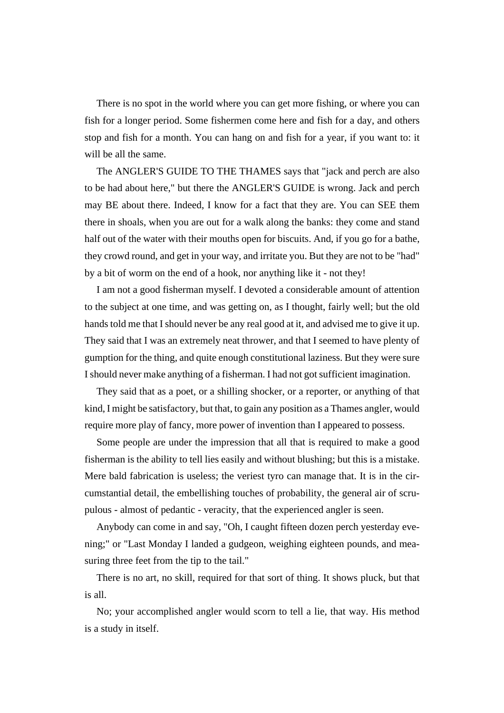There is no spot in the world where you can get more fishing, or where you can fish for a longer period. Some fishermen come here and fish for a day, and others stop and fish for a month. You can hang on and fish for a year, if you want to: it will be all the same.

The ANGLER'S GUIDE TO THE THAMES says that "jack and perch are also to be had about here," but there the ANGLER'S GUIDE is wrong. Jack and perch may BE about there. Indeed, I know for a fact that they are. You can SEE them there in shoals, when you are out for a walk along the banks: they come and stand half out of the water with their mouths open for biscuits. And, if you go for a bathe, they crowd round, and get in your way, and irritate you. But they are not to be "had" by a bit of worm on the end of a hook, nor anything like it - not they!

I am not a good fisherman myself. I devoted a considerable amount of attention to the subject at one time, and was getting on, as I thought, fairly well; but the old hands told me that I should never be any real good at it, and advised me to give it up. They said that I was an extremely neat thrower, and that I seemed to have plenty of gumption for the thing, and quite enough constitutional laziness. But they were sure I should never make anything of a fisherman. I had not got sufficient imagination.

They said that as a poet, or a shilling shocker, or a reporter, or anything of that kind, I might be satisfactory, but that, to gain any position as a Thames angler, would require more play of fancy, more power of invention than I appeared to possess.

Some people are under the impression that all that is required to make a good fisherman is the ability to tell lies easily and without blushing; but this is a mistake. Mere bald fabrication is useless; the veriest tyro can manage that. It is in the circumstantial detail, the embellishing touches of probability, the general air of scrupulous - almost of pedantic - veracity, that the experienced angler is seen.

Anybody can come in and say, "Oh, I caught fifteen dozen perch yesterday evening;" or "Last Monday I landed a gudgeon, weighing eighteen pounds, and measuring three feet from the tip to the tail."

There is no art, no skill, required for that sort of thing. It shows pluck, but that is all.

No; your accomplished angler would scorn to tell a lie, that way. His method is a study in itself.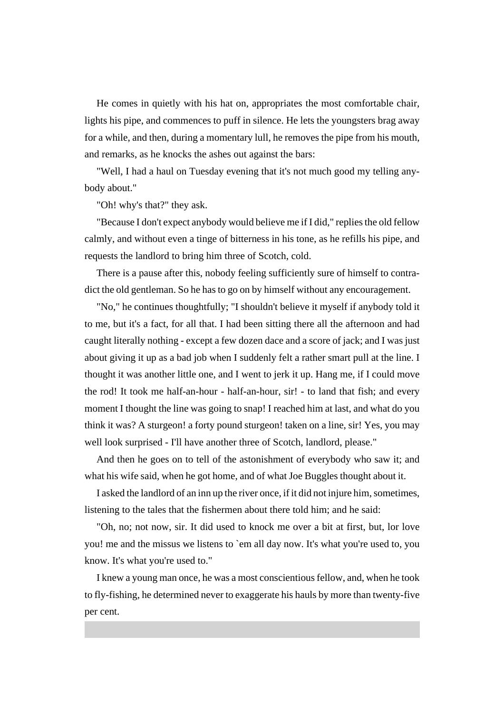He comes in quietly with his hat on, appropriates the most comfortable chair, lights his pipe, and commences to puff in silence. He lets the youngsters brag away for a while, and then, during a momentary lull, he removes the pipe from his mouth, and remarks, as he knocks the ashes out against the bars:

"Well, I had a haul on Tuesday evening that it's not much good my telling anybody about."

"Oh! why's that?" they ask.

"Because I don't expect anybody would believe me if I did," replies the old fellow calmly, and without even a tinge of bitterness in his tone, as he refills his pipe, and requests the landlord to bring him three of Scotch, cold.

There is a pause after this, nobody feeling sufficiently sure of himself to contradict the old gentleman. So he has to go on by himself without any encouragement.

"No," he continues thoughtfully; "I shouldn't believe it myself if anybody told it to me, but it's a fact, for all that. I had been sitting there all the afternoon and had caught literally nothing - except a few dozen dace and a score of jack; and I was just about giving it up as a bad job when I suddenly felt a rather smart pull at the line. I thought it was another little one, and I went to jerk it up. Hang me, if I could move the rod! It took me half-an-hour - half-an-hour, sir! - to land that fish; and every moment I thought the line was going to snap! I reached him at last, and what do you think it was? A sturgeon! a forty pound sturgeon! taken on a line, sir! Yes, you may well look surprised - I'll have another three of Scotch, landlord, please."

And then he goes on to tell of the astonishment of everybody who saw it; and what his wife said, when he got home, and of what Joe Buggles thought about it.

I asked the landlord of an inn up the river once, if it did not injure him, sometimes, listening to the tales that the fishermen about there told him; and he said:

"Oh, no; not now, sir. It did used to knock me over a bit at first, but, lor love you! me and the missus we listens to `em all day now. It's what you're used to, you know. It's what you're used to."

I knew a young man once, he was a most conscientious fellow, and, when he took to fly-fishing, he determined never to exaggerate his hauls by more than twenty-five per cent.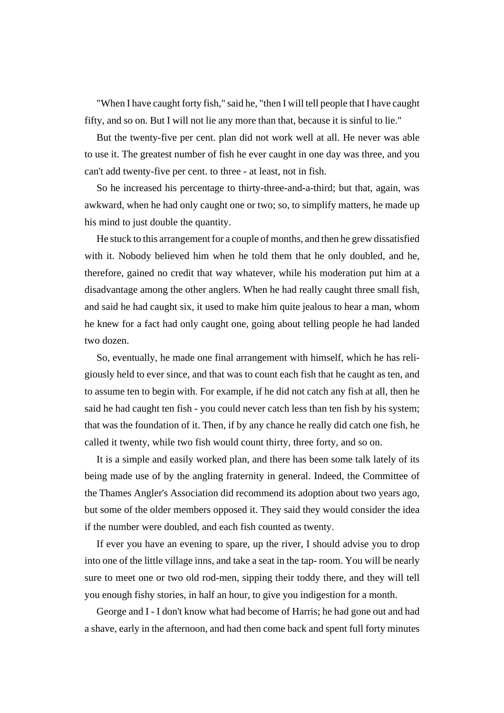"When I have caught forty fish," said he, "then I will tell people that I have caught fifty, and so on. But I will not lie any more than that, because it is sinful to lie."

But the twenty-five per cent. plan did not work well at all. He never was able to use it. The greatest number of fish he ever caught in one day was three, and you can't add twenty-five per cent. to three - at least, not in fish.

So he increased his percentage to thirty-three-and-a-third; but that, again, was awkward, when he had only caught one or two; so, to simplify matters, he made up his mind to just double the quantity.

He stuck to this arrangement for a couple of months, and then he grew dissatisfied with it. Nobody believed him when he told them that he only doubled, and he, therefore, gained no credit that way whatever, while his moderation put him at a disadvantage among the other anglers. When he had really caught three small fish, and said he had caught six, it used to make him quite jealous to hear a man, whom he knew for a fact had only caught one, going about telling people he had landed two dozen.

So, eventually, he made one final arrangement with himself, which he has religiously held to ever since, and that was to count each fish that he caught as ten, and to assume ten to begin with. For example, if he did not catch any fish at all, then he said he had caught ten fish - you could never catch less than ten fish by his system; that was the foundation of it. Then, if by any chance he really did catch one fish, he called it twenty, while two fish would count thirty, three forty, and so on.

It is a simple and easily worked plan, and there has been some talk lately of its being made use of by the angling fraternity in general. Indeed, the Committee of the Thames Angler's Association did recommend its adoption about two years ago, but some of the older members opposed it. They said they would consider the idea if the number were doubled, and each fish counted as twenty.

If ever you have an evening to spare, up the river, I should advise you to drop into one of the little village inns, and take a seat in the tap- room. You will be nearly sure to meet one or two old rod-men, sipping their toddy there, and they will tell you enough fishy stories, in half an hour, to give you indigestion for a month.

George and I - I don't know what had become of Harris; he had gone out and had a shave, early in the afternoon, and had then come back and spent full forty minutes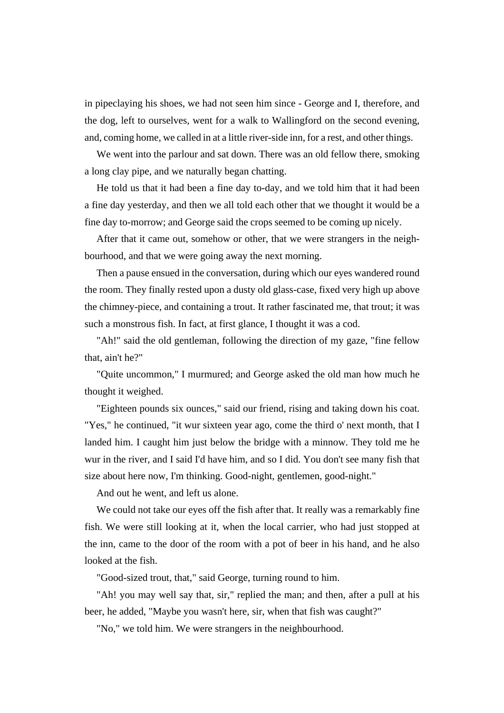in pipeclaying his shoes, we had not seen him since - George and I, therefore, and the dog, left to ourselves, went for a walk to Wallingford on the second evening, and, coming home, we called in at a little river-side inn, for a rest, and other things.

We went into the parlour and sat down. There was an old fellow there, smoking a long clay pipe, and we naturally began chatting.

He told us that it had been a fine day to-day, and we told him that it had been a fine day yesterday, and then we all told each other that we thought it would be a fine day to-morrow; and George said the crops seemed to be coming up nicely.

After that it came out, somehow or other, that we were strangers in the neighbourhood, and that we were going away the next morning.

Then a pause ensued in the conversation, during which our eyes wandered round the room. They finally rested upon a dusty old glass-case, fixed very high up above the chimney-piece, and containing a trout. It rather fascinated me, that trout; it was such a monstrous fish. In fact, at first glance, I thought it was a cod.

"Ah!" said the old gentleman, following the direction of my gaze, "fine fellow that, ain't he?"

"Quite uncommon," I murmured; and George asked the old man how much he thought it weighed.

"Eighteen pounds six ounces," said our friend, rising and taking down his coat. "Yes," he continued, "it wur sixteen year ago, come the third o' next month, that I landed him. I caught him just below the bridge with a minnow. They told me he wur in the river, and I said I'd have him, and so I did. You don't see many fish that size about here now, I'm thinking. Good-night, gentlemen, good-night."

And out he went, and left us alone.

We could not take our eyes off the fish after that. It really was a remarkably fine fish. We were still looking at it, when the local carrier, who had just stopped at the inn, came to the door of the room with a pot of beer in his hand, and he also looked at the fish.

"Good-sized trout, that," said George, turning round to him.

"Ah! you may well say that, sir," replied the man; and then, after a pull at his beer, he added, "Maybe you wasn't here, sir, when that fish was caught?"

"No," we told him. We were strangers in the neighbourhood.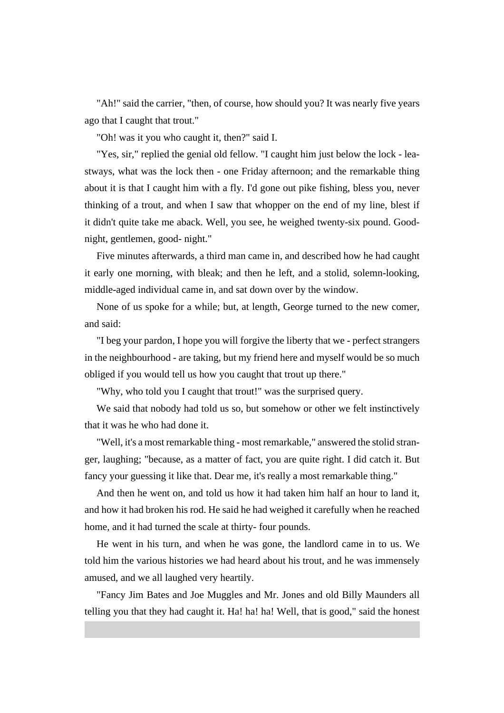"Ah!" said the carrier, "then, of course, how should you? It was nearly five years ago that I caught that trout."

"Oh! was it you who caught it, then?" said I.

"Yes, sir," replied the genial old fellow. "I caught him just below the lock - leastways, what was the lock then - one Friday afternoon; and the remarkable thing about it is that I caught him with a fly. I'd gone out pike fishing, bless you, never thinking of a trout, and when I saw that whopper on the end of my line, blest if it didn't quite take me aback. Well, you see, he weighed twenty-six pound. Goodnight, gentlemen, good- night."

Five minutes afterwards, a third man came in, and described how he had caught it early one morning, with bleak; and then he left, and a stolid, solemn-looking, middle-aged individual came in, and sat down over by the window.

None of us spoke for a while; but, at length, George turned to the new comer, and said:

"I beg your pardon, I hope you will forgive the liberty that we - perfect strangers in the neighbourhood - are taking, but my friend here and myself would be so much obliged if you would tell us how you caught that trout up there."

"Why, who told you I caught that trout!" was the surprised query.

We said that nobody had told us so, but somehow or other we felt instinctively that it was he who had done it.

"Well, it's a most remarkable thing - most remarkable," answered the stolid stranger, laughing; "because, as a matter of fact, you are quite right. I did catch it. But fancy your guessing it like that. Dear me, it's really a most remarkable thing."

And then he went on, and told us how it had taken him half an hour to land it, and how it had broken his rod. He said he had weighed it carefully when he reached home, and it had turned the scale at thirty- four pounds.

He went in his turn, and when he was gone, the landlord came in to us. We told him the various histories we had heard about his trout, and he was immensely amused, and we all laughed very heartily.

"Fancy Jim Bates and Joe Muggles and Mr. Jones and old Billy Maunders all telling you that they had caught it. Ha! ha! ha! Well, that is good," said the honest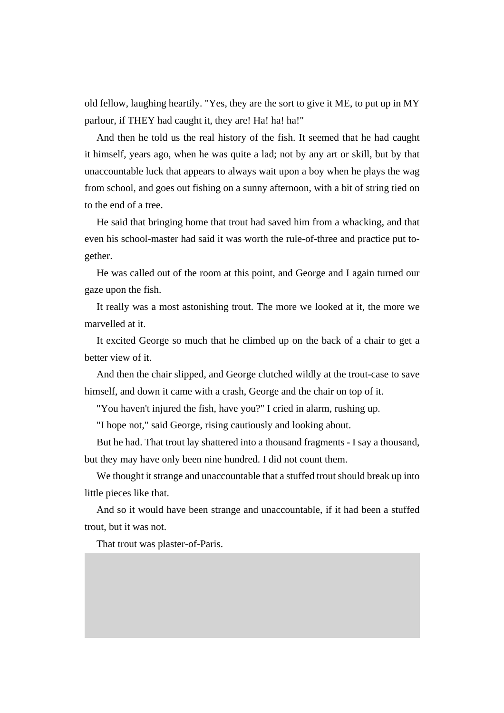old fellow, laughing heartily. "Yes, they are the sort to give it ME, to put up in MY parlour, if THEY had caught it, they are! Ha! ha! ha!"

And then he told us the real history of the fish. It seemed that he had caught it himself, years ago, when he was quite a lad; not by any art or skill, but by that unaccountable luck that appears to always wait upon a boy when he plays the wag from school, and goes out fishing on a sunny afternoon, with a bit of string tied on to the end of a tree.

He said that bringing home that trout had saved him from a whacking, and that even his school-master had said it was worth the rule-of-three and practice put together.

He was called out of the room at this point, and George and I again turned our gaze upon the fish.

It really was a most astonishing trout. The more we looked at it, the more we marvelled at it.

It excited George so much that he climbed up on the back of a chair to get a better view of it.

And then the chair slipped, and George clutched wildly at the trout-case to save himself, and down it came with a crash, George and the chair on top of it.

"You haven't injured the fish, have you?" I cried in alarm, rushing up.

"I hope not," said George, rising cautiously and looking about.

But he had. That trout lay shattered into a thousand fragments - I say a thousand, but they may have only been nine hundred. I did not count them.

We thought it strange and unaccountable that a stuffed trout should break up into little pieces like that.

And so it would have been strange and unaccountable, if it had been a stuffed trout, but it was not.

That trout was plaster-of-Paris.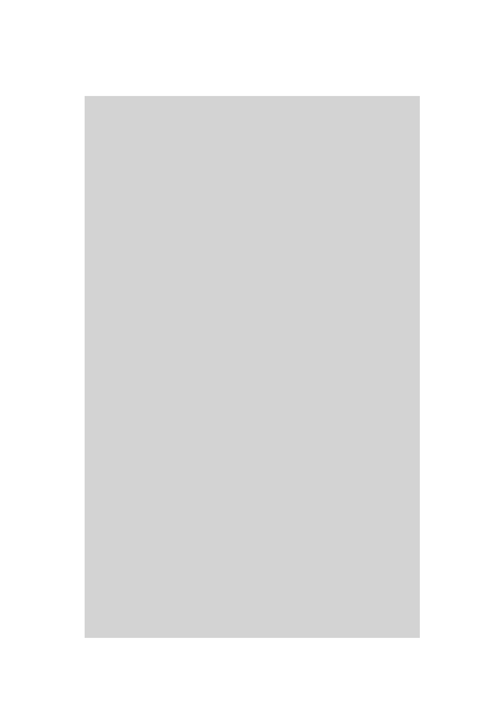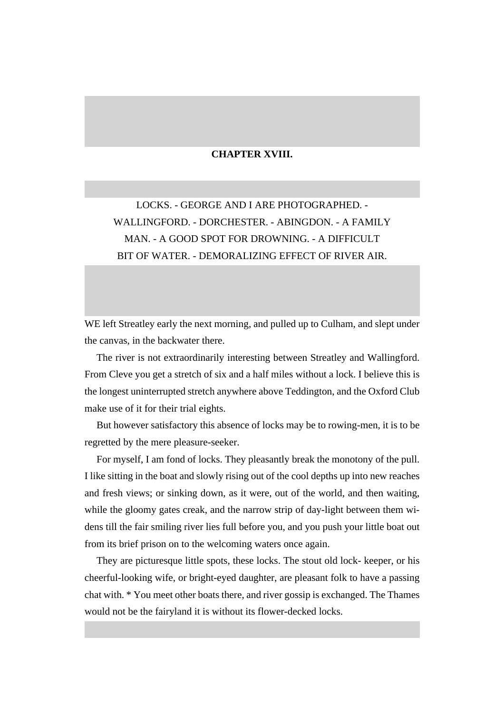### **CHAPTER XVIII.**

LOCKS. - GEORGE AND I ARE PHOTOGRAPHED. - WALLINGFORD. - DORCHESTER. - ABINGDON. - A FAMILY MAN. - A GOOD SPOT FOR DROWNING. - A DIFFICULT BIT OF WATER. - DEMORALIZING EFFECT OF RIVER AIR.

WE left Streatley early the next morning, and pulled up to Culham, and slept under the canvas, in the backwater there.

The river is not extraordinarily interesting between Streatley and Wallingford. From Cleve you get a stretch of six and a half miles without a lock. I believe this is the longest uninterrupted stretch anywhere above Teddington, and the Oxford Club make use of it for their trial eights.

But however satisfactory this absence of locks may be to rowing-men, it is to be regretted by the mere pleasure-seeker.

For myself, I am fond of locks. They pleasantly break the monotony of the pull. I like sitting in the boat and slowly rising out of the cool depths up into new reaches and fresh views; or sinking down, as it were, out of the world, and then waiting, while the gloomy gates creak, and the narrow strip of day-light between them widens till the fair smiling river lies full before you, and you push your little boat out from its brief prison on to the welcoming waters once again.

They are picturesque little spots, these locks. The stout old lock- keeper, or his cheerful-looking wife, or bright-eyed daughter, are pleasant folk to have a passing chat with. \* You meet other boats there, and river gossip is exchanged. The Thames would not be the fairyland it is without its flower-decked locks.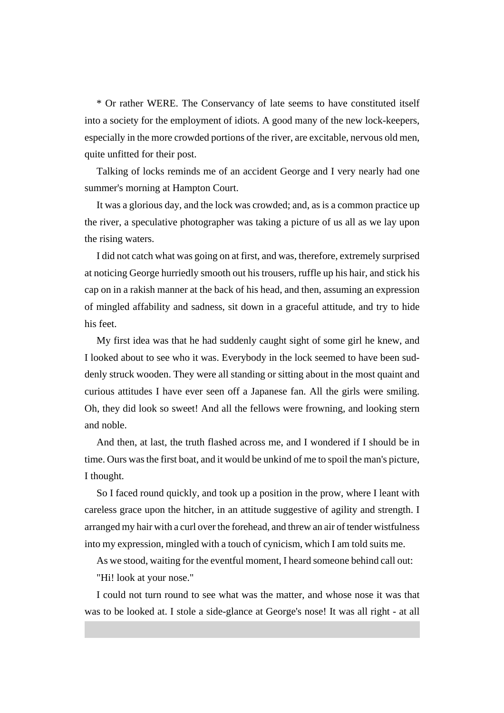\* Or rather WERE. The Conservancy of late seems to have constituted itself into a society for the employment of idiots. A good many of the new lock-keepers, especially in the more crowded portions of the river, are excitable, nervous old men, quite unfitted for their post.

Talking of locks reminds me of an accident George and I very nearly had one summer's morning at Hampton Court.

It was a glorious day, and the lock was crowded; and, as is a common practice up the river, a speculative photographer was taking a picture of us all as we lay upon the rising waters.

I did not catch what was going on at first, and was, therefore, extremely surprised at noticing George hurriedly smooth out his trousers, ruffle up his hair, and stick his cap on in a rakish manner at the back of his head, and then, assuming an expression of mingled affability and sadness, sit down in a graceful attitude, and try to hide his feet.

My first idea was that he had suddenly caught sight of some girl he knew, and I looked about to see who it was. Everybody in the lock seemed to have been suddenly struck wooden. They were all standing or sitting about in the most quaint and curious attitudes I have ever seen off a Japanese fan. All the girls were smiling. Oh, they did look so sweet! And all the fellows were frowning, and looking stern and noble.

And then, at last, the truth flashed across me, and I wondered if I should be in time. Ours was the first boat, and it would be unkind of me to spoil the man's picture, I thought.

So I faced round quickly, and took up a position in the prow, where I leant with careless grace upon the hitcher, in an attitude suggestive of agility and strength. I arranged my hair with a curl over the forehead, and threw an air of tender wistfulness into my expression, mingled with a touch of cynicism, which I am told suits me.

As we stood, waiting for the eventful moment, I heard someone behind call out:

"Hi! look at your nose."

I could not turn round to see what was the matter, and whose nose it was that was to be looked at. I stole a side-glance at George's nose! It was all right - at all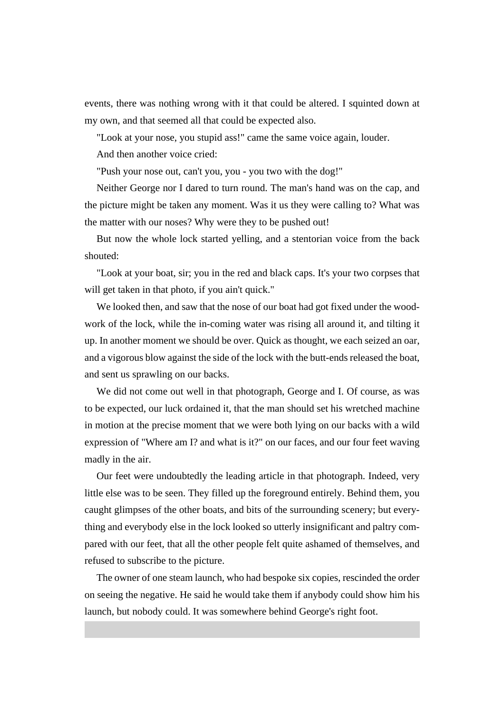events, there was nothing wrong with it that could be altered. I squinted down at my own, and that seemed all that could be expected also.

"Look at your nose, you stupid ass!" came the same voice again, louder.

And then another voice cried:

"Push your nose out, can't you, you - you two with the dog!"

Neither George nor I dared to turn round. The man's hand was on the cap, and the picture might be taken any moment. Was it us they were calling to? What was the matter with our noses? Why were they to be pushed out!

But now the whole lock started yelling, and a stentorian voice from the back shouted:

"Look at your boat, sir; you in the red and black caps. It's your two corpses that will get taken in that photo, if you ain't quick."

We looked then, and saw that the nose of our boat had got fixed under the woodwork of the lock, while the in-coming water was rising all around it, and tilting it up. In another moment we should be over. Quick as thought, we each seized an oar, and a vigorous blow against the side of the lock with the butt-ends released the boat, and sent us sprawling on our backs.

We did not come out well in that photograph, George and I. Of course, as was to be expected, our luck ordained it, that the man should set his wretched machine in motion at the precise moment that we were both lying on our backs with a wild expression of "Where am I? and what is it?" on our faces, and our four feet waving madly in the air.

Our feet were undoubtedly the leading article in that photograph. Indeed, very little else was to be seen. They filled up the foreground entirely. Behind them, you caught glimpses of the other boats, and bits of the surrounding scenery; but everything and everybody else in the lock looked so utterly insignificant and paltry compared with our feet, that all the other people felt quite ashamed of themselves, and refused to subscribe to the picture.

The owner of one steam launch, who had bespoke six copies, rescinded the order on seeing the negative. He said he would take them if anybody could show him his launch, but nobody could. It was somewhere behind George's right foot.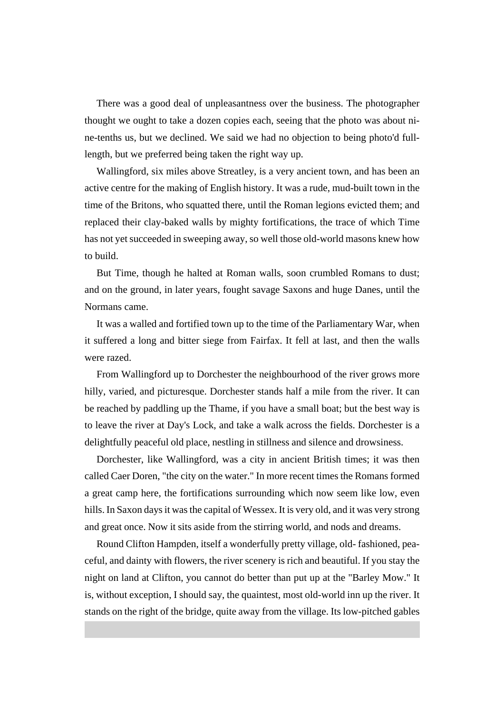There was a good deal of unpleasantness over the business. The photographer thought we ought to take a dozen copies each, seeing that the photo was about nine-tenths us, but we declined. We said we had no objection to being photo'd fulllength, but we preferred being taken the right way up.

Wallingford, six miles above Streatley, is a very ancient town, and has been an active centre for the making of English history. It was a rude, mud-built town in the time of the Britons, who squatted there, until the Roman legions evicted them; and replaced their clay-baked walls by mighty fortifications, the trace of which Time has not yet succeeded in sweeping away, so well those old-world masons knew how to build.

But Time, though he halted at Roman walls, soon crumbled Romans to dust; and on the ground, in later years, fought savage Saxons and huge Danes, until the Normans came.

It was a walled and fortified town up to the time of the Parliamentary War, when it suffered a long and bitter siege from Fairfax. It fell at last, and then the walls were razed.

From Wallingford up to Dorchester the neighbourhood of the river grows more hilly, varied, and picturesque. Dorchester stands half a mile from the river. It can be reached by paddling up the Thame, if you have a small boat; but the best way is to leave the river at Day's Lock, and take a walk across the fields. Dorchester is a delightfully peaceful old place, nestling in stillness and silence and drowsiness.

Dorchester, like Wallingford, was a city in ancient British times; it was then called Caer Doren, "the city on the water." In more recent times the Romans formed a great camp here, the fortifications surrounding which now seem like low, even hills. In Saxon days it was the capital of Wessex. It is very old, and it was very strong and great once. Now it sits aside from the stirring world, and nods and dreams.

Round Clifton Hampden, itself a wonderfully pretty village, old- fashioned, peaceful, and dainty with flowers, the river scenery is rich and beautiful. If you stay the night on land at Clifton, you cannot do better than put up at the "Barley Mow." It is, without exception, I should say, the quaintest, most old-world inn up the river. It stands on the right of the bridge, quite away from the village. Its low-pitched gables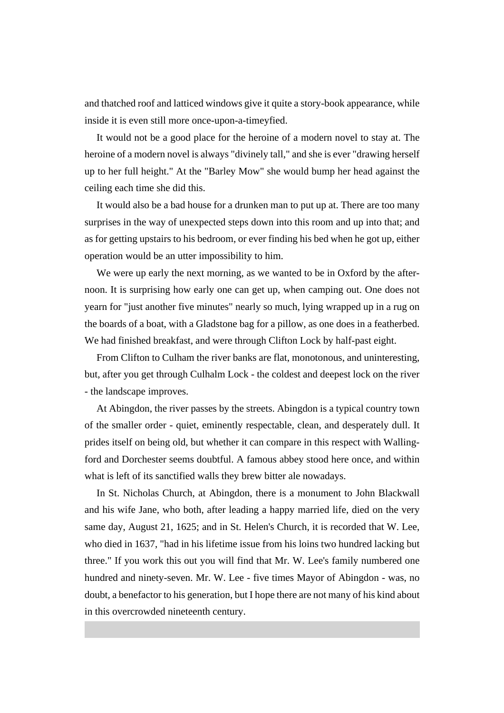and thatched roof and latticed windows give it quite a story-book appearance, while inside it is even still more once-upon-a-timeyfied.

It would not be a good place for the heroine of a modern novel to stay at. The heroine of a modern novel is always "divinely tall," and she is ever "drawing herself up to her full height." At the "Barley Mow" she would bump her head against the ceiling each time she did this.

It would also be a bad house for a drunken man to put up at. There are too many surprises in the way of unexpected steps down into this room and up into that; and as for getting upstairs to his bedroom, or ever finding his bed when he got up, either operation would be an utter impossibility to him.

We were up early the next morning, as we wanted to be in Oxford by the afternoon. It is surprising how early one can get up, when camping out. One does not yearn for "just another five minutes" nearly so much, lying wrapped up in a rug on the boards of a boat, with a Gladstone bag for a pillow, as one does in a featherbed. We had finished breakfast, and were through Clifton Lock by half-past eight.

From Clifton to Culham the river banks are flat, monotonous, and uninteresting, but, after you get through Culhalm Lock - the coldest and deepest lock on the river - the landscape improves.

At Abingdon, the river passes by the streets. Abingdon is a typical country town of the smaller order - quiet, eminently respectable, clean, and desperately dull. It prides itself on being old, but whether it can compare in this respect with Wallingford and Dorchester seems doubtful. A famous abbey stood here once, and within what is left of its sanctified walls they brew bitter ale nowadays.

In St. Nicholas Church, at Abingdon, there is a monument to John Blackwall and his wife Jane, who both, after leading a happy married life, died on the very same day, August 21, 1625; and in St. Helen's Church, it is recorded that W. Lee, who died in 1637, "had in his lifetime issue from his loins two hundred lacking but three." If you work this out you will find that Mr. W. Lee's family numbered one hundred and ninety-seven. Mr. W. Lee - five times Mayor of Abingdon - was, no doubt, a benefactor to his generation, but I hope there are not many of his kind about in this overcrowded nineteenth century.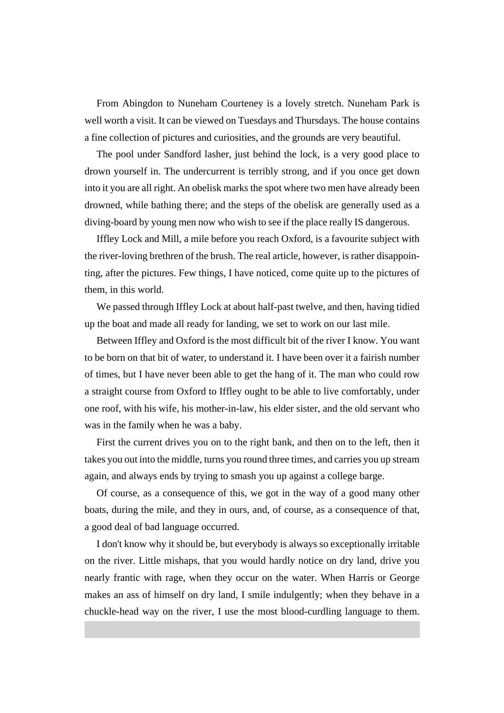From Abingdon to Nuneham Courteney is a lovely stretch. Nuneham Park is well worth a visit. It can be viewed on Tuesdays and Thursdays. The house contains a fine collection of pictures and curiosities, and the grounds are very beautiful.

The pool under Sandford lasher, just behind the lock, is a very good place to drown yourself in. The undercurrent is terribly strong, and if you once get down into it you are all right. An obelisk marks the spot where two men have already been drowned, while bathing there; and the steps of the obelisk are generally used as a diving-board by young men now who wish to see if the place really IS dangerous.

Iffley Lock and Mill, a mile before you reach Oxford, is a favourite subject with the river-loving brethren of the brush. The real article, however, is rather disappointing, after the pictures. Few things, I have noticed, come quite up to the pictures of them, in this world.

We passed through Iffley Lock at about half-past twelve, and then, having tidied up the boat and made all ready for landing, we set to work on our last mile.

Between Iffley and Oxford is the most difficult bit of the river I know. You want to be born on that bit of water, to understand it. I have been over it a fairish number of times, but I have never been able to get the hang of it. The man who could row a straight course from Oxford to Iffley ought to be able to live comfortably, under one roof, with his wife, his mother-in-law, his elder sister, and the old servant who was in the family when he was a baby.

First the current drives you on to the right bank, and then on to the left, then it takes you out into the middle, turns you round three times, and carries you up stream again, and always ends by trying to smash you up against a college barge.

Of course, as a consequence of this, we got in the way of a good many other boats, during the mile, and they in ours, and, of course, as a consequence of that, a good deal of bad language occurred.

I don't know why it should be, but everybody is always so exceptionally irritable on the river. Little mishaps, that you would hardly notice on dry land, drive you nearly frantic with rage, when they occur on the water. When Harris or George makes an ass of himself on dry land, I smile indulgently; when they behave in a chuckle-head way on the river, I use the most blood-curdling language to them.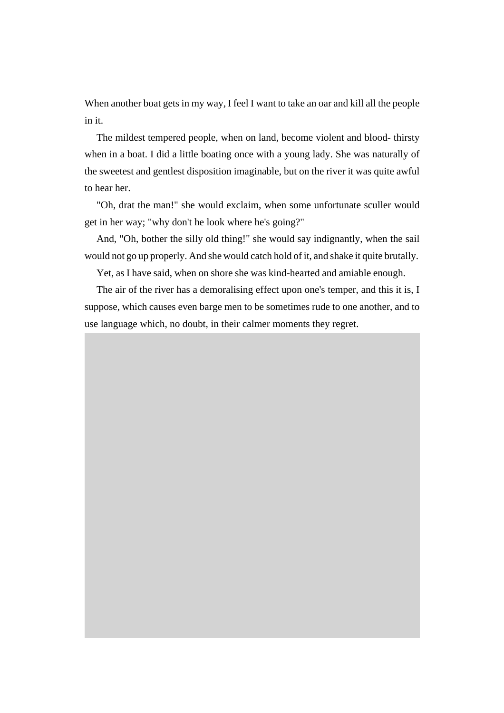When another boat gets in my way, I feel I want to take an oar and kill all the people in it.

The mildest tempered people, when on land, become violent and blood- thirsty when in a boat. I did a little boating once with a young lady. She was naturally of the sweetest and gentlest disposition imaginable, but on the river it was quite awful to hear her.

"Oh, drat the man!" she would exclaim, when some unfortunate sculler would get in her way; "why don't he look where he's going?"

And, "Oh, bother the silly old thing!" she would say indignantly, when the sail would not go up properly. And she would catch hold of it, and shake it quite brutally.

Yet, as I have said, when on shore she was kind-hearted and amiable enough.

The air of the river has a demoralising effect upon one's temper, and this it is, I suppose, which causes even barge men to be sometimes rude to one another, and to use language which, no doubt, in their calmer moments they regret.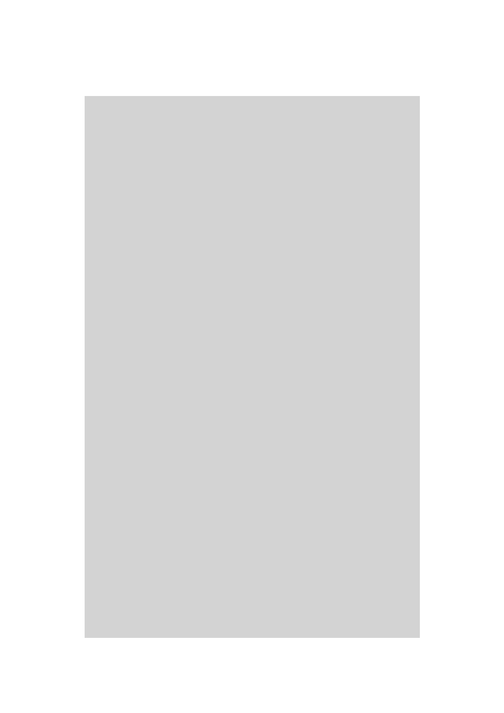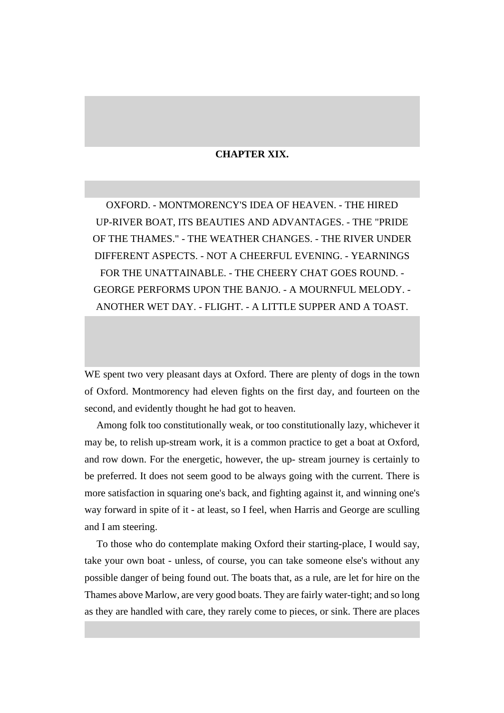### **CHAPTER XIX.**

OXFORD. - MONTMORENCY'S IDEA OF HEAVEN. - THE HIRED UP-RIVER BOAT, ITS BEAUTIES AND ADVANTAGES. - THE "PRIDE OF THE THAMES." - THE WEATHER CHANGES. - THE RIVER UNDER DIFFERENT ASPECTS. - NOT A CHEERFUL EVENING. - YEARNINGS FOR THE UNATTAINABLE. - THE CHEERY CHAT GOES ROUND. - GEORGE PERFORMS UPON THE BANJO. - A MOURNFUL MELODY. - ANOTHER WET DAY. - FLIGHT. - A LITTLE SUPPER AND A TOAST.

WE spent two very pleasant days at Oxford. There are plenty of dogs in the town of Oxford. Montmorency had eleven fights on the first day, and fourteen on the second, and evidently thought he had got to heaven.

Among folk too constitutionally weak, or too constitutionally lazy, whichever it may be, to relish up-stream work, it is a common practice to get a boat at Oxford, and row down. For the energetic, however, the up- stream journey is certainly to be preferred. It does not seem good to be always going with the current. There is more satisfaction in squaring one's back, and fighting against it, and winning one's way forward in spite of it - at least, so I feel, when Harris and George are sculling and I am steering.

To those who do contemplate making Oxford their starting-place, I would say, take your own boat - unless, of course, you can take someone else's without any possible danger of being found out. The boats that, as a rule, are let for hire on the Thames above Marlow, are very good boats. They are fairly water-tight; and so long as they are handled with care, they rarely come to pieces, or sink. There are places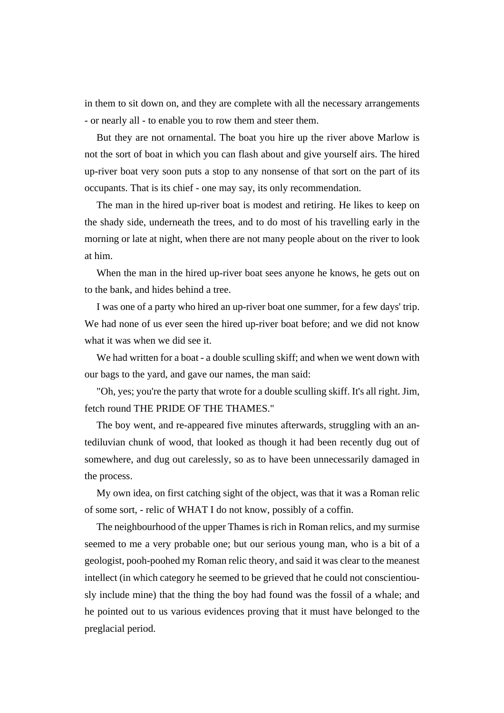in them to sit down on, and they are complete with all the necessary arrangements - or nearly all - to enable you to row them and steer them.

But they are not ornamental. The boat you hire up the river above Marlow is not the sort of boat in which you can flash about and give yourself airs. The hired up-river boat very soon puts a stop to any nonsense of that sort on the part of its occupants. That is its chief - one may say, its only recommendation.

The man in the hired up-river boat is modest and retiring. He likes to keep on the shady side, underneath the trees, and to do most of his travelling early in the morning or late at night, when there are not many people about on the river to look at him.

When the man in the hired up-river boat sees anyone he knows, he gets out on to the bank, and hides behind a tree.

I was one of a party who hired an up-river boat one summer, for a few days' trip. We had none of us ever seen the hired up-river boat before; and we did not know what it was when we did see it.

We had written for a boat - a double sculling skiff; and when we went down with our bags to the yard, and gave our names, the man said:

"Oh, yes; you're the party that wrote for a double sculling skiff. It's all right. Jim, fetch round THE PRIDE OF THE THAMES."

The boy went, and re-appeared five minutes afterwards, struggling with an antediluvian chunk of wood, that looked as though it had been recently dug out of somewhere, and dug out carelessly, so as to have been unnecessarily damaged in the process.

My own idea, on first catching sight of the object, was that it was a Roman relic of some sort, - relic of WHAT I do not know, possibly of a coffin.

The neighbourhood of the upper Thames is rich in Roman relics, and my surmise seemed to me a very probable one; but our serious young man, who is a bit of a geologist, pooh-poohed my Roman relic theory, and said it was clear to the meanest intellect (in which category he seemed to be grieved that he could not conscientiously include mine) that the thing the boy had found was the fossil of a whale; and he pointed out to us various evidences proving that it must have belonged to the preglacial period.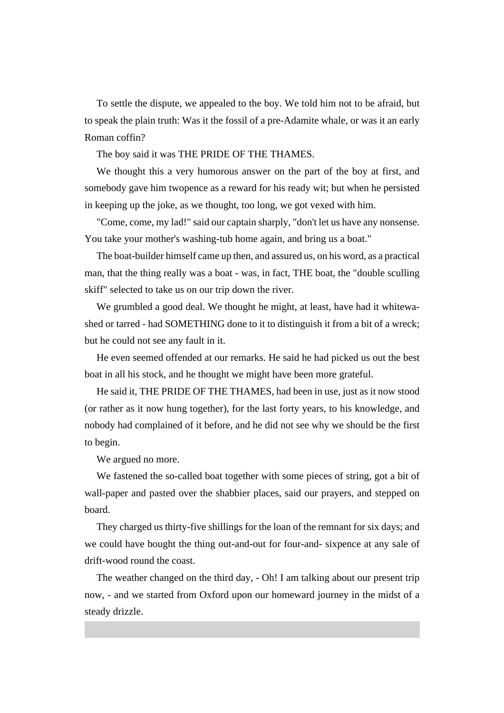To settle the dispute, we appealed to the boy. We told him not to be afraid, but to speak the plain truth: Was it the fossil of a pre-Adamite whale, or was it an early Roman coffin?

The boy said it was THE PRIDE OF THE THAMES.

We thought this a very humorous answer on the part of the boy at first, and somebody gave him twopence as a reward for his ready wit; but when he persisted in keeping up the joke, as we thought, too long, we got vexed with him.

"Come, come, my lad!" said our captain sharply, "don't let us have any nonsense. You take your mother's washing-tub home again, and bring us a boat."

The boat-builder himself came up then, and assured us, on his word, as a practical man, that the thing really was a boat - was, in fact, THE boat, the "double sculling skiff" selected to take us on our trip down the river.

We grumbled a good deal. We thought he might, at least, have had it whitewashed or tarred - had SOMETHING done to it to distinguish it from a bit of a wreck; but he could not see any fault in it.

He even seemed offended at our remarks. He said he had picked us out the best boat in all his stock, and he thought we might have been more grateful.

He said it, THE PRIDE OF THE THAMES, had been in use, just as it now stood (or rather as it now hung together), for the last forty years, to his knowledge, and nobody had complained of it before, and he did not see why we should be the first to begin.

We argued no more.

We fastened the so-called boat together with some pieces of string, got a bit of wall-paper and pasted over the shabbier places, said our prayers, and stepped on board.

They charged us thirty-five shillings for the loan of the remnant for six days; and we could have bought the thing out-and-out for four-and- sixpence at any sale of drift-wood round the coast.

The weather changed on the third day, - Oh! I am talking about our present trip now, - and we started from Oxford upon our homeward journey in the midst of a steady drizzle.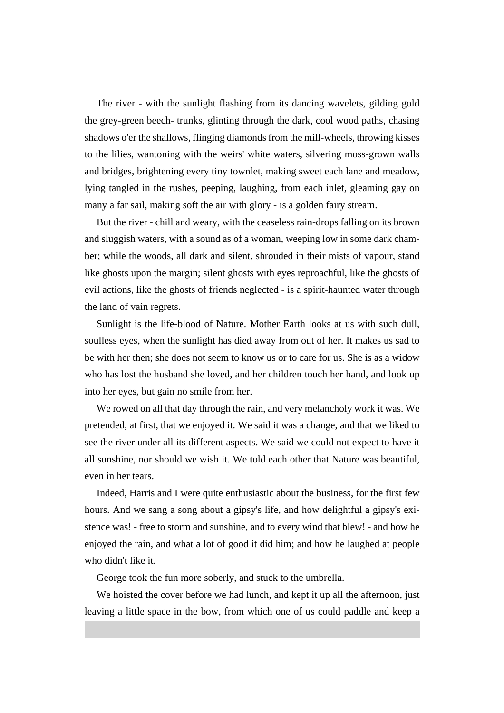The river - with the sunlight flashing from its dancing wavelets, gilding gold the grey-green beech- trunks, glinting through the dark, cool wood paths, chasing shadows o'er the shallows, flinging diamonds from the mill-wheels, throwing kisses to the lilies, wantoning with the weirs' white waters, silvering moss-grown walls and bridges, brightening every tiny townlet, making sweet each lane and meadow, lying tangled in the rushes, peeping, laughing, from each inlet, gleaming gay on many a far sail, making soft the air with glory - is a golden fairy stream.

But the river - chill and weary, with the ceaseless rain-drops falling on its brown and sluggish waters, with a sound as of a woman, weeping low in some dark chamber; while the woods, all dark and silent, shrouded in their mists of vapour, stand like ghosts upon the margin; silent ghosts with eyes reproachful, like the ghosts of evil actions, like the ghosts of friends neglected - is a spirit-haunted water through the land of vain regrets.

Sunlight is the life-blood of Nature. Mother Earth looks at us with such dull, soulless eyes, when the sunlight has died away from out of her. It makes us sad to be with her then; she does not seem to know us or to care for us. She is as a widow who has lost the husband she loved, and her children touch her hand, and look up into her eyes, but gain no smile from her.

We rowed on all that day through the rain, and very melancholy work it was. We pretended, at first, that we enjoyed it. We said it was a change, and that we liked to see the river under all its different aspects. We said we could not expect to have it all sunshine, nor should we wish it. We told each other that Nature was beautiful, even in her tears.

Indeed, Harris and I were quite enthusiastic about the business, for the first few hours. And we sang a song about a gipsy's life, and how delightful a gipsy's existence was! - free to storm and sunshine, and to every wind that blew! - and how he enjoyed the rain, and what a lot of good it did him; and how he laughed at people who didn't like it.

George took the fun more soberly, and stuck to the umbrella.

We hoisted the cover before we had lunch, and kept it up all the afternoon, just leaving a little space in the bow, from which one of us could paddle and keep a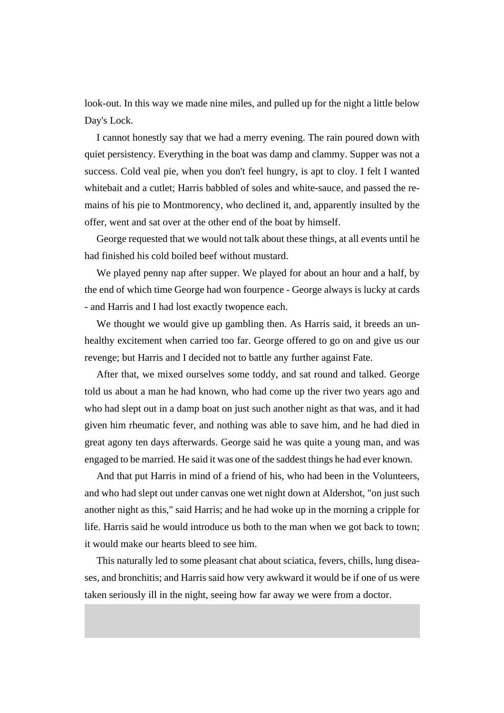look-out. In this way we made nine miles, and pulled up for the night a little below Day's Lock.

I cannot honestly say that we had a merry evening. The rain poured down with quiet persistency. Everything in the boat was damp and clammy. Supper was not a success. Cold veal pie, when you don't feel hungry, is apt to cloy. I felt I wanted whitebait and a cutlet; Harris babbled of soles and white-sauce, and passed the remains of his pie to Montmorency, who declined it, and, apparently insulted by the offer, went and sat over at the other end of the boat by himself.

George requested that we would not talk about these things, at all events until he had finished his cold boiled beef without mustard.

We played penny nap after supper. We played for about an hour and a half, by the end of which time George had won fourpence - George always is lucky at cards - and Harris and I had lost exactly twopence each.

We thought we would give up gambling then. As Harris said, it breeds an unhealthy excitement when carried too far. George offered to go on and give us our revenge; but Harris and I decided not to battle any further against Fate.

After that, we mixed ourselves some toddy, and sat round and talked. George told us about a man he had known, who had come up the river two years ago and who had slept out in a damp boat on just such another night as that was, and it had given him rheumatic fever, and nothing was able to save him, and he had died in great agony ten days afterwards. George said he was quite a young man, and was engaged to be married. He said it was one of the saddest things he had ever known.

And that put Harris in mind of a friend of his, who had been in the Volunteers, and who had slept out under canvas one wet night down at Aldershot, "on just such another night as this," said Harris; and he had woke up in the morning a cripple for life. Harris said he would introduce us both to the man when we got back to town; it would make our hearts bleed to see him.

This naturally led to some pleasant chat about sciatica, fevers, chills, lung diseases, and bronchitis; and Harris said how very awkward it would be if one of us were taken seriously ill in the night, seeing how far away we were from a doctor.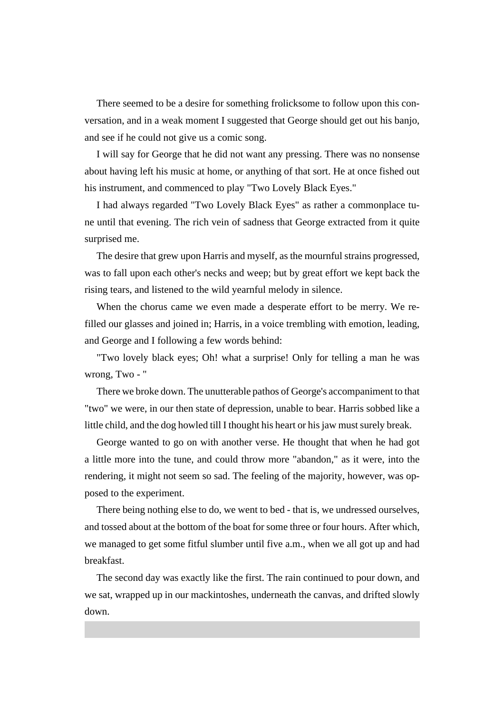There seemed to be a desire for something frolicksome to follow upon this conversation, and in a weak moment I suggested that George should get out his banjo, and see if he could not give us a comic song.

I will say for George that he did not want any pressing. There was no nonsense about having left his music at home, or anything of that sort. He at once fished out his instrument, and commenced to play "Two Lovely Black Eyes."

I had always regarded "Two Lovely Black Eyes" as rather a commonplace tune until that evening. The rich vein of sadness that George extracted from it quite surprised me.

The desire that grew upon Harris and myself, as the mournful strains progressed, was to fall upon each other's necks and weep; but by great effort we kept back the rising tears, and listened to the wild yearnful melody in silence.

When the chorus came we even made a desperate effort to be merry. We refilled our glasses and joined in; Harris, in a voice trembling with emotion, leading, and George and I following a few words behind:

"Two lovely black eyes; Oh! what a surprise! Only for telling a man he was wrong, Two - "

There we broke down. The unutterable pathos of George's accompaniment to that "two" we were, in our then state of depression, unable to bear. Harris sobbed like a little child, and the dog howled till I thought his heart or his jaw must surely break.

George wanted to go on with another verse. He thought that when he had got a little more into the tune, and could throw more "abandon," as it were, into the rendering, it might not seem so sad. The feeling of the majority, however, was opposed to the experiment.

There being nothing else to do, we went to bed - that is, we undressed ourselves, and tossed about at the bottom of the boat for some three or four hours. After which, we managed to get some fitful slumber until five a.m., when we all got up and had breakfast.

The second day was exactly like the first. The rain continued to pour down, and we sat, wrapped up in our mackintoshes, underneath the canvas, and drifted slowly down.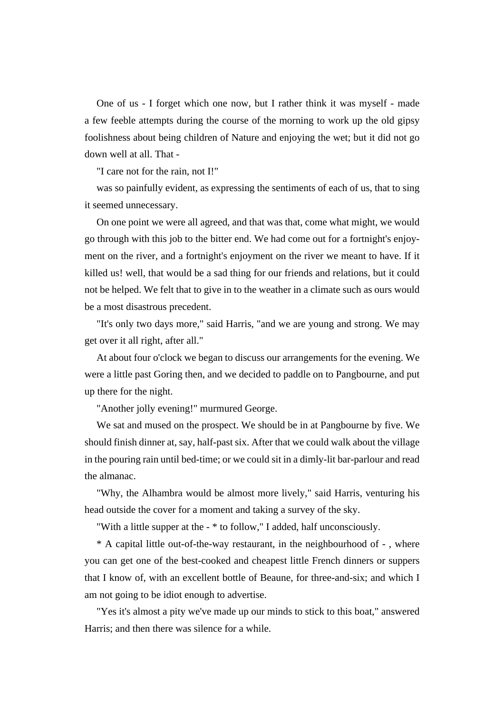One of us - I forget which one now, but I rather think it was myself - made a few feeble attempts during the course of the morning to work up the old gipsy foolishness about being children of Nature and enjoying the wet; but it did not go down well at all. That -

"I care not for the rain, not I!"

was so painfully evident, as expressing the sentiments of each of us, that to sing it seemed unnecessary.

On one point we were all agreed, and that was that, come what might, we would go through with this job to the bitter end. We had come out for a fortnight's enjoyment on the river, and a fortnight's enjoyment on the river we meant to have. If it killed us! well, that would be a sad thing for our friends and relations, but it could not be helped. We felt that to give in to the weather in a climate such as ours would be a most disastrous precedent.

"It's only two days more," said Harris, "and we are young and strong. We may get over it all right, after all."

At about four o'clock we began to discuss our arrangements for the evening. We were a little past Goring then, and we decided to paddle on to Pangbourne, and put up there for the night.

"Another jolly evening!" murmured George.

We sat and mused on the prospect. We should be in at Pangbourne by five. We should finish dinner at, say, half-past six. After that we could walk about the village in the pouring rain until bed-time; or we could sit in a dimly-lit bar-parlour and read the almanac.

"Why, the Alhambra would be almost more lively," said Harris, venturing his head outside the cover for a moment and taking a survey of the sky.

"With a little supper at the - \* to follow," I added, half unconsciously.

\* A capital little out-of-the-way restaurant, in the neighbourhood of - , where you can get one of the best-cooked and cheapest little French dinners or suppers that I know of, with an excellent bottle of Beaune, for three-and-six; and which I am not going to be idiot enough to advertise.

"Yes it's almost a pity we've made up our minds to stick to this boat," answered Harris; and then there was silence for a while.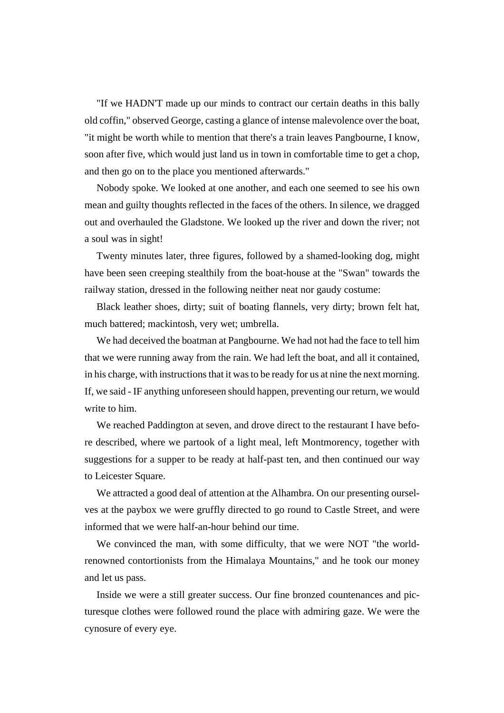"If we HADN'T made up our minds to contract our certain deaths in this bally old coffin," observed George, casting a glance of intense malevolence over the boat, "it might be worth while to mention that there's a train leaves Pangbourne, I know, soon after five, which would just land us in town in comfortable time to get a chop, and then go on to the place you mentioned afterwards."

Nobody spoke. We looked at one another, and each one seemed to see his own mean and guilty thoughts reflected in the faces of the others. In silence, we dragged out and overhauled the Gladstone. We looked up the river and down the river; not a soul was in sight!

Twenty minutes later, three figures, followed by a shamed-looking dog, might have been seen creeping stealthily from the boat-house at the "Swan" towards the railway station, dressed in the following neither neat nor gaudy costume:

Black leather shoes, dirty; suit of boating flannels, very dirty; brown felt hat, much battered; mackintosh, very wet; umbrella.

We had deceived the boatman at Pangbourne. We had not had the face to tell him that we were running away from the rain. We had left the boat, and all it contained, in his charge, with instructions that it was to be ready for us at nine the next morning. If, we said - IF anything unforeseen should happen, preventing our return, we would write to him.

We reached Paddington at seven, and drove direct to the restaurant I have before described, where we partook of a light meal, left Montmorency, together with suggestions for a supper to be ready at half-past ten, and then continued our way to Leicester Square.

We attracted a good deal of attention at the Alhambra. On our presenting ourselves at the paybox we were gruffly directed to go round to Castle Street, and were informed that we were half-an-hour behind our time.

We convinced the man, with some difficulty, that we were NOT "the worldrenowned contortionists from the Himalaya Mountains," and he took our money and let us pass.

Inside we were a still greater success. Our fine bronzed countenances and picturesque clothes were followed round the place with admiring gaze. We were the cynosure of every eye.